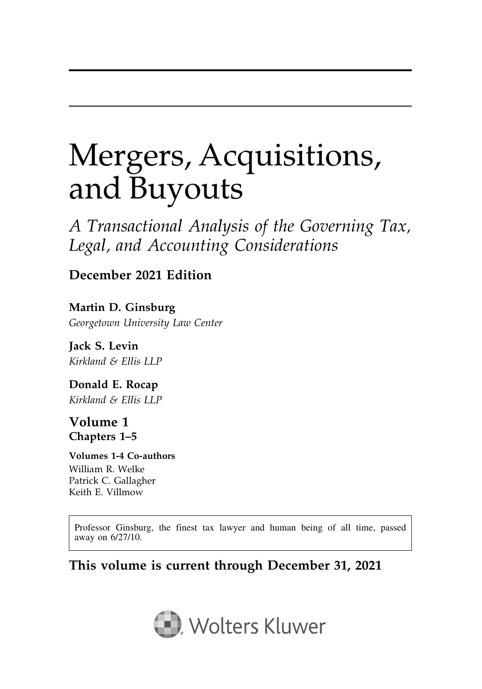# Mergers, Acquisitions, and Buyouts

A Transactional Analysis of the Governing Tax, Legal, and Accounting Considerations

### December 2021 Edition

Martin D. Ginsburg Georgetown University Law Center

Jack S. Levin Kirkland & Ellis LLP

Donald E. Rocap Kirkland & Ellis LLP

#### Volume 1 Chapters 1–5

#### Volumes 1-4 Co-authors

William R. Welke Patrick C. Gallagher Keith E. Villmow

Professor Ginsburg, the finest tax lawyer and human being of all time, passed away on 6/27/10.

### This volume is current through December 31, 2021

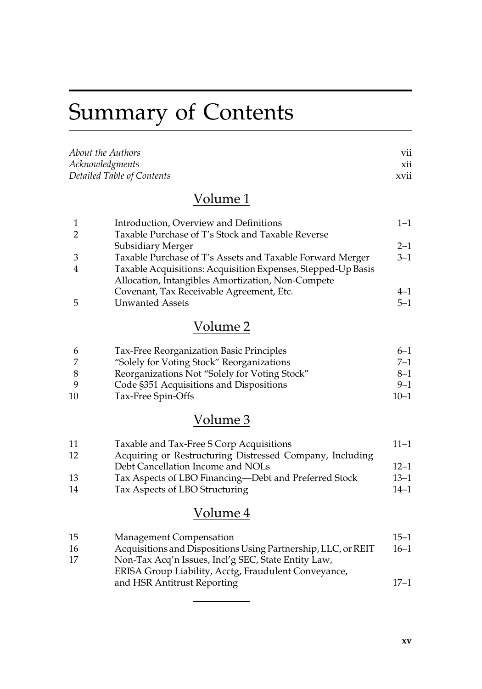# Summary of Contents

| <i>About the Authors</i>   | V11         |
|----------------------------|-------------|
| Acknowledgments            | X11         |
| Detailed Table of Contents | <b>XV11</b> |

### Volume 1

| $\mathbf{1}$   | Introduction, Overview and Definitions                       | $1 - 1$ |
|----------------|--------------------------------------------------------------|---------|
| 2              | Taxable Purchase of T's Stock and Taxable Reverse            |         |
|                | Subsidiary Merger                                            | $2 - 1$ |
| 3              | Taxable Purchase of T's Assets and Taxable Forward Merger    | $3 - 1$ |
| $\overline{4}$ | Taxable Acquisitions: Acquisition Expenses, Stepped-Up Basis |         |
|                | Allocation, Intangibles Amortization, Non-Compete            |         |
|                | Covenant, Tax Receivable Agreement, Etc.                     | $4 - 1$ |
| 5              | <b>Unwanted Assets</b>                                       | $5 - 1$ |

## Volume 2

|    | Tax-Free Reorganization Basic Principles      | $6 - 1$  |
|----|-----------------------------------------------|----------|
|    | "Solely for Voting Stock" Reorganizations     | $7 - 1$  |
|    | Reorganizations Not "Solely for Voting Stock" | $8 - 1$  |
|    | Code §351 Acquisitions and Dispositions       | $9 - 1$  |
| 10 | Tax-Free Spin-Offs                            | $10 - 1$ |

## Volume 3

| Taxable and Tax-Free S Corp Acquisitions                 | $11 - 1$ |
|----------------------------------------------------------|----------|
| Acquiring or Restructuring Distressed Company, Including |          |
| Debt Cancellation Income and NOLs                        | $12 - 1$ |
| Tax Aspects of LBO Financing-Debt and Preferred Stock    | $13 - 1$ |
| Tax Aspects of LBO Structuring                           | $14 - 1$ |
|                                                          |          |

## Volume 4

| -15 | <b>Management Compensation</b>                                                                              | $15 - 1$ |
|-----|-------------------------------------------------------------------------------------------------------------|----------|
| -16 | Acquisitions and Dispositions Using Partnership, LLC, or REIT                                               | $16 - 1$ |
| 17  | Non-Tax Acq'n Issues, Incl'g SEC, State Entity Law,<br>ERISA Group Liability, Acctg, Fraudulent Conveyance, |          |
|     | and HSR Antitrust Reporting                                                                                 | $17 - 1$ |
|     |                                                                                                             |          |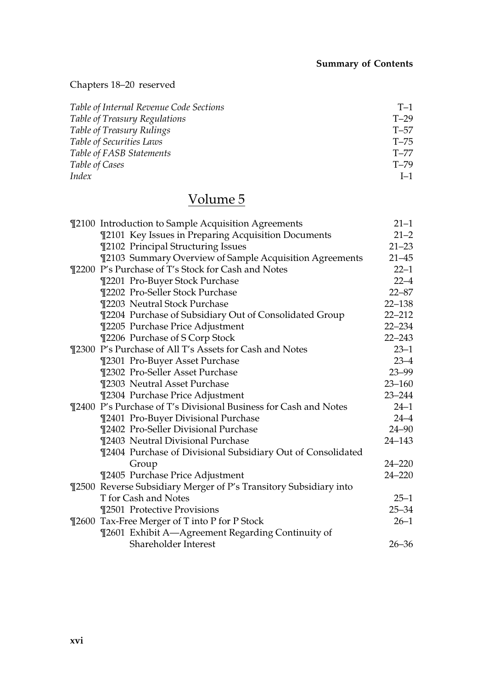#### Chapters 18–20 reserved

| Table of Internal Revenue Code Sections | $T-1$    |
|-----------------------------------------|----------|
| Table of Treasury Regulations           | $T-29$   |
| Table of Treasury Rulings               | $T - 57$ |
| Table of Securities Laws                | $T - 75$ |
| Table of FASB Statements                | $T - 77$ |
| Table of Cases                          | $T - 79$ |
| Index                                   | $I-1$    |

## Volume 5

| ¶2100 Introduction to Sample Acquisition Agreements               | $21 - 1$   |
|-------------------------------------------------------------------|------------|
| ¶2101 Key Issues in Preparing Acquisition Documents               | $21 - 2$   |
| ¶2102 Principal Structuring Issues                                | $21 - 23$  |
| ¶2103 Summary Overview of Sample Acquisition Agreements           | $21 - 45$  |
| ¶2200 P's Purchase of T's Stock for Cash and Notes                | $22 - 1$   |
| ¶2201 Pro-Buyer Stock Purchase                                    | $22 - 4$   |
| ¶2202 Pro-Seller Stock Purchase                                   | $22 - 87$  |
| ¶2203 Neutral Stock Purchase                                      | $22 - 138$ |
| ¶2204 Purchase of Subsidiary Out of Consolidated Group            | $22 - 212$ |
| ¶2205 Purchase Price Adjustment                                   | $22 - 234$ |
| <b>T2206 Purchase of S Corp Stock</b>                             | $22 - 243$ |
| ¶2300 P's Purchase of All T's Assets for Cash and Notes           | $23 - 1$   |
| ¶2301 Pro-Buyer Asset Purchase                                    | $23 - 4$   |
| ¶2302 Pro-Seller Asset Purchase                                   | $23 - 99$  |
| ¶2303 Neutral Asset Purchase                                      | $23 - 160$ |
| ¶2304 Purchase Price Adjustment                                   | $23 - 244$ |
| ¶2400 P's Purchase of T's Divisional Business for Cash and Notes  | $24 - 1$   |
| ¶2401 Pro-Buyer Divisional Purchase                               | $24 - 4$   |
| ¶2402 Pro-Seller Divisional Purchase                              | $24 - 90$  |
| ¶2403 Neutral Divisional Purchase                                 | $24 - 143$ |
| ¶2404 Purchase of Divisional Subsidiary Out of Consolidated       |            |
| Group                                                             | $24 - 220$ |
| ¶2405 Purchase Price Adjustment                                   | $24 - 220$ |
| ¶2500 Reverse Subsidiary Merger of P's Transitory Subsidiary into |            |
| T for Cash and Notes                                              | $25 - 1$   |
| ¶2501 Protective Provisions                                       | $25 - 34$  |
| ¶2600 Tax-Free Merger of T into P for P Stock                     | $26 - 1$   |
| ¶2601 Exhibit A-Agreement Regarding Continuity of                 |            |
| Shareholder Interest                                              | $26 - 36$  |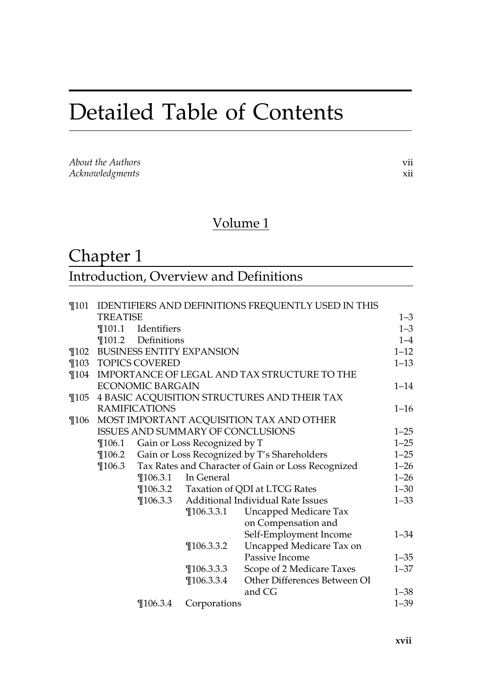## Detailed Table of Contents

| About the Authors |  |
|-------------------|--|
| Acknowledgments   |  |

### Volume 1

## Chapter 1

| Introduction, Overview and Definitions |  |
|----------------------------------------|--|
|----------------------------------------|--|

| $\P$ 101 |                                          |                                                    |                                  | IDENTIFIERS AND DEFINITIONS FREQUENTLY USED IN THIS |          |
|----------|------------------------------------------|----------------------------------------------------|----------------------------------|-----------------------------------------------------|----------|
|          | TREATISE                                 |                                                    |                                  |                                                     | $1 - 3$  |
|          | $\P$ 101.1                               | Identifiers                                        |                                  |                                                     | $1 - 3$  |
|          |                                          | ¶101.2 Definitions                                 |                                  |                                                     | $1 - 4$  |
| $\P$ 102 |                                          |                                                    | <b>BUSINESS ENTITY EXPANSION</b> |                                                     | $1 - 12$ |
| $\P$ 103 |                                          | <b>TOPICS COVERED</b>                              |                                  |                                                     | $1 - 13$ |
| $\P$ 104 |                                          |                                                    |                                  | IMPORTANCE OF LEGAL AND TAX STRUCTURE TO THE        |          |
|          |                                          | <b>ECONOMIC BARGAIN</b>                            |                                  |                                                     | $1 - 14$ |
| $\P$ 105 |                                          |                                                    |                                  | 4 BASIC ACQUISITION STRUCTURES AND THEIR TAX        |          |
|          |                                          | <b>RAMIFICATIONS</b>                               |                                  |                                                     | $1 - 16$ |
| $\P$ 106 |                                          |                                                    |                                  | MOST IMPORTANT ACQUISITION TAX AND OTHER            |          |
|          | <b>ISSUES AND SUMMARY OF CONCLUSIONS</b> |                                                    |                                  |                                                     |          |
|          | $\P$ 106.1                               |                                                    | Gain or Loss Recognized by T     |                                                     |          |
|          |                                          | ¶106.2 Gain or Loss Recognized by T's Shareholders |                                  |                                                     |          |
|          | $\P$ 106.3                               | Tax Rates and Character of Gain or Loss Recognized |                                  |                                                     |          |
|          |                                          |                                                    | $\P$ 106.3.1 In General          |                                                     | $1 - 26$ |
|          |                                          |                                                    |                                  | <b>The Strute Taxation of QDI at LTCG Rates</b>     | $1 - 30$ |
|          |                                          | $\P$ 106.3.3                                       |                                  | Additional Individual Rate Issues                   | $1 - 33$ |
|          |                                          |                                                    | $\P$ 106.3.3.1                   | Uncapped Medicare Tax                               |          |
|          |                                          |                                                    |                                  | on Compensation and                                 |          |
|          |                                          |                                                    |                                  | Self-Employment Income                              | $1 - 34$ |
|          |                                          |                                                    | $\P$ 106.3.3.2                   | Uncapped Medicare Tax on                            |          |
|          |                                          |                                                    |                                  | Passive Income                                      | $1 - 35$ |
|          |                                          |                                                    | $\P$ 106.3.3.3                   | Scope of 2 Medicare Taxes                           | $1 - 37$ |
|          |                                          |                                                    | $\P$ 106.3.3.4                   | Other Differences Between OI                        |          |
|          |                                          |                                                    |                                  | and CG                                              | $1 - 38$ |
|          |                                          | $\P$ 106.3.4                                       | Corporations                     |                                                     | $1 - 39$ |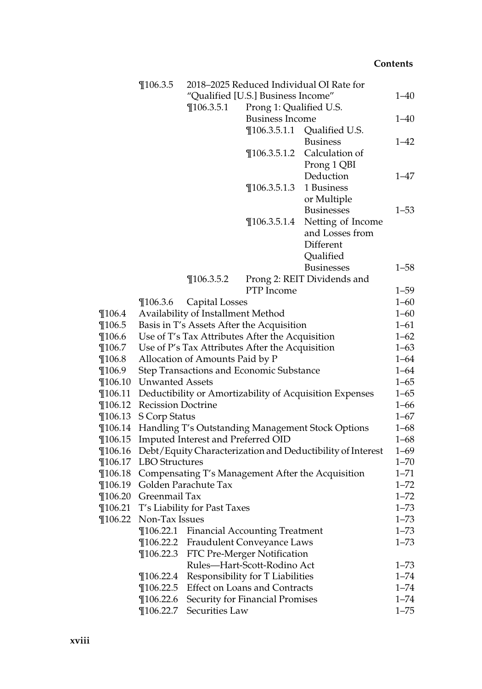|             | $\P$ 106.3.5                                                                       |                                      |                                                 | 2018-2025 Reduced Individual OI Rate for                   |                      |
|-------------|------------------------------------------------------------------------------------|--------------------------------------|-------------------------------------------------|------------------------------------------------------------|----------------------|
|             |                                                                                    |                                      | "Qualified [U.S.] Business Income"              |                                                            | $1 - 40$             |
|             |                                                                                    | $\P$ 106.3.5.1                       | Prong 1: Qualified U.S.                         |                                                            |                      |
|             |                                                                                    |                                      | <b>Business Income</b>                          |                                                            | $1 - 40$             |
|             |                                                                                    |                                      | $\P$ 106.3.5.1.1                                | Qualified U.S.                                             |                      |
|             |                                                                                    |                                      |                                                 | <b>Business</b>                                            | $1 - 42$             |
|             |                                                                                    |                                      | $\P$ 106.3.5.1.2                                | Calculation of                                             |                      |
|             |                                                                                    |                                      |                                                 | Prong 1 QBI                                                |                      |
|             |                                                                                    |                                      |                                                 | Deduction                                                  | $1 - 47$             |
|             |                                                                                    |                                      | $\P$ 106.3.5.1.3                                | 1 Business                                                 |                      |
|             |                                                                                    |                                      |                                                 | or Multiple                                                |                      |
|             |                                                                                    |                                      |                                                 | <b>Businesses</b>                                          | $1 - 53$             |
|             |                                                                                    |                                      | $\P$ 106.3.5.1.4                                | Netting of Income                                          |                      |
|             |                                                                                    |                                      |                                                 | and Losses from                                            |                      |
|             |                                                                                    |                                      |                                                 | Different                                                  |                      |
|             |                                                                                    |                                      |                                                 | Qualified                                                  |                      |
|             |                                                                                    | $\P$ 106.3.5.2                       |                                                 | <b>Businesses</b><br>Prong 2: REIT Dividends and           | $1 - 58$             |
|             |                                                                                    |                                      | PTP Income                                      |                                                            | $1 - 59$             |
|             | $\P$ 106.3.6                                                                       | Capital Losses                       |                                                 |                                                            | $1 - 60$             |
| $\P$ 106.4  |                                                                                    | Availability of Installment Method   |                                                 |                                                            | $1 - 60$             |
| $\P$ 106.5  |                                                                                    |                                      | Basis in T's Assets After the Acquisition       |                                                            | $1 - 61$             |
| $\P$ 106.6  |                                                                                    |                                      | Use of T's Tax Attributes After the Acquisition |                                                            | $1 - 62$             |
| $\P$ 106.7  |                                                                                    |                                      |                                                 |                                                            | $1 - 63$             |
| $\P$ 106.8  | Use of P's Tax Attributes After the Acquisition<br>Allocation of Amounts Paid by P |                                      |                                                 |                                                            |                      |
| $\P$ 106.9  |                                                                                    |                                      | Step Transactions and Economic Substance        |                                                            | $1 - 64$<br>$1 - 64$ |
| $\P$ 106.10 | <b>Unwanted Assets</b>                                                             |                                      |                                                 |                                                            | $1 - 65$             |
| $\P$ 106.11 |                                                                                    |                                      |                                                 | Deductibility or Amortizability of Acquisition Expenses    | $1 - 65$             |
| $\P$ 106.12 | <b>Recission Doctrine</b>                                                          |                                      |                                                 |                                                            | $1 - 66$             |
| $\P$ 106.13 | S Corp Status                                                                      |                                      |                                                 |                                                            | $1 - 67$             |
| $\P$ 106.14 |                                                                                    |                                      |                                                 | Handling T's Outstanding Management Stock Options          | $1 - 68$             |
| $\P$ 106.15 |                                                                                    | Imputed Interest and Preferred OID   |                                                 |                                                            | $1 - 68$             |
| $\P$ 106.16 |                                                                                    |                                      |                                                 | Debt/Equity Characterization and Deductibility of Interest | $1 - 69$             |
| $\P$ 106.17 | LBO Structures                                                                     |                                      |                                                 |                                                            | $1 - 70$             |
| $\P$ 106.18 |                                                                                    |                                      |                                                 | Compensating T's Management After the Acquisition          | $1 - 71$             |
| $\P$ 106.19 |                                                                                    | Golden Parachute Tax                 |                                                 |                                                            | $1 - 72$             |
| $\P$ 106.20 | Greenmail Tax                                                                      |                                      |                                                 |                                                            | $1 - 72$             |
|             |                                                                                    | ¶106.21 T's Liability for Past Taxes |                                                 |                                                            | $1 - 73$             |
|             | ¶106.22 Non-Tax Issues                                                             |                                      |                                                 |                                                            | $1 - 73$             |
|             | $\P$ 106.22.1                                                                      |                                      | <b>Financial Accounting Treatment</b>           |                                                            | $1 - 73$             |
|             | $\P$ 106.22.2                                                                      |                                      | Fraudulent Conveyance Laws                      |                                                            | $1 - 73$             |
|             | $\P$ 106.22.3                                                                      |                                      | FTC Pre-Merger Notification                     |                                                            |                      |
|             |                                                                                    |                                      | Rules-Hart-Scott-Rodino Act                     |                                                            | $1 - 73$             |
|             | $\P$ 106.22.4                                                                      |                                      | Responsibility for T Liabilities                |                                                            | $1 - 74$             |
|             | $\P$ 106.22.5                                                                      |                                      | <b>Effect on Loans and Contracts</b>            |                                                            | $1 - 74$             |
|             | $\P$ 106.22.6                                                                      |                                      | Security for Financial Promises                 |                                                            | $1 - 74$             |
|             | $\P$ 106.22.7                                                                      | Securities Law                       |                                                 |                                                            | $1 - 75$             |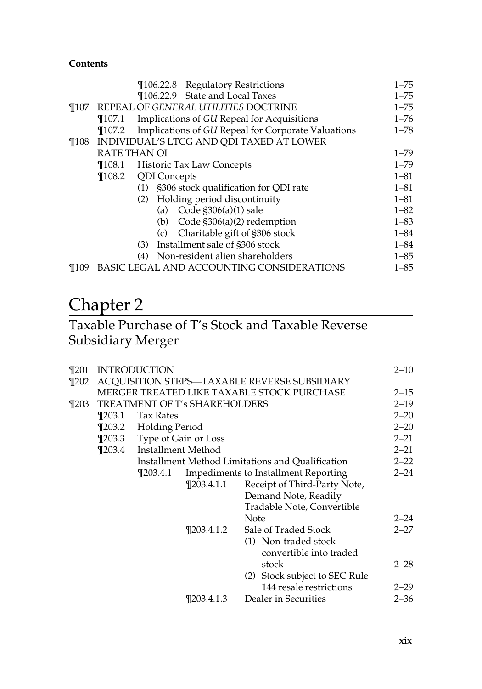|          |            |                     | <b>T106.22.8</b> Regulatory Restrictions           | $1 - 75$ |
|----------|------------|---------------------|----------------------------------------------------|----------|
|          |            |                     | ¶106.22.9 State and Local Taxes                    | $1 - 75$ |
| $\P$ 107 |            |                     | REPEAL OF GENERAL UTILITIES DOCTRINE               | $1 - 75$ |
|          | $\P$ 107.1 |                     | Implications of GU Repeal for Acquisitions         | $1 - 76$ |
|          | $\P$ 107.2 |                     | Implications of GU Repeal for Corporate Valuations | $1 - 78$ |
| $\P108$  |            |                     | INDIVIDUAL'S LTCG AND QDI TAXED AT LOWER           |          |
|          |            | <b>RATE THAN OI</b> |                                                    | $1 - 79$ |
|          |            |                     | ¶108.1 Historic Tax Law Concepts                   | $1 - 79$ |
|          |            | ¶108.2 QDI Concepts |                                                    | $1 - 81$ |
|          |            |                     | (1) §306 stock qualification for QDI rate          | $1 - 81$ |
|          |            | (2)                 | Holding period discontinuity                       | $1 - 81$ |
|          |            |                     | (a) Code $$306(a)(1)$ sale                         | $1 - 82$ |
|          |            |                     | (b) Code $\frac{1}{5}306(a)(2)$ redemption         | $1 - 83$ |
|          |            | (c)                 | Charitable gift of §306 stock                      | $1 - 84$ |
|          |            | (3)                 | Installment sale of §306 stock                     | $1 - 84$ |
|          |            | (4)                 | Non-resident alien shareholders                    | $1 - 85$ |
| ¶109     |            |                     | BASIC LEGAL AND ACCOUNTING CONSIDERATIONS          | $1 - 85$ |

## Chapter 2

## Taxable Purchase of T's Stock and Taxable Reverse Subsidiary Merger

| ¶201  |            | <b>INTRODUCTION</b>   |                               |                                                  | $2 - 10$ |
|-------|------------|-----------------------|-------------------------------|--------------------------------------------------|----------|
| ¶202  |            |                       |                               | ACQUISITION STEPS-TAXABLE REVERSE SUBSIDIARY     |          |
|       |            |                       |                               | MERGER TREATED LIKE TAXABLE STOCK PURCHASE       | $2 - 15$ |
| ¶203- |            |                       | TREATMENT OF T's SHAREHOLDERS |                                                  | $2 - 19$ |
|       | $\P$ 203.1 | Tax Rates             |                               |                                                  | $2 - 20$ |
|       |            | ¶203.2 Holding Period |                               |                                                  | $2 - 20$ |
|       | $\P$ 203.3 | Type of Gain or Loss  |                               |                                                  | $2 - 21$ |
|       | $\P$ 203.4 | Installment Method    |                               |                                                  | $2 - 21$ |
|       |            |                       |                               | Installment Method Limitations and Qualification | $2 - 22$ |
|       |            | $\P$ 203.4.1          |                               | Impediments to Installment Reporting             | $2 - 24$ |
|       |            |                       | ¶203.4.1.1                    | Receipt of Third-Party Note,                     |          |
|       |            |                       |                               | Demand Note, Readily                             |          |
|       |            |                       |                               | Tradable Note, Convertible                       |          |
|       |            |                       |                               | Note                                             | $2 - 24$ |
|       |            |                       |                               |                                                  | $2 - 27$ |
|       |            |                       | $\P$ 203.4.1.2                | Sale of Traded Stock                             |          |
|       |            |                       |                               | (1) Non-traded stock                             |          |
|       |            |                       |                               | convertible into traded                          |          |
|       |            |                       |                               | stock                                            | $2 - 28$ |
|       |            |                       |                               | (2) Stock subject to SEC Rule                    |          |
|       |            |                       |                               | 144 resale restrictions                          | $2 - 29$ |
|       |            |                       | $\P$ 203.4.1.3                | Dealer in Securities                             | $2 - 36$ |
|       |            |                       |                               |                                                  |          |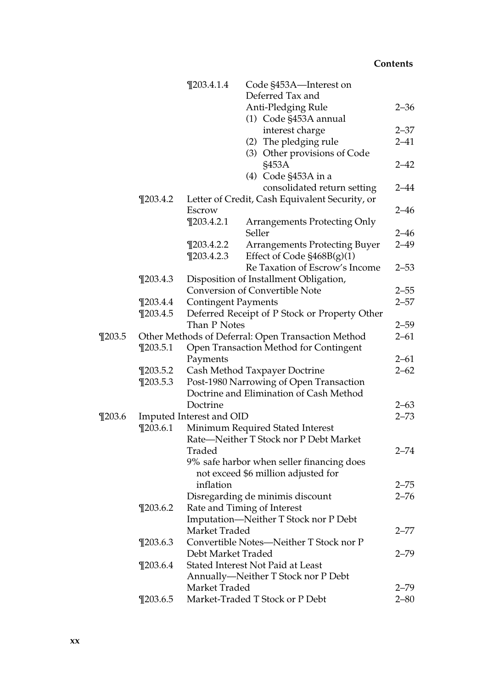|            |                                                    | $\P$ 203.4.1.4                          | Code §453A-Interest on                                                           |          |  |  |
|------------|----------------------------------------------------|-----------------------------------------|----------------------------------------------------------------------------------|----------|--|--|
|            |                                                    |                                         | Deferred Tax and                                                                 |          |  |  |
|            |                                                    |                                         | Anti-Pledging Rule                                                               | $2 - 36$ |  |  |
|            |                                                    |                                         | (1) Code §453A annual                                                            |          |  |  |
|            |                                                    |                                         | interest charge                                                                  | $2 - 37$ |  |  |
|            |                                                    |                                         | (2) The pledging rule                                                            | $2 - 41$ |  |  |
|            |                                                    |                                         | (3) Other provisions of Code<br>§453A                                            | $2 - 42$ |  |  |
|            |                                                    |                                         | (4) Code §453A in a                                                              |          |  |  |
|            |                                                    |                                         | consolidated return setting                                                      | $2 - 44$ |  |  |
|            | $\P$ 203.4.2                                       |                                         | Letter of Credit, Cash Equivalent Security, or                                   |          |  |  |
|            |                                                    | Escrow                                  |                                                                                  | $2 - 46$ |  |  |
|            |                                                    | $\P$ 203.4.2.1                          | <b>Arrangements Protecting Only</b><br>Seller                                    | $2 - 46$ |  |  |
|            |                                                    | $\P$ 203.4.2.2                          | <b>Arrangements Protecting Buyer</b>                                             | $2 - 49$ |  |  |
|            |                                                    | $\P$ 203.4.2.3                          | Effect of Code §468B(g)(1)                                                       |          |  |  |
|            |                                                    |                                         | Re Taxation of Escrow's Income                                                   | $2 - 53$ |  |  |
|            | $\P$ 203.4.3                                       |                                         | Disposition of Installment Obligation,                                           |          |  |  |
|            |                                                    |                                         | Conversion of Convertible Note                                                   | $2 - 55$ |  |  |
|            | $\P$ 203.4.4                                       | <b>Contingent Payments</b>              |                                                                                  | $2 - 57$ |  |  |
|            | $\P$ 203.4.5                                       |                                         | Deferred Receipt of P Stock or Property Other                                    |          |  |  |
|            |                                                    | Than P Notes                            |                                                                                  | $2 - 59$ |  |  |
| $\P$ 203.5 | Other Methods of Deferral: Open Transaction Method |                                         |                                                                                  |          |  |  |
|            | $\P$ 203.5.1                                       | Open Transaction Method for Contingent  |                                                                                  |          |  |  |
|            |                                                    | Payments                                |                                                                                  | $2 - 61$ |  |  |
|            | $\P$ 203.5.2                                       | Cash Method Taxpayer Doctrine           |                                                                                  |          |  |  |
|            | $\P$ 203.5.3                                       | Post-1980 Narrowing of Open Transaction |                                                                                  |          |  |  |
|            |                                                    |                                         | Doctrine and Elimination of Cash Method                                          |          |  |  |
|            |                                                    | Doctrine                                |                                                                                  | $2 - 63$ |  |  |
| $\P$ 203.6 |                                                    | Imputed Interest and OID                |                                                                                  | $2 - 73$ |  |  |
|            | $\P$ 203.6.1<br>Minimum Required Stated Interest   |                                         |                                                                                  |          |  |  |
|            |                                                    |                                         | Rate-Neither T Stock nor P Debt Market                                           |          |  |  |
|            |                                                    | Traded                                  |                                                                                  | $2 - 74$ |  |  |
|            |                                                    |                                         | 9% safe harbor when seller financing does<br>not exceed \$6 million adjusted for |          |  |  |
|            |                                                    | inflation                               |                                                                                  | $2 - 75$ |  |  |
|            |                                                    |                                         | Disregarding de minimis discount                                                 | $2 - 76$ |  |  |
|            | $\P$ 203.6.2                                       |                                         | Rate and Timing of Interest                                                      |          |  |  |
|            |                                                    |                                         | Imputation-Neither T Stock nor P Debt                                            |          |  |  |
|            |                                                    | Market Traded                           |                                                                                  | 2–77     |  |  |
|            | $\P$ 203.6.3                                       |                                         | Convertible Notes-Neither T Stock nor P                                          |          |  |  |
|            |                                                    | Debt Market Traded                      |                                                                                  | $2 - 79$ |  |  |
|            | $\P$ 203.6.4                                       |                                         | Stated Interest Not Paid at Least                                                |          |  |  |
|            |                                                    |                                         | Annually-Neither T Stock nor P Debt                                              |          |  |  |
|            |                                                    | Market Traded                           |                                                                                  | $2 - 79$ |  |  |
|            | $\P$ 203.6.5                                       |                                         | Market-Traded T Stock or P Debt                                                  | $2 - 80$ |  |  |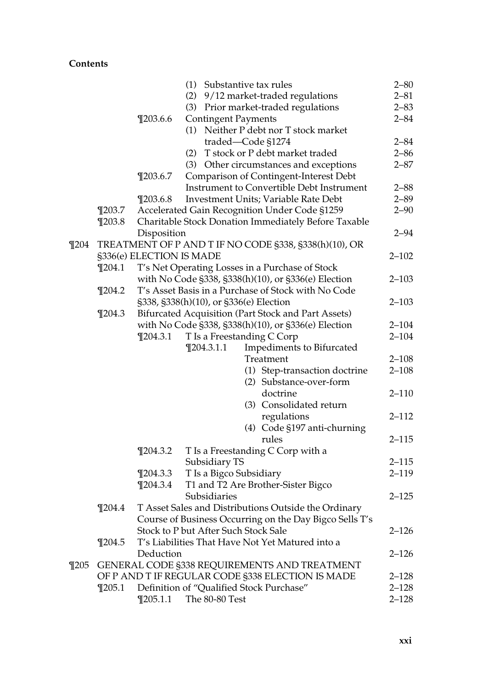|          |            |                                                                                                            |                                      | (1) Substantive tax rules                               | $2 - 80$  |  |
|----------|------------|------------------------------------------------------------------------------------------------------------|--------------------------------------|---------------------------------------------------------|-----------|--|
|          |            |                                                                                                            |                                      | (2) 9/12 market-traded regulations                      | $2 - 81$  |  |
|          |            |                                                                                                            |                                      | (3) Prior market-traded regulations                     | $2 - 83$  |  |
|          |            | $\P$ 203.6.6                                                                                               | <b>Contingent Payments</b>           |                                                         | $2 - 84$  |  |
|          |            |                                                                                                            |                                      | (1) Neither P debt nor T stock market                   |           |  |
|          |            |                                                                                                            |                                      | traded-Code §1274                                       | $2 - 84$  |  |
|          |            |                                                                                                            |                                      | (2) T stock or P debt market traded                     | $2 - 86$  |  |
|          |            |                                                                                                            |                                      | (3) Other circumstances and exceptions                  | $2 - 87$  |  |
|          |            | $\P$ 203.6.7                                                                                               |                                      | Comparison of Contingent-Interest Debt                  |           |  |
|          |            |                                                                                                            |                                      | Instrument to Convertible Debt Instrument               | $2 - 88$  |  |
|          |            | $\P$ 203.6.8                                                                                               |                                      | Investment Units; Variable Rate Debt                    | $2 - 89$  |  |
|          | $\P$ 203.7 |                                                                                                            |                                      | Accelerated Gain Recognition Under Code §1259           | $2 - 90$  |  |
|          | $\P$ 203.8 |                                                                                                            |                                      | Charitable Stock Donation Immediately Before Taxable    |           |  |
|          |            | Disposition                                                                                                |                                      |                                                         | $2 - 94$  |  |
| $\P$ 204 |            |                                                                                                            |                                      | TREATMENT OF P AND T IF NO CODE §338, §338(h)(10), OR   |           |  |
|          |            |                                                                                                            |                                      |                                                         | $2 - 102$ |  |
|          | $\P$ 204.1 | §336(e) ELECTION IS MADE<br>T's Net Operating Losses in a Purchase of Stock                                |                                      |                                                         |           |  |
|          |            |                                                                                                            |                                      |                                                         | $2 - 103$ |  |
|          |            | with No Code §338, §338(h)(10), or §336(e) Election<br>T's Asset Basis in a Purchase of Stock with No Code |                                      |                                                         |           |  |
|          | $\P$ 204.2 |                                                                                                            |                                      |                                                         | $2 - 103$ |  |
|          |            | §338, §338(h)(10), or §336(e) Election<br>Bifurcated Acquisition (Part Stock and Part Assets)              |                                      |                                                         |           |  |
|          | $\P$ 204.3 |                                                                                                            |                                      |                                                         |           |  |
|          |            |                                                                                                            |                                      | with No Code §338, §338(h)(10), or §336(e) Election     | $2 - 104$ |  |
|          |            | $\P$ 204.3.1                                                                                               |                                      | T Is a Freestanding C Corp                              | $2 - 104$ |  |
|          |            |                                                                                                            | $\P$ 204.3.1.1                       | Impediments to Bifurcated                               |           |  |
|          |            |                                                                                                            |                                      | Treatment                                               | $2 - 108$ |  |
|          |            |                                                                                                            |                                      | (1) Step-transaction doctrine                           | $2 - 108$ |  |
|          |            |                                                                                                            |                                      | (2) Substance-over-form                                 |           |  |
|          |            |                                                                                                            |                                      | doctrine                                                | $2 - 110$ |  |
|          |            |                                                                                                            |                                      | (3) Consolidated return                                 |           |  |
|          |            |                                                                                                            |                                      | regulations                                             | 2–112     |  |
|          |            |                                                                                                            |                                      | (4) Code §197 anti-churning                             |           |  |
|          |            |                                                                                                            |                                      | rules                                                   | $2 - 115$ |  |
|          |            | $\P$ 204.3.2                                                                                               |                                      | T Is a Freestanding C Corp with a                       |           |  |
|          |            |                                                                                                            | Subsidiary TS                        |                                                         | $2 - 115$ |  |
|          |            | $\P$ 204.3.3                                                                                               | T Is a Bigco Subsidiary              |                                                         | $2 - 119$ |  |
|          |            | $\P$ 204.3.4                                                                                               |                                      | T1 and T2 Are Brother-Sister Bigco                      |           |  |
|          |            |                                                                                                            | Subsidiaries                         |                                                         | 2–125     |  |
|          | $\P$ 204.4 |                                                                                                            |                                      | T Asset Sales and Distributions Outside the Ordinary    |           |  |
|          |            |                                                                                                            |                                      | Course of Business Occurring on the Day Bigco Sells T's |           |  |
|          |            |                                                                                                            | Stock to P but After Such Stock Sale |                                                         | 2–126     |  |
|          | $\P$ 204.5 |                                                                                                            |                                      | T's Liabilities That Have Not Yet Matured into a        |           |  |
|          |            | Deduction                                                                                                  |                                      |                                                         | 2–126     |  |
| $\P$ 205 |            |                                                                                                            |                                      | GENERAL CODE §338 REQUIREMENTS AND TREATMENT            |           |  |
|          |            |                                                                                                            |                                      | OF P AND T IF REGULAR CODE §338 ELECTION IS MADE        | $2 - 128$ |  |
|          | $\P$ 205.1 |                                                                                                            |                                      | Definition of "Qualified Stock Purchase"                | $2 - 128$ |  |
|          |            | $\P$ 205.1.1                                                                                               | The 80-80 Test                       |                                                         | $2 - 128$ |  |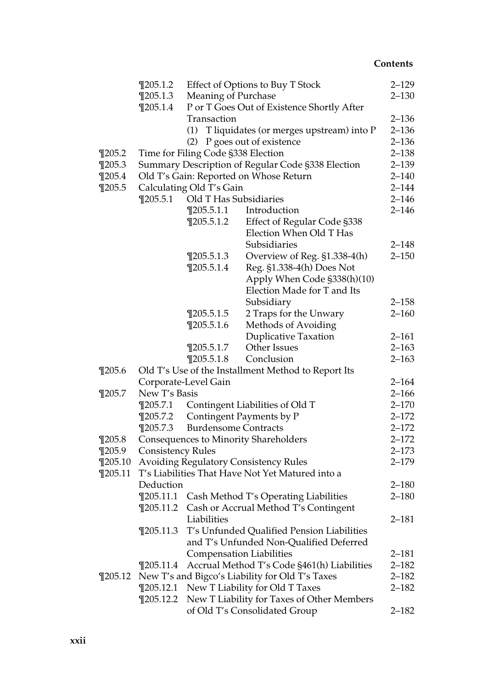|             | $\P$ 205.1.2             | Effect of Options to Buy T Stock   |                                                                                                  |                    |  |  |  |
|-------------|--------------------------|------------------------------------|--------------------------------------------------------------------------------------------------|--------------------|--|--|--|
|             | $\P$ 205.1.3             |                                    | <b>Meaning of Purchase</b>                                                                       |                    |  |  |  |
|             | $\P$ 205.1.4             |                                    | P or T Goes Out of Existence Shortly After                                                       |                    |  |  |  |
|             |                          | Transaction                        |                                                                                                  |                    |  |  |  |
|             |                          |                                    | (1) T liquidates (or merges upstream) into P                                                     | $2 - 136$          |  |  |  |
|             |                          | (2)                                | P goes out of existence                                                                          | $2 - 136$          |  |  |  |
| $\P$ 205.2  |                          | Time for Filing Code §338 Election |                                                                                                  | $2 - 138$          |  |  |  |
| $\P$ 205.3  |                          |                                    | Summary Description of Regular Code §338 Election                                                | $2 - 139$          |  |  |  |
| $\P$ 205.4  |                          |                                    | Old T's Gain: Reported on Whose Return                                                           | $2 - 140$          |  |  |  |
| $\P$ 205.5  |                          | Calculating Old T's Gain           |                                                                                                  | $2 - 144$          |  |  |  |
|             | $\P$ 205.5.1             | Old T Has Subsidiaries             |                                                                                                  | $2 - 146$          |  |  |  |
|             |                          | $\P$ 205.5.1.1                     | Introduction                                                                                     | $2 - 146$          |  |  |  |
|             |                          | $\P$ 205.5.1.2                     | Effect of Regular Code §338                                                                      |                    |  |  |  |
|             |                          |                                    | Election When Old T Has                                                                          |                    |  |  |  |
|             |                          |                                    | Subsidiaries                                                                                     | $2 - 148$          |  |  |  |
|             |                          | $\P$ 205.5.1.3                     | Overview of Reg. §1.338-4(h)                                                                     | $2 - 150$          |  |  |  |
|             |                          | $\P$ 205.5.1.4                     | Reg. §1.338-4(h) Does Not                                                                        |                    |  |  |  |
|             |                          |                                    | Apply When Code §338(h)(10)                                                                      |                    |  |  |  |
|             |                          |                                    | Election Made for T and Its                                                                      |                    |  |  |  |
|             |                          |                                    | Subsidiary                                                                                       | $2 - 158$          |  |  |  |
|             |                          | $\P$ 205.5.1.5                     | 2 Traps for the Unwary                                                                           | $2 - 160$          |  |  |  |
|             |                          | $\P$ 205.5.1.6                     | Methods of Avoiding                                                                              |                    |  |  |  |
|             |                          |                                    | <b>Duplicative Taxation</b>                                                                      | $2 - 161$          |  |  |  |
|             |                          | $\P$ 205.5.1.7                     | Other Issues                                                                                     | $2 - 163$          |  |  |  |
|             |                          | $\P$ 205.5.1.8                     | Conclusion                                                                                       | $2 - 163$          |  |  |  |
| $\P$ 205.6  |                          |                                    | Old T's Use of the Installment Method to Report Its                                              |                    |  |  |  |
|             |                          | Corporate-Level Gain               |                                                                                                  | $2 - 164$          |  |  |  |
| $\P$ 205.7  | New T's Basis            |                                    |                                                                                                  | $2 - 166$          |  |  |  |
|             | $\P$ 205.7.1             |                                    | Contingent Liabilities of Old T                                                                  | $2 - 170$          |  |  |  |
|             | $\P$ 205.7.2             |                                    | Contingent Payments by P                                                                         | $2 - 172$          |  |  |  |
|             | $\P$ 205.7.3             | <b>Burdensome Contracts</b>        |                                                                                                  | $2 - 172$          |  |  |  |
| $\P$ 205.8  |                          |                                    | Consequences to Minority Shareholders                                                            | $2 - 172$          |  |  |  |
| $\P$ 205.9  | <b>Consistency Rules</b> |                                    |                                                                                                  | $2 - 173$          |  |  |  |
| $\P$ 205.10 |                          |                                    | <b>Avoiding Regulatory Consistency Rules</b><br>T's Liabilities That Have Not Yet Matured into a | $2 - 179$          |  |  |  |
| $\P$ 205.11 |                          |                                    |                                                                                                  | $2 - 180$          |  |  |  |
|             | Deduction                |                                    |                                                                                                  |                    |  |  |  |
|             | $\P$ 205.11.1            |                                    | Cash Method T's Operating Liabilities                                                            | $2 - 180$          |  |  |  |
|             |                          | Liabilities                        | ¶205.11.2 Cash or Accrual Method T's Contingent                                                  | 2–181              |  |  |  |
|             | $\P$ 205.11.3            |                                    | T's Unfunded Qualified Pension Liabilities                                                       |                    |  |  |  |
|             |                          |                                    | and T's Unfunded Non-Qualified Deferred                                                          |                    |  |  |  |
|             |                          |                                    |                                                                                                  |                    |  |  |  |
|             | $\P$ 205.11.4            |                                    | <b>Compensation Liabilities</b><br>Accrual Method T's Code §461(h) Liabilities                   | 2–181<br>$2 - 182$ |  |  |  |
| $\P$ 205.12 |                          |                                    | New T's and Bigco's Liability for Old T's Taxes                                                  | $2 - 182$          |  |  |  |
|             | $\P$ 205.12.1            |                                    | New T Liability for Old T Taxes                                                                  | 2–182              |  |  |  |
|             | $\P$ 205.12.2            |                                    | New T Liability for Taxes of Other Members                                                       |                    |  |  |  |
|             |                          |                                    | of Old T's Consolidated Group                                                                    | 2–182              |  |  |  |
|             |                          |                                    |                                                                                                  |                    |  |  |  |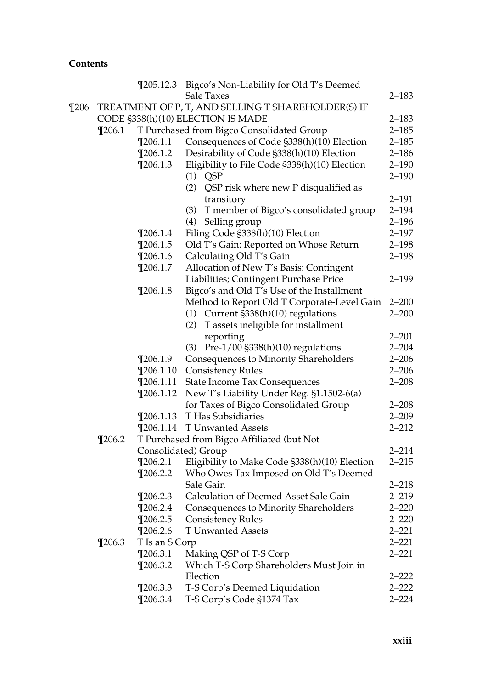|          |            |                | ¶205.12.3 Bigco's Non-Liability for Old T's Deemed          |                        |
|----------|------------|----------------|-------------------------------------------------------------|------------------------|
|          |            |                | Sale Taxes                                                  | 2–183                  |
| $\P$ 206 |            |                | TREATMENT OF P, T, AND SELLING T SHAREHOLDER(S) IF          |                        |
|          |            |                | CODE §338(h)(10) ELECTION IS MADE                           | $2 - 183$              |
|          | $\P$ 206.1 |                | T Purchased from Bigco Consolidated Group                   | $2 - 185$              |
|          |            | $\P$ 206.1.1   | Consequences of Code §338(h)(10) Election                   | $2 - 185$              |
|          |            | $\P$ 206.1.2   | Desirability of Code §338(h)(10) Election                   | $2 - 186$              |
|          |            | $\P$ 206.1.3   | Eligibility to File Code §338(h)(10) Election               | $2 - 190$              |
|          |            |                | $(1)$ QSP                                                   | $2 - 190$              |
|          |            |                | (2) QSP risk where new P disqualified as                    |                        |
|          |            |                | transitory                                                  | $2 - 191$              |
|          |            |                | T member of Bigco's consolidated group<br>(3)               | $2 - 194$              |
|          |            |                | (4) Selling group                                           | $2 - 196$              |
|          |            | $\P$ 206.1.4   | Filing Code §338(h)(10) Election                            | $2 - 197$              |
|          |            | $\P$ 206.1.5   | Old T's Gain: Reported on Whose Return                      | $2 - 198$              |
|          |            | $\P$ 206.1.6   | Calculating Old T's Gain                                    | $2 - 198$              |
|          |            | $\P$ 206.1.7   | Allocation of New T's Basis: Contingent                     |                        |
|          |            |                | Liabilities; Contingent Purchase Price                      | $2 - 199$              |
|          |            | $\P$ 206.1.8   |                                                             |                        |
|          |            |                | Bigco's and Old T's Use of the Installment                  | $2 - 200$              |
|          |            |                | Method to Report Old T Corporate-Level Gain                 | $2 - 200$              |
|          |            |                | (1) Current §338(h)(10) regulations                         |                        |
|          |            |                | (2) T assets ineligible for installment                     |                        |
|          |            |                | reporting                                                   | $2 - 201$              |
|          |            |                | (3) Pre-1/00 §338(h)(10) regulations                        | $2 - 204$              |
|          |            | $\P$ 206.1.9   | Consequences to Minority Shareholders                       | $2 - 206$              |
|          |            | $\P$ 206.1.10  | <b>Consistency Rules</b>                                    | $2 - 206$<br>$2 - 208$ |
|          |            | $\P$ 206.1.11  | <b>State Income Tax Consequences</b>                        |                        |
|          |            | $\P$ 206.1.12  | New T's Liability Under Reg. §1.1502-6(a)                   |                        |
|          |            |                | for Taxes of Bigco Consolidated Group<br>T Has Subsidiaries | $2 - 208$              |
|          |            | $\P$ 206.1.13  |                                                             | $2 - 209$              |
|          |            | $\P$ 206.1.14  | <b>T Unwanted Assets</b>                                    | $2 - 212$              |
|          | $\P$ 206.2 |                | T Purchased from Bigco Affiliated (but Not                  |                        |
|          |            |                | Consolidated) Group                                         | $2 - 214$              |
|          |            | $\P$ 206.2.1   | Eligibility to Make Code §338(h)(10) Election               | $2 - 215$              |
|          |            | $\P$ 206.2.2   | Who Owes Tax Imposed on Old T's Deemed                      |                        |
|          |            |                | Sale Gain                                                   | $2 - 218$              |
|          |            | $\P$ 206.2.3   | Calculation of Deemed Asset Sale Gain                       | $2 - 219$              |
|          |            | $\P$ 206.2.4   | Consequences to Minority Shareholders                       | $2 - 220$              |
|          |            | $\P$ 206.2.5   | <b>Consistency Rules</b>                                    | $2 - 220$              |
|          |            | $\P$ 206.2.6   | T Unwanted Assets                                           | $2 - 221$              |
|          | $\P$ 206.3 | T Is an S Corp |                                                             | $2 - 221$              |
|          |            | $\P$ 206.3.1   | Making QSP of T-S Corp                                      | 2–221                  |
|          |            | $\P$ 206.3.2   | Which T-S Corp Shareholders Must Join in                    |                        |
|          |            |                | Election                                                    | $2 - 222$              |
|          |            | $\P$ 206.3.3   | T-S Corp's Deemed Liquidation                               | $2 - 222$              |
|          |            | $\P$ 206.3.4   | T-S Corp's Code §1374 Tax                                   | $2 - 224$              |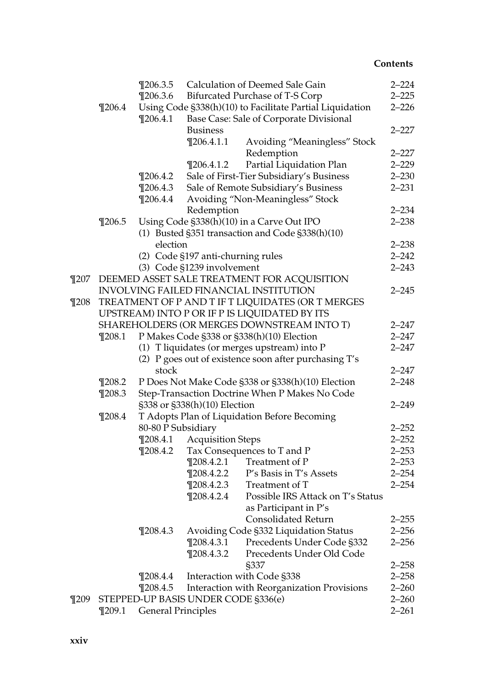|          |                                                   | $\P$ 206.3.5                 |                                     | Calculation of Deemed Sale Gain                          | $2 - 224$ |  |
|----------|---------------------------------------------------|------------------------------|-------------------------------------|----------------------------------------------------------|-----------|--|
|          |                                                   | $\P$ 206.3.6                 |                                     | Bifurcated Purchase of T-S Corp                          | $2 - 225$ |  |
|          | $\P$ 206.4                                        |                              |                                     | Using Code §338(h)(10) to Facilitate Partial Liquidation | $2 - 226$ |  |
|          |                                                   | $\P$ 206.4.1                 |                                     | Base Case: Sale of Corporate Divisional                  |           |  |
|          |                                                   |                              | <b>Business</b>                     |                                                          | $2 - 227$ |  |
|          |                                                   |                              | $\P$ 206.4.1.1                      | Avoiding "Meaningless" Stock                             |           |  |
|          |                                                   |                              |                                     | Redemption                                               | $2 - 227$ |  |
|          |                                                   |                              | $\P$ 206.4.1.2                      | Partial Liquidation Plan                                 | $2 - 229$ |  |
|          |                                                   | $\P$ 206.4.2                 |                                     | Sale of First-Tier Subsidiary's Business                 | $2 - 230$ |  |
|          |                                                   | $\P$ 206.4.3                 |                                     | Sale of Remote Subsidiary's Business                     | $2 - 231$ |  |
|          |                                                   | $\P$ 206.4.4                 |                                     | Avoiding "Non-Meaningless" Stock                         |           |  |
|          |                                                   |                              | Redemption                          |                                                          | $2 - 234$ |  |
|          | $\P$ 206.5                                        |                              |                                     | Using Code §338(h)(10) in a Carve Out IPO                | $2 - 238$ |  |
|          |                                                   |                              |                                     | (1) Busted §351 transaction and Code §338(h)(10)         |           |  |
|          |                                                   | election                     |                                     |                                                          | $2 - 238$ |  |
|          |                                                   |                              | (2) Code §197 anti-churning rules   |                                                          | $2 - 242$ |  |
|          |                                                   |                              | (3) Code §1239 involvement          |                                                          | $2 - 243$ |  |
|          |                                                   |                              |                                     | ¶207 DEEMED ASSET SALE TREATMENT FOR ACQUISITION         |           |  |
|          |                                                   |                              |                                     | <b>INVOLVING FAILED FINANCIAL INSTITUTION</b>            | $2 - 245$ |  |
| $\P$ 208 | TREATMENT OF P AND T IF T LIQUIDATES (OR T MERGES |                              |                                     |                                                          |           |  |
|          |                                                   |                              |                                     | UPSTREAM) INTO P OR IF P IS LIQUIDATED BY ITS            |           |  |
|          |                                                   |                              |                                     | SHAREHOLDERS (OR MERGES DOWNSTREAM INTO T)               | $2 - 247$ |  |
|          | $\P$ 208.1                                        |                              |                                     | P Makes Code §338 or §338(h)(10) Election                | $2 - 247$ |  |
|          |                                                   |                              |                                     | (1) T liquidates (or merges upstream) into P             | $2 - 247$ |  |
|          |                                                   |                              |                                     | (2) P goes out of existence soon after purchasing T's    |           |  |
|          |                                                   | stock                        |                                     |                                                          | $2 - 247$ |  |
|          | $\P$ 208.2                                        |                              |                                     | P Does Not Make Code §338 or §338(h)(10) Election        | $2 - 248$ |  |
|          | $\P$ 208.3                                        |                              |                                     | Step-Transaction Doctrine When P Makes No Code           |           |  |
|          |                                                   | §338 or §338(h)(10) Election |                                     |                                                          | $2 - 249$ |  |
|          | $\P$ 208.4                                        |                              |                                     | T Adopts Plan of Liquidation Before Becoming             |           |  |
|          |                                                   | 80-80 P Subsidiary           |                                     |                                                          | $2 - 252$ |  |
|          |                                                   | $\P$ 208.4.1                 | <b>Acquisition Steps</b>            |                                                          | $2 - 252$ |  |
|          |                                                   | $\P$ 208.4.2                 |                                     | Tax Consequences to T and P                              | $2 - 253$ |  |
|          |                                                   |                              | $\P$ 208.4.2.1                      | Treatment of P                                           | $2 - 253$ |  |
|          |                                                   |                              | $\P$ 208.4.2.2                      | P's Basis in T's Assets                                  | $2 - 254$ |  |
|          |                                                   |                              | $\P$ 208.4.2.3                      | Treatment of T                                           | $2 - 254$ |  |
|          |                                                   |                              | $\P$ 208.4.2.4                      | Possible IRS Attack on T's Status                        |           |  |
|          |                                                   |                              |                                     | as Participant in P's                                    |           |  |
|          |                                                   |                              |                                     | <b>Consolidated Return</b>                               | $2 - 255$ |  |
|          |                                                   | $\P$ 208.4.3                 |                                     | Avoiding Code §332 Liquidation Status                    | $2 - 256$ |  |
|          |                                                   |                              | $\P$ 208.4.3.1                      | Precedents Under Code §332                               | $2 - 256$ |  |
|          |                                                   |                              | $\P$ 208.4.3.2                      | Precedents Under Old Code                                |           |  |
|          |                                                   |                              |                                     | §337                                                     | $2 - 258$ |  |
|          |                                                   | $\P$ 208.4.4                 |                                     | Interaction with Code §338                               | $2 - 258$ |  |
|          |                                                   | $\P$ 208.4.5                 |                                     | Interaction with Reorganization Provisions               | $2 - 260$ |  |
| $\P$ 209 |                                                   |                              | STEPPED-UP BASIS UNDER CODE §336(e) |                                                          | $2 - 260$ |  |
|          | $\P$ 209.1                                        |                              |                                     |                                                          | $2 - 261$ |  |
|          | <b>General Principles</b>                         |                              |                                     |                                                          |           |  |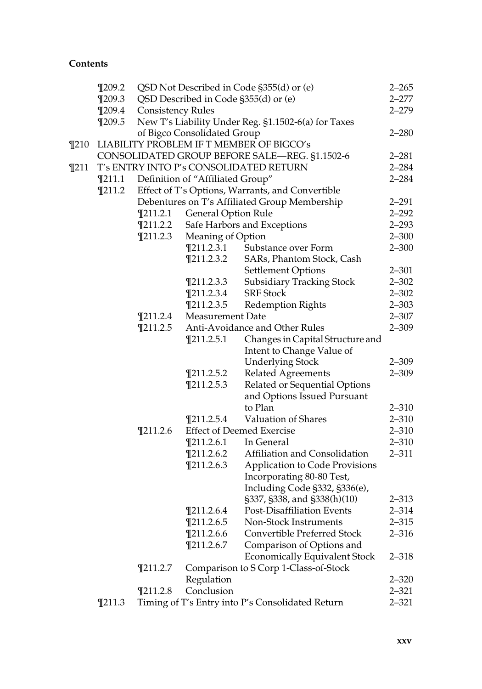|          | $\P$ 209.2                             |                                                  |                                  | QSD Not Described in Code §355(d) or (e)            | $2 - 265$ |
|----------|----------------------------------------|--------------------------------------------------|----------------------------------|-----------------------------------------------------|-----------|
|          | $\P$ 209.3                             |                                                  |                                  | QSD Described in Code §355(d) or (e)                | $2 - 277$ |
|          | $\P$ 209.4                             | <b>Consistency Rules</b>                         |                                  |                                                     | $2 - 279$ |
|          | $\P$ 209.5                             |                                                  |                                  | New T's Liability Under Reg. §1.1502-6(a) for Taxes |           |
|          |                                        |                                                  | of Bigco Consolidated Group      |                                                     | $2 - 280$ |
| $\P$ 210 |                                        |                                                  |                                  | LIABILITY PROBLEM IF T MEMBER OF BIGCO's            |           |
|          |                                        |                                                  |                                  | CONSOLIDATED GROUP BEFORE SALE-REG. §1.1502-6       | $2 - 281$ |
| $\P$ 211 | T's ENTRY INTO P's CONSOLIDATED RETURN |                                                  |                                  |                                                     | $2 - 284$ |
|          | $\P$ 211.1                             |                                                  | Definition of "Affiliated Group" |                                                     | $2 - 284$ |
|          | $\P$ 211.2                             | Effect of T's Options, Warrants, and Convertible |                                  |                                                     |           |
|          |                                        |                                                  |                                  | Debentures on T's Affiliated Group Membership       | $2 - 291$ |
|          |                                        | $\P$ 211.2.1                                     | <b>General Option Rule</b>       |                                                     | $2 - 292$ |
|          |                                        | $\P$ 211.2.2                                     |                                  | Safe Harbors and Exceptions                         | $2 - 293$ |
|          |                                        | $\P$ 211.2.3                                     | Meaning of Option                |                                                     | $2 - 300$ |
|          |                                        |                                                  | $\P$ 211.2.3.1                   | Substance over Form                                 | $2 - 300$ |
|          |                                        |                                                  | $\P$ 211.2.3.2                   | SARs, Phantom Stock, Cash                           |           |
|          |                                        |                                                  |                                  | Settlement Options                                  | $2 - 301$ |
|          |                                        |                                                  | $\P$ 211.2.3.3                   | <b>Subsidiary Tracking Stock</b>                    | $2 - 302$ |
|          |                                        |                                                  | $\P$ 211.2.3.4                   | <b>SRF</b> Stock                                    | $2 - 302$ |
|          |                                        |                                                  | $\P$ 211.2.3.5                   | <b>Redemption Rights</b>                            | $2 - 303$ |
|          |                                        | $\P$ 211.2.4                                     | <b>Measurement Date</b>          |                                                     | $2 - 307$ |
|          |                                        | $\P$ 211.2.5                                     |                                  | Anti-Avoidance and Other Rules                      | $2 - 309$ |
|          |                                        |                                                  | $\P$ 211.2.5.1                   | Changes in Capital Structure and                    |           |
|          |                                        |                                                  |                                  | Intent to Change Value of                           |           |
|          |                                        |                                                  |                                  | <b>Underlying Stock</b>                             | $2 - 309$ |
|          |                                        |                                                  | $\P$ 211.2.5.2                   | <b>Related Agreements</b>                           | $2 - 309$ |
|          |                                        |                                                  | $\P$ 211.2.5.3                   | Related or Sequential Options                       |           |
|          |                                        |                                                  |                                  | and Options Issued Pursuant                         |           |
|          |                                        |                                                  |                                  | to Plan                                             | $2 - 310$ |
|          |                                        |                                                  | $\P$ 211.2.5.4                   | Valuation of Shares                                 | $2 - 310$ |
|          |                                        | $\P$ 211.2.6                                     |                                  | <b>Effect of Deemed Exercise</b>                    | $2 - 310$ |
|          |                                        |                                                  | $\P$ 211.2.6.1                   | In General                                          | $2 - 310$ |
|          |                                        |                                                  | $\P$ 211.2.6.2                   | Affiliation and Consolidation                       | $2 - 311$ |
|          |                                        |                                                  | $\P$ 211.2.6.3                   | Application to Code Provisions                      |           |
|          |                                        |                                                  |                                  | Incorporating 80-80 Test,                           |           |
|          |                                        |                                                  |                                  | Including Code §332, §336(e),                       |           |
|          |                                        |                                                  |                                  | §337, §338, and §338(h)(10)                         | $2 - 313$ |
|          |                                        |                                                  | $\P$ 211.2.6.4                   | Post-Disaffiliation Events                          | $2 - 314$ |
|          |                                        |                                                  | $\P$ 211.2.6.5                   | Non-Stock Instruments                               | $2 - 315$ |
|          |                                        |                                                  | $\P$ 211.2.6.6                   | Convertible Preferred Stock                         | $2 - 316$ |
|          |                                        |                                                  | $\P$ 211.2.6.7                   | Comparison of Options and                           |           |
|          |                                        |                                                  |                                  | <b>Economically Equivalent Stock</b>                | 2–318     |
|          |                                        | $\P$ 211.2.7                                     |                                  | Comparison to S Corp 1-Class-of-Stock               |           |
|          |                                        |                                                  | Regulation                       |                                                     | $2 - 320$ |
|          |                                        | $\P$ 211.2.8                                     | Conclusion                       |                                                     | $2 - 321$ |
|          | $\P$ 211.3                             |                                                  |                                  | Timing of T's Entry into P's Consolidated Return    | $2 - 321$ |
|          |                                        |                                                  |                                  |                                                     |           |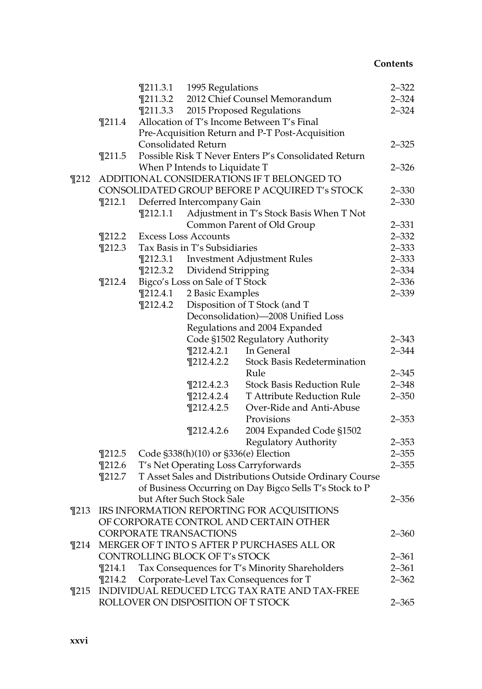|          |                                            |                                                | $\P$ 211.3.1 1995 Regulations        |                                                         | $2 - 322$ |  |  |
|----------|--------------------------------------------|------------------------------------------------|--------------------------------------|---------------------------------------------------------|-----------|--|--|
|          |                                            | $\P$ 211.3.2                                   |                                      | 2012 Chief Counsel Memorandum                           | $2 - 324$ |  |  |
|          |                                            | $\P$ 211.3.3                                   |                                      | 2015 Proposed Regulations                               | $2 - 324$ |  |  |
|          | $\P$ 211.4                                 |                                                |                                      | Allocation of T's Income Between T's Final              |           |  |  |
|          |                                            |                                                |                                      | Pre-Acquisition Return and P-T Post-Acquisition         |           |  |  |
|          |                                            |                                                | <b>Consolidated Return</b>           |                                                         | $2 - 325$ |  |  |
|          | $\P$ 211.5                                 |                                                |                                      | Possible Risk T Never Enters P's Consolidated Return    |           |  |  |
|          |                                            |                                                | When P Intends to Liquidate T        |                                                         | $2 - 326$ |  |  |
| $\P$ 212 | ADDITIONAL CONSIDERATIONS IF T BELONGED TO |                                                |                                      |                                                         |           |  |  |
|          |                                            | CONSOLIDATED GROUP BEFORE P ACQUIRED T's STOCK |                                      |                                                         |           |  |  |
|          | $\P$ 212.1                                 |                                                | Deferred Intercompany Gain           |                                                         | $2 - 330$ |  |  |
|          |                                            | $\P$ 212.1.1                                   |                                      | Adjustment in T's Stock Basis When T Not                |           |  |  |
|          |                                            |                                                |                                      | Common Parent of Old Group                              | $2 - 331$ |  |  |
|          | $\P$ 212.2                                 | <b>Excess Loss Accounts</b>                    |                                      |                                                         |           |  |  |
|          | $\P$ 212.3                                 |                                                | Tax Basis in T's Subsidiaries        |                                                         | $2 - 333$ |  |  |
|          |                                            | $\P$ 212.3.1                                   |                                      | Investment Adjustment Rules                             | $2 - 333$ |  |  |
|          |                                            | $\P$ 212.3.2                                   | Dividend Stripping                   |                                                         | $2 - 334$ |  |  |
|          | $\P$ 212.4                                 |                                                | Bigco's Loss on Sale of T Stock      |                                                         |           |  |  |
|          |                                            | $\P$ 212.4.1                                   | 2 Basic Examples                     |                                                         | $2 - 339$ |  |  |
|          |                                            | $\P$ 212.4.2                                   |                                      | Disposition of T Stock (and T                           |           |  |  |
|          |                                            |                                                |                                      | Deconsolidation)-2008 Unified Loss                      |           |  |  |
|          |                                            | Regulations and 2004 Expanded                  |                                      |                                                         |           |  |  |
|          |                                            |                                                |                                      | Code §1502 Regulatory Authority                         | $2 - 343$ |  |  |
|          |                                            |                                                | $\P$ 212.4.2.1                       | In General                                              | $2 - 344$ |  |  |
|          |                                            |                                                | $\P$ 212.4.2.2                       | Stock Basis Redetermination                             |           |  |  |
|          |                                            |                                                |                                      | Rule                                                    | $2 - 345$ |  |  |
|          |                                            |                                                | $\P$ 212.4.2.3                       | <b>Stock Basis Reduction Rule</b>                       | $2 - 348$ |  |  |
|          |                                            |                                                | $\P$ 212.4.2.4                       | T Attribute Reduction Rule                              | $2 - 350$ |  |  |
|          |                                            |                                                | $\P$ 212.4.2.5                       | Over-Ride and Anti-Abuse                                |           |  |  |
|          |                                            |                                                |                                      | Provisions                                              | $2 - 353$ |  |  |
|          |                                            |                                                | $\P$ 212.4.2.6                       | 2004 Expanded Code §1502                                |           |  |  |
|          |                                            |                                                |                                      | Regulatory Authority                                    | $2 - 353$ |  |  |
|          | $\P$ 212.5                                 |                                                | Code §338(h)(10) or §336(e) Election |                                                         | $2 - 355$ |  |  |
|          | $\P$ 212.6                                 |                                                |                                      | T's Net Operating Loss Carryforwards                    | $2 - 355$ |  |  |
|          | $\P$ 212.7                                 |                                                |                                      | T Asset Sales and Distributions Outside Ordinary Course |           |  |  |
|          |                                            |                                                |                                      | of Business Occurring on Day Bigco Sells T's Stock to P |           |  |  |
|          |                                            |                                                | but After Such Stock Sale            |                                                         | $2 - 356$ |  |  |
|          |                                            |                                                |                                      | ¶213 IRS INFORMATION REPORTING FOR ACQUISITIONS         |           |  |  |
|          |                                            |                                                |                                      | OF CORPORATE CONTROL AND CERTAIN OTHER                  |           |  |  |
|          |                                            |                                                | CORPORATE TRANSACTIONS               |                                                         | $2 - 360$ |  |  |
| $\P$ 214 |                                            |                                                |                                      | MERGER OF TINTO S AFTER P PURCHASES ALL OR              |           |  |  |
|          |                                            |                                                | CONTROLLING BLOCK OF T's STOCK       |                                                         | 2–361     |  |  |
|          | $\P$ 214.1                                 |                                                |                                      | Tax Consequences for T's Minority Shareholders          | $2 - 361$ |  |  |
|          | $\P$ 214.2                                 |                                                |                                      | Corporate-Level Tax Consequences for T                  | $2 - 362$ |  |  |
| $\P$ 215 |                                            |                                                |                                      | INDIVIDUAL REDUCED LTCG TAX RATE AND TAX-FREE           |           |  |  |
|          |                                            |                                                | ROLLOVER ON DISPOSITION OF T STOCK   |                                                         | $2 - 365$ |  |  |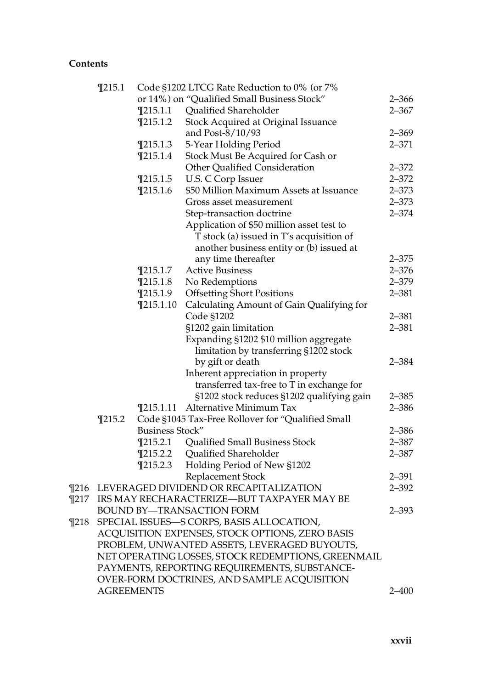|          | $\P$ 215.1        | Code §1202 LTCG Rate Reduction to 0% (or 7% |                                                    |           |  |  |
|----------|-------------------|---------------------------------------------|----------------------------------------------------|-----------|--|--|
|          |                   |                                             | or 14%) on "Qualified Small Business Stock"        | $2 - 366$ |  |  |
|          |                   | $\P$ 215.1.1                                | Qualified Shareholder                              | $2 - 367$ |  |  |
|          |                   | $\P$ 215.1.2                                | Stock Acquired at Original Issuance                |           |  |  |
|          |                   |                                             | and Post-8/10/93                                   | $2 - 369$ |  |  |
|          |                   | $\P$ 215.1.3                                | 5-Year Holding Period                              | $2 - 371$ |  |  |
|          |                   | $\P$ 215.1.4                                | Stock Must Be Acquired for Cash or                 |           |  |  |
|          |                   |                                             | Other Qualified Consideration                      | $2 - 372$ |  |  |
|          |                   | $\P$ 215.1.5                                | U.S. C Corp Issuer                                 | $2 - 372$ |  |  |
|          |                   | $\P$ 215.1.6                                | \$50 Million Maximum Assets at Issuance            | $2 - 373$ |  |  |
|          |                   |                                             | Gross asset measurement                            | $2 - 373$ |  |  |
|          |                   |                                             | Step-transaction doctrine                          | $2 - 374$ |  |  |
|          |                   |                                             | Application of \$50 million asset test to          |           |  |  |
|          |                   |                                             | T stock (a) issued in T's acquisition of           |           |  |  |
|          |                   |                                             | another business entity or (b) issued at           |           |  |  |
|          |                   |                                             | any time thereafter                                | $2 - 375$ |  |  |
|          |                   | $\P$ 215.1.7                                | <b>Active Business</b>                             | $2 - 376$ |  |  |
|          |                   | $\P$ 215.1.8                                | No Redemptions                                     | $2 - 379$ |  |  |
|          |                   | $\P$ 215.1.9                                | <b>Offsetting Short Positions</b>                  | $2 - 381$ |  |  |
|          |                   | $\P$ 215.1.10                               | Calculating Amount of Gain Qualifying for          |           |  |  |
|          |                   |                                             | Code §1202                                         | $2 - 381$ |  |  |
|          |                   |                                             | §1202 gain limitation                              | $2 - 381$ |  |  |
|          |                   |                                             | Expanding §1202 \$10 million aggregate             |           |  |  |
|          |                   |                                             | limitation by transferring §1202 stock             |           |  |  |
|          |                   |                                             | by gift or death                                   | $2 - 384$ |  |  |
|          |                   |                                             | Inherent appreciation in property                  |           |  |  |
|          |                   |                                             | transferred tax-free to T in exchange for          |           |  |  |
|          |                   |                                             | §1202 stock reduces §1202 qualifying gain          | $2 - 385$ |  |  |
|          |                   | $\P$ 215.1.11                               | Alternative Minimum Tax                            | $2 - 386$ |  |  |
|          | $\P$ 215.2        |                                             | Code §1045 Tax-Free Rollover for "Qualified Small  |           |  |  |
|          |                   | Business Stock"                             |                                                    | $2 - 386$ |  |  |
|          |                   | $\P$ 215.2.1                                | Qualified Small Business Stock                     | $2 - 387$ |  |  |
|          |                   | $\P$ 215.2.2                                | Qualified Shareholder                              | $2 - 387$ |  |  |
|          |                   | $\P$ 215.2.3                                | Holding Period of New §1202                        |           |  |  |
|          |                   |                                             | Replacement Stock                                  | $2 - 391$ |  |  |
| $\P216$  |                   |                                             | LEVERAGED DIVIDEND OR RECAPITALIZATION             | $2 - 392$ |  |  |
| $\P$ 217 |                   |                                             | IRS MAY RECHARACTERIZE-BUT TAXPAYER MAY BE         |           |  |  |
|          |                   |                                             | BOUND BY—TRANSACTION FORM                          | $2 - 393$ |  |  |
| $\P$ 218 |                   |                                             | SPECIAL ISSUES-S CORPS, BASIS ALLOCATION,          |           |  |  |
|          |                   |                                             | ACQUISITION EXPENSES, STOCK OPTIONS, ZERO BASIS    |           |  |  |
|          |                   |                                             | PROBLEM, UNWANTED ASSETS, LEVERAGED BUYOUTS,       |           |  |  |
|          |                   |                                             | NET OPERATING LOSSES, STOCK REDEMPTIONS, GREENMAIL |           |  |  |
|          |                   |                                             | PAYMENTS, REPORTING REQUIREMENTS, SUBSTANCE-       |           |  |  |
|          |                   |                                             | OVER-FORM DOCTRINES, AND SAMPLE ACQUISITION        |           |  |  |
|          | <b>AGREEMENTS</b> |                                             |                                                    | 2–400     |  |  |

xxvii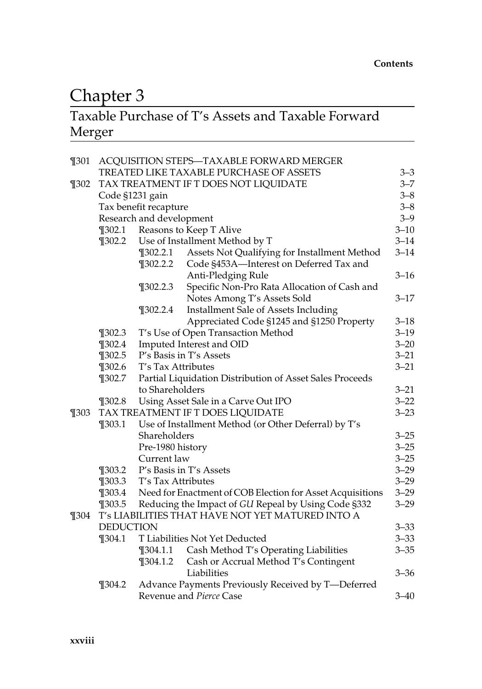## Chapter 3

## Chapter 3<br>Taxable Purchase of T's Assets and Taxable Forward Merger

| $\P$ 301 |                                               | ACQUISITION STEPS-TAXABLE FORWARD MERGER                 |                                                           |          |  |  |
|----------|-----------------------------------------------|----------------------------------------------------------|-----------------------------------------------------------|----------|--|--|
|          |                                               | TREATED LIKE TAXABLE PURCHASE OF ASSETS                  | $3 - 3$<br>$3 - 7$                                        |          |  |  |
| $\P$ 302 | TAX TREATMENT IF T DOES NOT LIQUIDATE         |                                                          |                                                           |          |  |  |
|          |                                               | Code §1231 gain                                          |                                                           | $3 - 8$  |  |  |
|          |                                               | Tax benefit recapture                                    |                                                           | $3 - 8$  |  |  |
|          |                                               | Research and development                                 |                                                           |          |  |  |
|          | $\P$ 302.1                                    | Reasons to Keep T Alive                                  |                                                           |          |  |  |
|          | $\P$ 302.2                                    |                                                          | Use of Installment Method by T                            | $3 - 14$ |  |  |
|          |                                               | $\P$ 302.2.1                                             | Assets Not Qualifying for Installment Method              | $3 - 14$ |  |  |
|          |                                               | $\P$ 302.2.2                                             | Code §453A-Interest on Deferred Tax and                   |          |  |  |
|          |                                               |                                                          | Anti-Pledging Rule                                        | $3 - 16$ |  |  |
|          |                                               | $\P$ 302.2.3                                             | Specific Non-Pro Rata Allocation of Cash and              |          |  |  |
|          |                                               |                                                          | Notes Among T's Assets Sold                               | $3 - 17$ |  |  |
|          |                                               | $\P$ 302.2.4                                             | Installment Sale of Assets Including                      |          |  |  |
|          |                                               |                                                          | Appreciated Code §1245 and §1250 Property                 | $3 - 18$ |  |  |
|          | $\P$ 302.3                                    |                                                          | T's Use of Open Transaction Method                        | $3 - 19$ |  |  |
|          | $\P$ 302.4                                    | Imputed Interest and OID                                 |                                                           |          |  |  |
|          | $\P$ 302.5                                    | P's Basis in T's Assets                                  |                                                           |          |  |  |
|          | $\P$ 302.6                                    | T's Tax Attributes                                       |                                                           |          |  |  |
|          | $\P$ 302.7                                    | Partial Liquidation Distribution of Asset Sales Proceeds |                                                           |          |  |  |
|          |                                               | to Shareholders                                          |                                                           | $3 - 21$ |  |  |
|          | $\P$ 302.8                                    |                                                          | Using Asset Sale in a Carve Out IPO                       | $3 - 22$ |  |  |
| $\P$ 303 | TAX TREATMENT IF T DOES LIQUIDATE<br>$3 - 23$ |                                                          |                                                           |          |  |  |
|          | $\P$ 303.1                                    |                                                          | Use of Installment Method (or Other Deferral) by T's      |          |  |  |
|          |                                               | Shareholders                                             |                                                           | $3 - 25$ |  |  |
|          |                                               | Pre-1980 history                                         |                                                           | $3 - 25$ |  |  |
|          |                                               | Current law                                              |                                                           | $3 - 25$ |  |  |
|          | $\P$ 303.2                                    |                                                          | P's Basis in T's Assets                                   | $3 - 29$ |  |  |
|          | $\P$ 303.3                                    | T's Tax Attributes                                       |                                                           | $3 - 29$ |  |  |
|          | $\P$ 303.4                                    |                                                          | Need for Enactment of COB Election for Asset Acquisitions | $3 - 29$ |  |  |
|          | $\P$ 303.5                                    |                                                          | Reducing the Impact of GU Repeal by Using Code §332       | $3 - 29$ |  |  |
| $\P$ 304 |                                               |                                                          | T's LIABILITIES THAT HAVE NOT YET MATURED INTO A          |          |  |  |
|          | <b>DEDUCTION</b>                              |                                                          |                                                           | $3 - 33$ |  |  |
|          | $\P$ 304.1                                    |                                                          | T Liabilities Not Yet Deducted                            | $3 - 33$ |  |  |
|          |                                               | $\P$ 304.1.1                                             | Cash Method T's Operating Liabilities                     | $3 - 35$ |  |  |
|          |                                               | $\P$ 304.1.2                                             | Cash or Accrual Method T's Contingent                     |          |  |  |
|          |                                               |                                                          | Liabilities                                               | $3 - 36$ |  |  |
|          | $\P$ 304.2                                    |                                                          | Advance Payments Previously Received by T-Deferred        |          |  |  |
|          |                                               |                                                          | Revenue and <i>Pierce</i> Case                            | $3 - 40$ |  |  |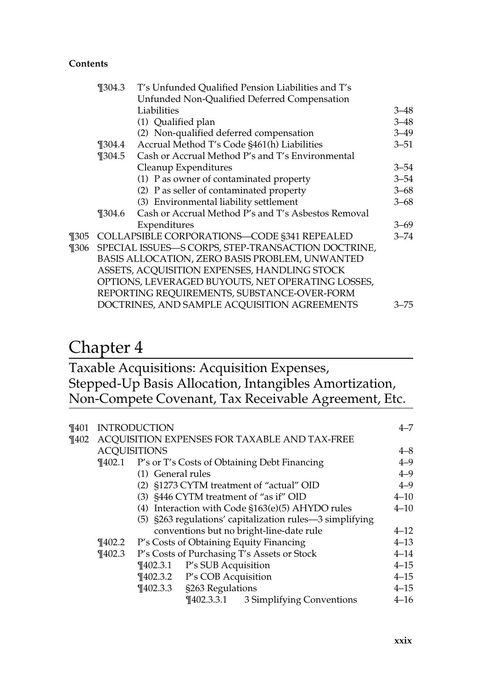|          | $\P$ 304.3 | T's Unfunded Qualified Pension Liabilities and T's  |          |
|----------|------------|-----------------------------------------------------|----------|
|          |            | Unfunded Non-Qualified Deferred Compensation        |          |
|          |            | Liabilities                                         | $3 - 48$ |
|          |            | (1) Qualified plan                                  | $3 - 48$ |
|          |            | (2) Non-qualified deferred compensation             | $3 - 49$ |
|          | $\P 304.4$ | Accrual Method T's Code §461(h) Liabilities         | $3 - 51$ |
|          | ¶304.5     | Cash or Accrual Method P's and T's Environmental    |          |
|          |            | Cleanup Expenditures                                | $3 - 54$ |
|          |            | (1) P as owner of contaminated property             | $3 - 54$ |
|          |            | (2) P as seller of contaminated property            | $3 - 68$ |
|          |            | (3) Environmental liability settlement              | $3 - 68$ |
|          | ¶304.6     | Cash or Accrual Method P's and T's Asbestos Removal |          |
|          |            | Expenditures                                        | $3 - 69$ |
| ¶305     |            | COLLAPSIBLE CORPORATIONS-CODE §341 REPEALED         | $3 - 74$ |
| $\P 306$ |            | SPECIAL ISSUES-S CORPS, STEP-TRANSACTION DOCTRINE,  |          |
|          |            | BASIS ALLOCATION, ZERO BASIS PROBLEM, UNWANTED      |          |
|          |            | ASSETS, ACQUISITION EXPENSES, HANDLING STOCK        |          |
|          |            | OPTIONS, LEVERAGED BUYOUTS, NET OPERATING LOSSES,   |          |
|          |            | REPORTING REQUIREMENTS, SUBSTANCE-OVER-FORM         |          |
|          |            | DOCTRINES, AND SAMPLE ACQUISITION AGREEMENTS        | 3–75     |
|          |            |                                                     |          |

## Chapter 4

Taxable Acquisitions: Acquisition Expenses, Stepped-Up Basis Allocation, Intangibles Amortization, Non-Compete Covenant, Tax Receivable Agreement, Etc.

| ¶401 | <b>INTRODUCTION</b>          |                   |                              |                                                            |          |
|------|------------------------------|-------------------|------------------------------|------------------------------------------------------------|----------|
| ¶402 |                              |                   |                              | ACQUISITION EXPENSES FOR TAXABLE AND TAX-FREE              |          |
|      | <b>ACQUISITIONS</b>          |                   |                              |                                                            | $4 - 8$  |
|      |                              |                   |                              | <b>T402.1</b> P's or T's Costs of Obtaining Debt Financing | $4 - 9$  |
|      |                              | (1) General rules |                              |                                                            | $4 - 9$  |
|      |                              |                   |                              | (2) §1273 CYTM treatment of "actual" OID                   | $4 - 9$  |
|      |                              |                   |                              | (3) §446 CYTM treatment of "as if" OID                     | $4 - 10$ |
|      |                              |                   |                              | (4) Interaction with Code §163(e)(5) AHYDO rules           | $4 - 10$ |
|      |                              |                   |                              | (5) §263 regulations' capitalization rules—3 simplifying   |          |
|      |                              |                   |                              | conventions but no bright-line-date rule                   | $4 - 12$ |
|      | $\P$ 402.2                   |                   |                              | P's Costs of Obtaining Equity Financing                    | $4 - 13$ |
|      | $\P402.3$                    |                   |                              | P's Costs of Purchasing T's Assets or Stock                | $4 - 14$ |
|      |                              |                   | ¶402.3.1 P's SUB Acquisition |                                                            | $4 - 15$ |
|      | ¶402.3.2 P's COB Acquisition |                   |                              |                                                            |          |
|      |                              | $\P$ 402.3.3      | §263 Regulations             |                                                            | $4 - 15$ |
|      |                              |                   |                              | ¶402.3.3.1 3 Simplifying Conventions                       | $4 - 16$ |
|      |                              |                   |                              |                                                            |          |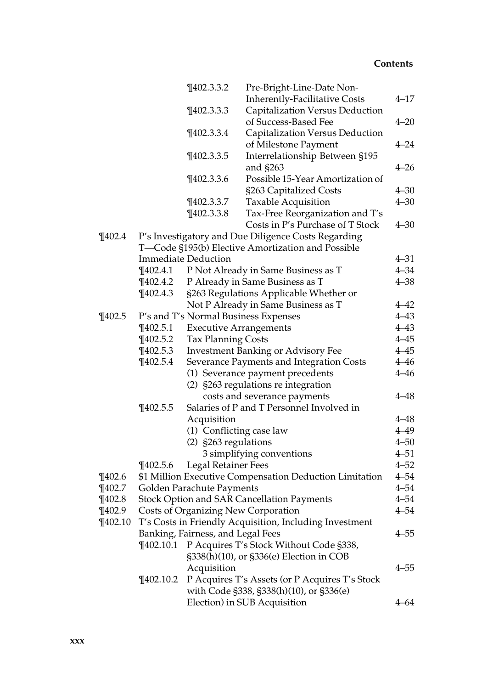|             |               | $\P$ 402.3.3.2                    | Pre-Bright-Line-Date Non-                               |          |
|-------------|---------------|-----------------------------------|---------------------------------------------------------|----------|
|             |               |                                   | <b>Inherently-Facilitative Costs</b>                    | $4 - 17$ |
|             |               | $\P$ 402.3.3.3                    | Capitalization Versus Deduction                         |          |
|             |               |                                   | of Success-Based Fee                                    | $4 - 20$ |
|             |               | $\P$ 402.3.3.4                    | Capitalization Versus Deduction                         |          |
|             |               |                                   | of Milestone Payment                                    | $4 - 24$ |
|             |               | $\P$ 402.3.3.5                    | Interrelationship Between §195                          |          |
|             |               |                                   | and §263                                                | $4 - 26$ |
|             |               | $\P$ 402.3.3.6                    | Possible 15-Year Amortization of                        |          |
|             |               |                                   | §263 Capitalized Costs                                  | $4 - 30$ |
|             |               | $\P$ 402.3.3.7                    | Taxable Acquisition                                     | $4 - 30$ |
|             |               | $\P$ 402.3.3.8                    | Tax-Free Reorganization and T's                         |          |
|             |               |                                   | Costs in P's Purchase of T Stock                        | $4 - 30$ |
| $\P$ 402.4  |               |                                   | P's Investigatory and Due Diligence Costs Regarding     |          |
|             |               |                                   | T-Code §195(b) Elective Amortization and Possible       |          |
|             |               | <b>Immediate Deduction</b>        |                                                         | $4 - 31$ |
|             | $\P$ 402.4.1  |                                   | P Not Already in Same Business as T                     | $4 - 34$ |
|             | $\P$ 402.4.2  |                                   | P Already in Same Business as T                         | $4 - 38$ |
|             | $\P$ 402.4.3  |                                   | §263 Regulations Applicable Whether or                  |          |
|             |               |                                   | Not P Already in Same Business as T                     | $4 - 42$ |
| $\P$ 402.5  |               |                                   | P's and T's Normal Business Expenses                    | $4 - 43$ |
|             | $\P$ 402.5.1  |                                   | <b>Executive Arrangements</b>                           | $4 - 43$ |
|             | $\P$ 402.5.2  | <b>Tax Planning Costs</b>         |                                                         | $4 - 45$ |
|             | $\P$ 402.5.3  |                                   | <b>Investment Banking or Advisory Fee</b>               | $4 - 45$ |
|             | $\P$ 402.5.4  |                                   | Severance Payments and Integration Costs                | $4 - 46$ |
|             |               |                                   | (1) Severance payment precedents                        | $4 - 46$ |
|             |               |                                   | (2) §263 regulations re integration                     |          |
|             |               |                                   | costs and severance payments                            | $4 - 48$ |
|             | $\P$ 402.5.5  |                                   | Salaries of P and T Personnel Involved in               |          |
|             |               | Acquisition                       |                                                         | $4 - 48$ |
|             |               |                                   | (1) Conflicting case law                                | $4 - 49$ |
|             |               | (2) §263 regulations              |                                                         | $4 - 50$ |
|             |               |                                   | 3 simplifying conventions                               | $4 - 51$ |
|             | $\P$ 402.5.6  | <b>Legal Retainer Fees</b>        |                                                         | $4 - 52$ |
| $\P$ 402.6  |               |                                   | \$1 Million Executive Compensation Deduction Limitation | $4 - 54$ |
| $\P$ 402.7  |               | Golden Parachute Payments         |                                                         | $4 - 54$ |
| $\P$ 402.8  |               |                                   | <b>Stock Option and SAR Cancellation Payments</b>       | $4 - 54$ |
| $\P$ 402.9  |               |                                   | <b>Costs of Organizing New Corporation</b>              | $4 - 54$ |
| $\P$ 402.10 |               |                                   | T's Costs in Friendly Acquisition, Including Investment |          |
|             |               | Banking, Fairness, and Legal Fees |                                                         | $4 - 55$ |
|             | $\P$ 402.10.1 |                                   | P Acquires T's Stock Without Code §338,                 |          |
|             |               |                                   | §338(h)(10), or §336(e) Election in COB                 |          |
|             |               | Acquisition                       |                                                         | $4 - 55$ |
|             | $\P$ 402.10.2 |                                   | P Acquires T's Assets (or P Acquires T's Stock          |          |
|             |               |                                   | with Code §338, §338(h)(10), or §336(e)                 |          |
|             |               |                                   | Election) in SUB Acquisition                            | $4 - 64$ |
|             |               |                                   |                                                         |          |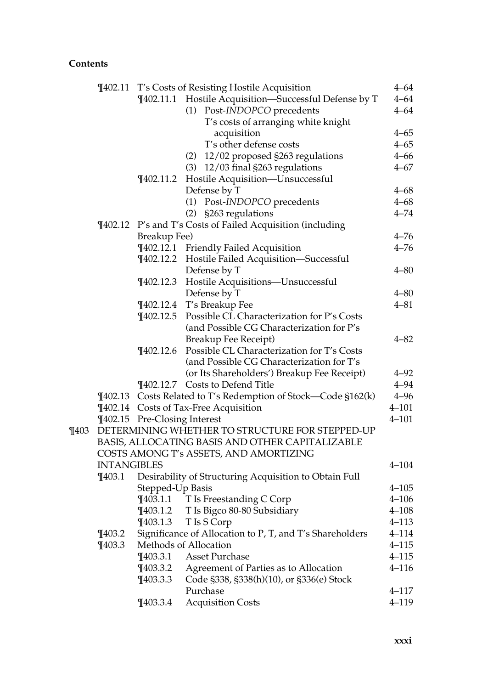|         |                    |                              | ¶402.11 T's Costs of Resisting Hostile Acquisition            | $4 - 64$  |
|---------|--------------------|------------------------------|---------------------------------------------------------------|-----------|
|         |                    |                              | ¶402.11.1 Hostile Acquisition-Successful Defense by T         | $4 - 64$  |
|         |                    |                              | (1) Post-INDOPCO precedents                                   | $4 - 64$  |
|         |                    |                              | T's costs of arranging white knight                           |           |
|         |                    |                              | acquisition                                                   | $4 - 65$  |
|         |                    |                              | T's other defense costs                                       | $4 - 65$  |
|         |                    |                              | (2) 12/02 proposed §263 regulations                           | $4 - 66$  |
|         |                    |                              | (3) 12/03 final §263 regulations                              | $4 - 67$  |
|         |                    | $\P$ 402.11.2                | Hostile Acquisition-Unsuccessful                              |           |
|         |                    |                              | Defense by T                                                  | $4 - 68$  |
|         |                    |                              | (1) Post-INDOPCO precedents                                   | $4 - 68$  |
|         |                    |                              | (2) §263 regulations                                          | $4 - 74$  |
|         |                    |                              | ¶402.12 P's and T's Costs of Failed Acquisition (including    |           |
|         |                    | Breakup Fee)                 |                                                               | $4 - 76$  |
|         |                    |                              | ¶402.12.1 Friendly Failed Acquisition                         | $4 - 76$  |
|         |                    |                              | ¶402.12.2 Hostile Failed Acquisition-Successful               |           |
|         |                    |                              | Defense by T                                                  | $4 - 80$  |
|         |                    | $\P$ 402.12.3                | Hostile Acquisitions-Unsuccessful                             |           |
|         |                    |                              | Defense by T                                                  | $4 - 80$  |
|         |                    |                              | ¶402.12.4 T's Breakup Fee                                     | $4 - 81$  |
|         |                    | $\P$ 402.12.5                | Possible CL Characterization for P's Costs                    |           |
|         |                    |                              | (and Possible CG Characterization for P's                     |           |
|         |                    |                              | Breakup Fee Receipt)                                          | $4 - 82$  |
|         |                    | $\P$ 402.12.6                | Possible CL Characterization for T's Costs                    |           |
|         |                    |                              | (and Possible CG Characterization for T's                     |           |
|         |                    |                              | (or Its Shareholders') Breakup Fee Receipt)                   | $4 - 92$  |
|         |                    |                              | ¶402.12.7 Costs to Defend Title                               | $4 - 94$  |
|         |                    |                              | ¶402.13 Costs Related to T's Redemption of Stock—Code §162(k) | $4 - 96$  |
|         |                    |                              | ¶402.14 Costs of Tax-Free Acquisition                         | $4 - 101$ |
|         |                    | ¶402.15 Pre-Closing Interest |                                                               | $4 - 101$ |
| $\P403$ |                    |                              | DETERMINING WHETHER TO STRUCTURE FOR STEPPED-UP               |           |
|         |                    |                              | BASIS, ALLOCATING BASIS AND OTHER CAPITALIZABLE               |           |
|         |                    |                              | COSTS AMONG T's ASSETS, AND AMORTIZING                        |           |
|         | <b>INTANGIBLES</b> |                              |                                                               | $4 - 104$ |
|         | $\P$ 403.1         |                              | Desirability of Structuring Acquisition to Obtain Full        |           |
|         |                    | Stepped-Up Basis             |                                                               | $4 - 105$ |
|         |                    |                              | ¶403.1.1 T Is Freestanding C Corp                             | $4 - 106$ |
|         |                    | $\P$ 403.1.2                 | T Is Bigco 80-80 Subsidiary                                   | $4 - 108$ |
|         |                    | $\P$ 403.1.3                 | T Is S Corp                                                   | $4 - 113$ |
|         | $\P$ 403.2         |                              | Significance of Allocation to P, T, and T's Shareholders      | $4 - 114$ |
|         | $\P$ 403.3         |                              | Methods of Allocation                                         | $4 - 115$ |
|         |                    | $\P$ 403.3.1                 | <b>Asset Purchase</b>                                         | $4 - 115$ |
|         |                    | $\P$ 403.3.2                 | Agreement of Parties as to Allocation                         | $4 - 116$ |
|         |                    | $\P$ 403.3.3                 | Code §338, §338(h)(10), or §336(e) Stock                      |           |
|         |                    |                              | Purchase                                                      | $4 - 117$ |
|         |                    | $\P$ 403.3.4                 | <b>Acquisition Costs</b>                                      | $4 - 119$ |
|         |                    |                              |                                                               |           |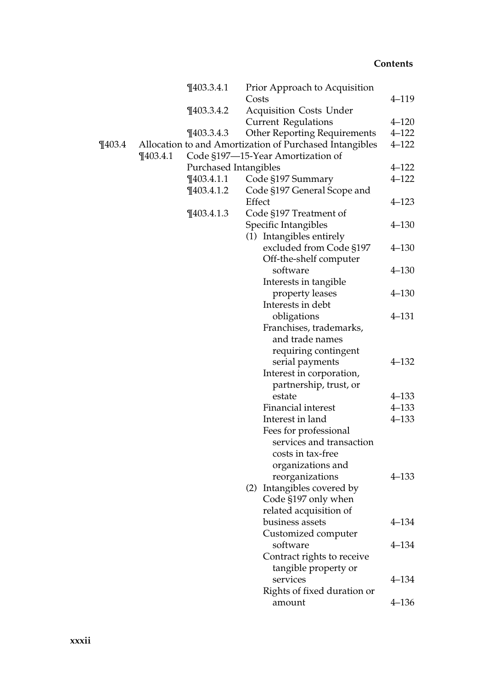|            | $\P$ 403.3.4.1        | Prior Approach to Acquisition                           |           |
|------------|-----------------------|---------------------------------------------------------|-----------|
|            |                       | Costs                                                   | $4 - 119$ |
|            | $\P$ 403.3.4.2        | <b>Acquisition Costs Under</b>                          |           |
|            |                       | <b>Current Regulations</b>                              | $4 - 120$ |
|            | $\P$ 403.3.4.3        | <b>Other Reporting Requirements</b>                     | $4 - 122$ |
| $\P$ 403.4 |                       | Allocation to and Amortization of Purchased Intangibles | $4 - 122$ |
|            | $\P$ 403.4.1          | Code §197-15-Year Amortization of                       |           |
|            | Purchased Intangibles |                                                         | $4 - 122$ |
|            | $\P$ 403.4.1.1        | Code §197 Summary                                       | $4 - 122$ |
|            | $\P$ 403.4.1.2        | Code §197 General Scope and                             |           |
|            |                       | Effect                                                  | $4 - 123$ |
|            | $\P$ 403.4.1.3        | Code §197 Treatment of                                  |           |
|            |                       | Specific Intangibles                                    | $4 - 130$ |
|            |                       | (1) Intangibles entirely                                |           |
|            |                       | excluded from Code §197                                 | $4 - 130$ |
|            |                       | Off-the-shelf computer                                  |           |
|            |                       | software                                                | $4 - 130$ |
|            |                       | Interests in tangible                                   |           |
|            |                       | property leases                                         | $4 - 130$ |
|            |                       | Interests in debt                                       |           |
|            |                       | obligations                                             | $4 - 131$ |
|            |                       | Franchises, trademarks,                                 |           |
|            |                       | and trade names                                         |           |
|            |                       | requiring contingent                                    |           |
|            |                       | serial payments                                         | $4 - 132$ |
|            |                       | Interest in corporation,                                |           |
|            |                       | partnership, trust, or                                  |           |
|            |                       | estate                                                  | $4 - 133$ |
|            |                       | Financial interest                                      | $4 - 133$ |
|            |                       | Interest in land                                        | $4 - 133$ |
|            |                       | Fees for professional                                   |           |
|            |                       | services and transaction                                |           |
|            |                       | costs in tax-free                                       |           |
|            |                       | organizations and                                       |           |
|            |                       | reorganizations                                         | $4 - 133$ |
|            |                       | (2) Intangibles covered by                              |           |
|            |                       | Code §197 only when                                     |           |
|            |                       | related acquisition of                                  |           |
|            |                       | business assets                                         | $4 - 134$ |
|            |                       | Customized computer                                     |           |
|            |                       | software                                                | $4 - 134$ |
|            |                       | Contract rights to receive                              |           |
|            |                       | tangible property or                                    |           |
|            |                       | services                                                | 4–134     |
|            |                       | Rights of fixed duration or                             |           |
|            |                       | amount                                                  | $4 - 136$ |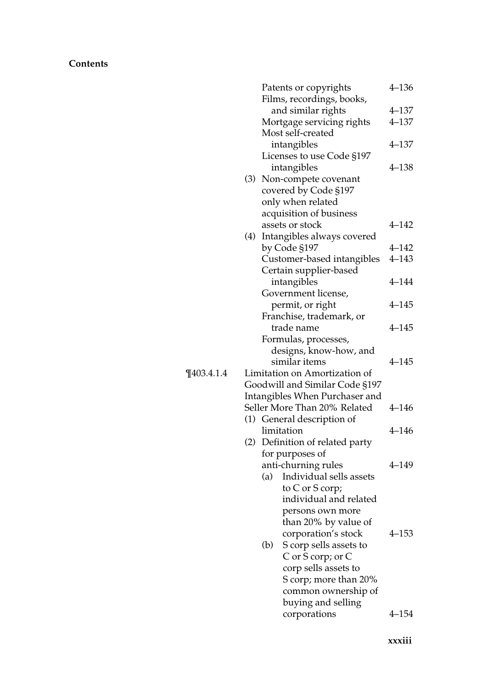|                |     |     | Patents or copyrights          | $4 - 136$ |  |
|----------------|-----|-----|--------------------------------|-----------|--|
|                |     |     | Films, recordings, books,      |           |  |
|                |     |     | and similar rights             | $4 - 137$ |  |
|                |     |     | Mortgage servicing rights      | $4 - 137$ |  |
|                |     |     | Most self-created              |           |  |
|                |     |     | intangibles                    | $4 - 137$ |  |
|                |     |     | Licenses to use Code §197      |           |  |
|                |     |     | intangibles                    | $4 - 138$ |  |
|                | (3) |     | Non-compete covenant           |           |  |
|                |     |     | covered by Code §197           |           |  |
|                |     |     | only when related              |           |  |
|                |     |     | acquisition of business        |           |  |
|                |     |     | assets or stock                | $4 - 142$ |  |
|                | (4) |     | Intangibles always covered     |           |  |
|                |     |     | by Code §197                   | $4 - 142$ |  |
|                |     |     | Customer-based intangibles     | $4 - 143$ |  |
|                |     |     | Certain supplier-based         |           |  |
|                |     |     | intangibles                    | $4 - 144$ |  |
|                |     |     | Government license,            |           |  |
|                |     |     | permit, or right               | $4 - 145$ |  |
|                |     |     | Franchise, trademark, or       |           |  |
|                |     |     | trade name                     | $4 - 145$ |  |
|                |     |     | Formulas, processes,           |           |  |
|                |     |     | designs, know-how, and         |           |  |
|                |     |     | similar items                  | $4 - 145$ |  |
| $\P$ 403.4.1.4 |     |     | Limitation on Amortization of  |           |  |
|                |     |     | Goodwill and Similar Code §197 |           |  |
|                |     |     | Intangibles When Purchaser and |           |  |
|                |     |     | Seller More Than 20% Related   | $4 - 146$ |  |
|                |     |     | (1) General description of     |           |  |
|                |     |     | limitation                     | $4 - 146$ |  |
|                | (2) |     | Definition of related party    |           |  |
|                |     |     | for purposes of                |           |  |
|                |     |     | anti-churning rules            | 4–149     |  |
|                |     | (a) | Individual sells assets        |           |  |
|                |     |     | to C or S corp;                |           |  |
|                |     |     | individual and related         |           |  |
|                |     |     | persons own more               |           |  |
|                |     |     | than 20% by value of           |           |  |
|                |     |     | corporation's stock            | $4 - 153$ |  |
|                |     | (b) | S corp sells assets to         |           |  |
|                |     |     | C or S corp; or C              |           |  |
|                |     |     | corp sells assets to           |           |  |
|                |     |     | S corp; more than 20%          |           |  |
|                |     |     | common ownership of            |           |  |
|                |     |     | buying and selling             |           |  |
|                |     |     | corporations                   | 4–154     |  |
|                |     |     |                                |           |  |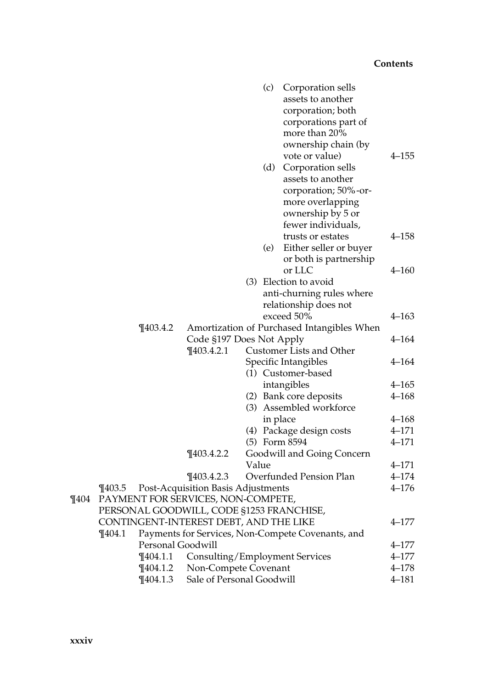|         |                                          |                                    |       | (c)      | Corporation sells                                 |           |
|---------|------------------------------------------|------------------------------------|-------|----------|---------------------------------------------------|-----------|
|         |                                          |                                    |       |          | assets to another                                 |           |
|         |                                          |                                    |       |          | corporation; both                                 |           |
|         |                                          |                                    |       |          | corporations part of                              |           |
|         |                                          |                                    |       |          | more than 20%                                     |           |
|         |                                          |                                    |       |          | ownership chain (by                               |           |
|         |                                          |                                    |       |          | vote or value)                                    | $4 - 155$ |
|         |                                          |                                    |       | (d)      | Corporation sells                                 |           |
|         |                                          |                                    |       |          | assets to another                                 |           |
|         |                                          |                                    |       |          | corporation; 50%-or-                              |           |
|         |                                          |                                    |       |          | more overlapping                                  |           |
|         |                                          |                                    |       |          | ownership by 5 or                                 |           |
|         |                                          |                                    |       |          | fewer individuals,                                |           |
|         |                                          |                                    |       |          | trusts or estates                                 | 4–158     |
|         |                                          |                                    |       | (e)      | Either seller or buyer                            |           |
|         |                                          |                                    |       |          | or both is partnership                            |           |
|         |                                          |                                    |       |          | or LLC                                            | 4–160     |
|         |                                          |                                    |       |          | (3) Election to avoid                             |           |
|         |                                          |                                    |       |          | anti-churning rules where                         |           |
|         |                                          |                                    |       |          | relationship does not                             |           |
|         |                                          |                                    |       |          | exceed 50%                                        | 4–163     |
|         | $\P$ 403.4.2                             |                                    |       |          | Amortization of Purchased Intangibles When        |           |
|         |                                          | Code §197 Does Not Apply           |       |          |                                                   | 4–164     |
|         |                                          | $\P$ 403.4.2.1                     |       |          | Customer Lists and Other                          |           |
|         |                                          |                                    |       |          | Specific Intangibles                              | 4–164     |
|         |                                          |                                    |       |          | (1) Customer-based                                |           |
|         |                                          |                                    |       |          | intangibles                                       | 4–165     |
|         |                                          |                                    |       |          | (2) Bank core deposits                            | $4 - 168$ |
|         |                                          |                                    |       |          | (3) Assembled workforce                           |           |
|         |                                          |                                    |       | in place |                                                   | $4 - 168$ |
|         |                                          |                                    |       |          | (4) Package design costs                          | $4 - 171$ |
|         |                                          |                                    |       |          | (5) Form 8594                                     | $4 - 171$ |
|         |                                          | $\P$ 403.4.2.2                     |       |          | Goodwill and Going Concern                        |           |
|         |                                          |                                    | Value |          |                                                   | $4 - 171$ |
|         |                                          | $\P$ 403.4.2.3                     |       |          | Overfunded Pension Plan                           | $4 - 174$ |
|         | $\P$ 403.5                               | Post-Acquisition Basis Adjustments |       |          |                                                   | $4 - 176$ |
| $\P404$ | PAYMENT FOR SERVICES, NON-COMPETE,       |                                    |       |          |                                                   |           |
|         | PERSONAL GOODWILL, CODE §1253 FRANCHISE, |                                    |       |          |                                                   |           |
|         | CONTINGENT-INTEREST DEBT, AND THE LIKE   |                                    |       |          |                                                   | 4–177     |
|         | ¶404.1                                   |                                    |       |          | Payments for Services, Non-Compete Covenants, and |           |
|         | Personal Goodwill                        |                                    |       |          |                                                   | 4–177     |
|         | $\P$ 404.1.1                             | Consulting/Employment Services     |       |          |                                                   | $4 - 177$ |
|         | $\P$ 404.1.2                             | Non-Compete Covenant               |       |          |                                                   | $4 - 178$ |
|         | $\P$ 404.1.3                             | Sale of Personal Goodwill          |       |          |                                                   | $4 - 181$ |
|         |                                          |                                    |       |          |                                                   |           |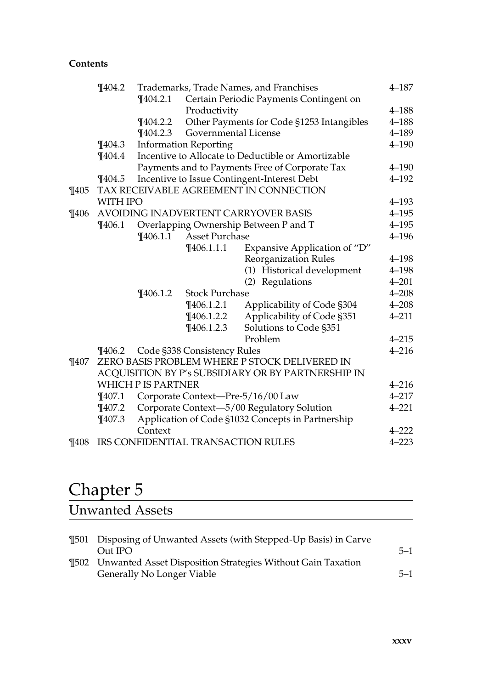|          | $\P$ 404.2 |                                    |                                       | Trademarks, Trade Names, and Franchises            | $4 - 187$ |  |  |
|----------|------------|------------------------------------|---------------------------------------|----------------------------------------------------|-----------|--|--|
|          |            | $\P$ 404.2.1                       |                                       | Certain Periodic Payments Contingent on            |           |  |  |
|          |            |                                    | Productivity                          |                                                    | $4 - 188$ |  |  |
|          |            | $\P$ 404.2.2                       |                                       | Other Payments for Code §1253 Intangibles          | $4 - 188$ |  |  |
|          |            | $\P$ 404.2.3                       | Governmental License                  |                                                    | $4 - 189$ |  |  |
|          | $\P$ 404.3 |                                    | <b>Information Reporting</b>          |                                                    | $4 - 190$ |  |  |
|          | $\P 404.4$ |                                    |                                       | Incentive to Allocate to Deductible or Amortizable |           |  |  |
|          |            |                                    |                                       | Payments and to Payments Free of Corporate Tax     | $4 - 190$ |  |  |
|          | $\P$ 404.5 |                                    |                                       | Incentive to Issue Contingent-Interest Debt        | $4 - 192$ |  |  |
| $\P$ 405 |            |                                    |                                       | TAX RECEIVABLE AGREEMENT IN CONNECTION             |           |  |  |
|          | WITH IPO   |                                    |                                       |                                                    | $4 - 193$ |  |  |
| $\P$ 406 |            |                                    |                                       | AVOIDING INADVERTENT CARRYOVER BASIS               | $4 - 195$ |  |  |
|          | $\P$ 406.1 |                                    | Overlapping Ownership Between P and T |                                                    |           |  |  |
|          |            | $\P$ 406.1.1                       | <b>Asset Purchase</b>                 |                                                    |           |  |  |
|          |            |                                    | $\P$ 406.1.1.1                        | Expansive Application of "D"                       |           |  |  |
|          |            |                                    |                                       | Reorganization Rules                               | $4 - 198$ |  |  |
|          |            |                                    |                                       | (1) Historical development                         | $4 - 198$ |  |  |
|          |            |                                    |                                       | (2) Regulations                                    | $4 - 201$ |  |  |
|          |            | $\P$ 406.1.2                       | <b>Stock Purchase</b>                 |                                                    | $4 - 208$ |  |  |
|          |            |                                    | $\P$ 406.1.2.1                        | Applicability of Code §304                         | $4 - 208$ |  |  |
|          |            |                                    | $\P$ 406.1.2.2                        | Applicability of Code §351                         | $4 - 211$ |  |  |
|          |            |                                    | $\P$ 406.1.2.3                        | Solutions to Code §351                             |           |  |  |
|          |            |                                    |                                       | Problem                                            | $4 - 215$ |  |  |
|          | T406.2     |                                    | Code §338 Consistency Rules           |                                                    | $4 - 216$ |  |  |
| $\P407$  |            |                                    |                                       | ZERO BASIS PROBLEM WHERE P STOCK DELIVERED IN      |           |  |  |
|          |            |                                    |                                       | ACQUISITION BY P's SUBSIDIARY OR BY PARTNERSHIP IN |           |  |  |
|          |            | <b>WHICH P IS PARTNER</b>          |                                       |                                                    | $4 - 216$ |  |  |
|          | $\P$ 407.1 |                                    |                                       | Corporate Context-Pre-5/16/00 Law                  | $4 - 217$ |  |  |
|          | $\P$ 407.2 |                                    |                                       | Corporate Context-5/00 Regulatory Solution         | $4 - 221$ |  |  |
|          | $\P$ 407.3 |                                    |                                       | Application of Code §1032 Concepts in Partnership  |           |  |  |
|          |            | Context                            |                                       |                                                    | $4 - 222$ |  |  |
| $\P408$  |            | IRS CONFIDENTIAL TRANSACTION RULES |                                       |                                                    |           |  |  |

## Chapter 5

### Unwanted Assets

| <b>Theory</b> T501 Disposing of Unwanted Assets (with Stepped-Up Basis) in Carve |         |
|----------------------------------------------------------------------------------|---------|
| Out IPO                                                                          | $5 - 1$ |
| <b>Theory</b> Unwanted Asset Disposition Strategies Without Gain Taxation        |         |
| Generally No Longer Viable                                                       | $5 - 1$ |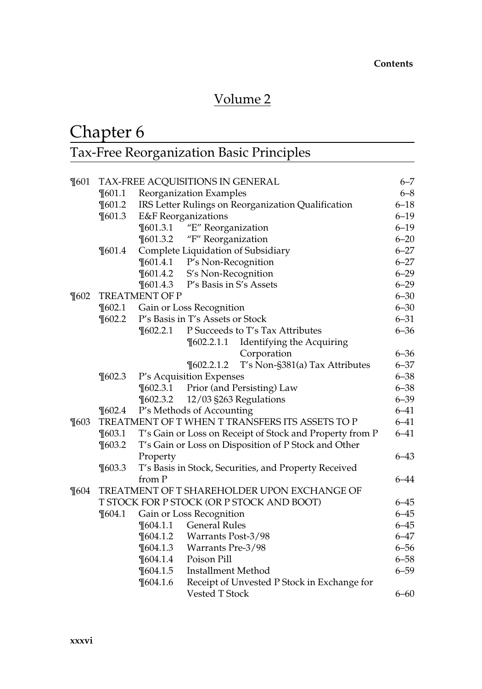## Volume 2

## Chapter 6

## Tax-Free Reorganization Basic Principles

| $\P601$ | TAX-FREE ACQUISITIONS IN GENERAL                |                                                                      |                                  |                                                       |          |  |  |
|---------|-------------------------------------------------|----------------------------------------------------------------------|----------------------------------|-------------------------------------------------------|----------|--|--|
|         | $\P$ 601.1                                      | Reorganization Examples                                              |                                  |                                                       |          |  |  |
|         | $\P601.2$                                       | IRS Letter Rulings on Reorganization Qualification                   |                                  |                                                       |          |  |  |
|         | $\P$ 601.3                                      |                                                                      | <b>E&amp;F</b> Reorganizations   |                                                       | $6 - 19$ |  |  |
|         |                                                 | $\P$ 601.3.1                                                         | "E" Reorganization               |                                                       | $6 - 19$ |  |  |
|         |                                                 | $\P601.3.2$                                                          | "F" Reorganization               |                                                       | $6 - 20$ |  |  |
|         | $\P601.4$                                       |                                                                      |                                  | Complete Liquidation of Subsidiary                    | $6 - 27$ |  |  |
|         |                                                 | $\P$ 601.4.1                                                         | P's Non-Recognition              |                                                       | $6 - 27$ |  |  |
|         |                                                 | $\P601.4.2$                                                          | S's Non-Recognition              |                                                       | $6 - 29$ |  |  |
|         |                                                 |                                                                      | ¶601.4.3 P's Basis in S's Assets |                                                       | $6 - 29$ |  |  |
| $\P602$ |                                                 | TREATMENT OF P                                                       |                                  |                                                       | $6 - 30$ |  |  |
|         | $\P602.1$                                       |                                                                      | Gain or Loss Recognition         |                                                       | $6 - 30$ |  |  |
|         | $\P602.2$                                       |                                                                      | P's Basis in T's Assets or Stock |                                                       | $6 - 31$ |  |  |
|         |                                                 | $\P602.2.1$                                                          |                                  | P Succeeds to T's Tax Attributes                      | $6 - 36$ |  |  |
|         |                                                 |                                                                      | $\P$ 602.2.1.1                   | Identifying the Acquiring                             |          |  |  |
|         |                                                 |                                                                      |                                  | Corporation                                           | $6 - 36$ |  |  |
|         |                                                 |                                                                      | $\P602.2.1.2$                    | T's Non-§381(a) Tax Attributes                        | $6 - 37$ |  |  |
|         | $\P602.3$                                       | P's Acquisition Expenses                                             |                                  |                                                       |          |  |  |
|         |                                                 | $\P602.3.1$                                                          |                                  | Prior (and Persisting) Law                            | $6 - 38$ |  |  |
|         |                                                 | $\P602.3.2$                                                          |                                  | 12/03 §263 Regulations                                | $6 - 39$ |  |  |
|         | $\P602.4$                                       |                                                                      | P's Methods of Accounting        |                                                       | $6 - 41$ |  |  |
| $\P603$ | TREATMENT OF T WHEN T TRANSFERS ITS ASSETS TO P |                                                                      |                                  |                                                       |          |  |  |
|         | $\P$ 603.1                                      | T's Gain or Loss on Receipt of Stock and Property from P<br>$6 - 41$ |                                  |                                                       |          |  |  |
|         | $\P603.2$                                       |                                                                      |                                  | T's Gain or Loss on Disposition of P Stock and Other  |          |  |  |
|         |                                                 | Property                                                             |                                  |                                                       |          |  |  |
|         | $\P603.3$                                       |                                                                      |                                  | T's Basis in Stock, Securities, and Property Received |          |  |  |
|         |                                                 | from P                                                               |                                  |                                                       | $6 - 44$ |  |  |
| $\P604$ |                                                 |                                                                      |                                  | TREATMENT OF T SHAREHOLDER UPON EXCHANGE OF           |          |  |  |
|         |                                                 |                                                                      |                                  | T STOCK FOR P STOCK (OR P STOCK AND BOOT)             | $6 - 45$ |  |  |
|         | $\P604.1$                                       |                                                                      | Gain or Loss Recognition         |                                                       | $6 - 45$ |  |  |
|         |                                                 | $\P$ 604.1.1                                                         | <b>General Rules</b>             |                                                       | $6 - 45$ |  |  |
|         |                                                 | $\P$ 604.1.2                                                         | Warrants Post-3/98               |                                                       | $6 - 47$ |  |  |
|         |                                                 | $\P$ 604.1.3                                                         | Warrants Pre-3/98                |                                                       | $6 - 56$ |  |  |
|         |                                                 | $\P 604.1.4$                                                         | Poison Pill                      |                                                       | $6 - 58$ |  |  |
|         |                                                 | $\P$ 604.1.5                                                         | Installment Method               |                                                       | $6 - 59$ |  |  |
|         |                                                 | $\P604.1.6$                                                          |                                  | Receipt of Unvested P Stock in Exchange for           |          |  |  |
|         |                                                 |                                                                      | Vested T Stock                   |                                                       | $6 - 60$ |  |  |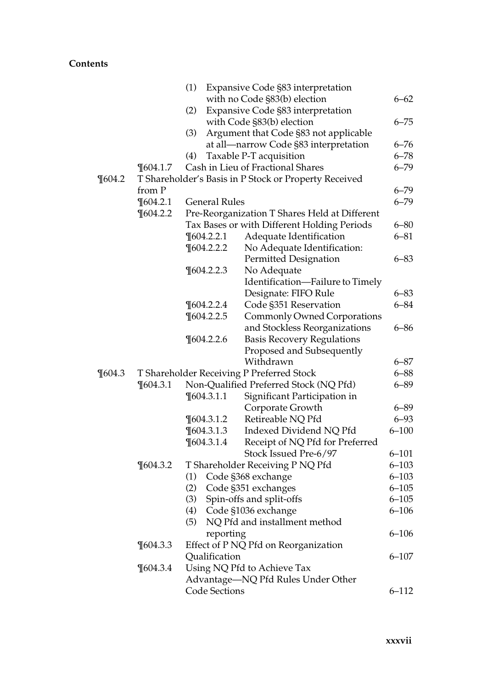|           |              | (1) |                      | Expansive Code §83 interpretation                     |           |
|-----------|--------------|-----|----------------------|-------------------------------------------------------|-----------|
|           |              |     |                      | with no Code §83(b) election                          | $6 - 62$  |
|           |              | (2) |                      | Expansive Code §83 interpretation                     |           |
|           |              |     |                      | with Code §83(b) election                             | $6 - 75$  |
|           |              | (3) |                      | Argument that Code §83 not applicable                 |           |
|           |              |     |                      | at all-narrow Code §83 interpretation                 | $6 - 76$  |
|           |              | (4) |                      | Taxable P-T acquisition                               | $6 - 78$  |
|           | $\P$ 604.1.7 |     |                      | Cash in Lieu of Fractional Shares                     | $6 - 79$  |
| $\P604.2$ |              |     |                      | T Shareholder's Basis in P Stock or Property Received |           |
|           | from P       |     |                      |                                                       | $6 - 79$  |
|           | $\P$ 604.2.1 |     | <b>General Rules</b> |                                                       | $6 - 79$  |
|           | $\P604.2.2$  |     |                      | Pre-Reorganization T Shares Held at Different         |           |
|           |              |     |                      | Tax Bases or with Different Holding Periods           | $6 - 80$  |
|           |              |     | $\P$ 604.2.2.1       | Adequate Identification                               | $6 - 81$  |
|           |              |     | $\P604.2.2.2$        | No Adequate Identification:                           |           |
|           |              |     |                      | Permitted Designation                                 | $6 - 83$  |
|           |              |     | $\P$ 604.2.2.3       | No Adequate                                           |           |
|           |              |     |                      | Identification-Failure to Timely                      |           |
|           |              |     |                      | Designate: FIFO Rule                                  | $6 - 83$  |
|           |              |     | $\P604.2.2.4$        | Code §351 Reservation                                 | $6 - 84$  |
|           |              |     | $\P$ 604.2.2.5       | Commonly Owned Corporations                           |           |
|           |              |     |                      | and Stockless Reorganizations                         | $6 - 86$  |
|           |              |     | $\P$ 604.2.2.6       | <b>Basis Recovery Regulations</b>                     |           |
|           |              |     |                      | Proposed and Subsequently                             |           |
|           |              |     |                      | Withdrawn                                             | $6 - 87$  |
| $\P604.3$ |              |     |                      | T Shareholder Receiving P Preferred Stock             | $6 - 88$  |
|           | $\P604.3.1$  |     |                      | Non-Qualified Preferred Stock (NQ Pfd)                | $6 - 89$  |
|           |              |     | $\P$ 604.3.1.1       | Significant Participation in                          |           |
|           |              |     |                      | Corporate Growth                                      | $6 - 89$  |
|           |              |     | $\P$ 604.3.1.2       | Retireable NQ Pfd                                     | $6 - 93$  |
|           |              |     | $\P$ 604.3.1.3       | Indexed Dividend NQ Pfd                               | $6 - 100$ |
|           |              |     | $\P$ 604.3.1.4       | Receipt of NQ Pfd for Preferred                       |           |
|           |              |     |                      | Stock Issued Pre-6/97                                 | $6 - 101$ |
|           | $\P604.3.2$  |     |                      | T Shareholder Receiving P NQ Pfd                      | $6 - 103$ |
|           |              | (1) |                      | Code §368 exchange                                    | $6 - 103$ |
|           |              | (2) |                      | Code §351 exchanges                                   | $6 - 105$ |
|           |              | (3) |                      | Spin-offs and split-offs                              | $6 - 105$ |
|           |              | (4) |                      | Code §1036 exchange                                   | $6 - 106$ |
|           |              | (5) |                      | NQ Pfd and installment method                         |           |
|           |              |     | reporting            |                                                       | $6 - 106$ |
|           | $\P$ 604.3.3 |     |                      | Effect of P NQ Pfd on Reorganization                  |           |
|           |              |     | Qualification        |                                                       | $6 - 107$ |
|           | $\P$ 604.3.4 |     |                      | Using NQ Pfd to Achieve Tax                           |           |
|           |              |     |                      | Advantage-NQ Pfd Rules Under Other                    |           |
|           |              |     | <b>Code Sections</b> |                                                       | $6 - 112$ |
|           |              |     |                      |                                                       |           |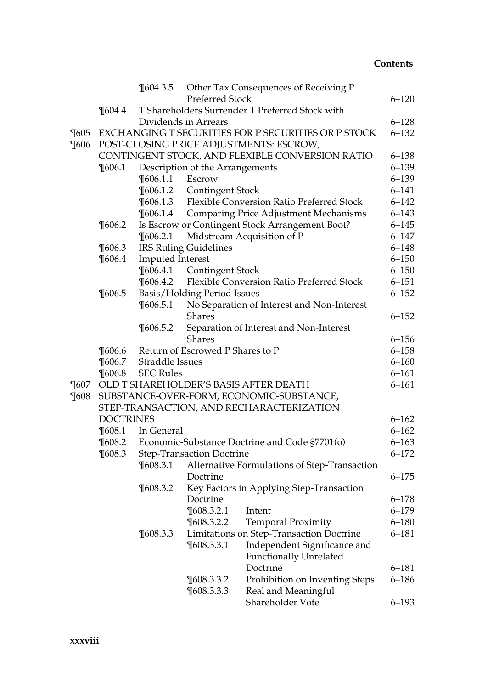|          |                                          | $\P604.3.5$                                                | <b>Preferred Stock</b>                              | Other Tax Consequences of Receiving P               | $6 - 120$              |  |  |
|----------|------------------------------------------|------------------------------------------------------------|-----------------------------------------------------|-----------------------------------------------------|------------------------|--|--|
|          | $\P604.4$                                |                                                            |                                                     | T Shareholders Surrender T Preferred Stock with     |                        |  |  |
|          |                                          |                                                            | Dividends in Arrears                                |                                                     | $6 - 128$              |  |  |
| $\P$ 605 |                                          |                                                            |                                                     | EXCHANGING T SECURITIES FOR P SECURITIES OR P STOCK | $6 - 132$              |  |  |
| $\P606$  |                                          |                                                            |                                                     | POST-CLOSING PRICE ADJUSTMENTS: ESCROW,             |                        |  |  |
|          |                                          |                                                            |                                                     | CONTINGENT STOCK, AND FLEXIBLE CONVERSION RATIO     | $6 - 138$              |  |  |
|          | $\P606.1$                                |                                                            | Description of the Arrangements                     |                                                     | $6 - 139$              |  |  |
|          |                                          | $\P$ 606.1.1                                               | Escrow                                              |                                                     | $6 - 139$              |  |  |
|          |                                          | $\P$ 606.1.2                                               | <b>Contingent Stock</b>                             |                                                     | $6 - 141$              |  |  |
|          |                                          | $\P$ 606.1.3                                               |                                                     | Flexible Conversion Ratio Preferred Stock           | $6 - 142$              |  |  |
|          |                                          | $\P 606.1.4$                                               |                                                     | <b>Comparing Price Adjustment Mechanisms</b>        | $6 - 143$              |  |  |
|          | $\P$ 606.2                               |                                                            |                                                     | Is Escrow or Contingent Stock Arrangement Boot?     | $6 - 145$              |  |  |
|          |                                          | $\P$ 606.2.1                                               |                                                     |                                                     | $6 - 147$              |  |  |
|          | $\P606.3$                                |                                                            | Midstream Acquisition of P<br>IRS Ruling Guidelines |                                                     |                        |  |  |
|          | $\P$ 606.4                               | <b>Imputed Interest</b>                                    |                                                     |                                                     | $6 - 148$<br>$6 - 150$ |  |  |
|          |                                          | $\P 606.4.1$                                               | <b>Contingent Stock</b>                             |                                                     | $6 - 150$              |  |  |
|          |                                          | $\P$ 606.4.2                                               |                                                     | Flexible Conversion Ratio Preferred Stock           | $6 - 151$              |  |  |
|          | $\P 606.5$                               | Basis/Holding Period Issues                                |                                                     |                                                     |                        |  |  |
|          |                                          | $\P$ 606.5.1<br>No Separation of Interest and Non-Interest |                                                     |                                                     |                        |  |  |
|          |                                          |                                                            | Shares                                              |                                                     | $6 - 152$              |  |  |
|          |                                          | $\P606.5.2$                                                | Separation of Interest and Non-Interest             |                                                     |                        |  |  |
|          |                                          |                                                            | <b>Shares</b>                                       |                                                     | $6 - 156$              |  |  |
|          | $\P606.6$                                |                                                            | Return of Escrowed P Shares to P                    |                                                     | $6 - 158$              |  |  |
|          | $\P606.7$                                | Straddle Issues                                            |                                                     |                                                     | $6 - 160$              |  |  |
|          | $\P 606.8$                               | <b>SEC Rules</b>                                           |                                                     |                                                     | $6 - 161$              |  |  |
| $\P607$  |                                          | OLD T SHAREHOLDER'S BASIS AFTER DEATH                      |                                                     |                                                     |                        |  |  |
| $\P608$  | SUBSTANCE-OVER-FORM, ECONOMIC-SUBSTANCE, |                                                            |                                                     |                                                     |                        |  |  |
|          | STEP-TRANSACTION, AND RECHARACTERIZATION |                                                            |                                                     |                                                     |                        |  |  |
|          | <b>DOCTRINES</b>                         |                                                            |                                                     |                                                     | $6 - 162$              |  |  |
|          | $\P608.1$                                | In General                                                 |                                                     |                                                     | $6 - 162$              |  |  |
|          | $\P$ 608.2                               |                                                            |                                                     | Economic-Substance Doctrine and Code §7701(o)       | $6 - 163$              |  |  |
|          | $\P608.3$                                |                                                            | Step-Transaction Doctrine                           |                                                     | $6 - 172$              |  |  |
|          |                                          | $\P$ 608.3.1                                               |                                                     | Alternative Formulations of Step-Transaction        |                        |  |  |
|          |                                          |                                                            | Doctrine                                            |                                                     | $6 - 175$              |  |  |
|          |                                          | $\P608.3.2$                                                |                                                     | Key Factors in Applying Step-Transaction            |                        |  |  |
|          |                                          |                                                            | Doctrine                                            |                                                     | $6 - 178$              |  |  |
|          |                                          |                                                            | ¶608.3.2.1 Intent                                   |                                                     | $6 - 179$              |  |  |
|          |                                          |                                                            | $\P$ 608.3.2.2                                      | <b>Temporal Proximity</b>                           | $6 - 180$              |  |  |
|          |                                          | $\P$ 608.3.3                                               |                                                     | Limitations on Step-Transaction Doctrine            | $6 - 181$              |  |  |
|          |                                          |                                                            | $\P$ 608.3.3.1                                      | Independent Significance and                        |                        |  |  |
|          |                                          |                                                            |                                                     | <b>Functionally Unrelated</b>                       |                        |  |  |
|          |                                          |                                                            |                                                     | Doctrine                                            | 6–181                  |  |  |
|          |                                          |                                                            | $\P$ 608.3.3.2                                      | Prohibition on Inventing Steps                      | $6 - 186$              |  |  |
|          |                                          |                                                            | $\P$ 608.3.3.3                                      | Real and Meaningful                                 |                        |  |  |
|          |                                          |                                                            |                                                     | Shareholder Vote                                    | $6 - 193$              |  |  |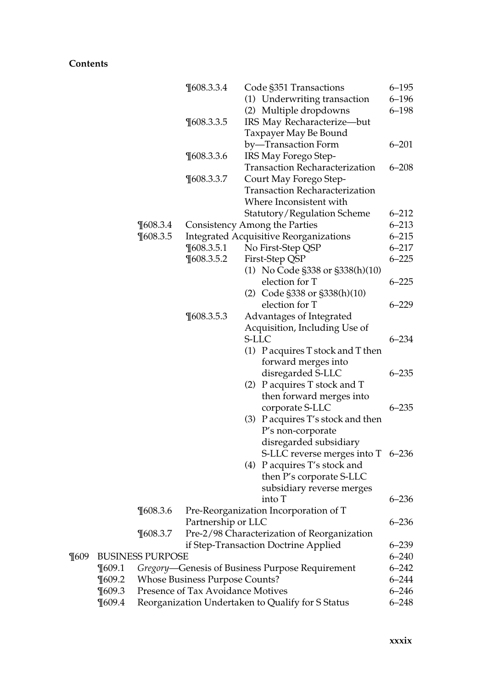|          |                         |                                                   | $\P$ 608.3.3.4                        | Code §351 Transactions                          | $6 - 195$              |  |
|----------|-------------------------|---------------------------------------------------|---------------------------------------|-------------------------------------------------|------------------------|--|
|          |                         |                                                   |                                       | (1) Underwriting transaction                    | $6 - 196$              |  |
|          |                         |                                                   |                                       | (2) Multiple dropdowns                          | $6 - 198$              |  |
|          |                         |                                                   | $\P$ 608.3.3.5                        | IRS May Recharacterize-but                      |                        |  |
|          |                         |                                                   |                                       | Taxpayer May Be Bound                           |                        |  |
|          |                         |                                                   |                                       | by-Transaction Form                             | $6 - 201$              |  |
|          |                         |                                                   | $\P$ 608.3.3.6                        | IRS May Forego Step-                            |                        |  |
|          |                         |                                                   |                                       | <b>Transaction Recharacterization</b>           | $6 - 208$              |  |
|          |                         |                                                   | $\P$ 608.3.3.7                        | Court May Forego Step-                          |                        |  |
|          |                         |                                                   |                                       | <b>Transaction Recharacterization</b>           |                        |  |
|          |                         |                                                   |                                       | Where Inconsistent with                         |                        |  |
|          |                         |                                                   |                                       | Statutory/Regulation Scheme                     | $6 - 212$              |  |
|          |                         |                                                   |                                       |                                                 | $6 - 213$              |  |
|          |                         | $\P$ 608.3.4                                      |                                       | Consistency Among the Parties                   |                        |  |
|          |                         | $\P$ 608.3.5                                      |                                       | <b>Integrated Acquisitive Reorganizations</b>   | $6 - 215$              |  |
|          |                         |                                                   | $\P$ 608.3.5.1                        | No First-Step QSP                               | $6 - 217$              |  |
|          |                         |                                                   | $\P$ 608.3.5.2                        | First-Step QSP                                  | $6 - 225$              |  |
|          |                         |                                                   |                                       | (1) No Code §338 or §338(h)(10)                 |                        |  |
|          |                         |                                                   |                                       | election for T                                  | $6 - 225$              |  |
|          |                         |                                                   |                                       | (2) Code §338 or §338(h)(10)                    |                        |  |
|          |                         |                                                   |                                       | election for T                                  | $6 - 229$              |  |
|          |                         |                                                   | $\P608.3.5.3$                         | Advantages of Integrated                        |                        |  |
|          |                         |                                                   |                                       | Acquisition, Including Use of                   |                        |  |
|          |                         |                                                   |                                       | S-LLC                                           | $6 - 234$              |  |
|          |                         |                                                   |                                       | $(1)$ P acquires T stock and T then             |                        |  |
|          |                         |                                                   |                                       | forward merges into                             |                        |  |
|          |                         |                                                   |                                       | disregarded S-LLC                               | $6 - 235$              |  |
|          |                         |                                                   |                                       | (2) P acquires T stock and T                    |                        |  |
|          |                         |                                                   |                                       | then forward merges into                        |                        |  |
|          |                         |                                                   |                                       | corporate S-LLC                                 | $6 - 235$              |  |
|          |                         |                                                   |                                       | (3) P acquires T's stock and then               |                        |  |
|          |                         |                                                   |                                       | P's non-corporate                               |                        |  |
|          |                         |                                                   |                                       | disregarded subsidiary                          |                        |  |
|          |                         |                                                   |                                       | S-LLC reverse merges into T 6-236               |                        |  |
|          |                         |                                                   |                                       | (4) P acquires T's stock and                    |                        |  |
|          |                         |                                                   |                                       | then P's corporate S-LLC                        |                        |  |
|          |                         |                                                   |                                       | subsidiary reverse merges                       |                        |  |
|          |                         |                                                   |                                       |                                                 | $6 - 236$              |  |
|          |                         |                                                   |                                       | into T                                          |                        |  |
|          |                         | $\P608.3.6$                                       |                                       | Pre-Reorganization Incorporation of T           |                        |  |
|          |                         |                                                   | Partnership or LLC                    |                                                 | $6 - 236$              |  |
|          |                         | $\P$ 608.3.7                                      |                                       | Pre-2/98 Characterization of Reorganization     |                        |  |
|          |                         |                                                   |                                       | if Step-Transaction Doctrine Applied            | $6 - 239$<br>$6 - 240$ |  |
| $\P$ 609 | <b>BUSINESS PURPOSE</b> |                                                   |                                       |                                                 |                        |  |
|          | $\P$ 609.1              |                                                   |                                       | Gregory-Genesis of Business Purpose Requirement | $6 - 242$              |  |
|          | $\P609.2$               |                                                   | <b>Whose Business Purpose Counts?</b> |                                                 | $6 - 244$              |  |
|          | $\P$ 609.3              |                                                   | Presence of Tax Avoidance Motives     |                                                 | $6 - 246$<br>$6 - 248$ |  |
|          | $\P609.4$               | Reorganization Undertaken to Qualify for S Status |                                       |                                                 |                        |  |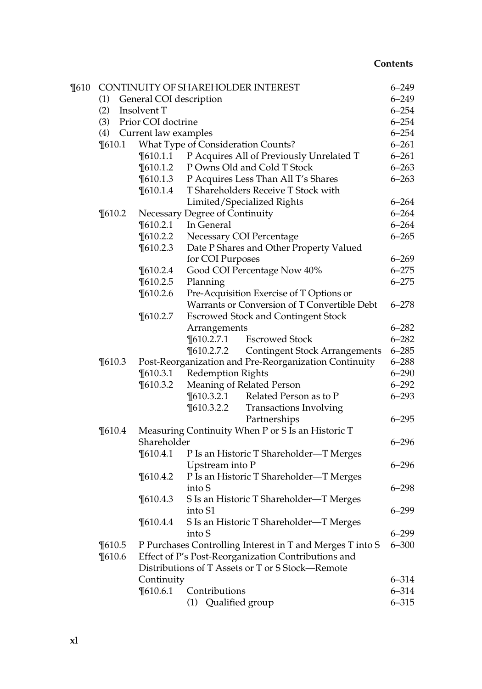| $\P610$ |                                |  |                      | CONTINUITY OF SHAREHOLDER INTEREST                        | $6 - 249$              |  |  |  |
|---------|--------------------------------|--|----------------------|-----------------------------------------------------------|------------------------|--|--|--|
|         | General COI description<br>(1) |  |                      |                                                           |                        |  |  |  |
|         | (2)                            |  | Insolvent T          |                                                           | $6 - 254$              |  |  |  |
|         | (3)                            |  | Prior COI doctrine   |                                                           | $6 - 254$              |  |  |  |
|         | (4)                            |  | Current law examples |                                                           | $6 - 254$              |  |  |  |
|         | $\P610.1$                      |  |                      | What Type of Consideration Counts?                        | $6 - 261$              |  |  |  |
|         |                                |  | $\P610.1.1$          | P Acquires All of Previously Unrelated T                  | $6 - 261$              |  |  |  |
|         |                                |  | $\P$ 610.1.2         | P Owns Old and Cold T Stock                               | $6 - 263$              |  |  |  |
|         |                                |  | $\P610.1.3$          | P Acquires Less Than All T's Shares                       | $6 - 263$              |  |  |  |
|         |                                |  | $\P610.1.4$          | T Shareholders Receive T Stock with                       |                        |  |  |  |
|         |                                |  |                      | Limited/Specialized Rights                                | $6 - 264$              |  |  |  |
|         | $\P610.2$                      |  |                      | Necessary Degree of Continuity                            | $6 - 264$              |  |  |  |
|         |                                |  | $\P$ 610.2.1         | In General                                                | $6 - 264$              |  |  |  |
|         |                                |  | $\P610.2.2$          | Necessary COI Percentage                                  | $6 - 265$              |  |  |  |
|         |                                |  | $\P$ 610.2.3         | Date P Shares and Other Property Valued                   |                        |  |  |  |
|         |                                |  |                      | for COI Purposes                                          | $6 - 269$              |  |  |  |
|         |                                |  | $\P610.2.4$          | Good COI Percentage Now 40%                               | $6 - 275$              |  |  |  |
|         |                                |  | $\P$ 610.2.5         | Planning                                                  | $6 - 275$              |  |  |  |
|         |                                |  | $\P610.2.6$          | Pre-Acquisition Exercise of T Options or                  |                        |  |  |  |
|         |                                |  |                      | Warrants or Conversion of T Convertible Debt              | $6 - 278$              |  |  |  |
|         |                                |  | $\P$ 610.2.7         | <b>Escrowed Stock and Contingent Stock</b>                |                        |  |  |  |
|         |                                |  |                      | Arrangements                                              | $6 - 282$              |  |  |  |
|         |                                |  |                      | $\P610.2.7.1$<br><b>Escrowed Stock</b>                    | $6 - 282$              |  |  |  |
|         |                                |  |                      | $\P610.2.7.2$<br><b>Contingent Stock Arrangements</b>     | $6 - 285$              |  |  |  |
|         | $\P610.3$                      |  |                      | Post-Reorganization and Pre-Reorganization Continuity     |                        |  |  |  |
|         |                                |  | $\P$ 610.3.1         | Redemption Rights                                         | $6 - 288$<br>$6 - 290$ |  |  |  |
|         |                                |  | $\P610.3.2$          | Meaning of Related Person                                 | $6 - 292$              |  |  |  |
|         |                                |  |                      | $\P610.3.2.1$<br>Related Person as to P                   | $6 - 293$              |  |  |  |
|         |                                |  |                      | $\P610.3.2.2$<br><b>Transactions Involving</b>            |                        |  |  |  |
|         |                                |  |                      | Partnerships                                              | $6 - 295$              |  |  |  |
|         | $\P610.4$                      |  |                      | Measuring Continuity When P or S Is an Historic T         |                        |  |  |  |
|         |                                |  | Shareholder          |                                                           |                        |  |  |  |
|         |                                |  | $\P610.4.1$          | P Is an Historic T Shareholder-T Merges                   |                        |  |  |  |
|         |                                |  |                      | Upstream into P                                           | $6 - 296$              |  |  |  |
|         |                                |  | $\P610.4.2$          | P Is an Historic T Shareholder-T Merges                   |                        |  |  |  |
|         |                                |  |                      | into S                                                    | $6 - 298$              |  |  |  |
|         |                                |  | $\P610.4.3$          | S Is an Historic T Shareholder-T Merges                   |                        |  |  |  |
|         |                                |  |                      | into S1                                                   | $6 - 299$              |  |  |  |
|         |                                |  | $\P610.4.4$          | S Is an Historic T Shareholder-T Merges                   |                        |  |  |  |
|         |                                |  |                      | into S                                                    | $6 - 299$              |  |  |  |
|         | $\P610.5$                      |  |                      | P Purchases Controlling Interest in T and Merges T into S | $6 - 300$              |  |  |  |
|         | $\P610.6$                      |  |                      | Effect of P's Post-Reorganization Contributions and       |                        |  |  |  |
|         |                                |  |                      | Distributions of T Assets or T or S Stock-Remote          |                        |  |  |  |
|         |                                |  | Continuity           |                                                           | $6 - 314$              |  |  |  |
|         |                                |  | $\P610.6.1$          | Contributions                                             | $6 - 314$              |  |  |  |
|         |                                |  |                      | (1) Qualified group                                       | $6 - 315$              |  |  |  |
|         |                                |  |                      |                                                           |                        |  |  |  |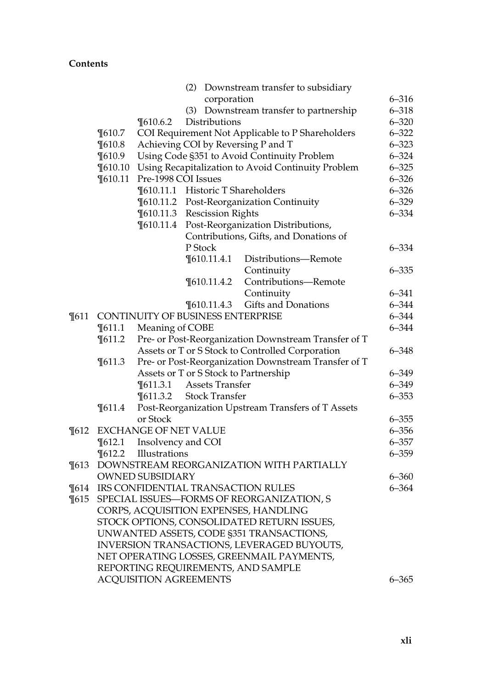|         |                               |                                                                                   |                                                             | (2) Downstream transfer to subsidiary                |           |  |
|---------|-------------------------------|-----------------------------------------------------------------------------------|-------------------------------------------------------------|------------------------------------------------------|-----------|--|
|         |                               |                                                                                   | corporation                                                 |                                                      | $6 - 316$ |  |
|         |                               |                                                                                   | (3)                                                         | Downstream transfer to partnership                   | $6 - 318$ |  |
|         |                               | $\P610.6.2$                                                                       | Distributions                                               |                                                      | $6 - 320$ |  |
|         | $\P610.7$                     |                                                                                   |                                                             | COI Requirement Not Applicable to P Shareholders     | $6 - 322$ |  |
|         | $\P610.8$                     |                                                                                   |                                                             |                                                      | $6 - 323$ |  |
|         | $\P610.9$                     | Achieving COI by Reversing P and T<br>Using Code §351 to Avoid Continuity Problem |                                                             |                                                      | $6 - 324$ |  |
|         | $\P610.10$                    |                                                                                   |                                                             | Using Recapitalization to Avoid Continuity Problem   | $6 - 325$ |  |
|         | $\P610.11$                    | Pre-1998 COI Issues                                                               |                                                             |                                                      | $6 - 326$ |  |
|         |                               |                                                                                   | ¶610.11.1 Historic T Shareholders                           |                                                      | $6 - 326$ |  |
|         |                               |                                                                                   |                                                             | ¶610.11.2 Post-Reorganization Continuity             | $6 - 329$ |  |
|         |                               |                                                                                   | ¶610.11.3 Rescission Rights                                 |                                                      | $6 - 334$ |  |
|         |                               | $\P610.11.4$                                                                      |                                                             | Post-Reorganization Distributions,                   |           |  |
|         |                               |                                                                                   |                                                             | Contributions, Gifts, and Donations of               |           |  |
|         |                               |                                                                                   | P Stock                                                     |                                                      | $6 - 334$ |  |
|         |                               |                                                                                   | $\P610.11.4.1$                                              | Distributions-Remote                                 |           |  |
|         |                               |                                                                                   |                                                             |                                                      | $6 - 335$ |  |
|         |                               |                                                                                   | $\P$ 610.11.4.2                                             | Continuity<br>Contributions-Remote                   |           |  |
|         |                               |                                                                                   |                                                             | Continuity                                           | $6 - 341$ |  |
|         |                               |                                                                                   |                                                             | Gifts and Donations                                  | $6 - 344$ |  |
|         |                               |                                                                                   | $\P$ 610.11.4.3<br><b>CONTINUITY OF BUSINESS ENTERPRISE</b> |                                                      | $6 - 344$ |  |
| $\P611$ |                               |                                                                                   |                                                             |                                                      | $6 - 344$ |  |
|         | $\P611.1$                     | Meaning of COBE<br>Pre- or Post-Reorganization Downstream Transfer of T           |                                                             |                                                      |           |  |
|         | $\P611.2$                     |                                                                                   |                                                             |                                                      | $6 - 348$ |  |
|         |                               |                                                                                   |                                                             | Assets or T or S Stock to Controlled Corporation     |           |  |
|         | $\P611.3$                     |                                                                                   |                                                             | Pre- or Post-Reorganization Downstream Transfer of T | $6 - 349$ |  |
|         |                               |                                                                                   | Assets or T or S Stock to Partnership                       |                                                      | $6 - 349$ |  |
|         |                               | $\P611.3.1$                                                                       | Assets Transfer<br><b>Stock Transfer</b>                    |                                                      | $6 - 353$ |  |
|         | $\P611.4$                     | $\P611.3.2$                                                                       |                                                             |                                                      |           |  |
|         |                               | or Stock                                                                          |                                                             | Post-Reorganization Upstream Transfers of T Assets   | $6 - 355$ |  |
| $\P612$ |                               | EXCHANGE OF NET VALUE                                                             |                                                             |                                                      | $6 - 356$ |  |
|         |                               |                                                                                   |                                                             |                                                      | $6 - 357$ |  |
|         | $\P612.1$                     | Insolvency and COI                                                                |                                                             |                                                      |           |  |
|         | $\P612.2$                     | Illustrations                                                                     |                                                             |                                                      | $6 - 359$ |  |
| $\P613$ |                               |                                                                                   |                                                             | DOWNSTREAM REORGANIZATION WITH PARTIALLY             |           |  |
|         |                               | <b>OWNED SUBSIDIARY</b>                                                           |                                                             |                                                      | $6 - 360$ |  |
| $\P614$ |                               |                                                                                   |                                                             | IRS CONFIDENTIAL TRANSACTION RULES                   | $6 - 364$ |  |
| $\P615$ |                               |                                                                                   |                                                             | SPECIAL ISSUES-FORMS OF REORGANIZATION, S            |           |  |
|         |                               |                                                                                   |                                                             | CORPS, ACQUISITION EXPENSES, HANDLING                |           |  |
|         |                               |                                                                                   |                                                             | STOCK OPTIONS, CONSOLIDATED RETURN ISSUES,           |           |  |
|         |                               |                                                                                   |                                                             | UNWANTED ASSETS, CODE §351 TRANSACTIONS,             |           |  |
|         |                               |                                                                                   |                                                             | INVERSION TRANSACTIONS, LEVERAGED BUYOUTS,           |           |  |
|         |                               |                                                                                   |                                                             | NET OPERATING LOSSES, GREENMAIL PAYMENTS,            |           |  |
|         |                               |                                                                                   |                                                             | REPORTING REQUIREMENTS, AND SAMPLE                   |           |  |
|         | <b>ACQUISITION AGREEMENTS</b> |                                                                                   |                                                             |                                                      | $6 - 365$ |  |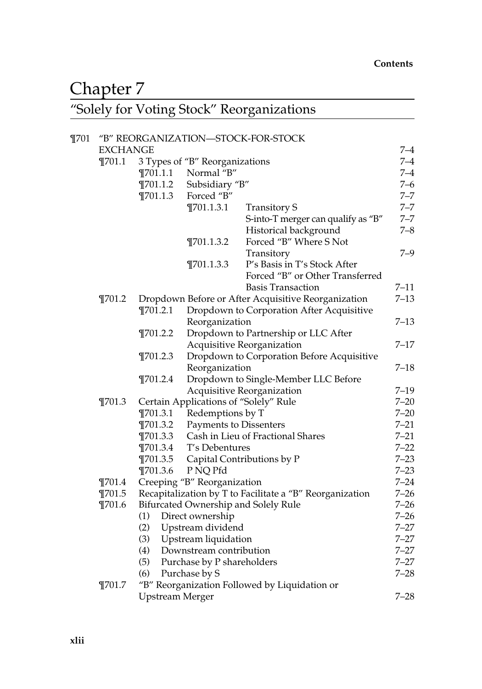## Chapter 7

#### ''Solely for Voting Stock'' Reorganizations

| $\P$ 701 |                 |                                |                               | "B" REORGANIZATION-STOCK-FOR-STOCK                       |          |
|----------|-----------------|--------------------------------|-------------------------------|----------------------------------------------------------|----------|
|          | <b>EXCHANGE</b> |                                |                               |                                                          | $7 - 4$  |
|          | $\P$ 701.1      | 3 Types of "B" Reorganizations |                               |                                                          | $7 - 4$  |
|          |                 | $\P$ 701.1.1                   | Normal "B"                    |                                                          |          |
|          |                 | $\P$ 701.1.2                   | Subsidiary "B"                |                                                          | $7 - 6$  |
|          |                 | $\P$ 701.1.3                   | Forced "B"                    |                                                          | $7 - 7$  |
|          |                 |                                | $\P$ 701.1.3.1                | <b>Transitory S</b>                                      | $7 - 7$  |
|          |                 |                                |                               | S-into-T merger can qualify as "B"                       | $7 - 7$  |
|          |                 |                                |                               | Historical background                                    | $7 - 8$  |
|          |                 |                                | $\P$ 701.1.3.2                | Forced "B" Where S Not                                   |          |
|          |                 |                                |                               | Transitory                                               | $7 - 9$  |
|          |                 |                                | $\P$ 701.1.3.3                | P's Basis in T's Stock After                             |          |
|          |                 |                                |                               | Forced "B" or Other Transferred                          |          |
|          |                 |                                |                               | <b>Basis Transaction</b>                                 | $7 - 11$ |
|          | $\P$ 701.2      |                                |                               | Dropdown Before or After Acquisitive Reorganization      | $7 - 13$ |
|          |                 | $\P$ 701.2.1                   |                               | Dropdown to Corporation After Acquisitive                |          |
|          |                 |                                | Reorganization                |                                                          | $7 - 13$ |
|          |                 | $\P$ 701.2.2                   |                               | Dropdown to Partnership or LLC After                     |          |
|          |                 |                                |                               | Acquisitive Reorganization                               | $7 - 17$ |
|          |                 | $\P$ 701.2.3                   |                               | Dropdown to Corporation Before Acquisitive               |          |
|          |                 |                                | Reorganization                |                                                          | $7 - 18$ |
|          |                 | $\P$ 701.2.4                   |                               | Dropdown to Single-Member LLC Before                     |          |
|          |                 |                                |                               | Acquisitive Reorganization                               | $7 - 19$ |
|          | $\P$ 701.3      |                                |                               | Certain Applications of "Solely" Rule                    | $7 - 20$ |
|          |                 | $\P$ 701.3.1                   | Redemptions by T              |                                                          | $7 - 20$ |
|          |                 | $\P$ 701.3.2                   | <b>Payments to Dissenters</b> |                                                          | $7 - 21$ |
|          |                 | $\P$ 701.3.3                   |                               | Cash in Lieu of Fractional Shares                        | $7 - 21$ |
|          |                 | $\P$ 701.3.4                   | T's Debentures                |                                                          | $7 - 22$ |
|          |                 | $\P$ 701.3.5                   |                               | Capital Contributions by P                               | $7 - 23$ |
|          |                 | $\P$ 701.3.6                   | P NQ Pfd                      |                                                          | $7 - 23$ |
|          | $\P$ 701.4      |                                | Creeping "B" Reorganization   |                                                          | $7 - 24$ |
|          | $\P$ 701.5      |                                |                               | Recapitalization by T to Facilitate a "B" Reorganization | $7 - 26$ |
|          | $\P$ 701.6      |                                |                               | Bifurcated Ownership and Solely Rule                     | $7 - 26$ |
|          |                 | (1)                            | Direct ownership              |                                                          | $7 - 26$ |
|          |                 | (2)                            | Upstream dividend             |                                                          | $7 - 27$ |
|          |                 | (3)                            | Upstream liquidation          |                                                          | $7 - 27$ |
|          |                 | (4)                            | Downstream contribution       |                                                          | $7 - 27$ |
|          |                 | (5)                            | Purchase by P shareholders    |                                                          | $7 - 27$ |
|          |                 | (6)                            | Purchase by S                 |                                                          | $7 - 28$ |
|          | $\P701.7$       |                                |                               | "B" Reorganization Followed by Liquidation or            |          |
|          |                 | <b>Upstream Merger</b>         |                               |                                                          | $7 - 28$ |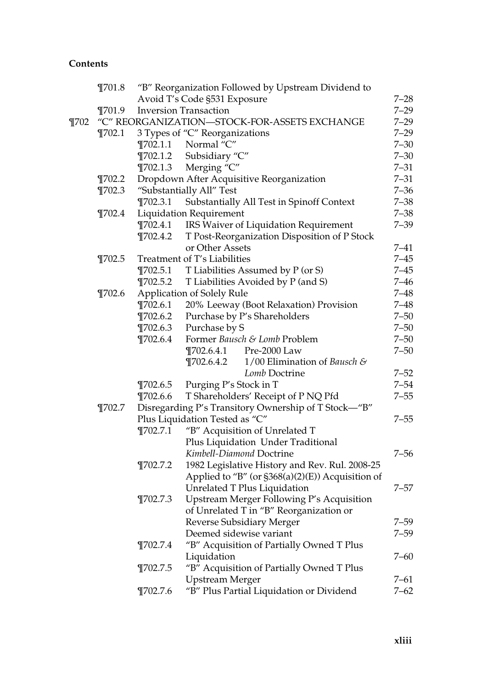|          | $\P$ 701.8                                   |              | "B" Reorganization Followed by Upstream Dividend to  |          |  |  |
|----------|----------------------------------------------|--------------|------------------------------------------------------|----------|--|--|
|          |                                              |              | Avoid T's Code §531 Exposure                         | $7 - 28$ |  |  |
|          | $\P$ 701.9                                   |              | <b>Inversion Transaction</b>                         | $7 - 29$ |  |  |
| $\P$ 702 | "C" REORGANIZATION-STOCK-FOR-ASSETS EXCHANGE |              |                                                      |          |  |  |
|          | $\P$ 702.1                                   |              | 3 Types of "C" Reorganizations                       | $7 - 29$ |  |  |
|          |                                              | $\P702.1.1$  | Normal "C"                                           | $7 - 30$ |  |  |
|          |                                              | $\P$ 702.1.2 | Subsidiary "C"                                       | $7 - 30$ |  |  |
|          |                                              | $\P$ 702.1.3 | Merging "C"                                          | $7 - 31$ |  |  |
|          | $\P$ 702.2                                   |              | Dropdown After Acquisitive Reorganization            | $7 - 31$ |  |  |
|          | $\P$ 702.3                                   |              | "Substantially All" Test                             | $7 - 36$ |  |  |
|          |                                              | $\P702.3.1$  | Substantially All Test in Spinoff Context            | $7 - 38$ |  |  |
|          | $\P$ 702.4                                   |              | <b>Liquidation Requirement</b>                       | $7 - 38$ |  |  |
|          |                                              | $\P$ 702.4.1 | IRS Waiver of Liquidation Requirement                | $7 - 39$ |  |  |
|          |                                              | $\P$ 702.4.2 | T Post-Reorganization Disposition of P Stock         |          |  |  |
|          |                                              |              | or Other Assets                                      | $7 - 41$ |  |  |
|          | $\P$ 702.5                                   |              | Treatment of T's Liabilities                         | $7 - 45$ |  |  |
|          |                                              | $\P$ 702.5.1 | T Liabilities Assumed by P (or S)                    | $7 - 45$ |  |  |
|          |                                              | $\P$ 702.5.2 | T Liabilities Avoided by P (and S)                   | $7 - 46$ |  |  |
|          | $\P$ 702.6                                   |              | Application of Solely Rule                           | $7 - 48$ |  |  |
|          |                                              | $\P$ 702.6.1 | 20% Leeway (Boot Relaxation) Provision               | $7 - 48$ |  |  |
|          |                                              | $\P702.6.2$  | Purchase by P's Shareholders                         | $7 - 50$ |  |  |
|          |                                              | $\P$ 702.6.3 | Purchase by S                                        | $7 - 50$ |  |  |
|          |                                              | $\P702.6.4$  | Former Bausch & Lomb Problem                         | $7 - 50$ |  |  |
|          |                                              |              | $\P$ 702.6.4.1<br>Pre-2000 Law                       | $7 - 50$ |  |  |
|          |                                              |              | 1/00 Elimination of Bausch &<br>$\P$ 702.6.4.2       |          |  |  |
|          |                                              |              | Lomb Doctrine                                        | $7 - 52$ |  |  |
|          |                                              | $\P$ 702.6.5 | Purging P's Stock in T                               | $7 - 54$ |  |  |
|          |                                              | $\P$ 702.6.6 | T Shareholders' Receipt of P NQ Pfd                  | $7 - 55$ |  |  |
|          | $\P$ 702.7                                   |              | Disregarding P's Transitory Ownership of T Stock-"B" |          |  |  |
|          |                                              |              | Plus Liquidation Tested as "C"                       | $7 - 55$ |  |  |
|          |                                              | $\P$ 702.7.1 | "B" Acquisition of Unrelated T                       |          |  |  |
|          |                                              |              | Plus Liquidation Under Traditional                   |          |  |  |
|          |                                              |              | Kimbell-Diamond Doctrine                             | $7 - 56$ |  |  |
|          |                                              | $\P$ 702.7.2 | 1982 Legislative History and Rev. Rul. 2008-25       |          |  |  |
|          |                                              |              | Applied to "B" (or §368(a)(2)(E)) Acquisition of     |          |  |  |
|          |                                              |              | Unrelated T Plus Liquidation                         | $7 - 57$ |  |  |
|          |                                              | $\P$ 702.7.3 | Upstream Merger Following P's Acquisition            |          |  |  |
|          |                                              |              | of Unrelated T in "B" Reorganization or              |          |  |  |
|          |                                              |              | Reverse Subsidiary Merger                            | 7–59     |  |  |
|          |                                              |              | Deemed sidewise variant                              | 7–59     |  |  |
|          |                                              | $\P$ 702.7.4 | "B" Acquisition of Partially Owned T Plus            |          |  |  |
|          |                                              |              | Liquidation                                          | $7 - 60$ |  |  |
|          |                                              | $\P$ 702.7.5 | "B" Acquisition of Partially Owned T Plus            |          |  |  |
|          |                                              |              | Upstream Merger                                      | 7–61     |  |  |
|          |                                              | $\P$ 702.7.6 | "B" Plus Partial Liquidation or Dividend             | $7 - 62$ |  |  |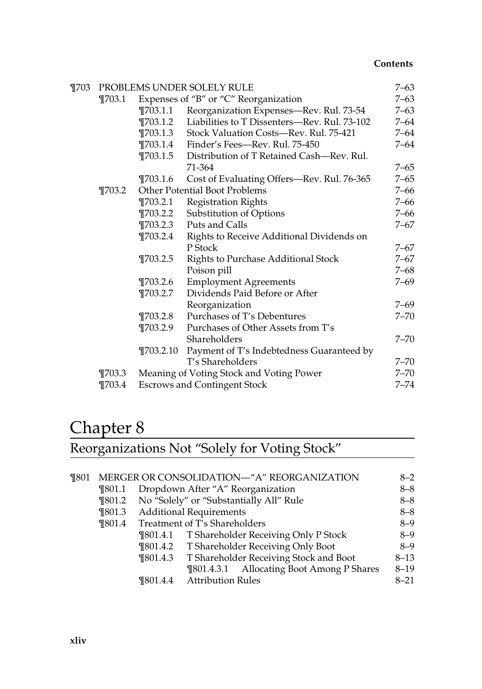| $\P703$ |            |              | PROBLEMS UNDER SOLELY RULE                   | 7–63     |
|---------|------------|--------------|----------------------------------------------|----------|
|         | $\P703.1$  |              | Expenses of "B" or "C" Reorganization        | $7 - 63$ |
|         |            | $\P$ 703.1.1 | Reorganization Expenses-Rev. Rul. 73-54      | $7 - 63$ |
|         |            | $\P703.1.2$  | Liabilities to T Dissenters-Rev. Rul. 73-102 | 7–64     |
|         |            | $\P703.1.3$  | Stock Valuation Costs-Rev. Rul. 75-421       | 7–64     |
|         |            | $\P703.1.4$  | Finder's Fees-Rev. Rul. 75-450               | 7–64     |
|         |            | $\P703.1.5$  | Distribution of T Retained Cash—Rev. Rul.    |          |
|         |            |              | 71-364                                       | $7 - 65$ |
|         |            | $\P$ 703.1.6 | Cost of Evaluating Offers-Rev. Rul. 76-365   | $7 - 65$ |
|         | $\P$ 703.2 |              | <b>Other Potential Boot Problems</b>         | 7–66     |
|         |            | $\P$ 703.2.1 | <b>Registration Rights</b>                   | $7 - 66$ |
|         |            | ¶703.2.2     | Substitution of Options                      | $7 - 66$ |
|         |            | $\P$ 703.2.3 | Puts and Calls                               | 7–67     |
|         |            | $\P703.2.4$  | Rights to Receive Additional Dividends on    |          |
|         |            |              | P Stock                                      | $7 - 67$ |
|         |            | $\P$ 703.2.5 | <b>Rights to Purchase Additional Stock</b>   | 7–67     |
|         |            |              | Poison pill                                  | 7–68     |
|         |            | $\P$ 703.2.6 | <b>Employment Agreements</b>                 | 7–69     |
|         |            | ¶703.2.7     | Dividends Paid Before or After               |          |
|         |            |              | Reorganization                               | 7–69     |
|         |            | $\P703.2.8$  | Purchases of T's Debentures                  | $7 - 70$ |
|         |            | $\P703.2.9$  | Purchases of Other Assets from T's           |          |
|         |            |              | Shareholders                                 | $7 - 70$ |
|         |            | T703.2.10    | Payment of T's Indebtedness Guaranteed by    |          |
|         |            |              | T's Shareholders                             | $7 - 70$ |
|         | $\P703.3$  |              | Meaning of Voting Stock and Voting Power     | $7 - 70$ |
|         | $\P703.4$  |              | <b>Escrows and Contingent Stock</b>          | $7 - 74$ |

## Chapter 8

Reorganizations Not "Solely for Voting Stock"

| $\P$ 801 |                          |              | MERGER OR CONSOLIDATION-"A" REORGANIZATION    | $8 - 2$  |
|----------|--------------------------|--------------|-----------------------------------------------|----------|
|          | <b>T801.1</b>            |              | Dropdown After "A" Reorganization             | $8 - 8$  |
|          | $\P$ 801.2               |              | No "Solely" or "Substantially All" Rule       | $8 - 8$  |
|          | $\P$ 801.3<br>$\P$ 801.4 |              | <b>Additional Requirements</b>                | $8 - 8$  |
|          |                          |              | Treatment of T's Shareholders                 | $8 - 9$  |
|          |                          |              | ¶801.4.1 T Shareholder Receiving Only P Stock | $8 - 9$  |
|          |                          |              | ¶801.4.2 T Shareholder Receiving Only Boot    | $8 - 9$  |
|          |                          | $\P$ 801.4.3 | T Shareholder Receiving Stock and Boot        | $8 - 13$ |
|          |                          |              | ¶801.4.3.1 Allocating Boot Among P Shares     | $8 - 19$ |
|          |                          |              | ¶801.4.4 Attribution Rules                    | $8 - 21$ |
|          |                          |              |                                               |          |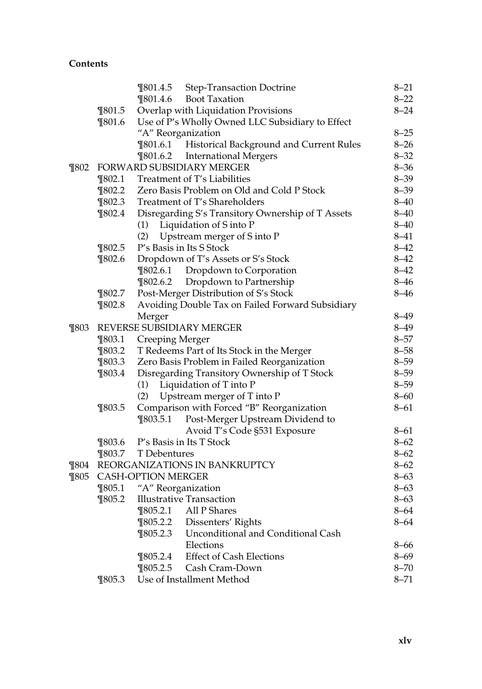|          |            | $\P$ 801.4.5       | <b>Step-Transaction Doctrine</b>                  | $8 - 21$ |
|----------|------------|--------------------|---------------------------------------------------|----------|
|          |            | $\P$ 801.4.6       | <b>Boot Taxation</b>                              | $8 - 22$ |
|          | $\P$ 801.5 |                    | Overlap with Liquidation Provisions               | $8 - 24$ |
|          | \$01.6     |                    | Use of P's Wholly Owned LLC Subsidiary to Effect  |          |
|          |            | "A" Reorganization |                                                   | $8 - 25$ |
|          |            |                    | ¶801.6.1 Historical Background and Current Rules  | $8 - 26$ |
|          |            | $\P$ 801.6.2       | <b>International Mergers</b>                      | $8 - 32$ |
| $\P$ 802 |            |                    | FORWARD SUBSIDIARY MERGER                         | $8 - 36$ |
|          | $\P$ 802.1 |                    | Treatment of T's Liabilities                      | $8 - 39$ |
|          | $\P$ 802.2 |                    | Zero Basis Problem on Old and Cold P Stock        | $8 - 39$ |
|          | $\P$ 802.3 |                    | Treatment of T's Shareholders                     | $8 - 40$ |
|          | $\P$ 802.4 |                    | Disregarding S's Transitory Ownership of T Assets | $8 - 40$ |
|          |            |                    | (1) Liquidation of S into P                       | $8 - 40$ |
|          |            | (2)                | Upstream merger of S into P                       | $8 - 41$ |
|          | $\P$ 802.5 |                    | P's Basis in Its S Stock                          | $8 - 42$ |
|          | \$02.6     |                    | Dropdown of T's Assets or S's Stock               | $8 - 42$ |
|          |            | $\P$ 802.6.1       | Dropdown to Corporation                           | $8 - 42$ |
|          |            | $\P$ 802.6.2       | Dropdown to Partnership                           | $8 - 46$ |
|          | $\P$ 802.7 |                    | Post-Merger Distribution of S's Stock             | $8 - 46$ |
|          | $\P$ 802.8 |                    | Avoiding Double Tax on Failed Forward Subsidiary  |          |
|          |            | Merger             |                                                   | $8 - 49$ |
| $\P$ 803 |            |                    | REVERSE SUBSIDIARY MERGER                         | $8 - 49$ |
|          | $\P$ 803.1 | Creeping Merger    |                                                   | $8 - 57$ |
|          | $\P$ 803.2 |                    | T Redeems Part of Its Stock in the Merger         | $8 - 58$ |
|          | $\P$ 803.3 |                    | Zero Basis Problem in Failed Reorganization       | $8 - 59$ |
|          | $\P$ 803.4 |                    | Disregarding Transitory Ownership of T Stock      | $8 - 59$ |
|          |            |                    | (1) Liquidation of T into P                       | $8 - 59$ |
|          |            | (2)                | Upstream merger of T into P                       | $8 - 60$ |
|          | $\P$ 803.5 |                    | Comparison with Forced "B" Reorganization         | $8 - 61$ |
|          |            | $\P$ 803.5.1       | Post-Merger Upstream Dividend to                  |          |
|          |            |                    | Avoid T's Code §531 Exposure                      | $8 - 61$ |
|          | $\P$ 803.6 |                    | P's Basis in Its T Stock                          | $8 - 62$ |
|          | $\P$ 803.7 | T Debentures       |                                                   | $8 - 62$ |
| $\P$ 804 |            |                    | REORGANIZATIONS IN BANKRUPTCY                     | $8 - 62$ |
| $\P$ 805 |            | CASH-OPTION MERGER |                                                   | $8 - 63$ |
|          | $\P$ 805.1 | "A" Reorganization |                                                   | $8 - 63$ |
|          | $\P$ 805.2 |                    | <b>Illustrative Transaction</b>                   | $8 - 63$ |
|          |            |                    | ¶805.2.1 All P Shares                             | $8 - 64$ |
|          |            | $\P$ 805.2.2       | Dissenters' Rights                                | 8–64     |
|          |            | $\P$ 805.2.3       | Unconditional and Conditional Cash                |          |
|          |            |                    | Elections                                         | 8–66     |
|          |            | $\P$ 805.2.4       | <b>Effect of Cash Elections</b>                   | $8 - 69$ |
|          |            | $\P$ 805.2.5       | Cash Cram-Down                                    | $8 - 70$ |
|          | $\P$ 805.3 |                    | Use of Installment Method                         | $8 - 71$ |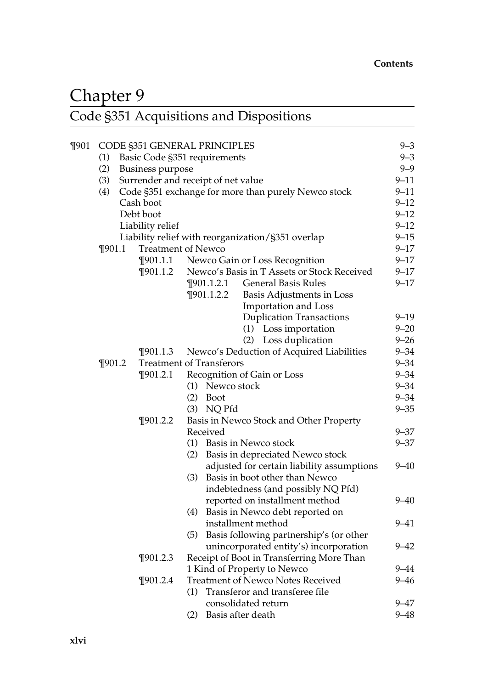## Chapter 9 Code §351 Acquisitions and Dispositions

| $\P$ 901 |                         |  |                           | CODE §351 GENERAL PRINCIPLES                        | $9 - 3$  |  |  |
|----------|-------------------------|--|---------------------------|-----------------------------------------------------|----------|--|--|
|          | (1)                     |  |                           | Basic Code §351 requirements                        | $9 - 3$  |  |  |
|          | (2)<br>Business purpose |  |                           |                                                     |          |  |  |
|          | (3)                     |  |                           | Surrender and receipt of net value                  | $9 - 11$ |  |  |
|          | (4)                     |  |                           | Code §351 exchange for more than purely Newco stock | $9 - 11$ |  |  |
|          |                         |  | Cash boot                 |                                                     | $9 - 12$ |  |  |
|          |                         |  | Debt boot                 |                                                     | $9 - 12$ |  |  |
|          |                         |  | $9 - 12$                  |                                                     |          |  |  |
|          |                         |  |                           | Liability relief with reorganization/§351 overlap   | $9 - 15$ |  |  |
|          | $\P$ 901.1              |  | <b>Treatment of Newco</b> |                                                     |          |  |  |
|          |                         |  | $\P$ 901.1.1              | Newco Gain or Loss Recognition                      | $9 - 17$ |  |  |
|          |                         |  | $\P$ 901.1.2              | Newco's Basis in T Assets or Stock Received         | $9 - 17$ |  |  |
|          |                         |  |                           | $\P$ 901.1.2.1<br><b>General Basis Rules</b>        | $9 - 17$ |  |  |
|          |                         |  |                           | $\P$ 901.1.2.2<br>Basis Adjustments in Loss         |          |  |  |
|          |                         |  |                           | Importation and Loss                                |          |  |  |
|          |                         |  |                           | <b>Duplication Transactions</b>                     | $9 - 19$ |  |  |
|          |                         |  |                           | (1) Loss importation                                | $9 - 20$ |  |  |
|          |                         |  |                           | (2) Loss duplication                                | $9 - 26$ |  |  |
|          |                         |  | $\P$ 901.1.3              | Newco's Deduction of Acquired Liabilities           | $9 - 34$ |  |  |
|          | $\P$ 901.2              |  |                           | <b>Treatment of Transferors</b>                     | $9 - 34$ |  |  |
|          |                         |  | ¶901.2.1                  | Recognition of Gain or Loss                         | $9 - 34$ |  |  |
|          |                         |  |                           | (1) Newco stock                                     | $9 - 34$ |  |  |
|          |                         |  |                           | $(2)$ Boot                                          | $9 - 34$ |  |  |
|          |                         |  |                           | $(3)$ NQ Pfd                                        | $9 - 35$ |  |  |
|          |                         |  | $\P$ 901.2.2              | Basis in Newco Stock and Other Property             |          |  |  |
|          |                         |  |                           | Received                                            | $9 - 37$ |  |  |
|          |                         |  |                           | (1) Basis in Newco stock                            | $9 - 37$ |  |  |
|          |                         |  |                           | Basis in depreciated Newco stock<br>(2)             |          |  |  |
|          |                         |  |                           | adjusted for certain liability assumptions          | $9 - 40$ |  |  |
|          |                         |  |                           | Basis in boot other than Newco<br>(3)               |          |  |  |
|          |                         |  |                           | indebtedness (and possibly NQ Pfd)                  |          |  |  |
|          |                         |  |                           | reported on installment method                      | $9 - 40$ |  |  |
|          |                         |  |                           | (4) Basis in Newco debt reported on                 |          |  |  |
|          |                         |  |                           | installment method                                  | $9 - 41$ |  |  |
|          |                         |  |                           | Basis following partnership's (or other<br>(5)      |          |  |  |
|          |                         |  |                           | unincorporated entity's) incorporation              | $9 - 42$ |  |  |
|          |                         |  | $\P$ 901.2.3              | Receipt of Boot in Transferring More Than           |          |  |  |
|          |                         |  |                           | 1 Kind of Property to Newco                         | $9 - 44$ |  |  |
|          |                         |  | $\P$ 901.2.4              | <b>Treatment of Newco Notes Received</b>            | $9 - 46$ |  |  |
|          |                         |  |                           | Transferor and transferee file<br>(1)               |          |  |  |
|          |                         |  |                           | consolidated return                                 | 9–47     |  |  |
|          |                         |  |                           | (2)<br>Basis after death                            | $9 - 48$ |  |  |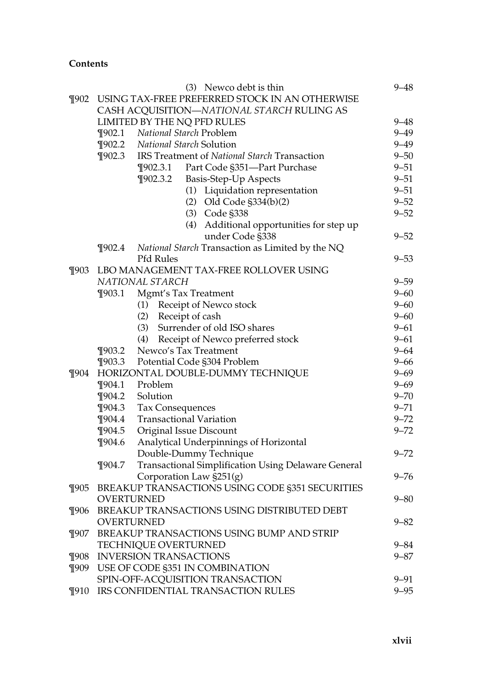|          |                                                | (3) Newco debt is thin                              | $9 - 48$ |  |  |
|----------|------------------------------------------------|-----------------------------------------------------|----------|--|--|
| $\P$ 902 | USING TAX-FREE PREFERRED STOCK IN AN OTHERWISE |                                                     |          |  |  |
|          |                                                | CASH ACQUISITION-NATIONAL STARCH RULING AS          |          |  |  |
|          |                                                | LIMITED BY THE NQ PFD RULES                         | $9 - 48$ |  |  |
|          | $\P$ 902.1                                     | National Starch Problem                             | $9 - 49$ |  |  |
|          |                                                | ¶902.2 National Starch Solution                     | $9 - 49$ |  |  |
|          | $\P$ 902.3                                     | IRS Treatment of National Starch Transaction        | $9 - 50$ |  |  |
|          |                                                | Part Code §351-Part Purchase<br>$\P$ 902.3.1        | $9 - 51$ |  |  |
|          |                                                | $\P$ 902.3.2<br>Basis-Step-Up Aspects               | $9 - 51$ |  |  |
|          |                                                | (1) Liquidation representation                      | $9 - 51$ |  |  |
|          |                                                | $(2)$ Old Code $\S 334(b)(2)$                       | $9 - 52$ |  |  |
|          |                                                | (3) Code §338                                       | $9 - 52$ |  |  |
|          |                                                | (4) Additional opportunities for step up            |          |  |  |
|          |                                                | under Code §338                                     | $9 - 52$ |  |  |
|          | $\P$ 902.4                                     | National Starch Transaction as Limited by the NQ    |          |  |  |
|          |                                                | Pfd Rules                                           | $9 - 53$ |  |  |
| $\P$ 903 |                                                | LBO MANAGEMENT TAX-FREE ROLLOVER USING              |          |  |  |
|          |                                                | NATIONAL STARCH                                     | $9 - 59$ |  |  |
|          | $\P$ 903.1                                     | Mgmt's Tax Treatment                                | $9 - 60$ |  |  |
|          |                                                | (1) Receipt of Newco stock                          | $9 - 60$ |  |  |
|          |                                                | (2) Receipt of cash                                 | $9 - 60$ |  |  |
|          |                                                | (3) Surrender of old ISO shares                     | $9 - 61$ |  |  |
|          |                                                | (4) Receipt of Newco preferred stock                | $9 - 61$ |  |  |
|          | $\P$ 903.2                                     | Newco's Tax Treatment                               | $9 - 64$ |  |  |
|          |                                                | ¶903.3 Potential Code §304 Problem                  | $9 - 66$ |  |  |
| $\P$ 904 |                                                | HORIZONTAL DOUBLE-DUMMY TECHNIQUE                   | $9 - 69$ |  |  |
|          |                                                | ¶904.1 Problem                                      | $9 - 69$ |  |  |
|          | $\P$ 904.2                                     | Solution                                            | $9 - 70$ |  |  |
|          | $\P$ 904.3                                     | Tax Consequences                                    | $9 - 71$ |  |  |
|          | $\P$ 904.4                                     | <b>Transactional Variation</b>                      | $9 - 72$ |  |  |
|          | $\P$ 904.5                                     | Original Issue Discount                             | $9 - 72$ |  |  |
|          | $\P$ 904.6                                     | Analytical Underpinnings of Horizontal              |          |  |  |
|          |                                                | Double-Dummy Technique                              | $9 - 72$ |  |  |
|          | $\P$ 904.7                                     | Transactional Simplification Using Delaware General |          |  |  |
|          |                                                | Corporation Law §251(g)                             | $9 - 76$ |  |  |
| ¶905     |                                                | BREAKUP TRANSACTIONS USING CODE §351 SECURITIES     |          |  |  |
|          |                                                | OVERTURNED                                          | $9 - 80$ |  |  |
|          |                                                | ¶906 BREAKUP TRANSACTIONS USING DISTRIBUTED DEBT    |          |  |  |
|          |                                                | OVERTURNED                                          | $9 - 82$ |  |  |
| $\P$ 907 |                                                | BREAKUP TRANSACTIONS USING BUMP AND STRIP           |          |  |  |
|          |                                                | TECHNIQUE OVERTURNED                                | $9 - 84$ |  |  |
| $\P$ 908 |                                                | <b>INVERSION TRANSACTIONS</b>                       | $9 - 87$ |  |  |
| $\P$ 909 |                                                | USE OF CODE §351 IN COMBINATION                     |          |  |  |
|          |                                                | SPIN-OFF-ACQUISITION TRANSACTION                    | $9 - 91$ |  |  |
| ¶910     |                                                | IRS CONFIDENTIAL TRANSACTION RULES                  | $9 - 95$ |  |  |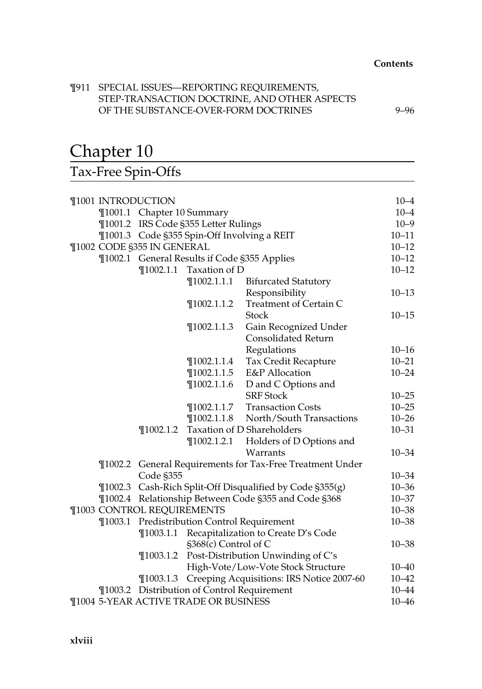#### ¶911 SPECIAL ISSUES—REPORTING REQUIREMENTS, STEP-TRANSACTION DOCTRINE, AND OTHER ASPECTS OF THE SUBSTANCE-OVER-FORM DOCTRINES 9–96

## Chapter 10

Tax-Free Spin-Offs

|                                             | ¶1001 INTRODUCTION                |                                   |                                              |                                                           | $10 - 4$  |  |
|---------------------------------------------|-----------------------------------|-----------------------------------|----------------------------------------------|-----------------------------------------------------------|-----------|--|
|                                             |                                   | ¶1001.1 Chapter 10 Summary        |                                              |                                                           |           |  |
|                                             |                                   |                                   | ¶1001.2 IRS Code §355 Letter Rulings         |                                                           | $10 - 9$  |  |
| ¶1001.3 Code §355 Spin-Off Involving a REIT |                                   |                                   |                                              | $10 - 11$                                                 |           |  |
| ¶1002 CODE §355 IN GENERAL                  |                                   |                                   | $10 - 12$                                    |                                                           |           |  |
|                                             |                                   |                                   | ¶1002.1 General Results if Code §355 Applies |                                                           | $10 - 12$ |  |
|                                             |                                   |                                   | $\P$ 1002.1.1 Taxation of D                  |                                                           | $10 - 12$ |  |
|                                             |                                   |                                   | $\P$ 1002.1.1.1                              | <b>Bifurcated Statutory</b>                               |           |  |
|                                             |                                   |                                   |                                              | Responsibility                                            | $10 - 13$ |  |
|                                             |                                   |                                   | $\P$ 1002.1.1.2                              | Treatment of Certain C                                    |           |  |
|                                             |                                   |                                   |                                              | <b>Stock</b>                                              | $10 - 15$ |  |
|                                             |                                   |                                   | $\P$ 1002.1.1.3                              | Gain Recognized Under                                     |           |  |
|                                             |                                   |                                   |                                              | <b>Consolidated Return</b>                                |           |  |
|                                             |                                   |                                   |                                              | Regulations                                               | $10 - 16$ |  |
|                                             |                                   |                                   | $\P$ 1002.1.1.4                              | Tax Credit Recapture                                      | $10 - 21$ |  |
|                                             | $\P$ 1002.1.1.5<br>E&P Allocation |                                   |                                              |                                                           | $10 - 24$ |  |
|                                             |                                   |                                   | $\P$ 1002.1.1.6                              |                                                           |           |  |
|                                             | <b>SRF</b> Stock                  |                                   | $10 - 25$                                    |                                                           |           |  |
|                                             |                                   |                                   | $\P$ 1002.1.1.7                              | <b>Transaction Costs</b>                                  | $10 - 25$ |  |
|                                             |                                   |                                   | $\P$ 1002.1.1.8                              | North/South Transactions                                  | $10 - 26$ |  |
|                                             |                                   | $\P$ 1002.1.2                     |                                              | Taxation of D Shareholders                                | $10 - 31$ |  |
|                                             |                                   |                                   | $\P$ 1002.1.2.1                              | Holders of D Options and                                  |           |  |
|                                             |                                   |                                   |                                              | Warrants                                                  | $10 - 34$ |  |
|                                             |                                   |                                   |                                              | ¶1002.2 General Requirements for Tax-Free Treatment Under |           |  |
|                                             |                                   | Code §355                         |                                              |                                                           | $10 - 34$ |  |
|                                             |                                   |                                   |                                              | ¶1002.3 Cash-Rich Split-Off Disqualified by Code §355(g)  | $10 - 36$ |  |
|                                             |                                   |                                   |                                              | ¶1002.4 Relationship Between Code §355 and Code §368      | $10 - 37$ |  |
|                                             |                                   | <b>T1003 CONTROL REQUIREMENTS</b> |                                              |                                                           | $10 - 38$ |  |
|                                             | $\P$ 1003.1                       |                                   | Predistribution Control Requirement          |                                                           | $10 - 38$ |  |
|                                             |                                   | $\P$ 1003.1.1                     |                                              | Recapitalization to Create D's Code                       |           |  |
|                                             |                                   |                                   | §368(c) Control of C                         |                                                           | $10 - 38$ |  |
|                                             |                                   | $\P$ 1003.1.2                     |                                              | Post-Distribution Unwinding of C's                        |           |  |
|                                             |                                   |                                   |                                              | High-Vote/Low-Vote Stock Structure                        | $10 - 40$ |  |
|                                             |                                   | $\P$ 1003.1.3                     |                                              | Creeping Acquisitions: IRS Notice 2007-60                 | $10 - 42$ |  |
|                                             |                                   |                                   | ¶1003.2 Distribution of Control Requirement  |                                                           | $10 - 44$ |  |
| ¶1004 5-YEAR ACTIVE TRADE OR BUSINESS       |                                   |                                   |                                              |                                                           | $10 - 46$ |  |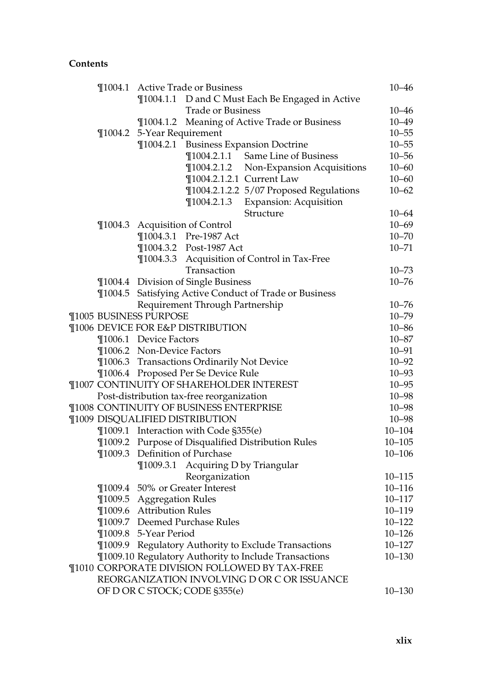|  |                               | ¶1004.1 Active Trade or Business                       |                                                  | $10 - 46$  |
|--|-------------------------------|--------------------------------------------------------|--------------------------------------------------|------------|
|  |                               |                                                        | ¶1004.1.1 D and C Must Each Be Engaged in Active |            |
|  |                               | <b>Trade or Business</b>                               |                                                  | 10–46      |
|  |                               | ¶1004.1.2 Meaning of Active Trade or Business          |                                                  | $10 - 49$  |
|  | ¶1004.2 5-Year Requirement    |                                                        |                                                  | $10 - 55$  |
|  |                               | ¶1004.2.1 Business Expansion Doctrine                  |                                                  | $10 - 55$  |
|  |                               | ¶1004.2.1.1 Same Line of Business                      |                                                  | $10 - 56$  |
|  |                               |                                                        | ¶1004.2.1.2 Non-Expansion Acquisitions           | $10 - 60$  |
|  |                               | ¶1004.2.1.2.1 Current Law                              |                                                  | $10 - 60$  |
|  |                               |                                                        | ¶1004.2.1.2.2 5/07 Proposed Regulations          | $10 - 62$  |
|  |                               | $\P$ 1004.2.1.3                                        | Expansion: Acquisition                           |            |
|  |                               | Structure                                              |                                                  | $10 - 64$  |
|  |                               | ¶1004.3 Acquisition of Control                         |                                                  | $10 - 69$  |
|  |                               | ¶1004.3.1 Pre-1987 Act                                 |                                                  | $10 - 70$  |
|  |                               | ¶1004.3.2 Post-1987 Act                                |                                                  | $10 - 71$  |
|  |                               | ¶1004.3.3 Acquisition of Control in Tax-Free           |                                                  |            |
|  |                               | Transaction                                            |                                                  | $10 - 73$  |
|  |                               | ¶1004.4 Division of Single Business                    |                                                  | $10 - 76$  |
|  |                               | ¶1004.5 Satisfying Active Conduct of Trade or Business |                                                  |            |
|  |                               | Requirement Through Partnership                        |                                                  | $10 - 76$  |
|  | <b>T1005 BUSINESS PURPOSE</b> |                                                        |                                                  | $10 - 79$  |
|  |                               | ¶1006 DEVICE FOR E&P DISTRIBUTION                      |                                                  | $10 - 86$  |
|  | ¶1006.1 Device Factors        |                                                        |                                                  | $10 - 87$  |
|  | ¶1006.2 Non-Device Factors    |                                                        |                                                  | $10 - 91$  |
|  |                               | ¶1006.3 Transactions Ordinarily Not Device             |                                                  | $10 - 92$  |
|  |                               | ¶1006.4 Proposed Per Se Device Rule                    |                                                  | $10 - 93$  |
|  |                               | ¶1007 CONTINUITY OF SHAREHOLDER INTEREST               |                                                  | $10 - 95$  |
|  |                               | Post-distribution tax-free reorganization              |                                                  | $10 - 98$  |
|  |                               | ¶1008 CONTINUITY OF BUSINESS ENTERPRISE                |                                                  | $10 - 98$  |
|  |                               | ¶1009 DISQUALIFIED DISTRIBUTION                        |                                                  | $10 - 98$  |
|  |                               | ¶1009.1 Interaction with Code §355(e)                  |                                                  | $10 - 104$ |
|  |                               | ¶1009.2 Purpose of Disqualified Distribution Rules     |                                                  | $10 - 105$ |
|  |                               | ¶1009.3 Definition of Purchase                         |                                                  | $10 - 106$ |
|  | $\P$ 1009.3.1                 | Acquiring D by Triangular                              |                                                  |            |
|  |                               | Reorganization                                         |                                                  | $10 - 115$ |
|  |                               | ¶1009.4 50% or Greater Interest                        |                                                  | $10 - 116$ |
|  | ¶1009.5 Aggregation Rules     |                                                        |                                                  | $10 - 117$ |
|  | ¶1009.6 Attribution Rules     |                                                        |                                                  | $10 - 119$ |
|  |                               | ¶1009.7 Deemed Purchase Rules                          |                                                  | $10 - 122$ |
|  | ¶1009.8 5-Year Period         |                                                        |                                                  | $10 - 126$ |
|  |                               | ¶1009.9 Regulatory Authority to Exclude Transactions   |                                                  | $10 - 127$ |
|  |                               | ¶1009.10 Regulatory Authority to Include Transactions  |                                                  | $10 - 130$ |
|  |                               | ¶1010 CORPORATE DIVISION FOLLOWED BY TAX-FREE          |                                                  |            |
|  |                               | REORGANIZATION INVOLVING D OR C OR ISSUANCE            |                                                  |            |
|  |                               | OF D OR C STOCK; CODE §355(e)                          |                                                  | $10 - 130$ |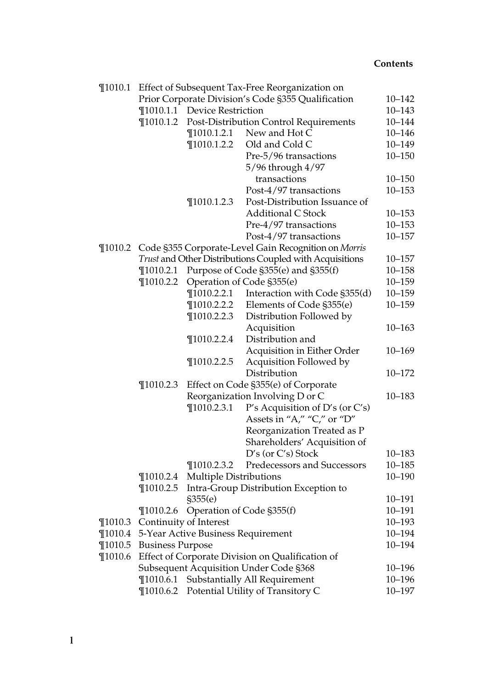|             |                                |                                    | ¶1010.1 Effect of Subsequent Tax-Free Reorganization on            |                      |
|-------------|--------------------------------|------------------------------------|--------------------------------------------------------------------|----------------------|
|             |                                |                                    | Prior Corporate Division's Code §355 Qualification                 | $10 - 142$           |
|             |                                | ¶1010.1.1 Device Restriction       |                                                                    | $10 - 143$           |
|             | $\P$ 1010.1.2                  |                                    | Post-Distribution Control Requirements                             | $10 - 144$           |
|             |                                | $\P$ 1010.1.2.1                    | New and Hot C                                                      | $10 - 146$           |
|             |                                | $\P$ 1010.1.2.2                    | Old and Cold C                                                     | $10 - 149$           |
|             |                                |                                    | Pre-5/96 transactions                                              | $10 - 150$           |
|             |                                |                                    | 5/96 through 4/97                                                  |                      |
|             |                                |                                    | transactions                                                       | $10 - 150$           |
|             |                                |                                    | Post-4/97 transactions                                             | $10 - 153$           |
|             |                                | $\P$ 1010.1.2.3                    | Post-Distribution Issuance of                                      |                      |
|             |                                |                                    | <b>Additional C Stock</b>                                          | $10 - 153$           |
|             |                                |                                    | Pre-4/97 transactions                                              | $10 - 153$           |
|             |                                |                                    | Post-4/97 transactions                                             | $10 - 157$           |
| $\P$ 1010.2 |                                |                                    | Code §355 Corporate-Level Gain Recognition on Morris               |                      |
|             |                                |                                    | Trust and Other Distributions Coupled with Acquisitions            | $10 - 157$           |
|             | $\P$ 1010.2.1                  |                                    | Purpose of Code §355(e) and §355(f)                                | $10 - 158$           |
|             | $\P$ 1010.2.2                  |                                    | Operation of Code §355(e)                                          | $10 - 159$           |
|             |                                | $\P$ 1010.2.2.1                    | Interaction with Code §355(d)                                      | $10 - 159$           |
|             |                                | 1010.2.2.2                         | Elements of Code §355(e)                                           | $10 - 159$           |
|             |                                | $\P$ 1010.2.2.3                    | Distribution Followed by                                           |                      |
|             |                                |                                    | Acquisition                                                        | $10 - 163$           |
|             |                                | $\P$ 1010.2.2.4                    | Distribution and                                                   |                      |
|             |                                |                                    | Acquisition in Either Order                                        | $10 - 169$           |
|             |                                | $\P$ 1010.2.2.5                    | Acquisition Followed by                                            |                      |
|             |                                |                                    | Distribution                                                       | $10 - 172$           |
|             | $\P$ 1010.2.3                  |                                    | Effect on Code §355(e) of Corporate                                |                      |
|             |                                |                                    | Reorganization Involving D or C                                    | $10 - 183$           |
|             |                                | $\P$ 1010.2.3.1                    | P's Acquisition of D's (or $C$ 's)                                 |                      |
|             |                                |                                    | Assets in "A," "C," or "D"                                         |                      |
|             |                                |                                    | Reorganization Treated as P                                        |                      |
|             |                                |                                    | Shareholders' Acquisition of                                       |                      |
|             |                                |                                    | $D's$ (or $C's$ ) Stock                                            | $10 - 183$           |
|             |                                | $\P$ 1010.2.3.2                    | Predecessors and Successors                                        | $10 - 185$           |
|             | $\P 1010.2.4$                  | <b>Multiple Distributions</b>      |                                                                    | $10 - 190$           |
|             | $\P$ 1010.2.5                  |                                    | Intra-Group Distribution Exception to                              |                      |
|             |                                | \$355(e)                           |                                                                    | $10 - 191$           |
|             |                                |                                    | ¶1010.2.6 Operation of Code §355(f)                                | 10-191               |
| $\P$ 1010.3 |                                | Continuity of Interest             |                                                                    | 10-193               |
| $\P$ 1010.4 |                                | 5-Year Active Business Requirement |                                                                    | $10 - 194$           |
| $\P$ 1010.5 | <b>Business Purpose</b>        |                                    |                                                                    | 10-194               |
| $\P$ 1010.6 |                                |                                    | Effect of Corporate Division on Qualification of                   |                      |
|             |                                |                                    | Subsequent Acquisition Under Code §368                             | 10-196<br>$10 - 196$ |
|             | $\P$ 1010.6.1<br>$\P$ 1010.6.2 |                                    | Substantially All Requirement<br>Potential Utility of Transitory C | $10 - 197$           |
|             |                                |                                    |                                                                    |                      |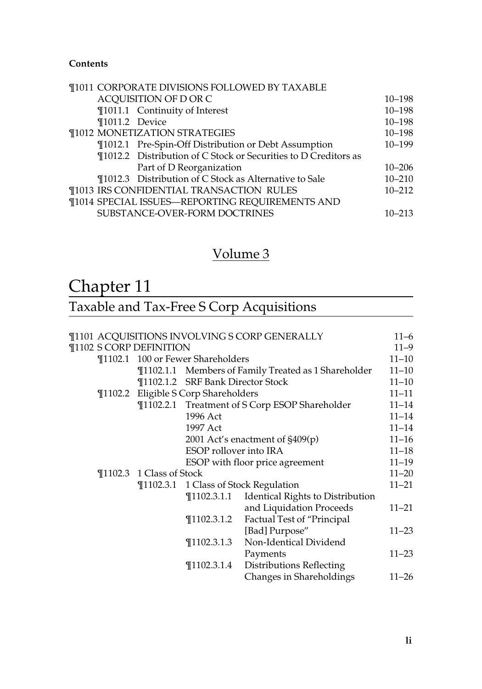| <b>¶1011 CORPORATE DIVISIONS FOLLOWED BY TAXABLE</b>            |            |
|-----------------------------------------------------------------|------------|
| ACQUISITION OF D OR C                                           | $10 - 198$ |
| ¶1011.1 Continuity of Interest                                  | $10 - 198$ |
| ¶1011.2 Device                                                  | $10 - 198$ |
| <b>¶1012 MONETIZATION STRATEGIES</b>                            | $10 - 198$ |
| ¶1012.1 Pre-Spin-Off Distribution or Debt Assumption            | $10 - 199$ |
| ¶1012.2 Distribution of C Stock or Securities to D Creditors as |            |
| Part of D Reorganization                                        | $10 - 206$ |
| ¶1012.3 Distribution of C Stock as Alternative to Sale          | $10 - 210$ |
| ¶1013 IRS CONFIDENTIAL TRANSACTION RULES                        | $10 - 212$ |
| ¶1014 SPECIAL ISSUES-REPORTING REQUIREMENTS AND                 |            |
| SUBSTANCE-OVER-FORM DOCTRINES                                   | $10 - 213$ |
|                                                                 |            |

### Volume 3

## Chapter 11

### Taxable and Tax-Free S Corp Acquisitions

|  |                              |                                      | ¶1101 ACQUISITIONS INVOLVING S CORP GENERALLY        | $11 - 6$  |
|--|------------------------------|--------------------------------------|------------------------------------------------------|-----------|
|  | ¶1102 S CORP DEFINITION      |                                      |                                                      | $11 - 9$  |
|  |                              | ¶1102.1 100 or Fewer Shareholders    |                                                      | $11 - 10$ |
|  |                              |                                      | ¶1102.1.1 Members of Family Treated as 1 Shareholder | $11 - 10$ |
|  |                              | ¶1102.1.2 SRF Bank Director Stock    |                                                      | $11 - 10$ |
|  |                              | ¶1102.2 Eligible S Corp Shareholders |                                                      | $11 - 11$ |
|  |                              |                                      | ¶1102.2.1 Treatment of S Corp ESOP Shareholder       | $11 - 14$ |
|  |                              | 1996 Act                             |                                                      | $11 - 14$ |
|  |                              | 1997 Act                             |                                                      | $11 - 14$ |
|  |                              |                                      | 2001 Act's enactment of §409(p)                      | $11 - 16$ |
|  |                              | ESOP rollover into IRA               |                                                      | $11 - 18$ |
|  |                              |                                      | ESOP with floor price agreement                      | $11 - 19$ |
|  | $\P$ 1102.3 1 Class of Stock |                                      |                                                      | $11 - 20$ |
|  |                              |                                      | ¶1102.3.1 1 Class of Stock Regulation                | $11 - 21$ |
|  |                              |                                      | ¶1102.3.1.1 Identical Rights to Distribution         |           |
|  |                              |                                      | and Liquidation Proceeds                             | $11 - 21$ |
|  |                              | $\P$ 1102.3.1.2                      | <b>Factual Test of "Principal</b>                    |           |
|  |                              |                                      | [Bad] Purpose"                                       | $11 - 23$ |
|  |                              | $\P$ 1102.3.1.3                      | Non-Identical Dividend                               |           |
|  |                              |                                      | Payments                                             | $11 - 23$ |
|  |                              | $\P$ 1102.3.1.4                      | Distributions Reflecting                             |           |
|  |                              |                                      | Changes in Shareholdings                             | $11 - 26$ |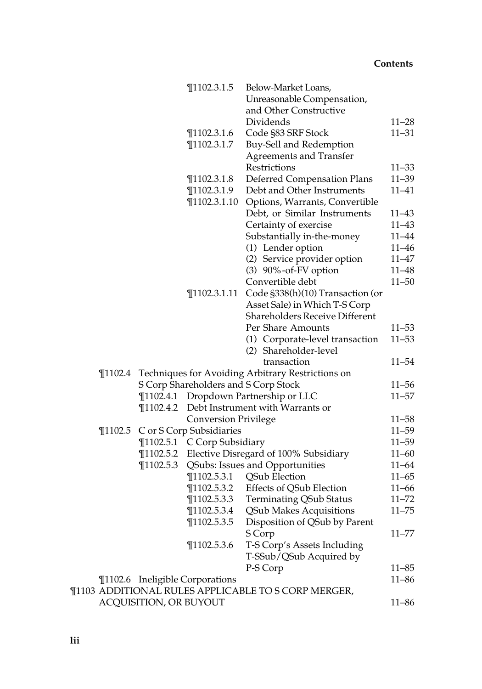|             |                        | $\P$ 1102.3.1.5                      | Below-Market Loans,                                 |           |
|-------------|------------------------|--------------------------------------|-----------------------------------------------------|-----------|
|             |                        |                                      | Unreasonable Compensation,                          |           |
|             |                        |                                      | and Other Constructive                              |           |
|             |                        |                                      | Dividends                                           | $11 - 28$ |
|             |                        | $\P$ 1102.3.1.6                      | Code §83 SRF Stock                                  | $11 - 31$ |
|             |                        | $\P$ 1102.3.1.7                      | Buy-Sell and Redemption                             |           |
|             |                        |                                      | <b>Agreements and Transfer</b>                      |           |
|             |                        |                                      | Restrictions                                        | $11 - 33$ |
|             |                        | $\P$ 1102.3.1.8                      | Deferred Compensation Plans                         | $11 - 39$ |
|             |                        | $\P$ 1102.3.1.9                      | Debt and Other Instruments                          | $11 - 41$ |
|             |                        | $\P$ 1102.3.1.10                     | Options, Warrants, Convertible                      |           |
|             |                        |                                      | Debt, or Similar Instruments                        | $11 - 43$ |
|             |                        |                                      | Certainty of exercise                               | $11 - 43$ |
|             |                        |                                      | Substantially in-the-money                          | 11-44     |
|             |                        |                                      | (1) Lender option                                   | $11 - 46$ |
|             |                        |                                      | (2) Service provider option                         | 11–47     |
|             |                        |                                      | $(3)$ 90%-of-FV option                              | $11 - 48$ |
|             |                        |                                      | Convertible debt                                    | $11 - 50$ |
|             |                        | $\P$ 1102.3.1.11                     | Code §338(h)(10) Transaction (or                    |           |
|             |                        |                                      | Asset Sale) in Which T-S Corp                       |           |
|             |                        |                                      | <b>Shareholders Receive Different</b>               |           |
|             |                        |                                      | Per Share Amounts                                   | $11 - 53$ |
|             |                        |                                      | (1) Corporate-level transaction                     | $11 - 53$ |
|             |                        |                                      | (2) Shareholder-level                               |           |
|             |                        |                                      | transaction                                         | 11–54     |
| $\P$ 1102.4 |                        |                                      | Techniques for Avoiding Arbitrary Restrictions on   |           |
|             |                        | S Corp Shareholders and S Corp Stock |                                                     | $11 - 56$ |
|             |                        |                                      | ¶1102.4.1 Dropdown Partnership or LLC               | $11 - 57$ |
|             | $\P$ 1102.4.2          |                                      | Debt Instrument with Warrants or                    |           |
|             |                        | <b>Conversion Privilege</b>          |                                                     | $11 - 58$ |
|             |                        | ¶1102.5 C or S Corp Subsidiaries     |                                                     | $11 - 59$ |
|             |                        | ¶1102.5.1 C Corp Subsidiary          |                                                     | $11 - 59$ |
|             |                        |                                      | ¶1102.5.2 Elective Disregard of 100% Subsidiary     | $11 - 60$ |
|             | $\P$ 1102.5.3          |                                      | QSubs: Issues and Opportunities                     | $11 - 64$ |
|             |                        | $\P$ 1102.5.3.1                      | QSub Election                                       | $11 - 65$ |
|             |                        | $\P$ 1102.5.3.2                      | Effects of QSub Election                            | $11 - 66$ |
|             |                        | T1102.5.3.3                          | <b>Terminating QSub Status</b>                      | $11 - 72$ |
|             |                        | ¶1102.5.3.4                          | QSub Makes Acquisitions                             | $11 - 75$ |
|             |                        | $\P$ 1102.5.3.5                      | Disposition of QSub by Parent                       |           |
|             |                        |                                      | S Corp                                              | $11 - 77$ |
|             |                        | $\P$ 1102.5.3.6                      | T-S Corp's Assets Including                         |           |
|             |                        |                                      | T-SSub/QSub Acquired by                             |           |
|             |                        |                                      | P-S Corp                                            | 11–85     |
|             |                        | ¶1102.6 Ineligible Corporations      |                                                     | $11 - 86$ |
|             |                        |                                      | ¶1103 ADDITIONAL RULES APPLICABLE TO S CORP MERGER, |           |
|             | ACQUISITION, OR BUYOUT |                                      |                                                     | 11–86     |
|             |                        |                                      |                                                     |           |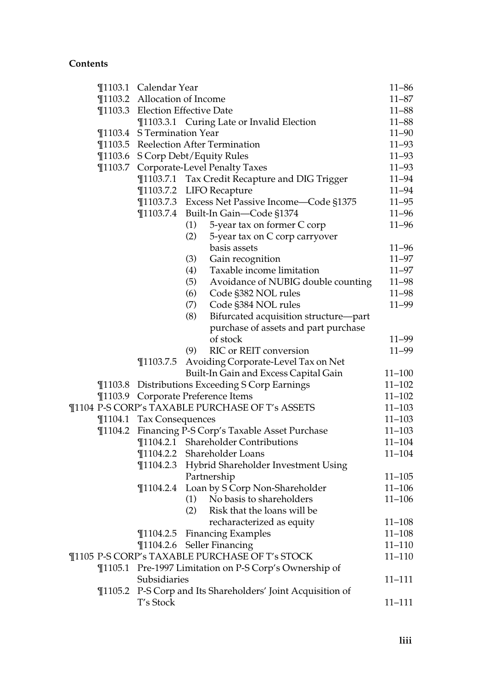|             | ¶1103.1 Calendar Year        |                                                     | $11 - 86$  |
|-------------|------------------------------|-----------------------------------------------------|------------|
|             | ¶1103.2 Allocation of Income |                                                     | $11 - 87$  |
|             |                              | ¶1103.3 Election Effective Date                     | $11 - 88$  |
|             |                              | ¶1103.3.1 Curing Late or Invalid Election           | $11 - 88$  |
|             | ¶1103.4 S Termination Year   |                                                     | $11 - 90$  |
|             |                              | ¶1103.5 Reelection After Termination                | $11 - 93$  |
|             |                              | ¶1103.6 S Corp Debt/Equity Rules                    | $11 - 93$  |
|             |                              | ¶1103.7 Corporate-Level Penalty Taxes               | $11 - 93$  |
|             |                              | ¶1103.7.1 Tax Credit Recapture and DIG Trigger      | $11 - 94$  |
|             |                              | ¶1103.7.2 LIFO Recapture                            | $11 - 94$  |
|             |                              | ¶1103.7.3 Excess Net Passive Income—Code §1375      | $11 - 95$  |
|             |                              | ¶1103.7.4 Built-In Gain-Code §1374                  | $11 - 96$  |
|             |                              | (1)<br>5-year tax on former C corp                  | $11 - 96$  |
|             |                              | (2)<br>5-year tax on C corp carryover               |            |
|             |                              | basis assets                                        | $11 - 96$  |
|             |                              | (3)<br>Gain recognition                             | $11 - 97$  |
|             |                              | Taxable income limitation<br>(4)                    | $11 - 97$  |
|             |                              | (5)<br>Avoidance of NUBIG double counting           | $11 - 98$  |
|             |                              | (6)<br>Code §382 NOL rules                          | $11 - 98$  |
|             |                              | (7)<br>Code §384 NOL rules                          | $11 - 99$  |
|             |                              | (8)<br>Bifurcated acquisition structure-part        |            |
|             |                              | purchase of assets and part purchase                |            |
|             |                              | of stock                                            | $11 - 99$  |
|             |                              | RIC or REIT conversion<br>(9)                       | $11 - 99$  |
|             | $\P$ 1103.7.5                | Avoiding Corporate-Level Tax on Net                 |            |
|             |                              | Built-In Gain and Excess Capital Gain               | $11 - 100$ |
|             |                              | ¶1103.8 Distributions Exceeding S Corp Earnings     | $11 - 102$ |
|             |                              | ¶1103.9 Corporate Preference Items                  | $11 - 102$ |
|             |                              | ¶1104 P-S CORP's TAXABLE PURCHASE OF T's ASSETS     | $11 - 103$ |
|             | ¶1104.1 Tax Consequences     |                                                     | $11 - 103$ |
| $\P$ 1104.2 |                              | Financing P-S Corp's Taxable Asset Purchase         | $11 - 103$ |
|             |                              | ¶1104.2.1 Shareholder Contributions                 | $11 - 104$ |
|             |                              | ¶1104.2.2 Shareholder Loans                         | $11 - 104$ |
|             |                              | ¶1104.2.3 Hybrid Shareholder Investment Using       |            |
|             |                              | Partnership                                         | $11 - 105$ |
|             | $\P$ 1104.2.4                | Loan by S Corp Non-Shareholder                      | $11 - 106$ |
|             |                              | (1) No basis to shareholders                        | $11 - 106$ |
|             |                              | (2) Risk that the loans will be                     |            |
|             |                              | recharacterized as equity                           | $11 - 108$ |
|             | $\P$ 1104.2.5                | <b>Financing Examples</b>                           | $11 - 108$ |
|             |                              | ¶1104.2.6 Seller Financing                          | $11 - 110$ |
|             |                              | ¶1105 P-S CORP's TAXABLE PURCHASE OF T's STOCK      | $11 - 110$ |
| $\P$ 1105.1 |                              | Pre-1997 Limitation on P-S Corp's Ownership of      |            |
|             | Subsidiaries                 |                                                     | 11-111     |
| $\P$ 1105.2 |                              | P-S Corp and Its Shareholders' Joint Acquisition of |            |
|             | T's Stock                    |                                                     | 11–111     |
|             |                              |                                                     |            |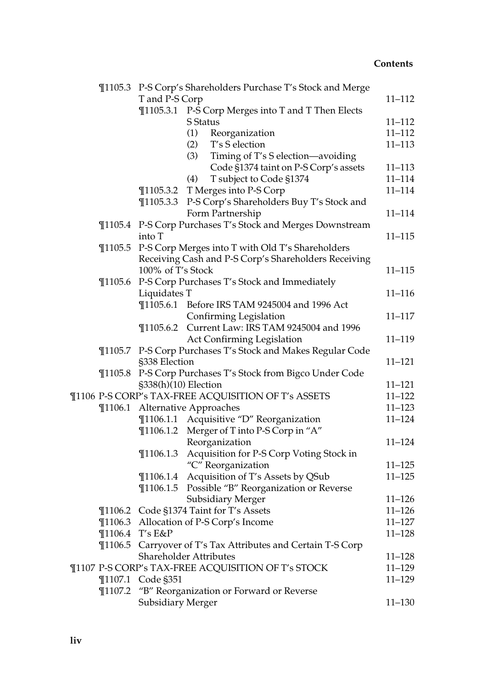|             |                          | ¶1105.3 P-S Corp's Shareholders Purchase T's Stock and Merge |            |
|-------------|--------------------------|--------------------------------------------------------------|------------|
|             | T and P-S Corp           |                                                              | $11 - 112$ |
|             |                          | ¶1105.3.1 P-S Corp Merges into T and T Then Elects           |            |
|             |                          | S Status                                                     | $11 - 112$ |
|             |                          | (1)<br>Reorganization                                        | $11 - 112$ |
|             |                          | T's S election<br>(2)                                        | $11 - 113$ |
|             |                          | (3)<br>Timing of T's S election-avoiding                     |            |
|             |                          | Code §1374 taint on P-S Corp's assets                        | 11-113     |
|             |                          | (4)<br>T subject to Code §1374                               | $11 - 114$ |
|             |                          | ¶1105.3.2 T Merges into P-S Corp                             | $11 - 114$ |
|             | $\P$ 1105.3.3            | P-S Corp's Shareholders Buy T's Stock and                    |            |
|             |                          | Form Partnership                                             | $11 - 114$ |
|             |                          | ¶1105.4 P-S Corp Purchases T's Stock and Merges Downstream   |            |
|             | into T                   |                                                              | $11 - 115$ |
| $\P$ 1105.5 |                          | P-S Corp Merges into T with Old T's Shareholders             |            |
|             |                          | Receiving Cash and P-S Corp's Shareholders Receiving         |            |
|             | 100% of T's Stock        |                                                              | $11 - 115$ |
| $\P$ 1105.6 |                          | P-S Corp Purchases T's Stock and Immediately                 |            |
|             | Liquidates T             |                                                              | $11 - 116$ |
|             |                          | ¶1105.6.1 Before IRS TAM 9245004 and 1996 Act                |            |
|             |                          | Confirming Legislation                                       | $11 - 117$ |
|             |                          | ¶1105.6.2 Current Law: IRS TAM 9245004 and 1996              |            |
|             |                          | Act Confirming Legislation                                   | 11-119     |
|             |                          | ¶1105.7 P-S Corp Purchases T's Stock and Makes Regular Code  |            |
|             | §338 Election            |                                                              | $11 - 121$ |
| $\P$ 1105.8 |                          | P-S Corp Purchases T's Stock from Bigco Under Code           |            |
|             | §338(h)(10) Election     |                                                              | $11 - 121$ |
|             |                          | ¶1106 P-S CORP's TAX-FREE ACQUISITION OF T's ASSETS          | $11 - 122$ |
|             |                          | ¶1106.1 Alternative Approaches                               | $11 - 123$ |
|             |                          | ¶1106.1.1 Acquisitive "D" Reorganization                     | $11 - 124$ |
|             | $\P$ 1106.1.2            | Merger of T into P-S Corp in "A"                             |            |
|             |                          | Reorganization                                               | $11 - 124$ |
|             | $\P$ 1106.1.3            | Acquisition for P-S Corp Voting Stock in                     |            |
|             |                          | "C" Reorganization                                           | $11 - 125$ |
|             | $\P$ 1106.1.4            | Acquisition of T's Assets by QSub                            | $11 - 125$ |
|             | $\P$ 1106.1.5            | Possible "B" Reorganization or Reverse                       |            |
|             |                          | Subsidiary Merger                                            | $11 - 126$ |
|             |                          | ¶1106.2 Code §1374 Taint for T's Assets                      | $11 - 126$ |
|             |                          | ¶1106.3 Allocation of P-S Corp's Income                      | $11 - 127$ |
|             | ¶1106.4 T's E&P          |                                                              | $11 - 128$ |
|             |                          | ¶1106.5 Carryover of T's Tax Attributes and Certain T-S Corp |            |
|             |                          | Shareholder Attributes                                       | $11 - 128$ |
|             |                          | ¶1107 P-S CORP's TAX-FREE ACQUISITION OF T's STOCK           | 11-129     |
|             | ¶1107.1 Code §351        |                                                              | $11 - 129$ |
|             |                          | ¶1107.2 "B" Reorganization or Forward or Reverse             |            |
|             | <b>Subsidiary Merger</b> |                                                              | 11-130     |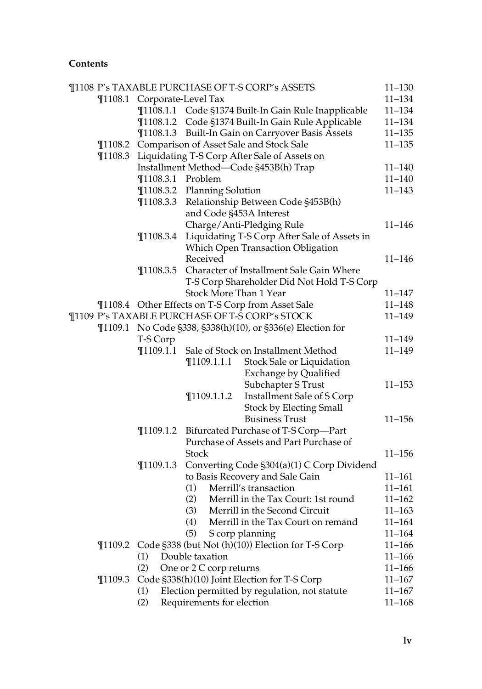|             |                             |                             | ¶1108 P's TAXABLE PURCHASE OF T-S CORP's ASSETS            | $11 - 130$ |
|-------------|-----------------------------|-----------------------------|------------------------------------------------------------|------------|
|             | ¶1108.1 Corporate-Level Tax |                             |                                                            | $11 - 134$ |
|             |                             |                             | ¶1108.1.1 Code §1374 Built-In Gain Rule Inapplicable       | $11 - 134$ |
|             |                             |                             | ¶1108.1.2 Code §1374 Built-In Gain Rule Applicable         | $11 - 134$ |
|             |                             |                             | ¶1108.1.3 Built-In Gain on Carryover Basis Assets          | $11 - 135$ |
|             |                             |                             | ¶1108.2 Comparison of Asset Sale and Stock Sale            | $11 - 135$ |
|             |                             |                             | ¶1108.3 Liquidating T-S Corp After Sale of Assets on       |            |
|             |                             |                             | Installment Method-Code §453B(h) Trap                      | $11 - 140$ |
|             | ¶1108.3.1 Problem           |                             |                                                            | $11 - 140$ |
|             |                             | ¶1108.3.2 Planning Solution |                                                            | $11 - 143$ |
|             |                             |                             | ¶1108.3.3 Relationship Between Code §453B(h)               |            |
|             |                             | and Code §453A Interest     |                                                            |            |
|             |                             |                             | Charge/Anti-Pledging Rule                                  | $11 - 146$ |
|             | $\P$ 1108.3.4               |                             | Liquidating T-S Corp After Sale of Assets in               |            |
|             |                             |                             | Which Open Transaction Obligation                          |            |
|             |                             | Received                    |                                                            | $11 - 146$ |
|             | $\P$ 1108.3.5               |                             | Character of Installment Sale Gain Where                   |            |
|             |                             |                             | T-S Corp Shareholder Did Not Hold T-S Corp                 |            |
|             |                             | Stock More Than 1 Year      |                                                            | $11 - 147$ |
|             |                             |                             | ¶1108.4 Other Effects on T-S Corp from Asset Sale          | $11 - 148$ |
|             |                             |                             | ¶1109 P's TAXABLE PURCHASE OF T-S CORP's STOCK             | $11 - 149$ |
|             |                             |                             | ¶1109.1 No Code §338, §338(h)(10), or §336(e) Election for |            |
|             | T-S Corp                    |                             |                                                            | $11 - 149$ |
|             | $\P$ 1109.1.1               |                             | Sale of Stock on Installment Method                        | $11 - 149$ |
|             |                             | $\P$ 1109.1.1.1             | Stock Sale or Liquidation                                  |            |
|             |                             |                             | Exchange by Qualified                                      |            |
|             |                             |                             | Subchapter S Trust                                         | $11 - 153$ |
|             |                             | $\P$ 1109.1.1.2             | Installment Sale of S Corp                                 |            |
|             |                             |                             | <b>Stock by Electing Small</b>                             |            |
|             |                             |                             | <b>Business Trust</b>                                      | $11 - 156$ |
|             |                             |                             | ¶1109.1.2 Bifurcated Purchase of T-S Corp-Part             |            |
|             |                             |                             | Purchase of Assets and Part Purchase of                    |            |
|             |                             | <b>Stock</b>                |                                                            | $11 - 156$ |
|             | $\P$ 1109.1.3               |                             | Converting Code §304(a)(1) C Corp Dividend                 |            |
|             |                             |                             | to Basis Recovery and Sale Gain                            | $11 - 161$ |
|             |                             | (1)                         | Merrill's transaction                                      | $11 - 161$ |
|             |                             | (2)                         | Merrill in the Tax Court: 1st round                        | $11 - 162$ |
|             |                             |                             | (3) Merrill in the Second Circuit                          | $11 - 163$ |
|             |                             | (4)                         | Merrill in the Tax Court on remand                         | $11 - 164$ |
|             |                             | (5)                         | S corp planning                                            | $11 - 164$ |
|             |                             |                             | ¶1109.2 Code §338 (but Not (h)(10)) Election for T-S Corp  | $11 - 166$ |
|             | (1)                         | Double taxation             |                                                            | $11 - 166$ |
|             | (2)                         | One or 2 C corp returns     |                                                            | $11 - 166$ |
| $\P$ 1109.3 |                             |                             | Code §338(h)(10) Joint Election for T-S Corp               | $11 - 167$ |
|             | (1)                         |                             | Election permitted by regulation, not statute              | $11 - 167$ |
|             | (2)                         | Requirements for election   |                                                            | $11 - 168$ |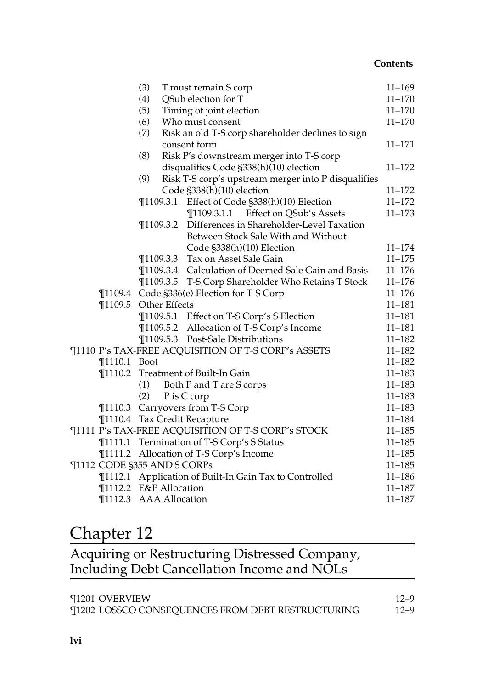|                             | (3) |               | T must remain S corp                                   | $11 - 169$ |
|-----------------------------|-----|---------------|--------------------------------------------------------|------------|
|                             | (4) |               | QSub election for T                                    | $11 - 170$ |
|                             | (5) |               | Timing of joint election                               | $11 - 170$ |
|                             | (6) |               | Who must consent                                       | $11 - 170$ |
|                             | (7) |               | Risk an old T-S corp shareholder declines to sign      |            |
|                             |     |               | consent form                                           | $11 - 171$ |
|                             | (8) |               | Risk P's downstream merger into T-S corp               |            |
|                             |     |               | disqualifies Code §338(h)(10) election                 | $11 - 172$ |
|                             | (9) |               | Risk T-S corp's upstream merger into P disqualifies    |            |
|                             |     |               | Code §338(h)(10) election                              | $11 - 172$ |
|                             |     |               | ¶1109.3.1 Effect of Code §338(h)(10) Election          | $11 - 172$ |
|                             |     |               | ¶1109.3.1.1 Effect on QSub's Assets                    | $11 - 173$ |
|                             |     | $\P$ 1109.3.2 | Differences in Shareholder-Level Taxation              |            |
|                             |     |               | Between Stock Sale With and Without                    |            |
|                             |     |               | Code §338(h)(10) Election                              | $11 - 174$ |
|                             |     |               | ¶1109.3.3 Tax on Asset Sale Gain                       | $11 - 175$ |
|                             |     |               | ¶1109.3.4 Calculation of Deemed Sale Gain and Basis    | $11 - 176$ |
|                             |     |               | ¶1109.3.5 T-S Corp Shareholder Who Retains T Stock     | $11 - 176$ |
|                             |     |               | ¶1109.4 Code §336(e) Election for T-S Corp             | $11 - 176$ |
| ¶1109.5 Other Effects       |     |               |                                                        | $11 - 181$ |
|                             |     |               | ¶1109.5.1 Effect on T-S Corp's S Election              | $11 - 181$ |
|                             |     |               | ¶1109.5.2 Allocation of T-S Corp's Income              | $11 - 181$ |
|                             |     |               | ¶1109.5.3 Post-Sale Distributions                      | $11 - 182$ |
|                             |     |               | ¶1110 P's TAX-FREE ACQUISITION OF T-S CORP's ASSETS    | $11 - 182$ |
| ¶1110.1 Boot                |     |               |                                                        | $11 - 182$ |
| $\P$ 1110.2                 |     |               | Treatment of Built-In Gain                             | $11 - 183$ |
|                             | (1) |               | Both P and T are S corps                               | $11 - 183$ |
|                             | (2) |               | P is C corp                                            | $11 - 183$ |
|                             |     |               | ¶1110.3 Carryovers from T-S Corp                       | $11 - 183$ |
|                             |     |               | ¶1110.4 Tax Credit Recapture                           | $11 - 184$ |
|                             |     |               | ¶1111 P's TAX-FREE ACQUISITION OF T-S CORP's STOCK     | $11 - 185$ |
|                             |     |               | ¶1111.1 Termination of T-S Corp's S Status             | $11 - 185$ |
|                             |     |               | ¶1111.2 Allocation of T-S Corp's Income                | $11 - 185$ |
| ¶1112 CODE §355 AND S CORPs |     |               |                                                        | $11 - 185$ |
|                             |     |               | ¶1112.1 Application of Built-In Gain Tax to Controlled | $11 - 186$ |
| ¶1112.2 E&P Allocation      |     |               |                                                        | 11–187     |
| ¶1112.3 AAA Allocation      |     |               |                                                        | $11 - 187$ |
|                             |     |               |                                                        |            |

## Chapter 12

| Acquiring or Restructuring Distressed Company, |  |
|------------------------------------------------|--|
| Including Debt Cancellation Income and NOLs    |  |

| ¶1201 OVERVIEW                                    | $12 - 9$ |
|---------------------------------------------------|----------|
| ¶1202 LOSSCO CONSEQUENCES FROM DEBT RESTRUCTURING | $12 - 9$ |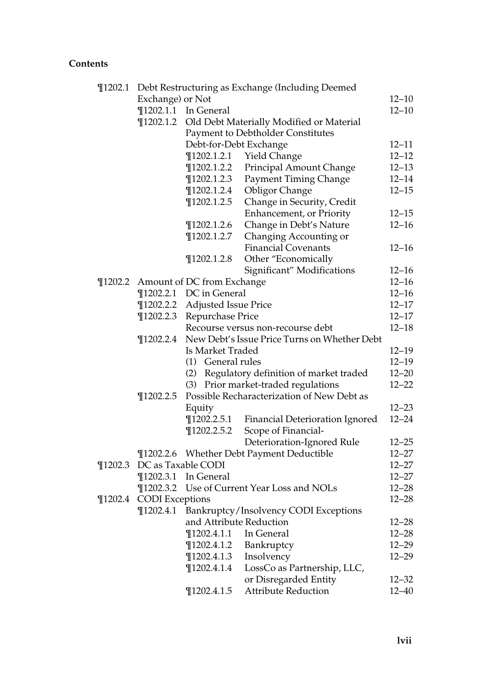| $\P$ 1202.1 | Debt Restructuring as Exchange (Including Deemed |                                    |                                                 |           |  |  |  |
|-------------|--------------------------------------------------|------------------------------------|-------------------------------------------------|-----------|--|--|--|
|             | Exchange) or Not                                 |                                    |                                                 | $12 - 10$ |  |  |  |
|             | $\P$ 1202.1.1                                    | In General                         |                                                 | $12 - 10$ |  |  |  |
|             | $\P$ 1202.1.2                                    |                                    | Old Debt Materially Modified or Material        |           |  |  |  |
|             |                                                  |                                    | Payment to Debtholder Constitutes               |           |  |  |  |
|             |                                                  | Debt-for-Debt Exchange             |                                                 | $12 - 11$ |  |  |  |
|             |                                                  | $\P$ 1202.1.2.1                    | Yield Change                                    | $12 - 12$ |  |  |  |
|             |                                                  | $\P$ 1202.1.2.2                    | Principal Amount Change                         | $12 - 13$ |  |  |  |
|             |                                                  | $\P$ 1202.1.2.3                    | <b>Payment Timing Change</b>                    | $12 - 14$ |  |  |  |
|             |                                                  | $\P$ 1202.1.2.4                    | <b>Obligor Change</b>                           | $12 - 15$ |  |  |  |
|             |                                                  | $\P$ 1202.1.2.5                    | Change in Security, Credit                      |           |  |  |  |
|             |                                                  |                                    | Enhancement, or Priority                        | $12 - 15$ |  |  |  |
|             |                                                  | $\P$ 1202.1.2.6                    | Change in Debt's Nature                         | $12 - 16$ |  |  |  |
|             |                                                  | $\P$ 1202.1.2.7                    | Changing Accounting or                          |           |  |  |  |
|             |                                                  |                                    | <b>Financial Covenants</b>                      | $12 - 16$ |  |  |  |
|             |                                                  | $\P$ 1202.1.2.8                    | Other "Economically                             |           |  |  |  |
|             |                                                  |                                    | Significant" Modifications                      | $12 - 16$ |  |  |  |
|             |                                                  | ¶1202.2 Amount of DC from Exchange |                                                 | $12 - 16$ |  |  |  |
|             |                                                  | ¶1202.2.1 DC in General            |                                                 | $12 - 16$ |  |  |  |
|             | $\P$ 1202.2.2                                    | <b>Adjusted Issue Price</b>        |                                                 | $12 - 17$ |  |  |  |
|             | $\P$ 1202.2.3                                    | Repurchase Price                   |                                                 | $12 - 17$ |  |  |  |
|             |                                                  |                                    | Recourse versus non-recourse debt               | $12 - 18$ |  |  |  |
|             | $\P$ 1202.2.4                                    |                                    | New Debt's Issue Price Turns on Whether Debt    |           |  |  |  |
|             |                                                  | Is Market Traded                   |                                                 | $12 - 19$ |  |  |  |
|             |                                                  | (1) General rules                  |                                                 | $12 - 19$ |  |  |  |
|             |                                                  |                                    | (2) Regulatory definition of market traded      | $12 - 20$ |  |  |  |
|             |                                                  |                                    | (3) Prior market-traded regulations             | $12 - 22$ |  |  |  |
|             | $\P$ 1202.2.5                                    |                                    | Possible Recharacterization of New Debt as      |           |  |  |  |
|             |                                                  | Equity                             |                                                 | $12 - 23$ |  |  |  |
|             |                                                  | $\P$ 1202.2.5.1                    | Financial Deterioration Ignored                 | $12 - 24$ |  |  |  |
|             |                                                  | $\P$ 1202.2.5.2                    | Scope of Financial-                             |           |  |  |  |
|             |                                                  |                                    | Deterioration-Ignored Rule                      | $12 - 25$ |  |  |  |
|             |                                                  |                                    | ¶1202.2.6 Whether Debt Payment Deductible       | $12 - 27$ |  |  |  |
| $\P$ 1202.3 |                                                  | DC as Taxable CODI                 |                                                 | $12 - 27$ |  |  |  |
|             | $\P$ 1202.3.1                                    | In General                         |                                                 | $12 - 27$ |  |  |  |
|             |                                                  |                                    | ¶1202.3.2 Use of Current Year Loss and NOLs     | $12 - 28$ |  |  |  |
| $\P$ 1202.4 | <b>CODI</b> Exceptions                           |                                    |                                                 | $12 - 28$ |  |  |  |
|             |                                                  |                                    | ¶1202.4.1 Bankruptcy/Insolvency CODI Exceptions |           |  |  |  |
|             |                                                  | and Attribute Reduction            |                                                 | $12 - 28$ |  |  |  |
|             |                                                  | $\P$ 1202.4.1.1                    | In General                                      | $12 - 28$ |  |  |  |
|             |                                                  | $\P$ 1202.4.1.2                    | Bankruptcy                                      | $12 - 29$ |  |  |  |
|             |                                                  | $\P$ 1202.4.1.3                    | Insolvency                                      | $12 - 29$ |  |  |  |
|             |                                                  | $\P$ 1202.4.1.4                    | LossCo as Partnership, LLC,                     |           |  |  |  |
|             |                                                  |                                    | or Disregarded Entity                           | $12 - 32$ |  |  |  |
|             |                                                  | $\P$ 1202.4.1.5                    | <b>Attribute Reduction</b>                      | 12–40     |  |  |  |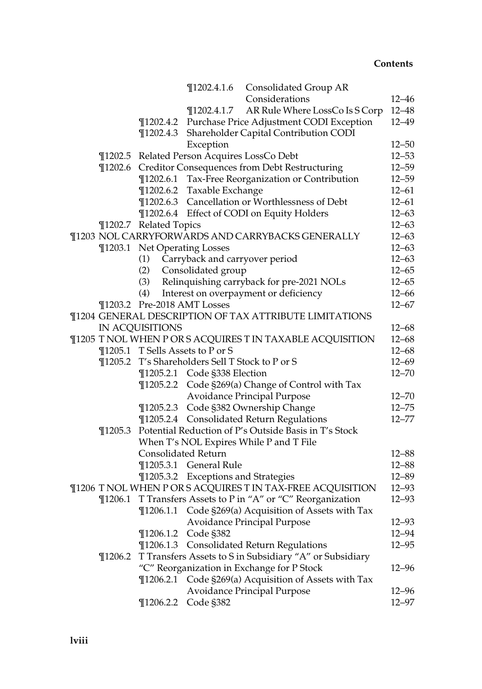|             |                             | ¶1202.4.1.6 Consolidated Group AR                            |           |
|-------------|-----------------------------|--------------------------------------------------------------|-----------|
|             |                             | Considerations                                               | $12 - 46$ |
|             |                             | AR Rule Where LossCo Is S Corp<br>$\P$ 1202.4.1.7            | $12 - 48$ |
|             |                             | ¶1202.4.2 Purchase Price Adjustment CODI Exception           | $12 - 49$ |
|             |                             | ¶1202.4.3 Shareholder Capital Contribution CODI              |           |
|             |                             | Exception                                                    | $12 - 50$ |
|             |                             | ¶1202.5 Related Person Acquires LossCo Debt                  | $12 - 53$ |
|             |                             | ¶1202.6 Creditor Consequences from Debt Restructuring        | $12 - 59$ |
|             |                             | ¶1202.6.1 Tax-Free Reorganization or Contribution            | $12 - 59$ |
|             |                             | ¶1202.6.2 Taxable Exchange                                   | $12 - 61$ |
|             |                             | ¶1202.6.3 Cancellation or Worthlessness of Debt              | $12 - 61$ |
|             |                             | ¶1202.6.4 Effect of CODI on Equity Holders                   | $12 - 63$ |
|             | ¶1202.7 Related Topics      |                                                              | $12 - 63$ |
|             |                             | ¶1203 NOL CARRYFORWARDS AND CARRYBACKS GENERALLY             | $12 - 63$ |
|             |                             | ¶1203.1 Net Operating Losses                                 | $12 - 63$ |
|             | (1)                         | Carryback and carryover period                               | $12 - 63$ |
|             | (2)                         | Consolidated group                                           | $12 - 65$ |
|             | (3)                         | Relinquishing carryback for pre-2021 NOLs                    | $12 - 65$ |
|             | (4)                         | Interest on overpayment or deficiency                        | $12 - 66$ |
|             | ¶1203.2 Pre-2018 AMT Losses |                                                              | $12 - 67$ |
|             |                             | ¶1204 GENERAL DESCRIPTION OF TAX ATTRIBUTE LIMITATIONS       |           |
|             | IN ACQUISITIONS             |                                                              | $12 - 68$ |
|             |                             | ¶1205 T NOL WHEN P OR S ACQUIRES T IN TAXABLE ACQUISITION    | $12 - 68$ |
|             |                             | ¶1205.1 T Sells Assets to P or S                             | $12 - 68$ |
|             |                             | ¶1205.2 T's Shareholders Sell T Stock to P or S              | $12 - 69$ |
|             |                             | ¶1205.2.1 Code §338 Election                                 | $12 - 70$ |
|             |                             | ¶1205.2.2 Code §269(a) Change of Control with Tax            |           |
|             |                             | Avoidance Principal Purpose                                  | $12 - 70$ |
|             |                             | ¶1205.2.3 Code §382 Ownership Change                         | $12 - 75$ |
|             |                             | ¶1205.2.4 Consolidated Return Regulations                    | $12 - 77$ |
| $\P$ 1205.3 |                             | Potential Reduction of P's Outside Basis in T's Stock        |           |
|             |                             | When T's NOL Expires While P and T File                      |           |
|             | <b>Consolidated Return</b>  |                                                              | $12 - 88$ |
|             |                             | ¶1205.3.1 General Rule                                       | $12 - 88$ |
|             |                             | ¶1205.3.2 Exceptions and Strategies                          | $12 - 89$ |
|             |                             | ¶1206 T NOL WHEN P OR S ACQUIRES T IN TAX-FREE ACQUISITION   | $12 - 93$ |
|             |                             | ¶1206.1 T Transfers Assets to P in "A" or "C" Reorganization | $12 - 93$ |
|             |                             | ¶1206.1.1 Code §269(a) Acquisition of Assets with Tax        |           |
|             |                             | Avoidance Principal Purpose                                  | 12–93     |
|             | $\P$ 1206.1.2               | Code §382                                                    | $12 - 94$ |
|             |                             | ¶1206.1.3 Consolidated Return Regulations                    | $12 - 95$ |
| $\P$ 1206.2 |                             | T Transfers Assets to S in Subsidiary "A" or Subsidiary      |           |
|             |                             | "C" Reorganization in Exchange for P Stock                   | 12–96     |
|             |                             | ¶1206.2.1 Code §269(a) Acquisition of Assets with Tax        |           |
|             |                             | Avoidance Principal Purpose                                  | $12 - 96$ |
|             |                             | ¶1206.2.2 Code §382                                          | $12 - 97$ |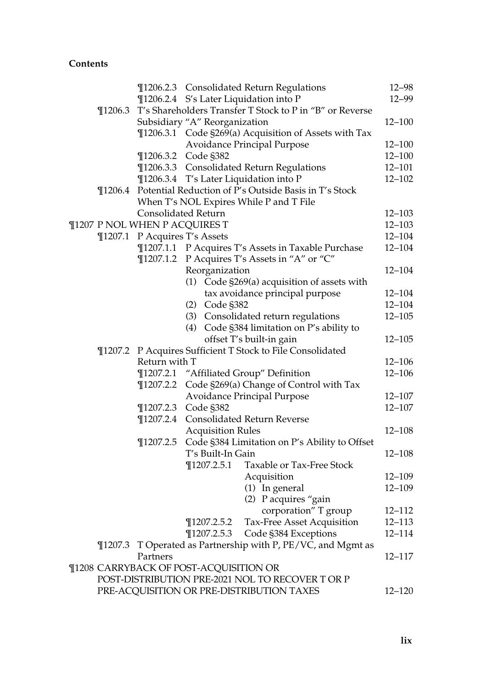|             |                                           |                                        | ¶1206.2.3 Consolidated Return Regulations                | $12 - 98$  |
|-------------|-------------------------------------------|----------------------------------------|----------------------------------------------------------|------------|
|             |                                           |                                        | ¶1206.2.4 S's Later Liquidation into P                   | 12-99      |
| $\P$ 1206.3 |                                           |                                        | T's Shareholders Transfer T Stock to P in "B" or Reverse |            |
|             |                                           | Subsidiary "A" Reorganization          |                                                          | $12 - 100$ |
|             |                                           |                                        | ¶1206.3.1 Code §269(a) Acquisition of Assets with Tax    |            |
|             |                                           |                                        | Avoidance Principal Purpose                              | $12 - 100$ |
|             |                                           | ¶1206.3.2 Code §382                    |                                                          | $12 - 100$ |
|             |                                           |                                        | ¶1206.3.3 Consolidated Return Regulations                | $12 - 101$ |
|             |                                           |                                        | ¶1206.3.4 T's Later Liquidation into P                   | $12 - 102$ |
| $\P$ 1206.4 |                                           |                                        | Potential Reduction of P's Outside Basis in T's Stock    |            |
|             |                                           |                                        | When T's NOL Expires While P and T File                  |            |
|             | Consolidated Return                       |                                        |                                                          | $12 - 103$ |
|             |                                           | ¶1207 P NOL WHEN P ACQUIRES T          |                                                          | $12 - 103$ |
|             | ¶1207.1 P Acquires T's Assets             |                                        |                                                          | $12 - 104$ |
|             |                                           |                                        | ¶1207.1.1 P Acquires T's Assets in Taxable Purchase      | $12 - 104$ |
|             |                                           |                                        | ¶1207.1.2 P Acquires T's Assets in "A" or "C"            |            |
|             |                                           | Reorganization                         |                                                          | $12 - 104$ |
|             |                                           |                                        | $(1)$ Code §269 $(a)$ acquisition of assets with         |            |
|             |                                           |                                        | tax avoidance principal purpose                          | $12 - 104$ |
|             |                                           | (2) Code §382                          |                                                          | $12 - 104$ |
|             |                                           |                                        | (3) Consolidated return regulations                      | $12 - 105$ |
|             |                                           |                                        | (4) Code §384 limitation on P's ability to               |            |
|             |                                           |                                        | offset T's built-in gain                                 | $12 - 105$ |
| $\P$ 1207.2 |                                           |                                        | P Acquires Sufficient T Stock to File Consolidated       |            |
|             | Return with T                             |                                        |                                                          | $12 - 106$ |
|             |                                           |                                        | ¶1207.2.1 "Affiliated Group" Definition                  | $12 - 106$ |
|             | $\P$ 1207.2.2                             |                                        | Code §269(a) Change of Control with Tax                  |            |
|             |                                           |                                        | Avoidance Principal Purpose                              | $12 - 107$ |
|             |                                           | ¶1207.2.3 Code §382                    |                                                          | $12 - 107$ |
|             | $\P$ 1207.2.4                             |                                        | Consolidated Return Reverse                              |            |
|             |                                           | <b>Acquisition Rules</b>               |                                                          | $12 - 108$ |
|             | $\P$ 1207.2.5                             |                                        | Code §384 Limitation on P's Ability to Offset            |            |
|             |                                           | T's Built-In Gain                      |                                                          | $12 - 108$ |
|             |                                           | $\P$ 1207.2.5.1                        | Taxable or Tax-Free Stock                                |            |
|             |                                           |                                        | Acquisition                                              | $12 - 109$ |
|             |                                           |                                        | (1) In general                                           | $12 - 109$ |
|             |                                           |                                        | (2) P acquires "gain                                     |            |
|             |                                           |                                        | corporation" T group                                     | $12 - 112$ |
|             |                                           | $\P$ 1207.2.5.2                        | Tax-Free Asset Acquisition                               | 12-113     |
|             |                                           | $\P$ 1207.2.5.3                        | Code §384 Exceptions                                     | $12 - 114$ |
| $\P$ 1207.3 |                                           |                                        | T Operated as Partnership with P, PE/VC, and Mgmt as     |            |
|             | Partners                                  |                                        |                                                          | 12–117     |
|             |                                           | ¶1208 CARRYBACK OF POST-ACQUISITION OR | POST-DISTRIBUTION PRE-2021 NOL TO RECOVER TOR P          |            |
|             |                                           |                                        |                                                          | 12-120     |
|             | PRE-ACQUISITION OR PRE-DISTRIBUTION TAXES |                                        |                                                          |            |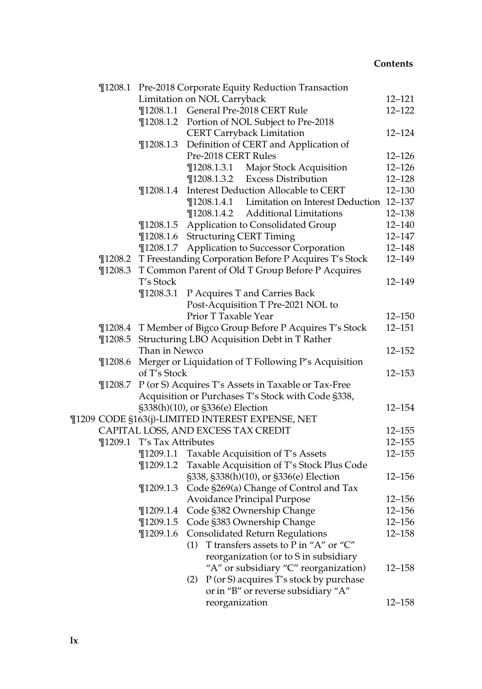|  | $\P$ 1208.1 | Pre-2018 Corporate Equity Reduction Transaction             |                                                        |            |  |  |
|--|-------------|-------------------------------------------------------------|--------------------------------------------------------|------------|--|--|
|  |             |                                                             | Limitation on NOL Carryback                            | $12 - 121$ |  |  |
|  |             |                                                             | ¶1208.1.1 General Pre-2018 CERT Rule                   | $12 - 122$ |  |  |
|  |             |                                                             | ¶1208.1.2 Portion of NOL Subject to Pre-2018           |            |  |  |
|  |             |                                                             | <b>CERT Carryback Limitation</b>                       | $12 - 124$ |  |  |
|  |             | $\P$ 1208.1.3                                               | Definition of CERT and Application of                  |            |  |  |
|  |             |                                                             | Pre-2018 CERT Rules                                    | $12 - 126$ |  |  |
|  |             |                                                             | $\P$ 1208.1.3.1<br>Major Stock Acquisition             | $12 - 126$ |  |  |
|  |             |                                                             | <b>Excess Distribution</b><br>$\P$ 1208.1.3.2          | $12 - 128$ |  |  |
|  |             | $\P$ 1208.1.4                                               | Interest Deduction Allocable to CERT                   | $12 - 130$ |  |  |
|  |             |                                                             | Limitation on Interest Deduction<br>$\P$ 1208.1.4.1    | $12 - 137$ |  |  |
|  |             |                                                             | $\P$ 1208.1.4.2<br><b>Additional Limitations</b>       | $12 - 138$ |  |  |
|  |             | $\P$ 1208.1.5                                               | Application to Consolidated Group                      | $12 - 140$ |  |  |
|  |             | $\P$ 1208.1.6                                               | <b>Structuring CERT Timing</b>                         | $12 - 147$ |  |  |
|  |             | $\P$ 1208.1.7                                               | Application to Successor Corporation                   | $12 - 148$ |  |  |
|  | $\P$ 1208.2 |                                                             | T Freestanding Corporation Before P Acquires T's Stock | 12-149     |  |  |
|  | $\P$ 1208.3 |                                                             | T Common Parent of Old T Group Before P Acquires       |            |  |  |
|  |             | T's Stock                                                   |                                                        | 12-149     |  |  |
|  |             | $\P$ 1208.3.1                                               | P Acquires T and Carries Back                          |            |  |  |
|  |             |                                                             | Post-Acquisition T Pre-2021 NOL to                     |            |  |  |
|  |             |                                                             | Prior T Taxable Year                                   | $12 - 150$ |  |  |
|  |             | ¶1208.4 T Member of Bigco Group Before P Acquires T's Stock |                                                        |            |  |  |
|  | $\P$ 1208.5 | Structuring LBO Acquisition Debt in T Rather                |                                                        |            |  |  |
|  |             | Than in Newco                                               |                                                        | $12 - 152$ |  |  |
|  | $\P$ 1208.6 | Merger or Liquidation of T Following P's Acquisition        |                                                        |            |  |  |
|  |             | of T's Stock                                                |                                                        |            |  |  |
|  | $\P$ 1208.7 |                                                             | P (or S) Acquires T's Assets in Taxable or Tax-Free    |            |  |  |
|  |             |                                                             | Acquisition or Purchases T's Stock with Code §338,     |            |  |  |
|  |             |                                                             | §338(h)(10), or §336(e) Election                       | $12 - 154$ |  |  |
|  |             |                                                             | ¶1209 CODE §163(j)-LIMITED INTEREST EXPENSE, NET       |            |  |  |
|  |             |                                                             | CAPITAL LOSS, AND EXCESS TAX CREDIT                    | $12 - 155$ |  |  |
|  | $\P$ 1209.1 | T's Tax Attributes                                          |                                                        | $12 - 155$ |  |  |
|  |             |                                                             | ¶1209.1.1 Taxable Acquisition of T's Assets            | $12 - 155$ |  |  |
|  |             | $\P$ 1209.1.2                                               | Taxable Acquisition of T's Stock Plus Code             |            |  |  |
|  |             |                                                             | §338, §338(h)(10), or §336(e) Election                 | $12 - 156$ |  |  |
|  |             | $\P$ 1209.1.3                                               | Code §269(a) Change of Control and Tax                 |            |  |  |
|  |             |                                                             | Avoidance Principal Purpose                            | $12 - 156$ |  |  |
|  |             |                                                             | ¶1209.1.4 Code §382 Ownership Change                   | $12 - 156$ |  |  |
|  |             | $\P$ 1209.1.5                                               | Code §383 Ownership Change                             | $12 - 156$ |  |  |
|  |             | $\P$ 1209.1.6                                               | <b>Consolidated Return Regulations</b>                 | $12 - 158$ |  |  |
|  |             |                                                             | T transfers assets to P in "A" or "C"<br>(1)           |            |  |  |
|  |             |                                                             | reorganization (or to S in subsidiary                  |            |  |  |
|  |             |                                                             | "A" or subsidiary "C" reorganization)                  | 12–158     |  |  |
|  |             |                                                             | P (or S) acquires T's stock by purchase<br>(2)         |            |  |  |
|  |             |                                                             | or in "B" or reverse subsidiary "A"                    |            |  |  |
|  |             |                                                             | reorganization                                         | 12–158     |  |  |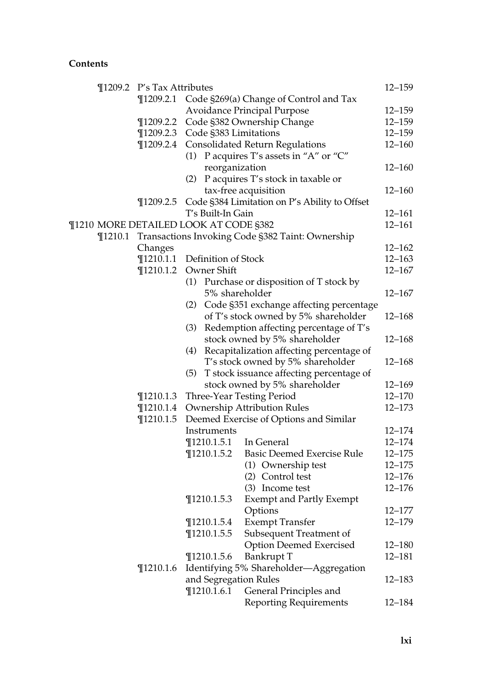|  |         | ¶1209.2 P's Tax Attributes            |                                                                           |                                                          | $12 - 159$               |
|--|---------|---------------------------------------|---------------------------------------------------------------------------|----------------------------------------------------------|--------------------------|
|  |         | $\P$ 1209.2.1                         |                                                                           | Code §269(a) Change of Control and Tax                   |                          |
|  |         |                                       | <b>Avoidance Principal Purpose</b>                                        |                                                          |                          |
|  |         | $\P$ 1209.2.2                         |                                                                           | Code §382 Ownership Change                               | $12 - 159$<br>$12 - 159$ |
|  |         |                                       |                                                                           | ¶1209.2.3 Code §383 Limitations                          | $12 - 159$               |
|  |         | $\P$ 1209.2.4                         |                                                                           | <b>Consolidated Return Regulations</b>                   | $12 - 160$               |
|  |         |                                       |                                                                           | (1) P acquires T's assets in "A" or "C"                  |                          |
|  |         |                                       |                                                                           | reorganization                                           | $12 - 160$               |
|  |         |                                       |                                                                           | (2) P acquires T's stock in taxable or                   |                          |
|  |         |                                       |                                                                           | tax-free acquisition                                     | 12-160                   |
|  |         | $\P$ 1209.2.5                         |                                                                           | Code §384 Limitation on P's Ability to Offset            |                          |
|  |         |                                       | T's Built-In Gain                                                         |                                                          | $12 - 161$               |
|  |         | ¶1210 MORE DETAILED LOOK AT CODE §382 |                                                                           |                                                          | $12 - 161$               |
|  |         |                                       |                                                                           | ¶1210.1 Transactions Invoking Code §382 Taint: Ownership |                          |
|  | Changes |                                       |                                                                           | $12 - 162$                                               |                          |
|  |         | $\P$ 1210.1.1                         | Definition of Stock                                                       |                                                          | $12 - 163$               |
|  |         | $\P$ 1210.1.2                         | Owner Shift                                                               |                                                          | $12 - 167$               |
|  |         |                                       |                                                                           | (1) Purchase or disposition of T stock by                |                          |
|  |         |                                       |                                                                           | 5% shareholder                                           | $12 - 167$               |
|  |         |                                       | (2)                                                                       | Code §351 exchange affecting percentage                  |                          |
|  |         |                                       | of T's stock owned by 5% shareholder                                      |                                                          |                          |
|  |         |                                       | (3)                                                                       | Redemption affecting percentage of T's                   | $12 - 168$               |
|  |         |                                       |                                                                           | stock owned by 5% shareholder                            | 12–168                   |
|  |         |                                       | (4)                                                                       | Recapitalization affecting percentage of                 |                          |
|  |         |                                       |                                                                           |                                                          |                          |
|  |         |                                       | (5)                                                                       | T's stock owned by 5% shareholder                        | 12–168                   |
|  |         |                                       | T stock issuance affecting percentage of<br>stock owned by 5% shareholder |                                                          |                          |
|  |         |                                       |                                                                           |                                                          | $12 - 169$               |
|  |         | $\P$ 1210.1.3                         | Three-Year Testing Period                                                 |                                                          | $12 - 170$               |
|  |         | $\P$ 1210.1.4                         | Ownership Attribution Rules                                               |                                                          | $12 - 173$               |
|  |         | $\P$ 1210.1.5                         | Deemed Exercise of Options and Similar                                    |                                                          |                          |
|  |         |                                       | Instruments                                                               |                                                          | $12 - 174$               |
|  |         |                                       | $\P$ 1210.1.5.1                                                           | In General                                               | $12 - 174$               |
|  |         |                                       | $\P$ 1210.1.5.2                                                           | <b>Basic Deemed Exercise Rule</b>                        | $12 - 175$               |
|  |         |                                       |                                                                           | (1) Ownership test                                       | $12 - 175$               |
|  |         |                                       |                                                                           | (2) Control test                                         | $12 - 176$               |
|  |         |                                       |                                                                           | (3) Income test                                          | $12 - 176$               |
|  |         |                                       | $\P$ 1210.1.5.3                                                           | <b>Exempt and Partly Exempt</b>                          |                          |
|  |         |                                       |                                                                           | Options                                                  | $12 - 177$               |
|  |         |                                       | $\P$ 1210.1.5.4                                                           | <b>Exempt Transfer</b>                                   | $12 - 179$               |
|  |         |                                       | $\P$ 1210.1.5.5                                                           | Subsequent Treatment of                                  |                          |
|  |         |                                       |                                                                           | <b>Option Deemed Exercised</b>                           | $12 - 180$               |
|  |         |                                       | $\P$ 1210.1.5.6                                                           | Bankrupt T                                               | $12 - 181$               |
|  |         | $\P$ 1210.1.6                         |                                                                           | Identifying 5% Shareholder—Aggregation                   |                          |
|  |         |                                       |                                                                           | and Segregation Rules                                    | 12–183                   |
|  |         |                                       | $\P$ 1210.1.6.1                                                           | General Principles and                                   |                          |
|  |         |                                       |                                                                           | <b>Reporting Requirements</b>                            | 12-184                   |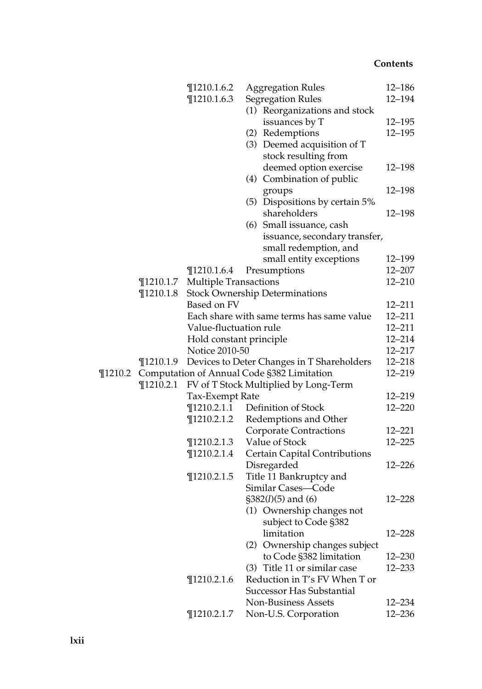|         |               | $\P$ 1210.1.6.2              | <b>Aggregation Rules</b>                   | 12-186     |
|---------|---------------|------------------------------|--------------------------------------------|------------|
|         |               | $\P$ 1210.1.6.3              | <b>Segregation Rules</b>                   | 12-194     |
|         |               |                              | (1) Reorganizations and stock              |            |
|         |               |                              | issuances by T                             | $12 - 195$ |
|         |               |                              | (2) Redemptions                            | $12 - 195$ |
|         |               |                              | (3) Deemed acquisition of T                |            |
|         |               |                              | stock resulting from                       |            |
|         |               |                              | deemed option exercise                     | 12-198     |
|         |               |                              | (4) Combination of public                  |            |
|         |               |                              | groups                                     | $12 - 198$ |
|         |               |                              | (5) Dispositions by certain 5%             |            |
|         |               |                              | shareholders                               | 12–198     |
|         |               |                              | (6) Small issuance, cash                   |            |
|         |               |                              | issuance, secondary transfer,              |            |
|         |               |                              | small redemption, and                      |            |
|         |               |                              | small entity exceptions                    | 12-199     |
|         |               | $\P$ 1210.1.6.4              | Presumptions                               | 12–207     |
|         | $\P$ 1210.1.7 | <b>Multiple Transactions</b> |                                            | $12 - 210$ |
|         | $\P$ 1210.1.8 |                              | <b>Stock Ownership Determinations</b>      |            |
|         |               | Based on FV                  |                                            | 12–211     |
|         |               |                              | Each share with same terms has same value  | $12 - 211$ |
|         |               | Value-fluctuation rule       |                                            | $12 - 211$ |
|         |               | Hold constant principle      |                                            | $12 - 214$ |
|         |               | Notice 2010-50               |                                            | $12 - 217$ |
|         | $\P$ 1210.1.9 |                              | Devices to Deter Changes in T Shareholders | $12 - 218$ |
| ¶1210.2 |               |                              | Computation of Annual Code §382 Limitation | 12-219     |
|         | $\P$ 1210.2.1 |                              | FV of T Stock Multiplied by Long-Term      |            |
|         |               | Tax-Exempt Rate              |                                            | $12 - 219$ |
|         |               | $\P$ 1210.2.1.1              | Definition of Stock                        | $12 - 220$ |
|         |               | $\P$ 1210.2.1.2              | Redemptions and Other                      |            |
|         |               |                              | <b>Corporate Contractions</b>              | $12 - 221$ |
|         |               | $\P$ 1210.2.1.3              | Value of Stock                             | $12 - 225$ |
|         |               | $\P$ 1210.2.1.4              | Certain Capital Contributions              |            |
|         |               |                              | Disregarded                                | $12 - 226$ |
|         |               | $\P$ 1210.2.1.5              | Title 11 Bankruptcy and                    |            |
|         |               |                              | Similar Cases-Code                         |            |
|         |               |                              | $$382(l)(5)$ and (6)                       | $12 - 228$ |
|         |               |                              | (1) Ownership changes not                  |            |
|         |               |                              | subject to Code §382                       |            |
|         |               |                              | limitation                                 | $12 - 228$ |
|         |               |                              | (2) Ownership changes subject              |            |
|         |               |                              | to Code §382 limitation                    | $12 - 230$ |
|         |               |                              | (3) Title 11 or similar case               | $12 - 233$ |
|         |               | $\P$ 1210.2.1.6              | Reduction in T's FV When T or              |            |
|         |               |                              | <b>Successor Has Substantial</b>           |            |
|         |               |                              | <b>Non-Business Assets</b>                 | 12–234     |
|         |               | $\P$ 1210.2.1.7              | Non-U.S. Corporation                       | $12 - 236$ |
|         |               |                              |                                            |            |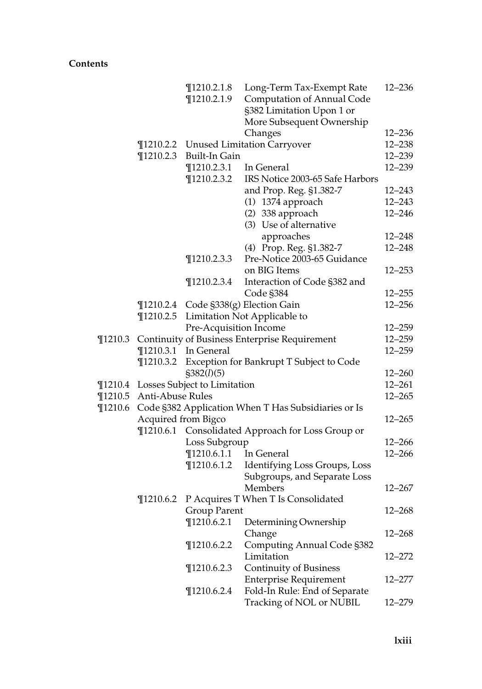|             |                                                                                               | $\P$ 1210.2.1.8<br>$\P$ 1210.2.1.9    | Long-Term Tax-Exempt Rate<br><b>Computation of Annual Code</b><br>§382 Limitation Upon 1 or<br>More Subsequent Ownership | $12 - 236$       |  |  |
|-------------|-----------------------------------------------------------------------------------------------|---------------------------------------|--------------------------------------------------------------------------------------------------------------------------|------------------|--|--|
|             |                                                                                               |                                       | Changes                                                                                                                  | $12 - 236$       |  |  |
|             |                                                                                               | ¶1210.2.2 Unused Limitation Carryover |                                                                                                                          |                  |  |  |
|             | $\P$ 1210.2.3                                                                                 | Built-In Gain                         |                                                                                                                          |                  |  |  |
|             |                                                                                               | $\P$ 1210.2.3.1                       | In General                                                                                                               | 12-239<br>12-239 |  |  |
|             |                                                                                               | ¶1210.2.3.2                           | IRS Notice 2003-65 Safe Harbors                                                                                          |                  |  |  |
|             |                                                                                               |                                       | and Prop. Reg. §1.382-7                                                                                                  | $12 - 243$       |  |  |
|             |                                                                                               |                                       | (1) 1374 approach                                                                                                        | 12-243           |  |  |
|             |                                                                                               |                                       | (2) 338 approach                                                                                                         | $12 - 246$       |  |  |
|             |                                                                                               |                                       | (3) Use of alternative                                                                                                   |                  |  |  |
|             |                                                                                               |                                       | approaches                                                                                                               | $12 - 248$       |  |  |
|             |                                                                                               |                                       | (4) Prop. Reg. §1.382-7                                                                                                  | $12 - 248$       |  |  |
|             |                                                                                               | $\P$ 1210.2.3.3                       | Pre-Notice 2003-65 Guidance                                                                                              |                  |  |  |
|             |                                                                                               |                                       | on BIG Items                                                                                                             | $12 - 253$       |  |  |
|             |                                                                                               | $\P$ 1210.2.3.4                       | Interaction of Code §382 and                                                                                             |                  |  |  |
|             |                                                                                               |                                       | Code §384                                                                                                                | $12 - 255$       |  |  |
|             | $\P$ 1210.2.4                                                                                 |                                       | Code §338(g) Election Gain                                                                                               | $12 - 256$       |  |  |
|             | $\P$ 1210.2.5                                                                                 |                                       | Limitation Not Applicable to                                                                                             |                  |  |  |
|             |                                                                                               | Pre-Acquisition Income                |                                                                                                                          | $12 - 259$       |  |  |
| $\P$ 1210.3 |                                                                                               |                                       | Continuity of Business Enterprise Requirement                                                                            | $12 - 259$       |  |  |
|             | $\P$ 1210.3.1                                                                                 | In General                            |                                                                                                                          | $12 - 259$       |  |  |
|             | $\P$ 1210.3.2                                                                                 |                                       | Exception for Bankrupt T Subject to Code                                                                                 |                  |  |  |
|             |                                                                                               | \$382(l)(5)                           |                                                                                                                          | $12 - 260$       |  |  |
|             |                                                                                               | ¶1210.4 Losses Subject to Limitation  |                                                                                                                          | $12 - 261$       |  |  |
| $\P$ 1210.5 | Anti-Abuse Rules                                                                              |                                       |                                                                                                                          | $12 - 265$       |  |  |
| $\P$ 1210.6 | Code §382 Application When T Has Subsidiaries or Is                                           |                                       |                                                                                                                          |                  |  |  |
|             |                                                                                               |                                       |                                                                                                                          |                  |  |  |
|             | $12 - 265$<br>Acquired from Bigco<br>$\P$ 1210.6.1<br>Consolidated Approach for Loss Group or |                                       |                                                                                                                          |                  |  |  |
|             |                                                                                               | Loss Subgroup                         | 12-266                                                                                                                   |                  |  |  |
|             |                                                                                               | $\P$ 1210.6.1.1                       | In General                                                                                                               | $12 - 266$       |  |  |
|             |                                                                                               | $\P$ 1210.6.1.2                       | Identifying Loss Groups, Loss                                                                                            |                  |  |  |
|             |                                                                                               |                                       | Subgroups, and Separate Loss                                                                                             |                  |  |  |
|             |                                                                                               |                                       | Members                                                                                                                  | $12 - 267$       |  |  |
|             | $\P$ 1210.6.2                                                                                 |                                       | P Acquires T When T Is Consolidated                                                                                      |                  |  |  |
|             |                                                                                               | Group Parent                          |                                                                                                                          | $12 - 268$       |  |  |
|             |                                                                                               | $\P$ 1210.6.2.1                       | Determining Ownership                                                                                                    |                  |  |  |
|             |                                                                                               |                                       | Change                                                                                                                   | $12 - 268$       |  |  |
|             |                                                                                               | $\P$ 1210.6.2.2                       |                                                                                                                          |                  |  |  |
|             |                                                                                               |                                       | <b>Computing Annual Code §382</b><br>Limitation                                                                          | 12–272           |  |  |
|             |                                                                                               | $\P$ 1210.6.2.3                       | <b>Continuity of Business</b>                                                                                            |                  |  |  |
|             |                                                                                               |                                       | <b>Enterprise Requirement</b>                                                                                            | 12–277           |  |  |
|             |                                                                                               | $\P$ 1210.6.2.4                       | Fold-In Rule: End of Separate                                                                                            |                  |  |  |
|             |                                                                                               |                                       | Tracking of NOL or NUBIL                                                                                                 | 12-279           |  |  |
|             |                                                                                               |                                       |                                                                                                                          |                  |  |  |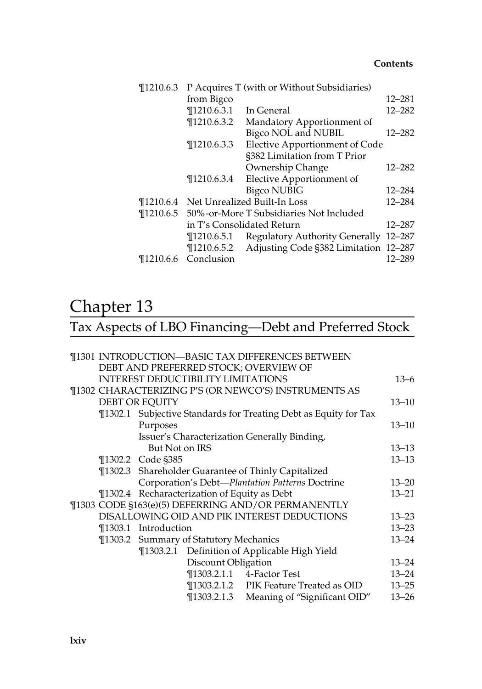| $\P$ 1210.6.3         |                 | P Acquires T (with or Without Subsidiaries)       |            |
|-----------------------|-----------------|---------------------------------------------------|------------|
|                       | from Bigco      |                                                   | 12–281     |
|                       | $\P$ 1210.6.3.1 | In General                                        | $12 - 282$ |
|                       | $\P$ 1210.6.3.2 | Mandatory Apportionment of                        |            |
|                       |                 | Bigco NOL and NUBIL                               | $12 - 282$ |
|                       | $\P$ 1210.6.3.3 | Elective Apportionment of Code                    |            |
|                       |                 | §382 Limitation from T Prior                      |            |
|                       |                 | Ownership Change                                  | 12–282     |
|                       | $\P$ 1210.6.3.4 | Elective Apportionment of                         |            |
|                       |                 | <b>Bigco NUBIG</b>                                | $12 - 284$ |
| T <sub>1210.6.4</sub> |                 | Net Unrealized Built-In Loss                      | 12–284     |
|                       |                 | ¶1210.6.5 50%-or-More T Subsidiaries Not Included |            |
|                       |                 | in T's Consolidated Return                        | $12 - 287$ |
|                       | ¶1210.6.5.1     | Regulatory Authority Generally                    | 12-287     |
|                       | ¶1210.6.5.2     | Adjusting Code §382 Limitation 12-287             |            |
| $\P$ 1210.6.6         | Conclusion      |                                                   | 12-289     |

## Chapter 13

# Tax Aspects of LBO Financing—Debt and Preferred Stock

|                                                     | ¶1301 INTRODUCTION—BASIC TAX DIFFERENCES BETWEEN                 |           |
|-----------------------------------------------------|------------------------------------------------------------------|-----------|
| DEBT AND PREFERRED STOCK; OVERVIEW OF               |                                                                  |           |
| <b>INTEREST DEDUCTIBILITY LIMITATIONS</b>           |                                                                  | $13 - 6$  |
|                                                     | ¶1302 CHARACTERIZING P'S (OR NEWCO'S) INSTRUMENTS AS             |           |
| <b>DEBT OR EQUITY</b>                               |                                                                  | $13 - 10$ |
|                                                     | ¶1302.1 Subjective Standards for Treating Debt as Equity for Tax |           |
| Purposes                                            |                                                                  | $13 - 10$ |
| Issuer's Characterization Generally Binding,        |                                                                  |           |
| But Not on IRS                                      |                                                                  | $13 - 13$ |
| ¶1302.2 Code §385                                   |                                                                  | $13 - 13$ |
| ¶1302.3 Shareholder Guarantee of Thinly Capitalized |                                                                  |           |
|                                                     | Corporation's Debt-Plantation Patterns Doctrine                  | $13 - 20$ |
| ¶1302.4 Recharacterization of Equity as Debt        |                                                                  | $13 - 21$ |
|                                                     | ¶1303 CODE §163(e)(5) DEFERRING AND/OR PERMANENTLY               |           |
|                                                     | DISALLOWING OID AND PIK INTEREST DEDUCTIONS                      | $13 - 23$ |
| ¶1303.1 Introduction                                |                                                                  | $13 - 23$ |
| <b>T1303.2 Summary of Statutory Mechanics</b>       |                                                                  | $13 - 24$ |
| ¶1303.2.1 Definition of Applicable High Yield       |                                                                  |           |
| Discount Obligation                                 |                                                                  | $13 - 24$ |
|                                                     | ¶1303.2.1.1 4-Factor Test                                        | $13 - 24$ |
|                                                     | ¶1303.2.1.2 PIK Feature Treated as OID                           | $13 - 25$ |
|                                                     | ¶1303.2.1.3 Meaning of "Significant OID"                         | $13 - 26$ |
|                                                     |                                                                  |           |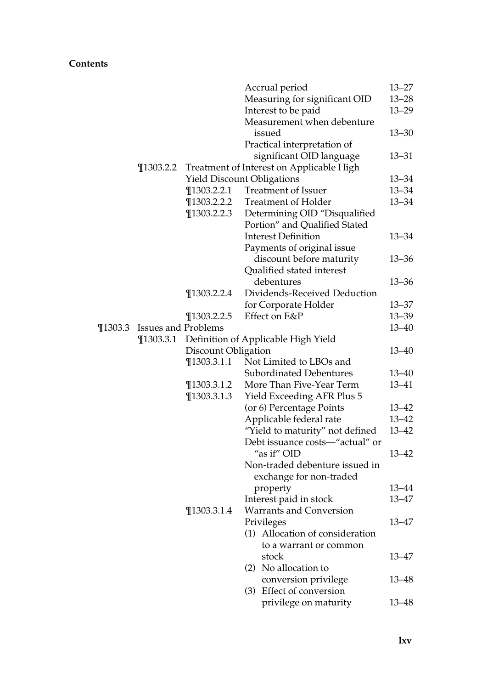|         |                     |                     | Accrual period                           | 13–27     |
|---------|---------------------|---------------------|------------------------------------------|-----------|
|         |                     |                     | Measuring for significant OID            | $13 - 28$ |
|         |                     |                     | Interest to be paid                      | $13 - 29$ |
|         |                     |                     | Measurement when debenture               |           |
|         |                     |                     | issued                                   | $13 - 30$ |
|         |                     |                     | Practical interpretation of              |           |
|         |                     |                     | significant OID language                 | 13–31     |
|         | $\P$ 1303.2.2       |                     | Treatment of Interest on Applicable High |           |
|         |                     |                     | <b>Yield Discount Obligations</b>        | 13–34     |
|         |                     | $\P$ 1303.2.2.1     | <b>Treatment of Issuer</b>               | $13 - 34$ |
|         |                     | $\P$ 1303.2.2.2     | <b>Treatment of Holder</b>               | $13 - 34$ |
|         |                     | $\P$ 1303.2.2.3     | Determining OID "Disqualified            |           |
|         |                     |                     | Portion" and Qualified Stated            |           |
|         |                     |                     | <b>Interest Definition</b>               | $13 - 34$ |
|         |                     |                     | Payments of original issue               |           |
|         |                     |                     | discount before maturity                 | $13 - 36$ |
|         |                     |                     | Qualified stated interest                |           |
|         |                     |                     | debentures                               | $13 - 36$ |
|         |                     | $\P$ 1303.2.2.4     | Dividends-Received Deduction             |           |
|         |                     |                     | for Corporate Holder                     | $13 - 37$ |
|         |                     | $\P$ 1303.2.2.5     | Effect on E&P                            | $13 - 39$ |
| ¶1303.3 | Issues and Problems |                     |                                          | 13–40     |
|         | $\P$ 1303.3.1       |                     | Definition of Applicable High Yield      |           |
|         |                     | Discount Obligation |                                          | $13 - 40$ |
|         |                     | $\P$ 1303.3.1.1     | Not Limited to LBOs and                  |           |
|         |                     |                     | Subordinated Debentures                  | 13–40     |
|         |                     | $\P$ 1303.3.1.2     | More Than Five-Year Term                 | 13–41     |
|         |                     | $\P$ 1303.3.1.3     | Yield Exceeding AFR Plus 5               |           |
|         |                     |                     | (or 6) Percentage Points                 | $13 - 42$ |
|         |                     |                     | Applicable federal rate                  | $13 - 42$ |
|         |                     |                     | "Yield to maturity" not defined          | 13–42     |
|         |                     |                     | Debt issuance costs-"actual" or          |           |
|         |                     |                     | "as if" OID                              | $13 - 42$ |
|         |                     |                     | Non-traded debenture issued in           |           |
|         |                     |                     | exchange for non-traded                  |           |
|         |                     |                     | property                                 | 13-44     |
|         |                     |                     | Interest paid in stock                   | 13–47     |
|         |                     | $\P$ 1303.3.1.4     | Warrants and Conversion                  |           |
|         |                     |                     | Privileges                               | 13–47     |
|         |                     |                     | (1) Allocation of consideration          |           |
|         |                     |                     | to a warrant or common                   |           |
|         |                     |                     | stock                                    | 13–47     |
|         |                     |                     | (2) No allocation to                     |           |
|         |                     |                     | conversion privilege                     | 13-48     |
|         |                     |                     | (3) Effect of conversion                 |           |
|         |                     |                     | privilege on maturity                    | 13–48     |
|         |                     |                     |                                          |           |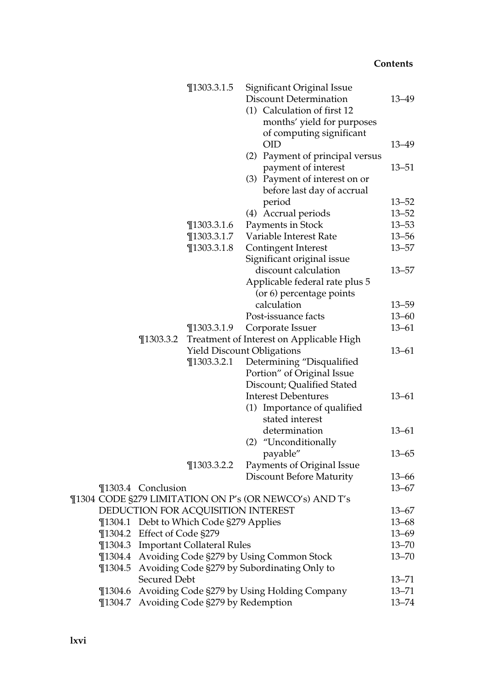|             |                     | $\P$ 1303.3.1.5                    | Significant Original Issue<br><b>Discount Determination</b><br>(1) Calculation of first 12<br>months' yield for purposes<br>of computing significant | 13–49     |
|-------------|---------------------|------------------------------------|------------------------------------------------------------------------------------------------------------------------------------------------------|-----------|
|             |                     |                                    | <b>OID</b><br>(2) Payment of principal versus                                                                                                        | 13–49     |
|             |                     |                                    | payment of interest                                                                                                                                  | $13 - 51$ |
|             |                     |                                    | (3) Payment of interest on or<br>before last day of accrual                                                                                          |           |
|             |                     |                                    | period                                                                                                                                               | $13 - 52$ |
|             |                     |                                    | (4) Accrual periods                                                                                                                                  | $13 - 52$ |
|             |                     | $\P$ 1303.3.1.6                    | Payments in Stock                                                                                                                                    | $13 - 53$ |
|             |                     | $\P$ 1303.3.1.7                    | Variable Interest Rate                                                                                                                               | $13 - 56$ |
|             |                     | $\P$ 1303.3.1.8                    | Contingent Interest                                                                                                                                  | $13 - 57$ |
|             |                     |                                    | Significant original issue                                                                                                                           |           |
|             |                     |                                    | discount calculation                                                                                                                                 | $13 - 57$ |
|             |                     |                                    | Applicable federal rate plus 5                                                                                                                       |           |
|             |                     |                                    | (or 6) percentage points                                                                                                                             |           |
|             |                     |                                    | calculation                                                                                                                                          | $13 - 59$ |
|             |                     |                                    | Post-issuance facts                                                                                                                                  | $13 - 60$ |
|             |                     | $\P$ 1303.3.1.9                    | Corporate Issuer                                                                                                                                     | $13 - 61$ |
|             | $\P$ 1303.3.2       |                                    | Treatment of Interest on Applicable High                                                                                                             |           |
|             |                     |                                    | <b>Yield Discount Obligations</b>                                                                                                                    | $13 - 61$ |
|             |                     | $\P$ 1303.3.2.1                    | Determining "Disqualified                                                                                                                            |           |
|             |                     |                                    | Portion" of Original Issue                                                                                                                           |           |
|             |                     |                                    | Discount; Qualified Stated                                                                                                                           |           |
|             |                     |                                    | <b>Interest Debentures</b>                                                                                                                           | $13 - 61$ |
|             |                     |                                    | (1) Importance of qualified                                                                                                                          |           |
|             |                     |                                    | stated interest                                                                                                                                      |           |
|             |                     |                                    | determination                                                                                                                                        | $13 - 61$ |
|             |                     |                                    | "Unconditionally<br>(2)                                                                                                                              |           |
|             |                     |                                    | payable"                                                                                                                                             | $13 - 65$ |
|             |                     | $\P$ 1303.3.2.2                    | Payments of Original Issue                                                                                                                           |           |
|             |                     |                                    | <b>Discount Before Maturity</b>                                                                                                                      | $13 - 66$ |
|             | ¶1303.4 Conclusion  |                                    |                                                                                                                                                      | $13 - 67$ |
|             |                     |                                    | ¶1304 CODE §279 LIMITATION ON P's (OR NEWCO's) AND T's                                                                                               |           |
|             |                     | DEDUCTION FOR ACQUISITION INTEREST |                                                                                                                                                      | 13–67     |
| $\P$ 1304.1 |                     | Debt to Which Code §279 Applies    |                                                                                                                                                      | $13 - 68$ |
| $\P$ 1304.2 | Effect of Code §279 |                                    |                                                                                                                                                      | $13 - 69$ |
| $\P$ 1304.3 |                     | <b>Important Collateral Rules</b>  |                                                                                                                                                      | $13 - 70$ |
| $\P$ 1304.4 |                     |                                    | Avoiding Code §279 by Using Common Stock                                                                                                             | $13 - 70$ |
| $\P$ 1304.5 |                     |                                    | Avoiding Code §279 by Subordinating Only to                                                                                                          |           |
|             | Secured Debt        |                                    |                                                                                                                                                      | 13–71     |
| $\P$ 1304.6 |                     |                                    | Avoiding Code §279 by Using Holding Company                                                                                                          | $13 - 71$ |
| $\P$ 1304.7 |                     | Avoiding Code §279 by Redemption   |                                                                                                                                                      | $13 - 74$ |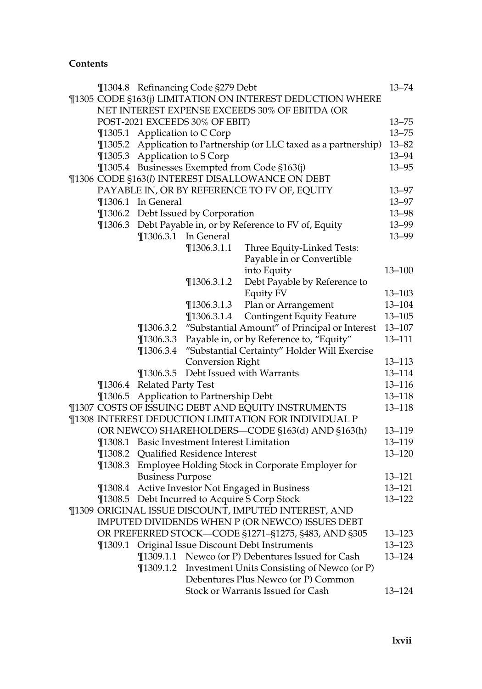|             |                                                           | ¶1304.8 Refinancing Code §279 Debt           |                                                                                    | $13 - 74$  |
|-------------|-----------------------------------------------------------|----------------------------------------------|------------------------------------------------------------------------------------|------------|
|             | ¶1305 CODE §163(j) LIMITATION ON INTEREST DEDUCTION WHERE |                                              |                                                                                    |            |
|             |                                                           |                                              | NET INTEREST EXPENSE EXCEEDS 30% OF EBITDA (OR                                     |            |
|             |                                                           | POST-2021 EXCEEDS 30% OF EBIT)               |                                                                                    | $13 - 75$  |
|             |                                                           | ¶1305.1 Application to C Corp                |                                                                                    | $13 - 75$  |
| $\P$ 1305.2 |                                                           |                                              | Application to Partnership (or LLC taxed as a partnership)                         | $13 - 82$  |
|             | ¶1305.3 Application to S Corp                             |                                              |                                                                                    | 13-94      |
|             |                                                           |                                              | ¶1305.4 Businesses Exempted from Code §163(j)                                      | $13 - 95$  |
|             |                                                           |                                              | ¶1306 CODE §163(l) INTEREST DISALLOWANCE ON DEBT                                   |            |
|             |                                                           |                                              | PAYABLE IN, OR BY REFERENCE TO FV OF, EQUITY                                       | $13 - 97$  |
|             | ¶1306.1 In General                                        |                                              |                                                                                    | $13 - 97$  |
|             |                                                           | ¶1306.2 Debt Issued by Corporation           |                                                                                    | $13 - 98$  |
|             |                                                           |                                              | ¶1306.3 Debt Payable in, or by Reference to FV of, Equity                          | 13-99      |
|             |                                                           | ¶1306.3.1 In General                         |                                                                                    | $13 - 99$  |
|             |                                                           | $\P$ 1306.3.1.1                              | Three Equity-Linked Tests:                                                         |            |
|             |                                                           |                                              | Payable in or Convertible                                                          |            |
|             |                                                           |                                              | into Equity                                                                        | $13 - 100$ |
|             |                                                           | $\P$ 1306.3.1.2                              | Debt Payable by Reference to                                                       |            |
|             |                                                           |                                              | Equity FV                                                                          | $13 - 103$ |
|             |                                                           | $\P$ 1306.3.1.3                              | Plan or Arrangement                                                                | $13 - 104$ |
|             |                                                           | $\P$ 1306.3.1.4                              | <b>Contingent Equity Feature</b>                                                   | $13 - 105$ |
|             |                                                           |                                              | ¶1306.3.2 "Substantial Amount" of Principal or Interest                            | $13 - 107$ |
|             |                                                           |                                              | ¶1306.3.3 Payable in, or by Reference to, "Equity"                                 | $13 - 111$ |
|             | $\P$ 1306.3.4                                             |                                              | "Substantial Certainty" Holder Will Exercise                                       |            |
|             |                                                           | <b>Conversion Right</b>                      |                                                                                    | $13 - 113$ |
|             |                                                           |                                              | ¶1306.3.5 Debt Issued with Warrants                                                | 13-114     |
|             | ¶1306.4 Related Party Test                                |                                              |                                                                                    | $13 - 116$ |
|             |                                                           | ¶1306.5 Application to Partnership Debt      |                                                                                    | $13 - 118$ |
|             |                                                           |                                              | ¶1307 COSTS OF ISSUING DEBT AND EQUITY INSTRUMENTS                                 | $13 - 118$ |
|             |                                                           |                                              | ¶1308 INTEREST DEDUCTION LIMITATION FOR INDIVIDUAL P                               |            |
|             |                                                           |                                              | (OR NEWCO) SHAREHOLDERS-CODE §163(d) AND §163(h)                                   | 13-119     |
|             |                                                           | ¶1308.1 Basic Investment Interest Limitation |                                                                                    | 13-119     |
|             |                                                           | ¶1308.2 Qualified Residence Interest         |                                                                                    | $13 - 120$ |
|             |                                                           |                                              | ¶1308.3 Employee Holding Stock in Corporate Employer for                           |            |
|             | <b>Business Purpose</b>                                   |                                              |                                                                                    | $13 - 121$ |
|             |                                                           |                                              | ¶1308.4 Active Investor Not Engaged in Business                                    | $13 - 121$ |
|             |                                                           |                                              | ¶1308.5 Debt Incurred to Acquire S Corp Stock                                      | $13 - 122$ |
|             |                                                           |                                              | ¶1309 ORIGINAL ISSUE DISCOUNT, IMPUTED INTEREST, AND                               |            |
|             |                                                           |                                              | IMPUTED DIVIDENDS WHEN P (OR NEWCO) ISSUES DEBT                                    |            |
|             |                                                           |                                              | OR PREFERRED STOCK-CODE §1271-§1275, §483, AND §305                                | $13 - 123$ |
| $\P$ 1309.1 |                                                           |                                              | Original Issue Discount Debt Instruments                                           | $13 - 123$ |
|             | $\P$ 1309.1.2                                             |                                              | ¶1309.1.1 Newco (or P) Debentures Issued for Cash                                  | $13 - 124$ |
|             |                                                           |                                              | Investment Units Consisting of Newco (or P)<br>Debentures Plus Newco (or P) Common |            |
|             |                                                           |                                              | Stock or Warrants Issued for Cash                                                  |            |
|             |                                                           |                                              |                                                                                    | 13-124     |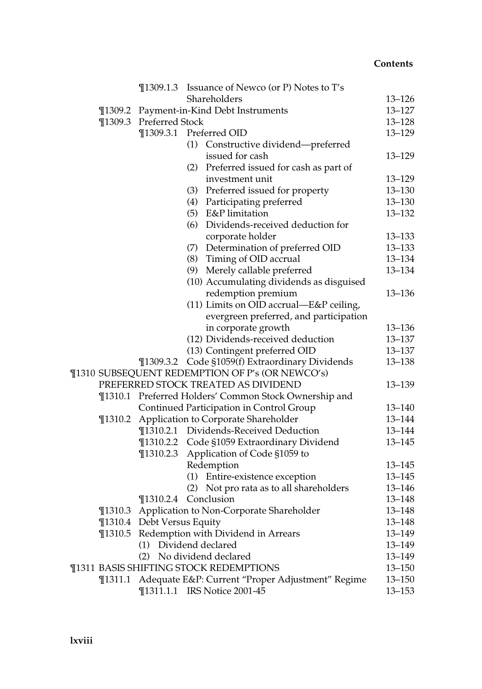|             |                            | <b>The 1309.1.3</b> Issuance of Newco (or P) Notes to T's |            |
|-------------|----------------------------|-----------------------------------------------------------|------------|
|             |                            | Shareholders                                              | $13 - 126$ |
| $\P$ 1309.2 |                            | Payment-in-Kind Debt Instruments                          | $13 - 127$ |
|             | ¶1309.3 Preferred Stock    |                                                           | $13 - 128$ |
|             |                            | ¶1309.3.1 Preferred OID                                   | $13 - 129$ |
|             |                            | (1) Constructive dividend—preferred                       |            |
|             |                            | issued for cash                                           | $13 - 129$ |
|             |                            | (2) Preferred issued for cash as part of                  |            |
|             |                            | investment unit                                           | $13 - 129$ |
|             |                            | (3) Preferred issued for property                         | $13 - 130$ |
|             |                            | (4) Participating preferred                               | $13 - 130$ |
|             |                            | (5) E&P limitation                                        | $13 - 132$ |
|             |                            | Dividends-received deduction for<br>(6)                   |            |
|             |                            | corporate holder                                          | 13-133     |
|             |                            | (7) Determination of preferred OID                        | $13 - 133$ |
|             |                            | (8) Timing of OID accrual                                 | 13-134     |
|             |                            | (9) Merely callable preferred                             | 13-134     |
|             |                            | (10) Accumulating dividends as disguised                  |            |
|             |                            | redemption premium                                        | $13 - 136$ |
|             |                            | (11) Limits on OID accrual-E&P ceiling,                   |            |
|             |                            | evergreen preferred, and participation                    |            |
|             |                            | in corporate growth                                       | $13 - 136$ |
|             |                            | (12) Dividends-received deduction                         | 13–137     |
|             |                            | (13) Contingent preferred OID                             | $13 - 137$ |
|             |                            | ¶1309.3.2 Code §1059(f) Extraordinary Dividends           | $13 - 138$ |
|             |                            | ¶1310 SUBSEQUENT REDEMPTION OF P's (OR NEWCO's)           |            |
|             |                            | PREFERRED STOCK TREATED AS DIVIDEND                       | 13-139     |
|             |                            | ¶1310.1 Preferred Holders' Common Stock Ownership and     |            |
|             |                            | Continued Participation in Control Group                  | $13 - 140$ |
| $\P$ 1310.2 |                            | Application to Corporate Shareholder                      | 13-144     |
|             |                            | ¶1310.2.1 Dividends-Received Deduction                    | 13-144     |
|             |                            | ¶1310.2.2 Code §1059 Extraordinary Dividend               | $13 - 145$ |
|             | $\P$ 1310.2.3              | Application of Code §1059 to                              |            |
|             |                            | Redemption                                                | $13 - 145$ |
|             |                            | (1) Entire-existence exception                            | $13 - 145$ |
|             |                            | (2) Not pro rata as to all shareholders                   | $13 - 146$ |
|             | $\P$ 1310.2.4              | Conclusion                                                | 13-148     |
|             |                            | ¶1310.3 Application to Non-Corporate Shareholder          | 13-148     |
|             | ¶1310.4 Debt Versus Equity |                                                           | 13-148     |
|             |                            | ¶1310.5 Redemption with Dividend in Arrears               | 13-149     |
|             |                            | (1) Dividend declared                                     | 13–149     |
|             |                            | (2) No dividend declared                                  | 13-149     |
|             |                            | ¶1311 BASIS SHIFTING STOCK REDEMPTIONS                    | 13–150     |
|             |                            | ¶1311.1 Adequate E&P: Current "Proper Adjustment" Regime  | 13–150     |
|             |                            | ¶1311.1.1 IRS Notice 2001-45                              | $13 - 153$ |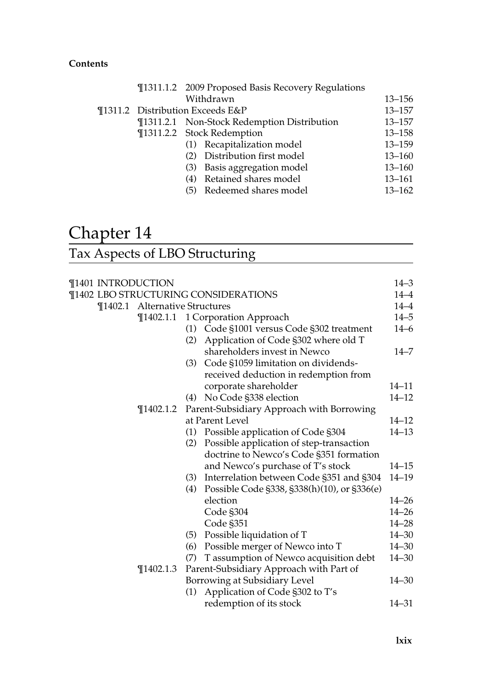|  | ¶1311.1.2 2009 Proposed Basis Recovery Regulations |            |
|--|----------------------------------------------------|------------|
|  | Withdrawn                                          | $13 - 156$ |
|  | ¶1311.2 Distribution Exceeds E&P                   | $13 - 157$ |
|  | ¶1311.2.1 Non-Stock Redemption Distribution        | $13 - 157$ |
|  | ¶1311.2.2 Stock Redemption                         | $13 - 158$ |
|  | (1) Recapitalization model                         | $13 - 159$ |
|  | (2) Distribution first model                       | $13 - 160$ |
|  | (3) Basis aggregation model                        | $13 - 160$ |
|  | (4) Retained shares model                          | $13 - 161$ |
|  | (5) Redeemed shares model                          | $13 - 162$ |
|  |                                                    |            |

## Chapter 14

## Tax Aspects of LBO Structuring

| ¶1401 INTRODUCTION |               |                                                    | 14–3      |
|--------------------|---------------|----------------------------------------------------|-----------|
|                    |               | ¶1402 LBO STRUCTURING CONSIDERATIONS               | $14 - 4$  |
|                    |               | ¶1402.1 Alternative Structures                     | $14 - 4$  |
|                    | $\P$ 1402.1.1 | 1 Corporation Approach                             | $14 - 5$  |
|                    |               | (1) Code §1001 versus Code §302 treatment          | $14 - 6$  |
|                    |               | Application of Code §302 where old T<br>(2)        |           |
|                    |               | shareholders invest in Newco                       | $14 - 7$  |
|                    |               | (3) Code §1059 limitation on dividends-            |           |
|                    |               | received deduction in redemption from              |           |
|                    |               | corporate shareholder                              | $14 - 11$ |
|                    |               | No Code §338 election<br>(4)                       | $14 - 12$ |
|                    | $\P$ 1402.1.2 | Parent-Subsidiary Approach with Borrowing          |           |
|                    |               | at Parent Level                                    | $14 - 12$ |
|                    |               | Possible application of Code §304<br>(1)           | $14 - 13$ |
|                    |               | Possible application of step-transaction<br>(2)    |           |
|                    |               | doctrine to Newco's Code §351 formation            |           |
|                    |               | and Newco's purchase of T's stock                  | $14 - 15$ |
|                    |               | (3) Interrelation between Code §351 and §304       | $14 - 19$ |
|                    |               | Possible Code §338, §338(h)(10), or §336(e)<br>(4) |           |
|                    |               | election                                           | 14–26     |
|                    |               | Code §304                                          | $14 - 26$ |
|                    |               | Code §351                                          | $14 - 28$ |
|                    |               | Possible liquidation of T<br>(5)                   | $14 - 30$ |
|                    |               | Possible merger of Newco into T<br>(6)             | $14 - 30$ |
|                    |               | T assumption of Newco acquisition debt<br>(7)      | $14 - 30$ |
|                    | $\P$ 1402.1.3 | Parent-Subsidiary Approach with Part of            |           |
|                    |               | Borrowing at Subsidiary Level                      | $14 - 30$ |
|                    |               | Application of Code §302 to T's<br>(1)             |           |
|                    |               | redemption of its stock                            | 14–31     |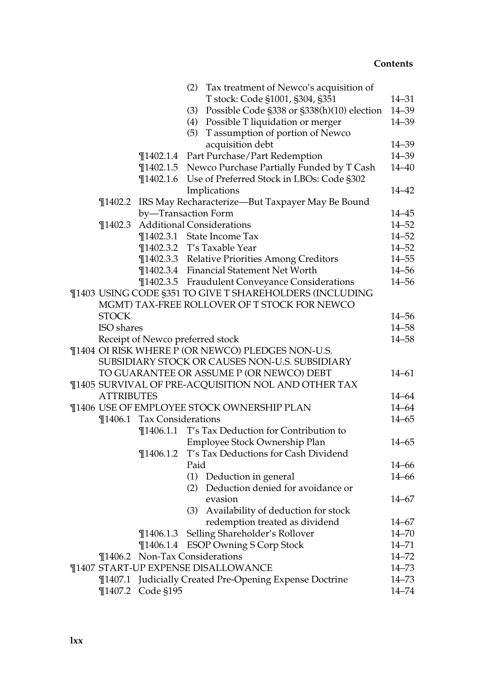|                   |                            | (2) Tax treatment of Newco's acquisition of                           |           |
|-------------------|----------------------------|-----------------------------------------------------------------------|-----------|
|                   |                            | T stock: Code §1001, §304, §351                                       | $14 - 31$ |
|                   |                            | (3) Possible Code §338 or §338(h)(10) election                        | $14 - 39$ |
|                   |                            | (4) Possible T liquidation or merger                                  | $14 - 39$ |
|                   |                            | (5) T assumption of portion of Newco                                  |           |
|                   |                            | acquisition debt                                                      | $14 - 39$ |
|                   |                            | ¶1402.1.4 Part Purchase/Part Redemption                               | $14 - 39$ |
|                   |                            | ¶1402.1.5 Newco Purchase Partially Funded by T Cash                   | $14 - 40$ |
|                   | $\P$ 1402.1.6              | Use of Preferred Stock in LBOs: Code §302                             |           |
|                   |                            | Implications                                                          | $14 - 42$ |
| $\P$ 1402.2       |                            | IRS May Recharacterize-But Taxpayer May Be Bound                      |           |
|                   |                            | by-Transaction Form                                                   | $14 - 45$ |
| $\P$ 1402.3       |                            | <b>Additional Considerations</b>                                      | $14 - 52$ |
|                   |                            | ¶1402.3.1 State Income Tax                                            | $14 - 52$ |
|                   |                            | ¶1402.3.2 T's Taxable Year                                            | $14 - 52$ |
|                   |                            | ¶1402.3.3 Relative Priorities Among Creditors                         | $14 - 55$ |
|                   |                            | ¶1402.3.4 Financial Statement Net Worth                               | $14 - 56$ |
|                   |                            | ¶1402.3.5 Fraudulent Conveyance Considerations                        | $14 - 56$ |
|                   |                            | ¶1403 USING CODE §351 TO GIVE T SHAREHOLDERS (INCLUDING               |           |
|                   |                            | MGMT) TAX-FREE ROLLOVER OF T STOCK FOR NEWCO                          |           |
| <b>STOCK</b>      |                            |                                                                       | $14 - 56$ |
| ISO shares        |                            |                                                                       | $14 - 58$ |
|                   |                            | Receipt of Newco preferred stock                                      | $14 - 58$ |
|                   |                            | ¶1404 OI RISK WHERE P (OR NEWCO) PLEDGES NON-U.S.                     |           |
|                   |                            | SUBSIDIARY STOCK OR CAUSES NON-U.S. SUBSIDIARY                        |           |
|                   |                            | TO GUARANTEE OR ASSUME P (OR NEWCO) DEBT                              | $14 - 61$ |
|                   |                            | ¶1405 SURVIVAL OF PRE-ACQUISITION NOL AND OTHER TAX                   |           |
| <b>ATTRIBUTES</b> |                            |                                                                       | $14 - 64$ |
|                   |                            | ¶1406 USE OF EMPLOYEE STOCK OWNERSHIP PLAN                            | $14 - 64$ |
|                   | ¶1406.1 Tax Considerations |                                                                       | $14 - 65$ |
|                   | $\P$ 1406.1.1              | T's Tax Deduction for Contribution to                                 |           |
|                   |                            |                                                                       | $14 - 65$ |
|                   | $\P$ 1406.1.2              | Employee Stock Ownership Plan<br>T's Tax Deductions for Cash Dividend |           |
|                   |                            | Paid                                                                  | $14 - 66$ |
|                   |                            |                                                                       | $14 - 66$ |
|                   |                            | (1) Deduction in general<br>(2) Deduction denied for avoidance or     |           |
|                   |                            |                                                                       |           |
|                   |                            | evasion                                                               | $14 - 67$ |
|                   |                            | (3) Availability of deduction for stock                               |           |
|                   |                            | redemption treated as dividend                                        | 14–67     |
|                   | $\P$ 1406.1.3              | Selling Shareholder's Rollover                                        | $14 - 70$ |
|                   | $\P$ 1406.1.4              | <b>ESOP Owning S Corp Stock</b>                                       | $14 - 71$ |
|                   |                            | ¶1406.2 Non-Tax Considerations                                        | $14 - 72$ |
|                   |                            | <b>¶1407 START-UP EXPENSE DISALLOWANCE</b>                            | $14 - 73$ |
| $\P$ 1407.1       |                            | Judicially Created Pre-Opening Expense Doctrine                       | 14-73     |
| $\P$ 1407.2       | Code §195                  |                                                                       | 14-74     |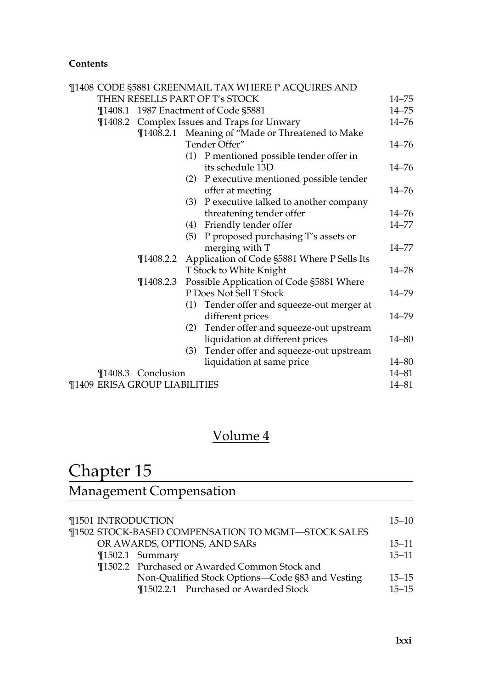|                                      |                    |                                          | ¶1408 CODE §5881 GREENMAIL TAX WHERE P ACQUIRES AND |           |
|--------------------------------------|--------------------|------------------------------------------|-----------------------------------------------------|-----------|
|                                      |                    |                                          | THEN RESELLS PART OF T's STOCK                      | $14 - 75$ |
|                                      |                    |                                          | ¶1408.1 1987 Enactment of Code §5881                | $14 - 75$ |
|                                      |                    |                                          | <b>T1408.2</b> Complex Issues and Traps for Unwary  | $14 - 76$ |
|                                      |                    |                                          | ¶1408.2.1 Meaning of "Made or Threatened to Make    |           |
|                                      |                    |                                          | Tender Offer"                                       | $14 - 76$ |
|                                      |                    |                                          | (1) P mentioned possible tender offer in            |           |
|                                      |                    |                                          | its schedule 13D                                    | $14 - 76$ |
|                                      |                    |                                          | (2) P executive mentioned possible tender           |           |
|                                      |                    |                                          | offer at meeting                                    | 14–76     |
|                                      |                    |                                          | (3) P executive talked to another company           |           |
|                                      |                    |                                          | threatening tender offer                            | $14 - 76$ |
|                                      |                    |                                          | (4) Friendly tender offer                           | 14–77     |
|                                      |                    |                                          | (5) P proposed purchasing T's assets or             |           |
|                                      |                    |                                          | merging with T                                      | $14 - 77$ |
|                                      | $\P$ 1408.2.2      |                                          | Application of Code §5881 Where P Sells Its         |           |
|                                      | $\P$ 1408.2.3      |                                          | T Stock to White Knight                             | $14 - 78$ |
|                                      |                    | Possible Application of Code §5881 Where |                                                     |           |
|                                      |                    |                                          | P Does Not Sell T Stock                             | $14 - 79$ |
|                                      |                    |                                          | (1) Tender offer and squeeze-out merger at          |           |
|                                      |                    |                                          | different prices                                    | 14-79     |
|                                      |                    |                                          | (2) Tender offer and squeeze-out upstream           |           |
|                                      |                    |                                          | liquidation at different prices                     | 14–80     |
|                                      |                    | (3)                                      | Tender offer and squeeze-out upstream               |           |
|                                      |                    |                                          | liquidation at same price                           | 14–80     |
|                                      | ¶1408.3 Conclusion |                                          |                                                     | 14-81     |
| <b>T1409 ERISA GROUP LIABILITIES</b> |                    |                                          |                                                     |           |

### Volume 4

## Chapter 15

### Management Compensation

|  | ¶1501 INTRODUCTION                                 | $15 - 10$ |
|--|----------------------------------------------------|-----------|
|  | ¶1502 STOCK-BASED COMPENSATION TO MGMT-STOCK SALES |           |
|  | OR AWARDS, OPTIONS, AND SARS                       | $15 - 11$ |
|  | ¶1502.1 Summary                                    | $15 - 11$ |
|  | ¶1502.2 Purchased or Awarded Common Stock and      |           |
|  | Non-Qualified Stock Options-Code §83 and Vesting   | $15 - 15$ |
|  | ¶1502.2.1 Purchased or Awarded Stock               | $15 - 15$ |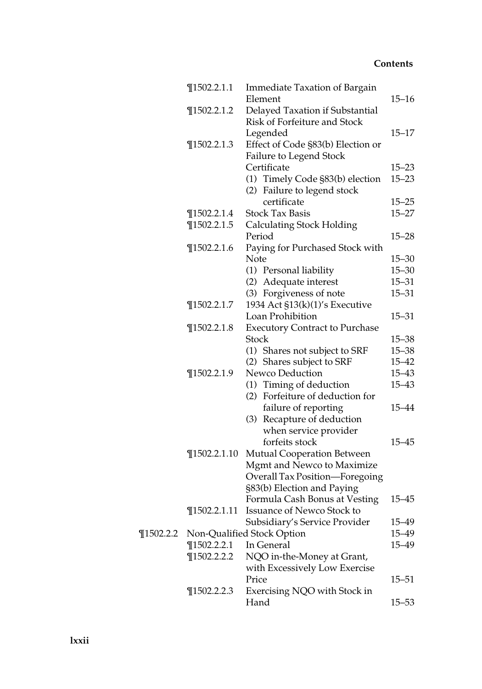|               | $\P$ 1502.2.1.1  | <b>Immediate Taxation of Bargain</b>  |           |
|---------------|------------------|---------------------------------------|-----------|
|               |                  | Element                               | $15 - 16$ |
|               | $\P$ 1502.2.1.2  | Delayed Taxation if Substantial       |           |
|               |                  | Risk of Forfeiture and Stock          |           |
|               |                  | Legended                              | $15 - 17$ |
|               | $\P$ 1502.2.1.3  | Effect of Code §83(b) Election or     |           |
|               |                  | Failure to Legend Stock               |           |
|               |                  | Certificate                           | $15 - 23$ |
|               |                  | (1) Timely Code §83(b) election       | $15 - 23$ |
|               |                  | (2) Failure to legend stock           |           |
|               |                  | certificate                           | $15 - 25$ |
|               | $\P$ 1502.2.1.4  | <b>Stock Tax Basis</b>                | $15 - 27$ |
|               | $\P$ 1502.2.1.5  | <b>Calculating Stock Holding</b>      |           |
|               |                  | Period                                | $15 - 28$ |
|               | $\P$ 1502.2.1.6  | Paying for Purchased Stock with       |           |
|               |                  | Note                                  | $15 - 30$ |
|               |                  | (1) Personal liability                | $15 - 30$ |
|               |                  | (2) Adequate interest                 | $15 - 31$ |
|               |                  | (3) Forgiveness of note               | $15 - 31$ |
|               | $\P$ 1502.2.1.7  | 1934 Act §13(k)(1)'s Executive        |           |
|               |                  | Loan Prohibition                      | $15 - 31$ |
|               | $\P$ 1502.2.1.8  | <b>Executory Contract to Purchase</b> |           |
|               |                  | Stock                                 | $15 - 38$ |
|               |                  | (1) Shares not subject to SRF         | $15 - 38$ |
|               |                  | (2) Shares subject to SRF             | 15-42     |
|               | $\P$ 1502.2.1.9  | Newco Deduction                       | 15-43     |
|               |                  | (1) Timing of deduction               | $15 - 43$ |
|               |                  | (2) Forfeiture of deduction for       |           |
|               |                  | failure of reporting                  | 15-44     |
|               |                  | (3) Recapture of deduction            |           |
|               |                  | when service provider                 |           |
|               |                  | forfeits stock                        | 15-45     |
|               | $\P$ 1502.2.1.10 | Mutual Cooperation Between            |           |
|               |                  | Mgmt and Newco to Maximize            |           |
|               |                  | Overall Tax Position-Foregoing        |           |
|               |                  | §83(b) Election and Paying            |           |
|               |                  | Formula Cash Bonus at Vesting         | $15 - 45$ |
|               | $\P$ 1502.2.1.11 | Issuance of Newco Stock to            |           |
|               |                  | Subsidiary's Service Provider         | 15–49     |
| $\P$ 1502.2.2 |                  | Non-Qualified Stock Option            | 15–49     |
|               | $\P$ 1502.2.2.1  | In General                            | 15–49     |
|               | $\P$ 1502.2.2.2  | NQO in-the-Money at Grant,            |           |
|               |                  | with Excessively Low Exercise         |           |
|               |                  | Price                                 | 15–51     |
|               | $\P$ 1502.2.2.3  | Exercising NQO with Stock in          |           |
|               |                  | Hand                                  | 15–53     |
|               |                  |                                       |           |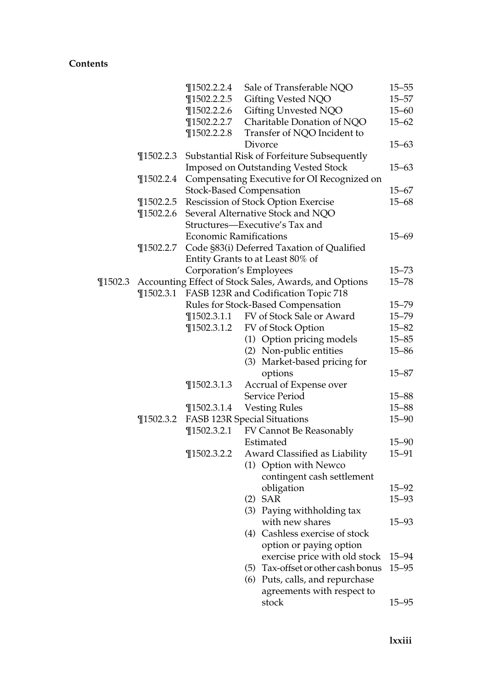|             |               | $\P$ 1502.2.2.4                                 | Sale of Transferable NQO                              | $15 - 55$ |  |  |  |  |
|-------------|---------------|-------------------------------------------------|-------------------------------------------------------|-----------|--|--|--|--|
|             |               | $\P$ 1502.2.2.5                                 | Gifting Vested NQO                                    | 15–57     |  |  |  |  |
|             |               | $\P$ 1502.2.2.6                                 | Gifting Unvested NQO                                  | $15 - 60$ |  |  |  |  |
|             |               | $\P$ 1502.2.2.7                                 | Charitable Donation of NQO                            | $15 - 62$ |  |  |  |  |
|             |               | $\P$ 1502.2.2.8                                 | Transfer of NQO Incident to                           |           |  |  |  |  |
|             |               |                                                 | Divorce                                               | $15 - 63$ |  |  |  |  |
|             | $\P$ 1502.2.3 |                                                 | Substantial Risk of Forfeiture Subsequently           |           |  |  |  |  |
|             |               |                                                 | Imposed on Outstanding Vested Stock                   | $15 - 63$ |  |  |  |  |
|             | $\P$ 1502.2.4 |                                                 | Compensating Executive for OI Recognized on           |           |  |  |  |  |
|             |               |                                                 | <b>Stock-Based Compensation</b>                       | $15 - 67$ |  |  |  |  |
|             | $\P$ 1502.2.5 |                                                 | Rescission of Stock Option Exercise                   | $15 - 68$ |  |  |  |  |
|             | $\P$ 1502.2.6 |                                                 | Several Alternative Stock and NQO                     |           |  |  |  |  |
|             |               |                                                 | Structures-Executive's Tax and                        |           |  |  |  |  |
|             |               | <b>Economic Ramifications</b>                   |                                                       | 15–69     |  |  |  |  |
|             | $\P$ 1502.2.7 |                                                 | Code §83(i) Deferred Taxation of Qualified            |           |  |  |  |  |
|             |               |                                                 | Entity Grants to at Least 80% of                      |           |  |  |  |  |
|             |               |                                                 | Corporation's Employees                               | $15 - 73$ |  |  |  |  |
| $\P$ 1502.3 |               |                                                 | Accounting Effect of Stock Sales, Awards, and Options | $15 - 78$ |  |  |  |  |
|             | $\P$ 1502.3.1 |                                                 | FASB 123R and Codification Topic 718                  |           |  |  |  |  |
|             |               | Rules for Stock-Based Compensation<br>$15 - 79$ |                                                       |           |  |  |  |  |
|             |               | ¶1502.3.1.1                                     | FV of Stock Sale or Award                             | $15 - 79$ |  |  |  |  |
|             |               | $\P$ 1502.3.1.2                                 | FV of Stock Option                                    | $15 - 82$ |  |  |  |  |
|             |               |                                                 | (1) Option pricing models                             | $15 - 85$ |  |  |  |  |
|             |               |                                                 | (2) Non-public entities                               | $15 - 86$ |  |  |  |  |
|             |               |                                                 | (3) Market-based pricing for                          |           |  |  |  |  |
|             |               |                                                 | options                                               | $15 - 87$ |  |  |  |  |
|             |               | $\P$ 1502.3.1.3                                 | Accrual of Expense over                               |           |  |  |  |  |
|             |               |                                                 | Service Period                                        | $15 - 88$ |  |  |  |  |
|             |               | $\P$ 1502.3.1.4                                 | <b>Vesting Rules</b>                                  | $15 - 88$ |  |  |  |  |
|             | $\P$ 1502.3.2 |                                                 | <b>FASB 123R Special Situations</b>                   | $15 - 90$ |  |  |  |  |
|             |               | $\P$ 1502.3.2.1                                 | FV Cannot Be Reasonably                               |           |  |  |  |  |
|             |               |                                                 | Estimated                                             | $15 - 90$ |  |  |  |  |
|             |               | $\P$ 1502.3.2.2                                 | Award Classified as Liability                         | $15 - 91$ |  |  |  |  |
|             |               |                                                 | (1) Option with Newco                                 |           |  |  |  |  |
|             |               |                                                 | contingent cash settlement                            |           |  |  |  |  |
|             |               |                                                 | obligation                                            | $15 - 92$ |  |  |  |  |
|             |               |                                                 | $(2)$ SAR                                             | $15 - 93$ |  |  |  |  |
|             |               |                                                 | (3) Paying withholding tax                            |           |  |  |  |  |
|             |               |                                                 | with new shares                                       | 15–93     |  |  |  |  |
|             |               |                                                 | (4) Cashless exercise of stock                        |           |  |  |  |  |
|             |               |                                                 | option or paying option                               |           |  |  |  |  |
|             |               |                                                 | exercise price with old stock                         | $15 - 94$ |  |  |  |  |
|             |               |                                                 | (5) Tax-offset or other cash bonus                    | $15 - 95$ |  |  |  |  |
|             |               |                                                 | (6) Puts, calls, and repurchase                       |           |  |  |  |  |
|             |               |                                                 | agreements with respect to                            |           |  |  |  |  |
|             |               |                                                 | stock                                                 | $15 - 95$ |  |  |  |  |
|             |               |                                                 |                                                       |           |  |  |  |  |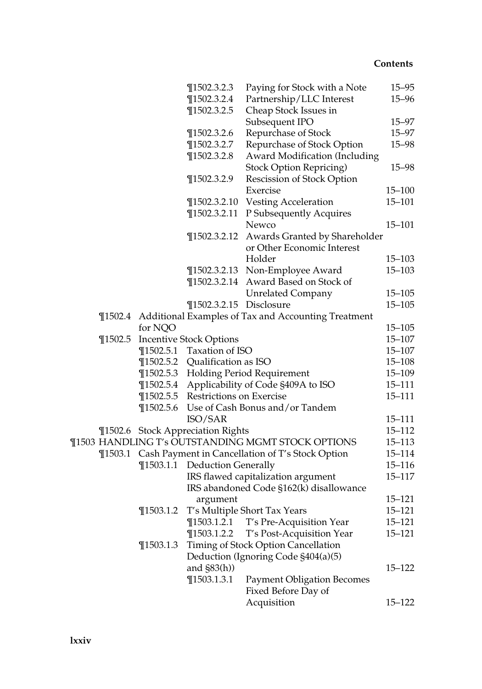|             |                                | $\P$ 1502.3.2.3                   | Paying for Stock with a Note                        | $15 - 95$                |  |  |
|-------------|--------------------------------|-----------------------------------|-----------------------------------------------------|--------------------------|--|--|
|             |                                | $\P$ 1502.3.2.4                   | Partnership/LLC Interest                            | $15 - 96$                |  |  |
|             |                                | $\P$ 1502.3.2.5                   | Cheap Stock Issues in                               |                          |  |  |
|             |                                |                                   | Subsequent IPO                                      | $15 - 97$                |  |  |
|             |                                | $\P$ 1502.3.2.6                   | Repurchase of Stock                                 | $15 - 97$                |  |  |
|             |                                | $\P$ 1502.3.2.7                   | Repurchase of Stock Option                          | $15 - 98$                |  |  |
|             |                                | $\P$ 1502.3.2.8                   | <b>Award Modification (Including</b>                |                          |  |  |
|             |                                |                                   | Stock Option Repricing)                             | 15–98                    |  |  |
|             |                                | $\P$ 1502.3.2.9                   | Rescission of Stock Option                          |                          |  |  |
|             |                                |                                   | Exercise                                            | $15 - 100$               |  |  |
|             |                                | $\P$ 1502.3.2.10                  | <b>Vesting Acceleration</b>                         | $15 - 101$               |  |  |
|             |                                | $\P$ 1502.3.2.11                  | P Subsequently Acquires                             |                          |  |  |
|             |                                |                                   | Newco                                               | 15–101                   |  |  |
|             |                                | $\P$ 1502.3.2.12                  | Awards Granted by Shareholder                       |                          |  |  |
|             |                                |                                   | or Other Economic Interest                          |                          |  |  |
|             |                                |                                   | Holder                                              | $15 - 103$               |  |  |
|             |                                | $\P$ 1502.3.2.13                  | Non-Employee Award                                  | $15 - 103$               |  |  |
|             |                                | $\P$ 1502.3.2.14                  | Award Based on Stock of                             |                          |  |  |
|             |                                |                                   | <b>Unrelated Company</b>                            | $15 - 105$<br>$15 - 105$ |  |  |
| $\P$ 1502.4 |                                | ¶1502.3.2.15 Disclosure           |                                                     |                          |  |  |
|             | for NQO                        |                                   | Additional Examples of Tax and Accounting Treatment | $15 - 105$               |  |  |
| $\P$ 1502.5 | <b>Incentive Stock Options</b> |                                   |                                                     |                          |  |  |
|             | ¶1502.5.1 Taxation of ISO      |                                   |                                                     |                          |  |  |
|             |                                | ¶1502.5.2 Qualification as ISO    |                                                     | $15 - 107$<br>$15 - 108$ |  |  |
|             |                                |                                   | ¶1502.5.3 Holding Period Requirement                | 15-109                   |  |  |
|             | $\P$ 1502.5.4                  |                                   | Applicability of Code §409A to ISO                  | $15 - 111$               |  |  |
|             | $\P$ 1502.5.5                  | Restrictions on Exercise          |                                                     | $15 - 111$               |  |  |
|             | $\P$ 1502.5.6                  | Use of Cash Bonus and/or Tandem   |                                                     |                          |  |  |
|             |                                | ISO/SAR                           |                                                     |                          |  |  |
|             |                                | ¶1502.6 Stock Appreciation Rights |                                                     |                          |  |  |
|             |                                |                                   | ¶1503 HANDLING T's OUTSTANDING MGMT STOCK OPTIONS   | $15 - 112$<br>$15 - 113$ |  |  |
| $\P$ 1503.1 |                                |                                   | Cash Payment in Cancellation of T's Stock Option    | $15 - 114$               |  |  |
|             |                                | ¶1503.1.1 Deduction Generally     |                                                     | $15 - 116$               |  |  |
|             |                                |                                   | IRS flawed capitalization argument                  | $15 - 117$               |  |  |
|             |                                |                                   | IRS abandoned Code §162(k) disallowance             |                          |  |  |
|             |                                | argument                          |                                                     | $15 - 121$               |  |  |
|             | $\P$ 1503.1.2                  |                                   | T's Multiple Short Tax Years                        | 15-121                   |  |  |
|             |                                | $\P$ 1503.1.2.1                   | T's Pre-Acquisition Year                            | $15 - 121$               |  |  |
|             |                                | $\P$ 1503.1.2.2                   | T's Post-Acquisition Year                           | $15 - 121$               |  |  |
|             | $\P$ 1503.1.3                  |                                   | Timing of Stock Option Cancellation                 |                          |  |  |
|             |                                |                                   | Deduction (Ignoring Code §404(a)(5)                 |                          |  |  |
|             |                                | and $\S$ 83 $(h)$ )               |                                                     | 15–122                   |  |  |
|             |                                | $\P$ 1503.1.3.1                   | <b>Payment Obligation Becomes</b>                   |                          |  |  |
|             |                                |                                   | Fixed Before Day of                                 |                          |  |  |
|             |                                |                                   | Acquisition                                         | $15 - 122$               |  |  |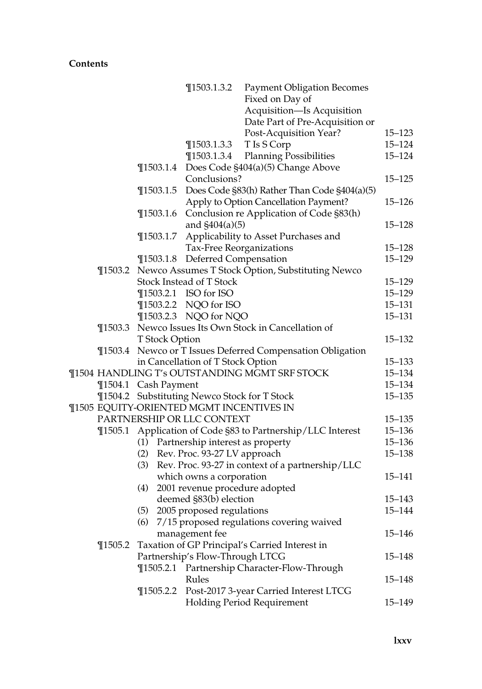|             |                            | $\P$ 1503.1.3.2                              | <b>Payment Obligation Becomes</b>                           |            |  |  |
|-------------|----------------------------|----------------------------------------------|-------------------------------------------------------------|------------|--|--|
|             |                            |                                              | Fixed on Day of                                             |            |  |  |
|             |                            |                                              | Acquisition-Is Acquisition                                  |            |  |  |
|             |                            |                                              | Date Part of Pre-Acquisition or                             |            |  |  |
|             |                            |                                              | Post-Acquisition Year?                                      | $15 - 123$ |  |  |
|             |                            | $\P$ 1503.1.3.3                              | T Is S Corp                                                 | $15 - 124$ |  |  |
|             |                            | $\P$ 1503.1.3.4                              | <b>Planning Possibilities</b>                               | $15 - 124$ |  |  |
|             |                            |                                              | ¶1503.1.4 Does Code §404(a)(5) Change Above                 |            |  |  |
|             |                            | Conclusions?                                 |                                                             | $15 - 125$ |  |  |
|             | $\P$ 1503.1.5              |                                              | Does Code §83(h) Rather Than Code §404(a)(5)                |            |  |  |
|             |                            |                                              | Apply to Option Cancellation Payment?                       | $15 - 126$ |  |  |
|             |                            |                                              | ¶1503.1.6 Conclusion re Application of Code §83(h)          |            |  |  |
|             |                            | and $$404(a)(5)$                             |                                                             | $15 - 128$ |  |  |
|             | $\P$ 1503.1.7              |                                              | Applicability to Asset Purchases and                        |            |  |  |
|             |                            |                                              | Tax-Free Reorganizations                                    | $15 - 128$ |  |  |
|             |                            | ¶1503.1.8 Deferred Compensation              |                                                             | $15 - 129$ |  |  |
|             |                            |                                              | ¶1503.2 Newco Assumes T Stock Option, Substituting Newco    |            |  |  |
|             |                            | Stock Instead of T Stock                     |                                                             | $15 - 129$ |  |  |
|             |                            | ¶1503.2.1 ISO for ISO                        |                                                             | $15 - 129$ |  |  |
|             |                            | ¶1503.2.2 NQO for ISO                        |                                                             | $15 - 131$ |  |  |
|             |                            | ¶1503.2.3 NQO for NQO                        |                                                             | $15 - 131$ |  |  |
|             |                            |                                              | ¶1503.3 Newco Issues Its Own Stock in Cancellation of       |            |  |  |
|             | T Stock Option             |                                              |                                                             | $15 - 132$ |  |  |
| $\P$ 1503.4 |                            |                                              | Newco or T Issues Deferred Compensation Obligation          |            |  |  |
|             |                            | in Cancellation of T Stock Option            |                                                             | $15 - 133$ |  |  |
|             |                            |                                              | ¶1504 HANDLING T's OUTSTANDING MGMT SRF STOCK               | 15-134     |  |  |
|             | ¶1504.1 Cash Payment       |                                              |                                                             | 15-134     |  |  |
|             |                            | ¶1504.2 Substituting Newco Stock for T Stock |                                                             | $15 - 135$ |  |  |
|             |                            | ¶1505 EQUITY-ORIENTED MGMT INCENTIVES IN     |                                                             |            |  |  |
|             | PARTNERSHIP OR LLC CONTEXT |                                              |                                                             |            |  |  |
|             |                            |                                              | ¶1505.1 Application of Code §83 to Partnership/LLC Interest | $15 - 136$ |  |  |
|             |                            | (1) Partnership interest as property         |                                                             | $15 - 136$ |  |  |
|             |                            | (2) Rev. Proc. 93-27 LV approach             |                                                             | $15 - 138$ |  |  |
|             | (3)                        |                                              | Rev. Proc. 93-27 in context of a partnership/LLC            |            |  |  |
|             |                            | which owns a corporation                     |                                                             | $15 - 141$ |  |  |
|             | (4)                        |                                              | 2001 revenue procedure adopted                              |            |  |  |
|             |                            | deemed §83(b) election                       |                                                             | $15 - 143$ |  |  |
|             |                            | (5) 2005 proposed regulations                |                                                             | 15-144     |  |  |
|             |                            |                                              | (6) 7/15 proposed regulations covering waived               |            |  |  |
|             |                            | management fee                               |                                                             | 15–146     |  |  |
| $\P$ 1505.2 |                            |                                              | Taxation of GP Principal's Carried Interest in              |            |  |  |
|             |                            | Partnership's Flow-Through LTCG              |                                                             | $15 - 148$ |  |  |
|             |                            |                                              | ¶1505.2.1 Partnership Character-Flow-Through                |            |  |  |
|             |                            | Rules                                        |                                                             | 15–148     |  |  |
|             | $\P$ 1505.2.2              |                                              | Post-2017 3-year Carried Interest LTCG                      |            |  |  |
|             |                            |                                              | <b>Holding Period Requirement</b>                           | 15–149     |  |  |
|             |                            |                                              |                                                             |            |  |  |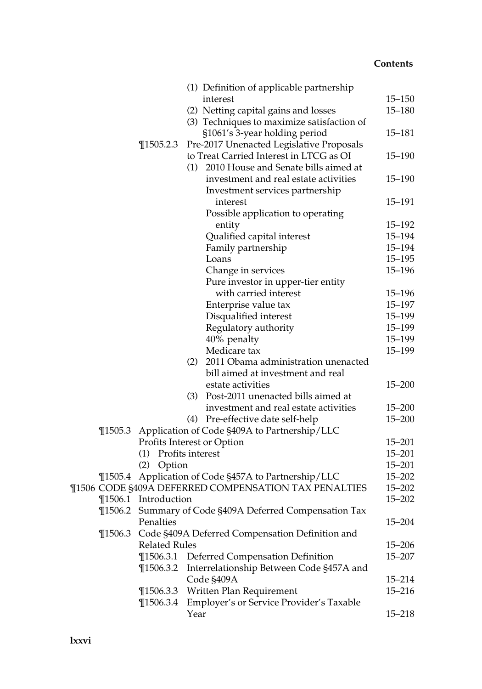|             |                      |      | (1) Definition of applicable partnership                |            |
|-------------|----------------------|------|---------------------------------------------------------|------------|
|             |                      |      | interest                                                | $15 - 150$ |
|             |                      |      | (2) Netting capital gains and losses                    | $15 - 180$ |
|             |                      |      | (3) Techniques to maximize satisfaction of              |            |
|             |                      |      | §1061's 3-year holding period                           | 15–181     |
|             | $\P$ 1505.2.3        |      | Pre-2017 Unenacted Legislative Proposals                |            |
|             |                      |      | to Treat Carried Interest in LTCG as OI                 | $15 - 190$ |
|             |                      |      | (1) 2010 House and Senate bills aimed at                |            |
|             |                      |      | investment and real estate activities                   | $15 - 190$ |
|             |                      |      | Investment services partnership                         |            |
|             |                      |      | interest                                                | 15-191     |
|             |                      |      | Possible application to operating                       |            |
|             |                      |      | entity                                                  | $15 - 192$ |
|             |                      |      | Qualified capital interest                              | 15-194     |
|             |                      |      | Family partnership                                      | $15 - 194$ |
|             |                      |      | Loans                                                   | $15 - 195$ |
|             |                      |      | Change in services                                      | $15 - 196$ |
|             |                      |      | Pure investor in upper-tier entity                      |            |
|             |                      |      | with carried interest                                   | $15 - 196$ |
|             |                      |      | Enterprise value tax                                    | $15 - 197$ |
|             |                      |      | Disqualified interest                                   | 15-199     |
|             |                      |      | Regulatory authority                                    | $15 - 199$ |
|             |                      |      | 40% penalty                                             | $15 - 199$ |
|             |                      |      | Medicare tax                                            | 15-199     |
|             |                      |      | (2) 2011 Obama administration unenacted                 |            |
|             |                      |      | bill aimed at investment and real                       |            |
|             |                      |      | estate activities                                       | $15 - 200$ |
|             |                      |      | (3) Post-2011 unenacted bills aimed at                  |            |
|             |                      |      | investment and real estate activities                   | $15 - 200$ |
|             |                      |      | (4) Pre-effective date self-help                        | $15 - 200$ |
| $\P$ 1505.3 |                      |      | Application of Code §409A to Partnership/LLC            |            |
|             |                      |      | Profits Interest or Option                              | $15 - 201$ |
|             | (1) Profits interest |      |                                                         | $15 - 201$ |
|             | (2)<br>Option        |      |                                                         | $15 - 201$ |
|             |                      |      | ¶1505.4 Application of Code §457A to Partnership/LLC    | $15 - 202$ |
|             |                      |      | ¶1506 CODE §409A DEFERRED COMPENSATION TAX PENALTIES    | $15 - 202$ |
|             | ¶1506.1 Introduction |      |                                                         | $15 - 202$ |
|             |                      |      | ¶1506.2 Summary of Code §409A Deferred Compensation Tax |            |
|             | Penalties            |      |                                                         | $15 - 204$ |
| $\P$ 1506.3 |                      |      | Code §409A Deferred Compensation Definition and         |            |
|             | <b>Related Rules</b> |      |                                                         | $15 - 206$ |
|             | $\P$ 1506.3.1        |      | <b>Deferred Compensation Definition</b>                 | 15–207     |
|             | $\P$ 1506.3.2        |      | Interrelationship Between Code §457A and                |            |
|             |                      |      | Code §409A                                              | 15–214     |
|             | $\P$ 1506.3.3        |      | Written Plan Requirement                                | $15 - 216$ |
|             | $\P$ 1506.3.4        |      | Employer's or Service Provider's Taxable                |            |
|             |                      | Year |                                                         | $15 - 218$ |
|             |                      |      |                                                         |            |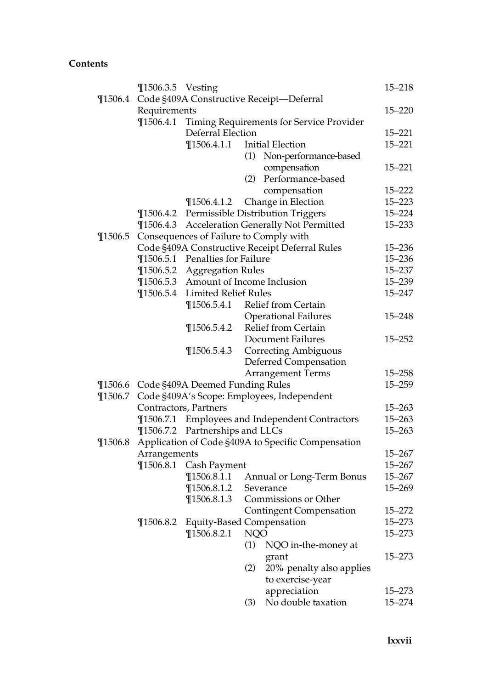|             | ¶1506.3.5 Vesting |                                         |            |                                                    | $15 - 218$ |  |
|-------------|-------------------|-----------------------------------------|------------|----------------------------------------------------|------------|--|
| $\P 1506.4$ |                   |                                         |            | Code §409A Constructive Receipt-Deferral           |            |  |
|             | Requirements      |                                         |            |                                                    |            |  |
|             | $\P$ 1506.4.1     |                                         |            | Timing Requirements for Service Provider           |            |  |
|             |                   | Deferral Election                       |            |                                                    | $15 - 221$ |  |
|             |                   | $\P$ 1506.4.1.1                         |            | <b>Initial Election</b>                            | $15 - 221$ |  |
|             |                   |                                         | (1)        | Non-performance-based                              |            |  |
|             |                   |                                         |            | compensation                                       | $15 - 221$ |  |
|             |                   |                                         | (2)        | Performance-based                                  |            |  |
|             |                   |                                         |            | compensation                                       | $15 - 222$ |  |
|             |                   | $\P$ 1506.4.1.2                         |            | Change in Election                                 | $15 - 223$ |  |
|             |                   |                                         |            | ¶1506.4.2 Permissible Distribution Triggers        | $15 - 224$ |  |
|             | $\P$ 1506.4.3     |                                         |            | Acceleration Generally Not Permitted               | $15 - 233$ |  |
| $\P$ 1506.5 |                   | Consequences of Failure to Comply with  |            |                                                    |            |  |
|             |                   |                                         |            | Code §409A Constructive Receipt Deferral Rules     | $15 - 236$ |  |
|             |                   | ¶1506.5.1 Penalties for Failure         |            |                                                    | $15 - 236$ |  |
|             | $\P$ 1506.5.2     | <b>Aggregation Rules</b>                |            |                                                    | $15 - 237$ |  |
|             | $\P$ 1506.5.3     | Amount of Income Inclusion              |            |                                                    | 15-239     |  |
|             | $\P$ 1506.5.4     | <b>Limited Relief Rules</b>             |            |                                                    | 15-247     |  |
|             |                   |                                         |            | ¶1506.5.4.1 Relief from Certain                    |            |  |
|             |                   |                                         |            | <b>Operational Failures</b>                        | $15 - 248$ |  |
|             |                   | $\P$ 1506.5.4.2                         |            | Relief from Certain                                |            |  |
|             |                   |                                         |            | <b>Document Failures</b>                           | $15 - 252$ |  |
|             |                   | $\P$ 1506.5.4.3                         |            | <b>Correcting Ambiguous</b>                        |            |  |
|             |                   |                                         |            | Deferred Compensation                              |            |  |
|             |                   |                                         |            | <b>Arrangement Terms</b>                           | $15 - 258$ |  |
|             |                   | ¶1506.6 Code §409A Deemed Funding Rules |            |                                                    | $15 - 259$ |  |
| $\P$ 1506.7 |                   |                                         |            | Code §409A's Scope: Employees, Independent         |            |  |
|             |                   | Contractors, Partners                   |            |                                                    | $15 - 263$ |  |
|             | $\P$ 1506.7.1     |                                         |            | <b>Employees and Independent Contractors</b>       | $15 - 263$ |  |
|             |                   | ¶1506.7.2 Partnerships and LLCs         |            |                                                    | $15 - 263$ |  |
| $\P$ 1506.8 |                   |                                         |            | Application of Code §409A to Specific Compensation |            |  |
|             | Arrangements      |                                         |            |                                                    | $15 - 267$ |  |
|             | $\P$ 1506.8.1     | Cash Payment                            |            |                                                    | $15 - 267$ |  |
|             |                   | $\P$ 1506.8.1.1                         |            | Annual or Long-Term Bonus                          | $15 - 267$ |  |
|             |                   | $\P$ 1506.8.1.2                         |            | Severance                                          | $15 - 269$ |  |
|             |                   | $\P$ 1506.8.1.3                         |            | Commissions or Other                               |            |  |
|             |                   |                                         |            | <b>Contingent Compensation</b>                     | $15 - 272$ |  |
|             | $\P$ 1506.8.2     | <b>Equity-Based Compensation</b>        |            |                                                    | $15 - 273$ |  |
|             |                   | $\P$ 1506.8.2.1                         | <b>NQO</b> |                                                    | $15 - 273$ |  |
|             |                   |                                         | (1)        | NQO in-the-money at                                |            |  |
|             |                   |                                         |            | grant                                              | 15-273     |  |
|             |                   |                                         | (2)        | 20% penalty also applies                           |            |  |
|             |                   |                                         |            | to exercise-year                                   |            |  |
|             |                   |                                         |            | appreciation                                       | 15–273     |  |
|             |                   |                                         | (3)        | No double taxation                                 | $15 - 274$ |  |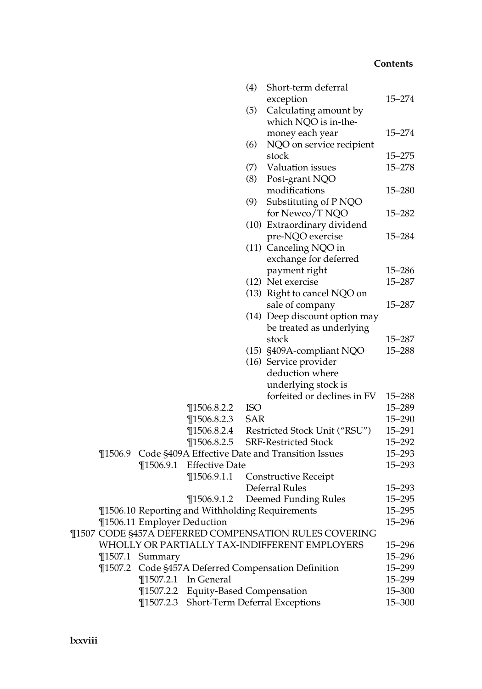|             |                             |                                          | (4)        | Short-term deferral                                   |            |
|-------------|-----------------------------|------------------------------------------|------------|-------------------------------------------------------|------------|
|             |                             |                                          |            | exception                                             | $15 - 274$ |
|             |                             |                                          | (5)        | Calculating amount by                                 |            |
|             |                             |                                          |            | which NQO is in-the-                                  |            |
|             |                             |                                          |            | money each year                                       | $15 - 274$ |
|             |                             |                                          | (6)        | NQO on service recipient                              |            |
|             |                             |                                          |            | stock                                                 | $15 - 275$ |
|             |                             |                                          | (7)        | Valuation issues                                      | $15 - 278$ |
|             |                             |                                          | (8)        | Post-grant NQO                                        |            |
|             |                             |                                          |            | modifications                                         | $15 - 280$ |
|             |                             |                                          | (9)        | Substituting of P NQO                                 |            |
|             |                             |                                          |            | for Newco/T NQO                                       | $15 - 282$ |
|             |                             |                                          |            | (10) Extraordinary dividend                           |            |
|             |                             |                                          |            | pre-NQO exercise                                      | 15-284     |
|             |                             |                                          |            | (11) Canceling NQO in                                 |            |
|             |                             |                                          |            | exchange for deferred                                 |            |
|             |                             |                                          |            | payment right                                         | 15-286     |
|             |                             |                                          |            | (12) Net exercise                                     | 15-287     |
|             |                             |                                          |            | (13) Right to cancel NQO on                           |            |
|             |                             |                                          |            | sale of company                                       | 15-287     |
|             |                             |                                          |            | (14) Deep discount option may                         |            |
|             |                             |                                          |            | be treated as underlying                              |            |
|             |                             |                                          |            | stock                                                 | 15-287     |
|             |                             |                                          |            | (15) §409A-compliant NQO                              | 15-288     |
|             |                             |                                          |            | (16) Service provider                                 |            |
|             |                             |                                          |            | deduction where                                       |            |
|             |                             |                                          |            | underlying stock is                                   |            |
|             |                             |                                          |            | forfeited or declines in FV                           | $15 - 288$ |
|             |                             | $\P$ 1506.8.2.2                          | <b>ISO</b> |                                                       | 15-289     |
|             |                             | $\P$ 1506.8.2.3                          | <b>SAR</b> |                                                       | $15 - 290$ |
|             |                             | $\P$ 1506.8.2.4                          |            | Restricted Stock Unit ("RSU")                         | $15 - 291$ |
|             |                             | $\P$ 1506.8.2.5                          |            | <b>SRF-Restricted Stock</b>                           | $15 - 292$ |
| $\P$ 1506.9 |                             |                                          |            | Code §409A Effective Date and Transition Issues       | $15 - 293$ |
|             | $\P$ 1506.9.1               | <b>Effective Date</b>                    |            |                                                       | $15 - 293$ |
|             |                             | $\P$ 1506.9.1.1                          |            | <b>Constructive Receipt</b>                           |            |
|             |                             |                                          |            | Deferral Rules                                        | $15 - 293$ |
|             |                             | $\P$ 1506.9.1.2                          |            | Deemed Funding Rules                                  | $15 - 295$ |
|             |                             |                                          |            | ¶1506.10 Reporting and Withholding Requirements       | $15 - 295$ |
|             | ¶1506.11 Employer Deduction |                                          |            |                                                       | $15 - 296$ |
|             |                             |                                          |            | ¶1507 CODE §457A DEFERRED COMPENSATION RULES COVERING |            |
|             |                             |                                          |            | WHOLLY OR PARTIALLY TAX-INDIFFERENT EMPLOYERS         | 15–296     |
|             | ¶1507.1 Summary             |                                          |            |                                                       | $15 - 296$ |
|             |                             |                                          |            | ¶1507.2 Code §457A Deferred Compensation Definition   | 15-299     |
|             |                             | ¶1507.2.1 In General                     |            |                                                       | 15-299     |
|             |                             | ¶1507.2.2 Equity-Based Compensation      |            |                                                       | 15-300     |
|             |                             | ¶1507.2.3 Short-Term Deferral Exceptions |            |                                                       | $15 - 300$ |
|             |                             |                                          |            |                                                       |            |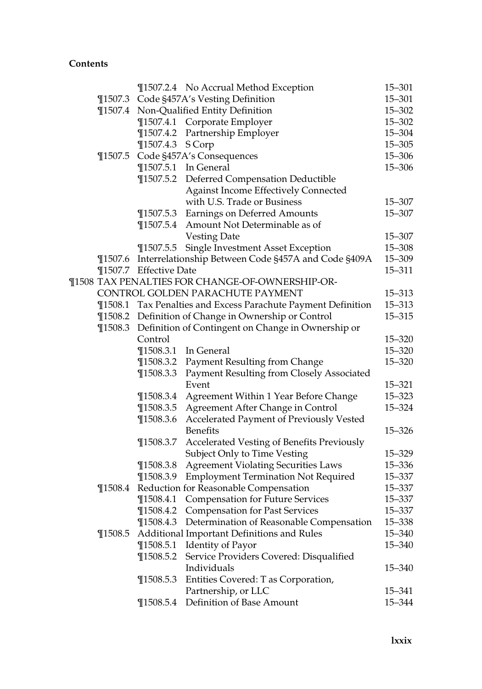|             |                                                    | ¶1507.2.4 No Accrual Method Exception                         | $15 - 301$           |  |  |
|-------------|----------------------------------------------------|---------------------------------------------------------------|----------------------|--|--|
|             |                                                    | ¶1507.3 Code §457A's Vesting Definition                       | $15 - 301$           |  |  |
|             |                                                    | ¶1507.4 Non-Qualified Entity Definition                       | $15 - 302$           |  |  |
|             |                                                    | ¶1507.4.1 Corporate Employer                                  | $15 - 302$           |  |  |
|             | $\P$ 1507.4.2                                      | Partnership Employer                                          | $15 - 304$           |  |  |
|             | $\P$ 1507.4.3                                      | S Corp                                                        | $15 - 305$           |  |  |
| $\P$ 1507.5 |                                                    | Code §457A's Consequences                                     | $15 - 306$           |  |  |
|             |                                                    | ¶1507.5.1 In General                                          | $15 - 306$           |  |  |
|             |                                                    | ¶1507.5.2 Deferred Compensation Deductible                    |                      |  |  |
|             |                                                    | <b>Against Income Effectively Connected</b>                   |                      |  |  |
|             |                                                    | with U.S. Trade or Business                                   | 15-307               |  |  |
|             |                                                    | ¶1507.5.3 Earnings on Deferred Amounts                        | 15-307               |  |  |
|             |                                                    | ¶1507.5.4 Amount Not Determinable as of                       |                      |  |  |
|             |                                                    | <b>Vesting Date</b>                                           | $15 - 307$           |  |  |
|             | $\P$ 1507.5.5                                      | Single Investment Asset Exception                             | $15 - 308$           |  |  |
| $\P$ 1507.6 |                                                    | Interrelationship Between Code §457A and Code §409A           | $15 - 309$           |  |  |
|             | ¶1507.7 Effective Date                             |                                                               | $15 - 311$           |  |  |
|             |                                                    | ¶1508 TAX PENALTIES FOR CHANGE-OF-OWNERSHIP-OR-               |                      |  |  |
|             | CONTROL GOLDEN PARACHUTE PAYMENT                   |                                                               |                      |  |  |
|             |                                                    | ¶1508.1 Tax Penalties and Excess Parachute Payment Definition | 15-313<br>$15 - 313$ |  |  |
|             |                                                    | ¶1508.2 Definition of Change in Ownership or Control          | $15 - 315$           |  |  |
| $\P$ 1508.3 | Definition of Contingent on Change in Ownership or |                                                               |                      |  |  |
|             | Control                                            |                                                               | $15 - 320$           |  |  |
|             | $\P$ 1508.3.1                                      | In General                                                    | $15 - 320$           |  |  |
|             |                                                    | ¶1508.3.2 Payment Resulting from Change                       | $15 - 320$           |  |  |
|             | $\P$ 1508.3.3                                      | <b>Payment Resulting from Closely Associated</b>              |                      |  |  |
|             |                                                    | Event                                                         | $15 - 321$           |  |  |
|             | $\P$ 1508.3.4                                      | Agreement Within 1 Year Before Change                         | $15 - 323$           |  |  |
|             | $\P$ 1508.3.5                                      | Agreement After Change in Control                             | 15-324               |  |  |
|             | $\P$ 1508.3.6                                      | Accelerated Payment of Previously Vested                      |                      |  |  |
|             |                                                    | <b>Benefits</b>                                               | $15 - 326$           |  |  |
|             | $\P$ 1508.3.7                                      | Accelerated Vesting of Benefits Previously                    |                      |  |  |
|             |                                                    | Subject Only to Time Vesting                                  | 15-329               |  |  |
|             | $\P$ 1508.3.8                                      | <b>Agreement Violating Securities Laws</b>                    | 15-336               |  |  |
|             | $\P$ 1508.3.9                                      | <b>Employment Termination Not Required</b>                    | 15-337               |  |  |
| $\P$ 1508.4 |                                                    | Reduction for Reasonable Compensation                         | 15-337               |  |  |
|             | $\P$ 1508.4.1                                      | <b>Compensation for Future Services</b>                       | 15-337               |  |  |
|             |                                                    | ¶1508.4.2 Compensation for Past Services                      | 15-337               |  |  |
|             | $\P$ 1508.4.3                                      | Determination of Reasonable Compensation                      | 15-338               |  |  |
| $\P$ 1508.5 |                                                    | Additional Important Definitions and Rules                    | 15-340               |  |  |
|             | $\P$ 1508.5.1                                      | <b>Identity of Payor</b>                                      | 15-340               |  |  |
|             | $\P$ 1508.5.2                                      | Service Providers Covered: Disqualified                       |                      |  |  |
|             |                                                    | Individuals                                                   | 15–340               |  |  |
|             | $\P$ 1508.5.3                                      | Entities Covered: T as Corporation,                           |                      |  |  |
|             |                                                    | Partnership, or LLC                                           | 15–341               |  |  |
|             | $\P$ 1508.5.4                                      | Definition of Base Amount                                     | 15-344               |  |  |
|             |                                                    |                                                               |                      |  |  |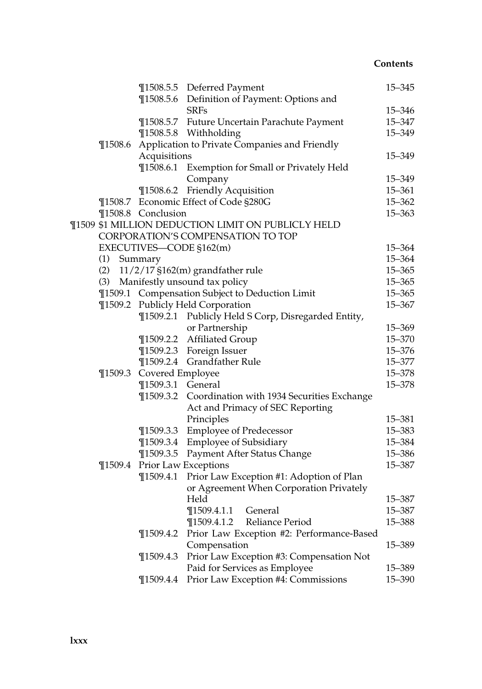|  |             |                          | ¶1508.5.5 Deferred Payment                           | $15 - 345$ |
|--|-------------|--------------------------|------------------------------------------------------|------------|
|  |             |                          | ¶1508.5.6 Definition of Payment: Options and         |            |
|  |             |                          | <b>SRFs</b>                                          | 15-346     |
|  |             |                          | ¶1508.5.7 Future Uncertain Parachute Payment         | 15-347     |
|  |             |                          | ¶1508.5.8 Withholding                                | 15-349     |
|  | $\P$ 1508.6 |                          | Application to Private Companies and Friendly        |            |
|  |             | Acquisitions             |                                                      | 15-349     |
|  |             | $\P$ 1508.6.1            | Exemption for Small or Privately Held                |            |
|  |             |                          | Company                                              | 15–349     |
|  |             |                          | ¶1508.6.2 Friendly Acquisition                       | 15-361     |
|  |             |                          | ¶1508.7 Economic Effect of Code §280G                | $15 - 362$ |
|  |             | ¶1508.8 Conclusion       |                                                      | $15 - 363$ |
|  |             |                          | ¶1509 \$1 MILLION DEDUCTION LIMIT ON PUBLICLY HELD   |            |
|  |             |                          | CORPORATION'S COMPENSATION TO TOP                    |            |
|  |             | EXECUTIVES-CODE §162(m)  |                                                      | 15–364     |
|  | (1)         | Summary                  |                                                      | 15-364     |
|  | (2)         |                          | $11/2/17$ §162(m) grandfather rule                   | $15 - 365$ |
|  |             |                          | (3) Manifestly unsound tax policy                    | $15 - 365$ |
|  |             |                          | ¶1509.1 Compensation Subject to Deduction Limit      | $15 - 365$ |
|  |             |                          | ¶1509.2 Publicly Held Corporation                    | 15-367     |
|  |             |                          | ¶1509.2.1 Publicly Held S Corp, Disregarded Entity,  |            |
|  |             |                          | or Partnership                                       | 15-369     |
|  |             |                          | ¶1509.2.2 Affiliated Group                           | 15-370     |
|  |             |                          | ¶1509.2.3 Foreign Issuer                             | 15-376     |
|  |             |                          | ¶1509.2.4 Grandfather Rule                           | 15-377     |
|  |             |                          |                                                      | 15-378     |
|  |             | ¶1509.3 Covered Employee |                                                      | 15-378     |
|  |             | ¶1509.3.1 General        |                                                      |            |
|  |             |                          | ¶1509.3.2 Coordination with 1934 Securities Exchange |            |
|  |             |                          | Act and Primacy of SEC Reporting                     |            |
|  |             |                          | Principles                                           | 15-381     |
|  |             |                          | ¶1509.3.3 Employee of Predecessor                    | 15-383     |
|  |             |                          | ¶1509.3.4 Employee of Subsidiary                     | 15-384     |
|  |             | $\P$ 1509.3.5            | Payment After Status Change                          | 15-386     |
|  | $\P$ 1509.4 |                          | Prior Law Exceptions                                 | 15-387     |
|  |             | $\P$ 1509.4.1            | Prior Law Exception #1: Adoption of Plan             |            |
|  |             |                          | or Agreement When Corporation Privately              |            |
|  |             |                          | Held                                                 | 15-387     |
|  |             |                          | ¶1509.4.1.1 General                                  | $15 - 387$ |
|  |             |                          | Reliance Period<br>$\P$ 1509.4.1.2                   | 15-388     |
|  |             | $\P$ 1509.4.2            | Prior Law Exception #2: Performance-Based            |            |
|  |             |                          | Compensation                                         | 15-389     |
|  |             | $\P$ 1509.4.3            | Prior Law Exception #3: Compensation Not             |            |
|  |             |                          | Paid for Services as Employee                        | 15-389     |
|  |             | $\P$ 1509.4.4            | Prior Law Exception #4: Commissions                  | 15-390     |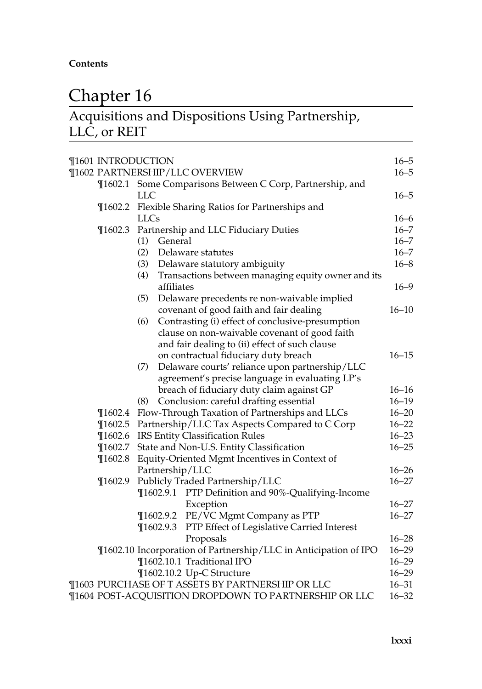## Chapter 16

### Acquisitions and Dispositions Using Partnership, LLC, or REIT

|                                | ¶1601 INTRODUCTION                           |                                                                  | $16 - 5$<br>$16 - 5$ |  |
|--------------------------------|----------------------------------------------|------------------------------------------------------------------|----------------------|--|
| ¶1602 PARTNERSHIP/LLC OVERVIEW |                                              |                                                                  |                      |  |
|                                | <b>LLC</b>                                   | ¶1602.1 Some Comparisons Between C Corp, Partnership, and        | $16 - 5$             |  |
| $\P$ 1602.2                    | Flexible Sharing Ratios for Partnerships and |                                                                  |                      |  |
|                                | <b>LLCs</b>                                  |                                                                  | $16 - 6$             |  |
| $\P$ 1602.3                    |                                              | Partnership and LLC Fiduciary Duties                             | $16 - 7$             |  |
|                                | General<br>(1)                               |                                                                  | $16 - 7$             |  |
|                                | (2)                                          | Delaware statutes                                                | $16 - 7$             |  |
|                                | (3)                                          | Delaware statutory ambiguity                                     | $16 - 8$             |  |
|                                | (4)<br>affiliates                            | Transactions between managing equity owner and its               | $16 - 9$             |  |
|                                | (5)                                          | Delaware precedents re non-waivable implied                      |                      |  |
|                                |                                              | covenant of good faith and fair dealing                          | $16 - 10$            |  |
|                                | (6)                                          | Contrasting (i) effect of conclusive-presumption                 |                      |  |
|                                |                                              | clause on non-waivable covenant of good faith                    |                      |  |
|                                |                                              | and fair dealing to (ii) effect of such clause                   |                      |  |
|                                |                                              | on contractual fiduciary duty breach                             | $16 - 15$            |  |
|                                | (7)                                          | Delaware courts' reliance upon partnership/LLC                   |                      |  |
|                                |                                              | agreement's precise language in evaluating LP's                  |                      |  |
|                                |                                              | breach of fiduciary duty claim against GP                        | $16 - 16$            |  |
|                                | (8)                                          | Conclusion: careful drafting essential                           | $16 - 19$            |  |
| $\P$ 1602.4                    |                                              | Flow-Through Taxation of Partnerships and LLCs                   | $16 - 20$            |  |
| $\P$ 1602.5                    |                                              | Partnership/LLC Tax Aspects Compared to C Corp                   | $16 - 22$            |  |
| $\P$ 1602.6                    |                                              | <b>IRS Entity Classification Rules</b>                           | $16 - 23$            |  |
| $\P$ 1602.7                    |                                              |                                                                  | $16 - 25$            |  |
|                                |                                              | State and Non-U.S. Entity Classification                         |                      |  |
| $\P$ 1602.8                    | Partnership/LLC                              | Equity-Oriented Mgmt Incentives in Context of                    | $16 - 26$            |  |
| $\P$ 1602.9                    |                                              | Publicly Traded Partnership/LLC                                  | $16 - 27$            |  |
|                                |                                              | ¶1602.9.1 PTP Definition and 90%-Qualifying-Income               |                      |  |
|                                |                                              |                                                                  | $16 - 27$            |  |
|                                |                                              | Exception                                                        | $16 - 27$            |  |
|                                |                                              | ¶1602.9.2 PE/VC Mgmt Company as PTP                              |                      |  |
|                                | $\P$ 1602.9.3                                | PTP Effect of Legislative Carried Interest                       |                      |  |
|                                |                                              | Proposals                                                        | $16 - 28$            |  |
|                                |                                              | ¶1602.10 Incorporation of Partnership/LLC in Anticipation of IPO | $16 - 29$            |  |
|                                |                                              | ¶1602.10.1 Traditional IPO                                       | $16 - 29$            |  |
|                                |                                              | ¶1602.10.2 Up-C Structure                                        | $16 - 29$            |  |
|                                |                                              | ¶1603 PURCHASE OF T ASSETS BY PARTNERSHIP OR LLC                 | $16 - 31$            |  |
|                                |                                              | ¶1604 POST-ACQUISITION DROPDOWN TO PARTNERSHIP OR LLC            | $16 - 32$            |  |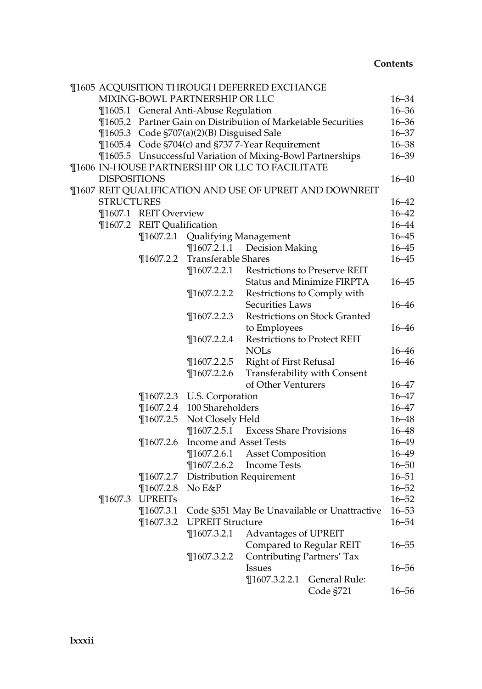| <b>¶1605 ACQUISITION THROUGH DEFERRED EXCHANGE</b> |                            |                                           |                                                               |                                                         |           |  |
|----------------------------------------------------|----------------------------|-------------------------------------------|---------------------------------------------------------------|---------------------------------------------------------|-----------|--|
|                                                    |                            | MIXING-BOWL PARTNERSHIP OR LLC            |                                                               |                                                         | $16 - 34$ |  |
|                                                    |                            | ¶1605.1 General Anti-Abuse Regulation     |                                                               |                                                         | $16 - 36$ |  |
|                                                    |                            |                                           | ¶1605.2 Partner Gain on Distribution of Marketable Securities |                                                         | $16 - 36$ |  |
|                                                    |                            | ¶1605.3 Code §707(a)(2)(B) Disguised Sale |                                                               |                                                         | $16 - 37$ |  |
|                                                    |                            |                                           | ¶1605.4 Code §704(c) and §737 7-Year Requirement              |                                                         | $16 - 38$ |  |
|                                                    |                            |                                           | ¶1605.5 Unsuccessful Variation of Mixing-Bowl Partnerships    |                                                         | $16 - 39$ |  |
|                                                    |                            |                                           | ¶1606 IN-HOUSE PARTNERSHIP OR LLC TO FACILITATE               |                                                         |           |  |
| <b>DISPOSITIONS</b>                                |                            |                                           |                                                               |                                                         | $16 - 40$ |  |
|                                                    |                            |                                           |                                                               | ¶1607 REIT QUALIFICATION AND USE OF UPREIT AND DOWNREIT |           |  |
| <b>STRUCTURES</b>                                  |                            |                                           |                                                               |                                                         | $16 - 42$ |  |
|                                                    | ¶1607.1 REIT Overview      |                                           |                                                               |                                                         | $16 - 42$ |  |
|                                                    | ¶1607.2 REIT Qualification |                                           |                                                               |                                                         | $16 - 44$ |  |
|                                                    |                            | ¶1607.2.1 Qualifying Management           |                                                               |                                                         | $16 - 45$ |  |
|                                                    |                            |                                           | ¶1607.2.1.1 Decision Making                                   |                                                         | $16 - 45$ |  |
|                                                    |                            | ¶1607.2.2 Transferable Shares             |                                                               |                                                         | $16 - 45$ |  |
|                                                    |                            | $\P$ 1607.2.2.1                           |                                                               | Restrictions to Preserve REIT                           |           |  |
|                                                    |                            |                                           |                                                               | Status and Minimize FIRPTA                              | $16 - 45$ |  |
|                                                    |                            | $\P$ 1607.2.2.2                           |                                                               | Restrictions to Comply with                             |           |  |
|                                                    |                            |                                           | Securities Laws                                               |                                                         | $16 - 46$ |  |
|                                                    |                            | $\P$ 1607.2.2.3                           |                                                               | Restrictions on Stock Granted                           |           |  |
|                                                    |                            |                                           | to Employees                                                  |                                                         | $16 - 46$ |  |
|                                                    |                            | $\P$ 1607.2.2.4                           |                                                               | Restrictions to Protect REIT                            |           |  |
|                                                    |                            |                                           | <b>NOLs</b>                                                   |                                                         | $16 - 46$ |  |
|                                                    |                            | $\P$ 1607.2.2.5                           | <b>Right of First Refusal</b>                                 |                                                         | $16 - 46$ |  |
|                                                    |                            | $\P$ 1607.2.2.6                           |                                                               | Transferability with Consent                            |           |  |
|                                                    |                            |                                           | of Other Venturers                                            |                                                         | $16 - 47$ |  |
|                                                    |                            | ¶1607.2.3 U.S. Corporation                |                                                               |                                                         | $16 - 47$ |  |
|                                                    | $\P$ 1607.2.4              | 100 Shareholders                          |                                                               |                                                         | 16–47     |  |
|                                                    | $\P$ 1607.2.5              | Not Closely Held                          |                                                               |                                                         | $16 - 48$ |  |
|                                                    |                            | $\P$ 1607.2.5.1                           | <b>Excess Share Provisions</b>                                |                                                         | $16 - 48$ |  |
|                                                    | $\P$ 1607.2.6              | Income and Asset Tests                    |                                                               |                                                         | $16 - 49$ |  |
|                                                    |                            | $\P$ 1607.2.6.1                           | <b>Asset Composition</b>                                      |                                                         | $16 - 49$ |  |
|                                                    |                            | $\P$ 1607.2.6.2                           | <b>Income Tests</b>                                           |                                                         | $16 - 50$ |  |
|                                                    |                            | ¶1607.2.7 Distribution Requirement        |                                                               |                                                         | $16 - 51$ |  |
|                                                    | $\P$ 1607.2.8              | No E&P                                    |                                                               |                                                         | $16 - 52$ |  |
| $\P$ 1607.3                                        | <b>UPREITs</b>             |                                           |                                                               |                                                         | $16 - 52$ |  |
|                                                    |                            |                                           |                                                               | ¶1607.3.1 Code §351 May Be Unavailable or Unattractive  | $16 - 53$ |  |
|                                                    |                            | ¶1607.3.2 UPREIT Structure                |                                                               |                                                         | $16 - 54$ |  |
|                                                    |                            | $\P$ 1607.3.2.1                           | <b>Advantages of UPREIT</b>                                   |                                                         |           |  |
|                                                    |                            |                                           | Compared to Regular REIT                                      |                                                         | $16 - 55$ |  |
|                                                    |                            | $\P$ 1607.3.2.2                           | <b>Contributing Partners' Tax</b>                             |                                                         |           |  |
|                                                    |                            |                                           | Issues                                                        |                                                         | $16 - 56$ |  |
|                                                    |                            |                                           | $\P$ 1607.3.2.2.1                                             | General Rule:                                           |           |  |
|                                                    |                            |                                           |                                                               | Code §721                                               | 16–56     |  |
|                                                    |                            |                                           |                                                               |                                                         |           |  |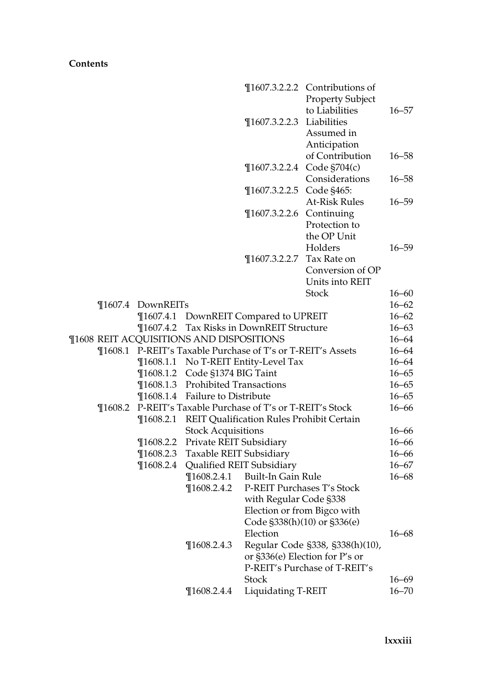|             |                                |                                                                     |                                                             | $\P$ 1607.3.2.2.2 Contributions of<br>Property Subject          |                        |
|-------------|--------------------------------|---------------------------------------------------------------------|-------------------------------------------------------------|-----------------------------------------------------------------|------------------------|
|             |                                |                                                                     |                                                             | to Liabilities                                                  | $16 - 57$              |
|             |                                |                                                                     | ¶1607.3.2.2.3 Liabilities                                   |                                                                 |                        |
|             |                                |                                                                     |                                                             | Assumed in                                                      |                        |
|             |                                |                                                                     |                                                             |                                                                 |                        |
|             |                                |                                                                     |                                                             | Anticipation                                                    |                        |
|             |                                |                                                                     |                                                             | of Contribution                                                 | $16 - 58$              |
|             |                                |                                                                     |                                                             | ¶1607.3.2.2.4 Code §704(c)                                      |                        |
|             |                                |                                                                     | ¶1607.3.2.2.5                                               | Considerations<br>Code §465:                                    | $16 - 58$              |
|             |                                |                                                                     |                                                             | <b>At-Risk Rules</b>                                            | $16 - 59$              |
|             |                                |                                                                     |                                                             |                                                                 |                        |
|             |                                |                                                                     | ¶1607.3.2.2.6 Continuing                                    |                                                                 |                        |
|             |                                |                                                                     |                                                             | Protection to                                                   |                        |
|             |                                |                                                                     |                                                             | the OP Unit                                                     |                        |
|             |                                |                                                                     |                                                             | Holders                                                         | $16 - 59$              |
|             |                                |                                                                     | ¶1607.3.2.2.7 Tax Rate on                                   |                                                                 |                        |
|             |                                |                                                                     |                                                             | Conversion of OP                                                |                        |
|             |                                |                                                                     |                                                             | Units into REIT<br><b>Stock</b>                                 |                        |
|             |                                |                                                                     |                                                             |                                                                 | $16 - 60$              |
|             | ¶1607.4 DownREITs              |                                                                     |                                                             |                                                                 | $16 - 62$              |
|             | $\P$ 1607.4.1                  |                                                                     | DownREIT Compared to UPREIT                                 |                                                                 | $16 - 62$<br>$16 - 63$ |
|             |                                | ¶1608 REIT ACQUISITIONS AND DISPOSITIONS                            | ¶1607.4.2 Tax Risks in DownREIT Structure                   |                                                                 | $16 - 64$              |
|             |                                |                                                                     | ¶1608.1 P-REIT's Taxable Purchase of T's or T-REIT's Assets |                                                                 | $16 - 64$              |
|             |                                |                                                                     |                                                             |                                                                 | $16 - 64$              |
|             |                                |                                                                     | ¶1608.1.1 No T-REIT Entity-Level Tax                        |                                                                 | $16 - 65$              |
|             |                                | ¶1608.1.2 Code §1374 BIG Taint<br>¶1608.1.3 Prohibited Transactions |                                                             |                                                                 | $16 - 65$              |
|             |                                | ¶1608.1.4 Failure to Distribute                                     |                                                             |                                                                 | $16 - 65$              |
|             |                                |                                                                     | P-REIT's Taxable Purchase of T's or T-REIT's Stock          |                                                                 | $16 - 66$              |
| $\P$ 1608.2 | $\P$ 1608.2.1                  |                                                                     |                                                             |                                                                 |                        |
|             |                                |                                                                     | REIT Qualification Rules Prohibit Certain                   |                                                                 | $16 - 66$              |
|             |                                | <b>Stock Acquisitions</b>                                           |                                                             |                                                                 | $16 - 66$              |
|             | $\P$ 1608.2.2<br>$\P$ 1608.2.3 | Private REIT Subsidiary                                             |                                                             |                                                                 | $16 - 66$              |
|             | $\P 1608.2.4$                  | Taxable REIT Subsidiary                                             |                                                             |                                                                 | $16 - 67$              |
|             |                                |                                                                     | Qualified REIT Subsidiary<br>Built-In Gain Rule             |                                                                 | $16 - 68$              |
|             |                                | $\P 1608.2.4.1$<br>$\P$ 1608.2.4.2                                  | P-REIT Purchases T's Stock                                  |                                                                 |                        |
|             |                                |                                                                     |                                                             |                                                                 |                        |
|             |                                |                                                                     | with Regular Code §338                                      |                                                                 |                        |
|             |                                |                                                                     | Code §338(h)(10) or §336(e)                                 | Election or from Bigco with                                     |                        |
|             |                                |                                                                     | Election                                                    |                                                                 | $16 - 68$              |
|             |                                |                                                                     |                                                             |                                                                 |                        |
|             |                                | $\P$ 1608.2.4.3                                                     |                                                             | Regular Code §338, §338(h)(10),                                 |                        |
|             |                                |                                                                     |                                                             | or §336(e) Election for P's or<br>P-REIT's Purchase of T-REIT's |                        |
|             |                                |                                                                     | Stock                                                       |                                                                 |                        |
|             |                                |                                                                     |                                                             |                                                                 | $16 - 69$              |
|             |                                | $\P$ 1608.2.4.4                                                     | Liquidating T-REIT                                          |                                                                 | $16 - 70$              |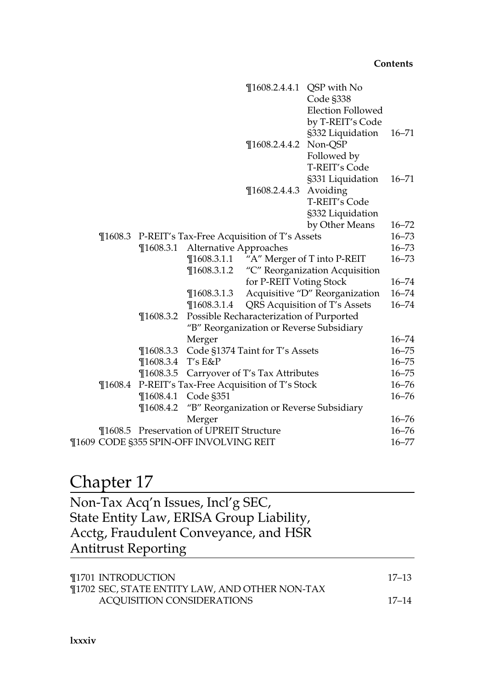|             |               |                                         | $\P$ 1608.2.4.4.1                           | QSP with No                             |           |
|-------------|---------------|-----------------------------------------|---------------------------------------------|-----------------------------------------|-----------|
|             |               |                                         |                                             | Code §338                               |           |
|             |               |                                         |                                             | <b>Election Followed</b>                |           |
|             |               |                                         |                                             | by T-REIT's Code                        |           |
|             |               |                                         |                                             | §332 Liquidation                        | $16 - 71$ |
|             |               |                                         | $\P$ 1608.2.4.4.2                           | Non-QSP                                 |           |
|             |               |                                         |                                             | Followed by                             |           |
|             |               |                                         |                                             | <b>T-REIT's Code</b>                    |           |
|             |               |                                         |                                             | §331 Liquidation                        | $16 - 71$ |
|             |               |                                         | $\P$ 1608.2.4.4.3                           | Avoiding                                |           |
|             |               |                                         |                                             | T-REIT's Code                           |           |
|             |               |                                         |                                             | §332 Liquidation                        |           |
|             |               |                                         |                                             | by Other Means                          | $16 - 72$ |
| $\P 1608.3$ |               |                                         | P-REIT's Tax-Free Acquisition of T's Assets |                                         | $16 - 73$ |
|             | $\P$ 1608.3.1 | Alternative Approaches                  |                                             |                                         | $16 - 73$ |
|             |               |                                         |                                             | ¶1608.3.1.1 "A" Merger of T into P-REIT | $16 - 73$ |
|             |               | $\P$ 1608.3.1.2                         |                                             | "C" Reorganization Acquisition          |           |
|             |               |                                         | for P-REIT Voting Stock                     |                                         | $16 - 74$ |
|             |               | $\P$ 1608.3.1.3                         |                                             | Acquisitive "D" Reorganization          | $16 - 74$ |
|             |               | $\P$ 1608.3.1.4                         |                                             | QRS Acquisition of T's Assets           | $16 - 74$ |
|             | $\P$ 1608.3.2 |                                         | Possible Recharacterization of Purported    |                                         |           |
|             |               |                                         | "B" Reorganization or Reverse Subsidiary    |                                         |           |
|             |               | Merger                                  |                                             |                                         | $16 - 74$ |
|             | $\P$ 1608.3.3 |                                         | Code §1374 Taint for T's Assets             |                                         | $16 - 75$ |
|             | $\P$ 1608.3.4 | $T's E\&P$                              |                                             |                                         | $16 - 75$ |
|             | $\P$ 1608.3.5 |                                         | Carryover of T's Tax Attributes             |                                         | $16 - 75$ |
| $\P 1608.4$ |               |                                         | P-REIT's Tax-Free Acquisition of T's Stock  |                                         | $16 - 76$ |
|             | $\P$ 1608.4.1 | Code §351                               |                                             |                                         | $16 - 76$ |
|             | $\P$ 1608.4.2 |                                         | "B" Reorganization or Reverse Subsidiary    |                                         |           |
|             |               | Merger                                  |                                             |                                         | $16 - 76$ |
| ¶1608.5     |               | Preservation of UPREIT Structure        |                                             |                                         | $16 - 76$ |
|             |               | ¶1609 CODE §355 SPIN-OFF INVOLVING REIT |                                             |                                         | $16 - 77$ |
|             |               |                                         |                                             |                                         |           |

## Chapter 17

| Non-Tax Acq'n Issues, Incl'g SEC,        |  |
|------------------------------------------|--|
| State Entity Law, ERISA Group Liability, |  |
| Acctg, Fraudulent Conveyance, and HSR    |  |
| <b>Antitrust Reporting</b>               |  |

| ¶1701 INTRODUCTION                             | -17–13 |
|------------------------------------------------|--------|
| ¶1702 SEC, STATE ENTITY LAW, AND OTHER NON-TAX |        |
| ACOUISITION CONSIDERATIONS                     | 17–14  |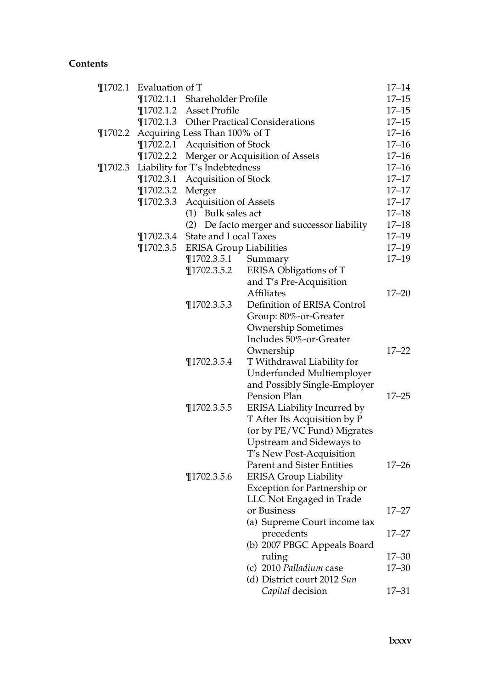|              | ¶1702.1 Evaluation of T       |                                   |                                                           |           |  |  |
|--------------|-------------------------------|-----------------------------------|-----------------------------------------------------------|-----------|--|--|
|              |                               | ¶1702.1.1 Shareholder Profile     |                                                           | $17 - 15$ |  |  |
|              |                               | ¶1702.1.2 Asset Profile           |                                                           | $17 - 15$ |  |  |
|              |                               |                                   | ¶1702.1.3 Other Practical Considerations                  | $17 - 15$ |  |  |
| $\P{1702.2}$ | Acquiring Less Than 100% of T |                                   |                                                           |           |  |  |
|              |                               | ¶1702.2.1 Acquisition of Stock    |                                                           | $17 - 16$ |  |  |
|              | $\P$ 1702.2.2                 |                                   | Merger or Acquisition of Assets                           | $17 - 16$ |  |  |
| $\P$ 1702.3  |                               | Liability for T's Indebtedness    |                                                           | $17 - 16$ |  |  |
|              | $\P$ 1702.3.1                 | <b>Acquisition of Stock</b>       |                                                           | $17 - 17$ |  |  |
|              | $\P$ 1702.3.2                 | Merger                            |                                                           | $17 - 17$ |  |  |
|              | $\P$ 1702.3.3                 | <b>Acquisition of Assets</b>      |                                                           | $17 - 17$ |  |  |
|              |                               | (1) Bulk sales act                |                                                           | $17 - 18$ |  |  |
|              |                               |                                   | (2) De facto merger and successor liability               | $17 - 18$ |  |  |
|              | $\P{1702.3.4}$                | <b>State and Local Taxes</b>      |                                                           | $17 - 19$ |  |  |
|              |                               | ¶1702.3.5 ERISA Group Liabilities |                                                           | $17 - 19$ |  |  |
|              |                               | $\P$ 1702.3.5.1                   | Summary                                                   | $17 - 19$ |  |  |
|              |                               | $\P$ 1702.3.5.2                   | ERISA Obligations of T                                    |           |  |  |
|              |                               |                                   | and T's Pre-Acquisition                                   |           |  |  |
|              |                               |                                   | <b>Affiliates</b>                                         | $17 - 20$ |  |  |
|              |                               | $\P$ 1702.3.5.3                   | Definition of ERISA Control                               |           |  |  |
|              |                               |                                   | Group: 80%-or-Greater                                     |           |  |  |
|              |                               |                                   | <b>Ownership Sometimes</b>                                |           |  |  |
|              |                               |                                   | Includes 50%-or-Greater                                   |           |  |  |
|              |                               |                                   | Ownership                                                 | $17 - 22$ |  |  |
|              |                               | $\P$ 1702.3.5.4                   | T Withdrawal Liability for                                |           |  |  |
|              |                               |                                   | Underfunded Multiemployer<br>and Possibly Single-Employer |           |  |  |
|              |                               |                                   | Pension Plan                                              | $17 - 25$ |  |  |
|              |                               | $\P$ 1702.3.5.5                   | ERISA Liability Incurred by                               |           |  |  |
|              |                               |                                   | T After Its Acquisition by P                              |           |  |  |
|              |                               |                                   | (or by PE/VC Fund) Migrates                               |           |  |  |
|              |                               |                                   | Upstream and Sideways to                                  |           |  |  |
|              |                               |                                   | T's New Post-Acquisition                                  |           |  |  |
|              |                               |                                   | Parent and Sister Entities                                | $17 - 26$ |  |  |
|              |                               | $\P$ 1702.3.5.6                   | <b>ERISA Group Liability</b>                              |           |  |  |
|              |                               |                                   | Exception for Partnership or                              |           |  |  |
|              |                               |                                   | LLC Not Engaged in Trade                                  |           |  |  |
|              |                               |                                   | or Business                                               | 17–27     |  |  |
|              |                               |                                   | (a) Supreme Court income tax                              |           |  |  |
|              |                               |                                   | precedents                                                | 17–27     |  |  |
|              |                               |                                   | (b) 2007 PBGC Appeals Board                               |           |  |  |
|              |                               |                                   | ruling                                                    | $17 - 30$ |  |  |
|              |                               |                                   | (c) 2010 Palladium case                                   | 17–30     |  |  |
|              |                               |                                   | (d) District court 2012 Sun                               |           |  |  |
|              |                               |                                   | Capital decision                                          | 17–31     |  |  |
|              |                               |                                   |                                                           |           |  |  |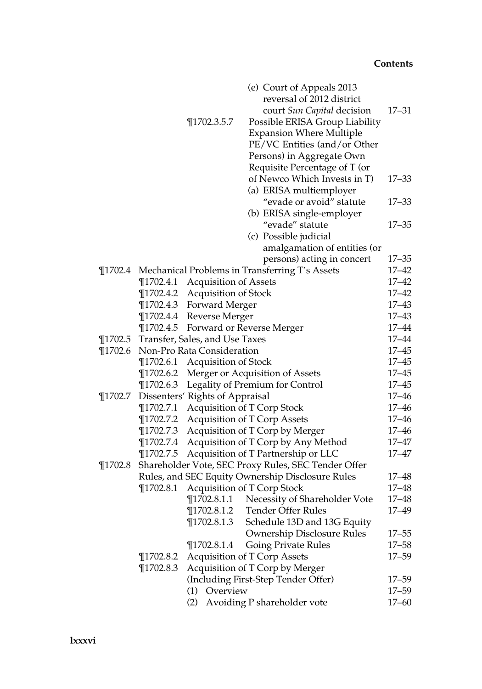|             |               |                                 | (e) Court of Appeals 2013                              |           |
|-------------|---------------|---------------------------------|--------------------------------------------------------|-----------|
|             |               |                                 | reversal of 2012 district                              |           |
|             |               |                                 | court Sun Capital decision                             | 17–31     |
|             |               | $\P$ 1702.3.5.7                 | Possible ERISA Group Liability                         |           |
|             |               |                                 | <b>Expansion Where Multiple</b>                        |           |
|             |               |                                 | PE/VC Entities (and/or Other                           |           |
|             |               |                                 | Persons) in Aggregate Own                              |           |
|             |               |                                 | Requisite Percentage of T (or                          |           |
|             |               |                                 | of Newco Which Invests in T)                           | $17 - 33$ |
|             |               |                                 | (a) ERISA multiemployer                                |           |
|             |               |                                 | "evade or avoid" statute                               | $17 - 33$ |
|             |               |                                 | (b) ERISA single-employer                              |           |
|             |               |                                 | "evade" statute                                        | $17 - 35$ |
|             |               |                                 | (c) Possible judicial                                  |           |
|             |               |                                 | amalgamation of entities (or                           |           |
|             |               |                                 | persons) acting in concert                             | $17 - 35$ |
|             |               |                                 | ¶1702.4 Mechanical Problems in Transferring T's Assets | $17 - 42$ |
|             |               | ¶1702.4.1 Acquisition of Assets |                                                        | $17 - 42$ |
|             |               | ¶1702.4.2 Acquisition of Stock  |                                                        | $17 - 42$ |
|             |               | ¶1702.4.3 Forward Merger        |                                                        | $17 - 43$ |
|             |               | ¶1702.4.4 Reverse Merger        |                                                        | $17 - 43$ |
|             |               |                                 | ¶1702.4.5 Forward or Reverse Merger                    | $17 - 44$ |
| $\P$ 1702.5 |               | Transfer, Sales, and Use Taxes  |                                                        | $17 - 44$ |
| $\P$ 1702.6 |               | Non-Pro Rata Consideration      |                                                        | $17 - 45$ |
|             |               | ¶1702.6.1 Acquisition of Stock  |                                                        | $17 - 45$ |
|             | $\P$ 1702.6.2 |                                 | Merger or Acquisition of Assets                        | $17 - 45$ |
|             |               |                                 | ¶1702.6.3 Legality of Premium for Control              | $17 - 45$ |
| $\P$ 1702.7 |               | Dissenters' Rights of Appraisal |                                                        | $17 - 46$ |
|             | $\P$ 1702.7.1 |                                 | Acquisition of T Corp Stock                            | $17 - 46$ |
|             | $\P$ 1702.7.2 |                                 | <b>Acquisition of T Corp Assets</b>                    | $17 - 46$ |
|             | $\P$ 1702.7.3 |                                 | Acquisition of T Corp by Merger                        | $17 - 46$ |
|             | $\P$ 1702.7.4 |                                 | Acquisition of T Corp by Any Method                    | $17 - 47$ |
|             | $\P$ 1702.7.5 |                                 | Acquisition of T Partnership or LLC                    | 17–47     |
| $\P$ 1702.8 |               |                                 | Shareholder Vote, SEC Proxy Rules, SEC Tender Offer    |           |
|             |               |                                 | Rules, and SEC Equity Ownership Disclosure Rules       | 17–48     |
|             | $\P$ 1702.8.1 |                                 | Acquisition of T Corp Stock                            | 17–48     |
|             |               |                                 | ¶1702.8.1.1 Necessity of Shareholder Vote              | $17 - 48$ |
|             |               |                                 | ¶1702.8.1.2 Tender Offer Rules                         | 17-49     |
|             |               | $\P$ 1702.8.1.3                 | Schedule 13D and 13G Equity                            |           |
|             |               |                                 | Ownership Disclosure Rules                             | $17 - 55$ |
|             |               | $\P$ 1702.8.1.4                 | <b>Going Private Rules</b>                             | $17 - 58$ |
|             | $\P$ 1702.8.2 |                                 | Acquisition of T Corp Assets                           | $17 - 59$ |
|             | $\P$ 1702.8.3 |                                 | Acquisition of T Corp by Merger                        |           |
|             |               |                                 | (Including First-Step Tender Offer)                    | 17–59     |
|             |               | (1) Overview                    |                                                        | $17 - 59$ |
|             |               | (2)                             | Avoiding P shareholder vote                            | $17 - 60$ |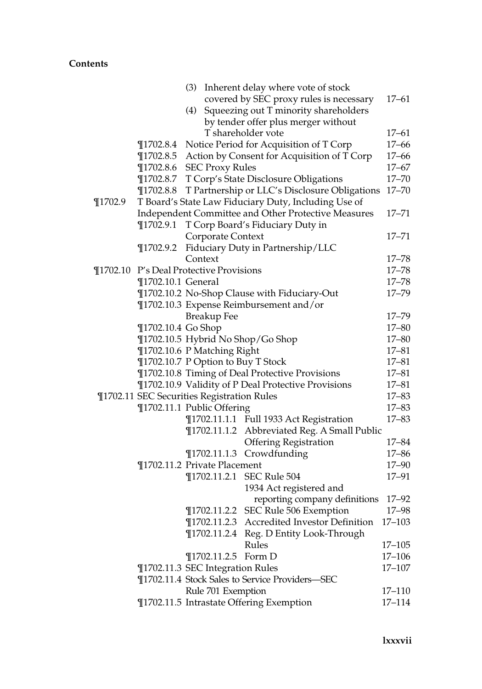|             |                    |                                            | (3) Inherent delay where vote of stock               |            |
|-------------|--------------------|--------------------------------------------|------------------------------------------------------|------------|
|             |                    |                                            | covered by SEC proxy rules is necessary              | $17 - 61$  |
|             |                    | (4)                                        | Squeezing out T minority shareholders                |            |
|             |                    |                                            | by tender offer plus merger without                  |            |
|             |                    |                                            | T shareholder vote                                   | $17 - 61$  |
|             | $\P$ 1702.8.4      |                                            | Notice Period for Acquisition of T Corp              | $17 - 66$  |
|             | $\P$ 1702.8.5      |                                            | Action by Consent for Acquisition of T Corp          | $17 - 66$  |
|             | $\P$ 1702.8.6      | <b>SEC Proxy Rules</b>                     |                                                      | $17 - 67$  |
|             | $\P$ 1702.8.7      |                                            | T Corp's State Disclosure Obligations                | $17 - 70$  |
|             | $\P$ 1702.8.8      |                                            | T Partnership or LLC's Disclosure Obligations        | $17 - 70$  |
| $\P$ 1702.9 |                    |                                            | T Board's State Law Fiduciary Duty, Including Use of |            |
|             |                    |                                            | Independent Committee and Other Protective Measures  | $17 - 71$  |
|             | $\P$ 1702.9.1      |                                            | T Corp Board's Fiduciary Duty in                     |            |
|             |                    | Corporate Context                          |                                                      | $17 - 71$  |
|             | $\P$ 1702.9.2      |                                            | Fiduciary Duty in Partnership/LLC                    |            |
|             |                    | Context                                    |                                                      | $17 - 78$  |
|             |                    | ¶1702.10 P's Deal Protective Provisions    |                                                      | $17 - 78$  |
|             | ¶1702.10.1 General |                                            |                                                      | $17 - 78$  |
|             |                    |                                            | ¶1702.10.2 No-Shop Clause with Fiduciary-Out         | $17 - 79$  |
|             |                    |                                            | ¶1702.10.3 Expense Reimbursement and/or              |            |
|             |                    | <b>Breakup Fee</b>                         |                                                      | $17 - 79$  |
|             | ¶1702.10.4 Go Shop |                                            |                                                      | $17 - 80$  |
|             |                    | ¶1702.10.5 Hybrid No Shop/Go Shop          |                                                      | $17 - 80$  |
|             |                    | ¶1702.10.6 P Matching Right                |                                                      | $17 - 81$  |
|             |                    | ¶1702.10.7 P Option to Buy T Stock         |                                                      | $17 - 81$  |
|             |                    |                                            | ¶1702.10.8 Timing of Deal Protective Provisions      | $17 - 81$  |
|             |                    |                                            | ¶1702.10.9 Validity of P Deal Protective Provisions  | $17 - 81$  |
|             |                    | ¶1702.11 SEC Securities Registration Rules |                                                      | $17 - 83$  |
|             |                    | ¶1702.11.1 Public Offering                 |                                                      | $17 - 83$  |
|             |                    |                                            | ¶1702.11.1.1 Full 1933 Act Registration              | $17 - 83$  |
|             |                    |                                            | ¶1702.11.1.2 Abbreviated Reg. A Small Public         |            |
|             |                    |                                            | <b>Offering Registration</b>                         | $17 - 84$  |
|             |                    |                                            | ¶1702.11.1.3 Crowdfunding                            | $17 - 86$  |
|             |                    | ¶1702.11.2 Private Placement               |                                                      | 17-90      |
|             |                    |                                            | ¶1702.11.2.1 SEC Rule 504                            | 17-91      |
|             |                    |                                            | 1934 Act registered and                              |            |
|             |                    |                                            | reporting company definitions                        | $17 - 92$  |
|             |                    |                                            | ¶1702.11.2.2 SEC Rule 506 Exemption                  | 17-98      |
|             |                    |                                            | ¶1702.11.2.3 Accredited Investor Definition          | 17–103     |
|             |                    | $\P$ 1702.11.2.4                           | Reg. D Entity Look-Through                           |            |
|             |                    |                                            | Rules                                                | 17-105     |
|             |                    | $\P$ 1702.11.2.5                           | Form D                                               | $17 - 106$ |
|             |                    | ¶1702.11.3 SEC Integration Rules           |                                                      | $17 - 107$ |
|             |                    |                                            | ¶1702.11.4 Stock Sales to Service Providers-SEC      |            |
|             |                    | Rule 701 Exemption                         |                                                      | 17-110     |
|             |                    |                                            | ¶1702.11.5 Intrastate Offering Exemption             | $17 - 114$ |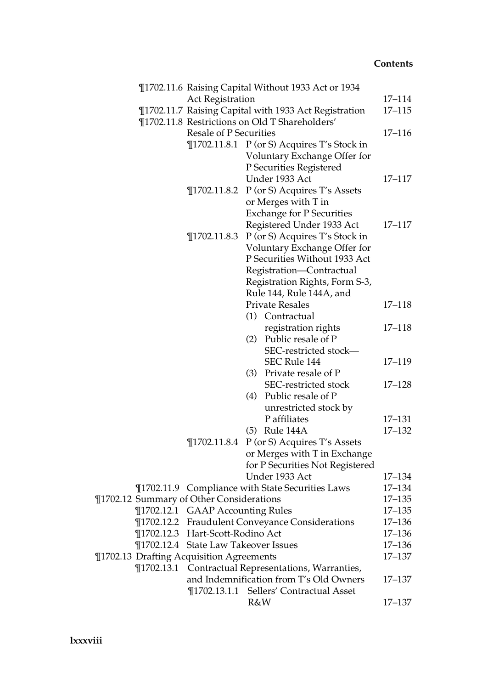|  | ¶1702.11.6 Raising Capital Without 1933 Act or 1934 |     |                                                         |            |
|--|-----------------------------------------------------|-----|---------------------------------------------------------|------------|
|  | <b>Act Registration</b>                             |     |                                                         | 17–114     |
|  |                                                     |     | ¶1702.11.7 Raising Capital with 1933 Act Registration   | $17 - 115$ |
|  |                                                     |     | ¶1702.11.8 Restrictions on Old T Shareholders'          |            |
|  | <b>Resale of P Securities</b>                       |     |                                                         | 17–116     |
|  |                                                     |     | ¶1702.11.8.1 P (or S) Acquires T's Stock in             |            |
|  |                                                     |     | Voluntary Exchange Offer for                            |            |
|  |                                                     |     | P Securities Registered                                 |            |
|  |                                                     |     | Under 1933 Act                                          | 17–117     |
|  | $\P$ 1702.11.8.2                                    |     | P (or S) Acquires T's Assets                            |            |
|  |                                                     |     | or Merges with T in                                     |            |
|  |                                                     |     | <b>Exchange for P Securities</b>                        |            |
|  |                                                     |     | Registered Under 1933 Act                               | 17–117     |
|  | $\P$ 1702.11.8.3                                    |     | P (or S) Acquires T's Stock in                          |            |
|  |                                                     |     | Voluntary Exchange Offer for                            |            |
|  |                                                     |     | P Securities Without 1933 Act                           |            |
|  |                                                     |     | Registration-Contractual                                |            |
|  |                                                     |     | Registration Rights, Form S-3,                          |            |
|  |                                                     |     | Rule 144, Rule 144A, and                                |            |
|  |                                                     |     | <b>Private Resales</b>                                  | $17 - 118$ |
|  |                                                     |     | (1) Contractual                                         |            |
|  |                                                     |     | registration rights                                     | $17 - 118$ |
|  |                                                     | (2) | Public resale of P                                      |            |
|  |                                                     |     | SEC-restricted stock-                                   |            |
|  |                                                     |     | SEC Rule 144                                            | 17-119     |
|  |                                                     |     | (3) Private resale of P                                 |            |
|  |                                                     |     | SEC-restricted stock                                    | $17 - 128$ |
|  |                                                     | (4) | Public resale of P                                      |            |
|  |                                                     |     | unrestricted stock by                                   |            |
|  |                                                     |     | P affiliates                                            | 17–131     |
|  |                                                     |     | (5) Rule 144A                                           | 17-132     |
|  | $\P$ 1702.11.8.4                                    |     | P (or S) Acquires T's Assets                            |            |
|  |                                                     |     | or Merges with T in Exchange                            |            |
|  |                                                     |     | for P Securities Not Registered                         |            |
|  |                                                     |     | Under 1933 Act                                          | 17–134     |
|  |                                                     |     | <b>T1702.11.9</b> Compliance with State Securities Laws | 17–134     |
|  | ¶1702.12 Summary of Other Considerations            |     |                                                         | $17 - 135$ |
|  | ¶1702.12.1 GAAP Accounting Rules                    |     |                                                         | $17 - 135$ |
|  |                                                     |     | ¶1702.12.2 Fraudulent Conveyance Considerations         | 17-136     |
|  | ¶1702.12.3 Hart-Scott-Rodino Act                    |     |                                                         | 17-136     |
|  | ¶1702.12.4 State Law Takeover Issues                |     |                                                         | $17 - 136$ |
|  | ¶1702.13 Drafting Acquisition Agreements            |     |                                                         | $17 - 137$ |
|  |                                                     |     | ¶1702.13.1 Contractual Representations, Warranties,     |            |
|  |                                                     |     | and Indemnification from T's Old Owners                 | 17–137     |
|  |                                                     |     | ¶1702.13.1.1 Sellers' Contractual Asset                 |            |
|  |                                                     | R&W |                                                         | 17–137     |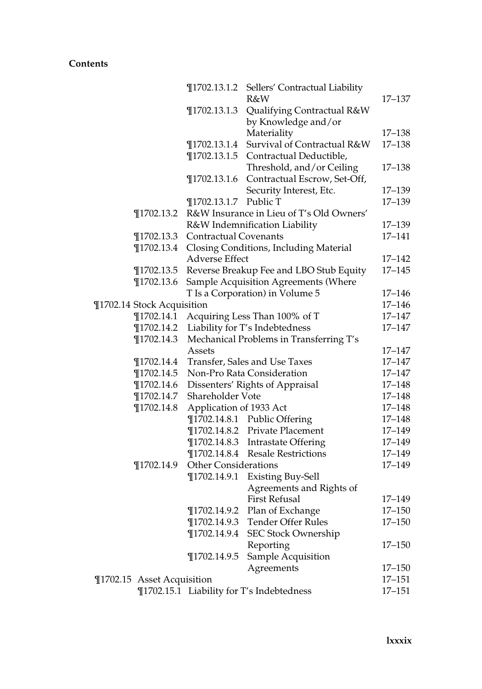|                | $\P$ 1702.13.1.2 | Sellers' Contractual Liability                                                                                                                                                   |                                                                                                                                                                                                                                                                                                                                                                                                                                                                                                                                                                                                                                                                                                                                                                                                                                                                                                                                                                                                                                                                                                                                                                                                                                  |
|----------------|------------------|----------------------------------------------------------------------------------------------------------------------------------------------------------------------------------|----------------------------------------------------------------------------------------------------------------------------------------------------------------------------------------------------------------------------------------------------------------------------------------------------------------------------------------------------------------------------------------------------------------------------------------------------------------------------------------------------------------------------------------------------------------------------------------------------------------------------------------------------------------------------------------------------------------------------------------------------------------------------------------------------------------------------------------------------------------------------------------------------------------------------------------------------------------------------------------------------------------------------------------------------------------------------------------------------------------------------------------------------------------------------------------------------------------------------------|
|                |                  | R&W                                                                                                                                                                              | $17 - 137$                                                                                                                                                                                                                                                                                                                                                                                                                                                                                                                                                                                                                                                                                                                                                                                                                                                                                                                                                                                                                                                                                                                                                                                                                       |
|                | $\P$ 1702.13.1.3 |                                                                                                                                                                                  |                                                                                                                                                                                                                                                                                                                                                                                                                                                                                                                                                                                                                                                                                                                                                                                                                                                                                                                                                                                                                                                                                                                                                                                                                                  |
|                |                  |                                                                                                                                                                                  |                                                                                                                                                                                                                                                                                                                                                                                                                                                                                                                                                                                                                                                                                                                                                                                                                                                                                                                                                                                                                                                                                                                                                                                                                                  |
|                |                  |                                                                                                                                                                                  | 17-138                                                                                                                                                                                                                                                                                                                                                                                                                                                                                                                                                                                                                                                                                                                                                                                                                                                                                                                                                                                                                                                                                                                                                                                                                           |
|                |                  | Survival of Contractual R&W                                                                                                                                                      | $17 - 138$                                                                                                                                                                                                                                                                                                                                                                                                                                                                                                                                                                                                                                                                                                                                                                                                                                                                                                                                                                                                                                                                                                                                                                                                                       |
|                |                  |                                                                                                                                                                                  |                                                                                                                                                                                                                                                                                                                                                                                                                                                                                                                                                                                                                                                                                                                                                                                                                                                                                                                                                                                                                                                                                                                                                                                                                                  |
|                |                  |                                                                                                                                                                                  | $17 - 138$                                                                                                                                                                                                                                                                                                                                                                                                                                                                                                                                                                                                                                                                                                                                                                                                                                                                                                                                                                                                                                                                                                                                                                                                                       |
|                |                  |                                                                                                                                                                                  |                                                                                                                                                                                                                                                                                                                                                                                                                                                                                                                                                                                                                                                                                                                                                                                                                                                                                                                                                                                                                                                                                                                                                                                                                                  |
|                |                  |                                                                                                                                                                                  | 17-139                                                                                                                                                                                                                                                                                                                                                                                                                                                                                                                                                                                                                                                                                                                                                                                                                                                                                                                                                                                                                                                                                                                                                                                                                           |
|                | $\P$ 1702.13.1.7 | Public T                                                                                                                                                                         | 17-139                                                                                                                                                                                                                                                                                                                                                                                                                                                                                                                                                                                                                                                                                                                                                                                                                                                                                                                                                                                                                                                                                                                                                                                                                           |
| $\P$ 1702.13.2 |                  |                                                                                                                                                                                  |                                                                                                                                                                                                                                                                                                                                                                                                                                                                                                                                                                                                                                                                                                                                                                                                                                                                                                                                                                                                                                                                                                                                                                                                                                  |
|                |                  |                                                                                                                                                                                  | 17-139                                                                                                                                                                                                                                                                                                                                                                                                                                                                                                                                                                                                                                                                                                                                                                                                                                                                                                                                                                                                                                                                                                                                                                                                                           |
| $\P$ 1702.13.3 |                  |                                                                                                                                                                                  | 17-141                                                                                                                                                                                                                                                                                                                                                                                                                                                                                                                                                                                                                                                                                                                                                                                                                                                                                                                                                                                                                                                                                                                                                                                                                           |
| $\P$ 1702.13.4 |                  |                                                                                                                                                                                  |                                                                                                                                                                                                                                                                                                                                                                                                                                                                                                                                                                                                                                                                                                                                                                                                                                                                                                                                                                                                                                                                                                                                                                                                                                  |
|                |                  |                                                                                                                                                                                  | $17 - 142$                                                                                                                                                                                                                                                                                                                                                                                                                                                                                                                                                                                                                                                                                                                                                                                                                                                                                                                                                                                                                                                                                                                                                                                                                       |
| $\P$ 1702.13.5 |                  |                                                                                                                                                                                  | $17 - 145$                                                                                                                                                                                                                                                                                                                                                                                                                                                                                                                                                                                                                                                                                                                                                                                                                                                                                                                                                                                                                                                                                                                                                                                                                       |
| $\P$ 1702.13.6 |                  |                                                                                                                                                                                  |                                                                                                                                                                                                                                                                                                                                                                                                                                                                                                                                                                                                                                                                                                                                                                                                                                                                                                                                                                                                                                                                                                                                                                                                                                  |
|                |                  |                                                                                                                                                                                  | $17 - 146$                                                                                                                                                                                                                                                                                                                                                                                                                                                                                                                                                                                                                                                                                                                                                                                                                                                                                                                                                                                                                                                                                                                                                                                                                       |
|                |                  |                                                                                                                                                                                  | 17-146                                                                                                                                                                                                                                                                                                                                                                                                                                                                                                                                                                                                                                                                                                                                                                                                                                                                                                                                                                                                                                                                                                                                                                                                                           |
| $\P$ 1702.14.1 |                  |                                                                                                                                                                                  | 17-147                                                                                                                                                                                                                                                                                                                                                                                                                                                                                                                                                                                                                                                                                                                                                                                                                                                                                                                                                                                                                                                                                                                                                                                                                           |
| $\P$ 1702.14.2 |                  |                                                                                                                                                                                  | 17-147                                                                                                                                                                                                                                                                                                                                                                                                                                                                                                                                                                                                                                                                                                                                                                                                                                                                                                                                                                                                                                                                                                                                                                                                                           |
| $\P$ 1702.14.3 |                  |                                                                                                                                                                                  |                                                                                                                                                                                                                                                                                                                                                                                                                                                                                                                                                                                                                                                                                                                                                                                                                                                                                                                                                                                                                                                                                                                                                                                                                                  |
|                | Assets           |                                                                                                                                                                                  | $17 - 147$                                                                                                                                                                                                                                                                                                                                                                                                                                                                                                                                                                                                                                                                                                                                                                                                                                                                                                                                                                                                                                                                                                                                                                                                                       |
| $\P$ 1702.14.4 |                  |                                                                                                                                                                                  | 17-147                                                                                                                                                                                                                                                                                                                                                                                                                                                                                                                                                                                                                                                                                                                                                                                                                                                                                                                                                                                                                                                                                                                                                                                                                           |
| $\P$ 1702.14.5 |                  |                                                                                                                                                                                  | 17–147                                                                                                                                                                                                                                                                                                                                                                                                                                                                                                                                                                                                                                                                                                                                                                                                                                                                                                                                                                                                                                                                                                                                                                                                                           |
| $\P$ 1702.14.6 |                  |                                                                                                                                                                                  | 17-148                                                                                                                                                                                                                                                                                                                                                                                                                                                                                                                                                                                                                                                                                                                                                                                                                                                                                                                                                                                                                                                                                                                                                                                                                           |
| $\P$ 1702.14.7 |                  |                                                                                                                                                                                  | 17-148                                                                                                                                                                                                                                                                                                                                                                                                                                                                                                                                                                                                                                                                                                                                                                                                                                                                                                                                                                                                                                                                                                                                                                                                                           |
| $\P$ 1702.14.8 |                  |                                                                                                                                                                                  | 17-148                                                                                                                                                                                                                                                                                                                                                                                                                                                                                                                                                                                                                                                                                                                                                                                                                                                                                                                                                                                                                                                                                                                                                                                                                           |
|                |                  |                                                                                                                                                                                  | 17-148                                                                                                                                                                                                                                                                                                                                                                                                                                                                                                                                                                                                                                                                                                                                                                                                                                                                                                                                                                                                                                                                                                                                                                                                                           |
|                |                  |                                                                                                                                                                                  | 17-149                                                                                                                                                                                                                                                                                                                                                                                                                                                                                                                                                                                                                                                                                                                                                                                                                                                                                                                                                                                                                                                                                                                                                                                                                           |
|                |                  |                                                                                                                                                                                  | 17-149                                                                                                                                                                                                                                                                                                                                                                                                                                                                                                                                                                                                                                                                                                                                                                                                                                                                                                                                                                                                                                                                                                                                                                                                                           |
|                |                  |                                                                                                                                                                                  | 17-149                                                                                                                                                                                                                                                                                                                                                                                                                                                                                                                                                                                                                                                                                                                                                                                                                                                                                                                                                                                                                                                                                                                                                                                                                           |
|                |                  |                                                                                                                                                                                  | 17-149                                                                                                                                                                                                                                                                                                                                                                                                                                                                                                                                                                                                                                                                                                                                                                                                                                                                                                                                                                                                                                                                                                                                                                                                                           |
|                |                  |                                                                                                                                                                                  |                                                                                                                                                                                                                                                                                                                                                                                                                                                                                                                                                                                                                                                                                                                                                                                                                                                                                                                                                                                                                                                                                                                                                                                                                                  |
|                |                  |                                                                                                                                                                                  |                                                                                                                                                                                                                                                                                                                                                                                                                                                                                                                                                                                                                                                                                                                                                                                                                                                                                                                                                                                                                                                                                                                                                                                                                                  |
|                |                  |                                                                                                                                                                                  | 17-149                                                                                                                                                                                                                                                                                                                                                                                                                                                                                                                                                                                                                                                                                                                                                                                                                                                                                                                                                                                                                                                                                                                                                                                                                           |
|                |                  |                                                                                                                                                                                  | 17–150                                                                                                                                                                                                                                                                                                                                                                                                                                                                                                                                                                                                                                                                                                                                                                                                                                                                                                                                                                                                                                                                                                                                                                                                                           |
|                |                  |                                                                                                                                                                                  | 17-150                                                                                                                                                                                                                                                                                                                                                                                                                                                                                                                                                                                                                                                                                                                                                                                                                                                                                                                                                                                                                                                                                                                                                                                                                           |
|                |                  |                                                                                                                                                                                  |                                                                                                                                                                                                                                                                                                                                                                                                                                                                                                                                                                                                                                                                                                                                                                                                                                                                                                                                                                                                                                                                                                                                                                                                                                  |
|                |                  | Reporting                                                                                                                                                                        | 17-150                                                                                                                                                                                                                                                                                                                                                                                                                                                                                                                                                                                                                                                                                                                                                                                                                                                                                                                                                                                                                                                                                                                                                                                                                           |
|                |                  |                                                                                                                                                                                  |                                                                                                                                                                                                                                                                                                                                                                                                                                                                                                                                                                                                                                                                                                                                                                                                                                                                                                                                                                                                                                                                                                                                                                                                                                  |
|                |                  |                                                                                                                                                                                  | 17–150                                                                                                                                                                                                                                                                                                                                                                                                                                                                                                                                                                                                                                                                                                                                                                                                                                                                                                                                                                                                                                                                                                                                                                                                                           |
|                |                  |                                                                                                                                                                                  | 17–151                                                                                                                                                                                                                                                                                                                                                                                                                                                                                                                                                                                                                                                                                                                                                                                                                                                                                                                                                                                                                                                                                                                                                                                                                           |
|                |                  |                                                                                                                                                                                  | 17-151                                                                                                                                                                                                                                                                                                                                                                                                                                                                                                                                                                                                                                                                                                                                                                                                                                                                                                                                                                                                                                                                                                                                                                                                                           |
|                | ¶1702.14.9       | $\P$ 1702.13.1.4<br>$\P$ 1702.13.1.5<br>$\P$ 1702.13.1.6<br>¶1702.14 Stock Acquisition<br>$\P$ 1702.14.9.2<br>$\P$ 1702.14.9.4<br>$\P$ 1702.14.9.5<br>¶1702.15 Asset Acquisition | Qualifying Contractual R&W<br>by Knowledge and/or<br>Materiality<br>Contractual Deductible,<br>Threshold, and/or Ceiling<br>Contractual Escrow, Set-Off,<br>Security Interest, Etc.<br>R&W Insurance in Lieu of T's Old Owners'<br>R&W Indemnification Liability<br><b>Contractual Covenants</b><br>Closing Conditions, Including Material<br><b>Adverse Effect</b><br>Reverse Breakup Fee and LBO Stub Equity<br>Sample Acquisition Agreements (Where<br>T Is a Corporation) in Volume 5<br>Acquiring Less Than 100% of T<br>Liability for T's Indebtedness<br>Mechanical Problems in Transferring T's<br>Transfer, Sales and Use Taxes<br>Non-Pro Rata Consideration<br>Dissenters' Rights of Appraisal<br>Shareholder Vote<br>Application of 1933 Act<br>¶1702.14.8.1 Public Offering<br>¶1702.14.8.2 Private Placement<br>¶1702.14.8.3 Intrastate Offering<br><b>Resale Restrictions</b><br>$\P$ 1702.14.8.4<br><b>Other Considerations</b><br>$\P$ 1702.14.9.1<br><b>Existing Buy-Sell</b><br>Agreements and Rights of<br><b>First Refusal</b><br>Plan of Exchange<br>Tender Offer Rules<br>$\P$ 1702.14.9.3<br><b>SEC Stock Ownership</b><br>Sample Acquisition<br>Agreements<br>¶1702.15.1 Liability for T's Indebtedness |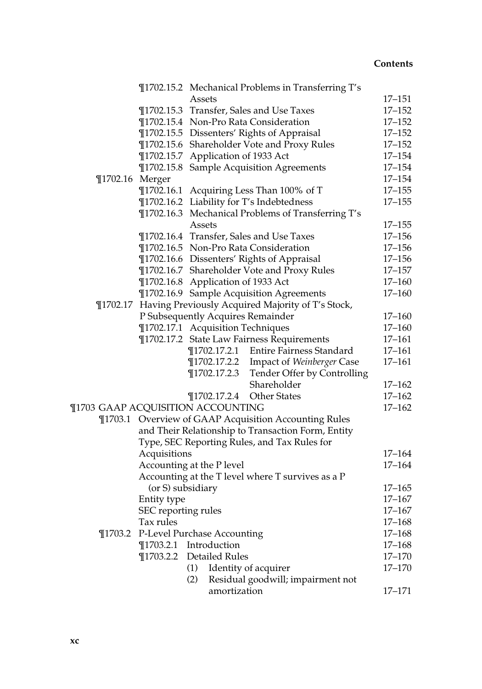|                                          |                     |                                    | ¶1702.15.2 Mechanical Problems in Transferring T's         |            |
|------------------------------------------|---------------------|------------------------------------|------------------------------------------------------------|------------|
|                                          |                     | Assets                             |                                                            | 17–151     |
|                                          |                     |                                    | ¶1702.15.3 Transfer, Sales and Use Taxes                   | $17 - 152$ |
|                                          |                     |                                    | ¶1702.15.4 Non-Pro Rata Consideration                      | $17 - 152$ |
|                                          |                     |                                    | ¶1702.15.5 Dissenters' Rights of Appraisal                 | $17 - 152$ |
|                                          |                     |                                    | ¶1702.15.6 Shareholder Vote and Proxy Rules                | $17 - 152$ |
|                                          |                     | ¶1702.15.7 Application of 1933 Act |                                                            | $17 - 154$ |
|                                          |                     |                                    | ¶1702.15.8 Sample Acquisition Agreements                   | $17 - 154$ |
| ¶1702.16 Merger                          |                     |                                    |                                                            | $17 - 154$ |
|                                          |                     |                                    | ¶1702.16.1 Acquiring Less Than 100% of T                   | $17 - 155$ |
|                                          |                     |                                    | ¶1702.16.2 Liability for T's Indebtedness                  | $17 - 155$ |
|                                          |                     |                                    | ¶1702.16.3 Mechanical Problems of Transferring T's         |            |
|                                          |                     | Assets                             |                                                            | $17 - 155$ |
|                                          |                     |                                    | ¶1702.16.4 Transfer, Sales and Use Taxes                   | $17 - 156$ |
|                                          |                     |                                    | ¶1702.16.5 Non-Pro Rata Consideration                      | $17 - 156$ |
|                                          |                     |                                    | ¶1702.16.6 Dissenters' Rights of Appraisal                 | $17 - 156$ |
|                                          |                     |                                    | ¶1702.16.7 Shareholder Vote and Proxy Rules                | $17 - 157$ |
|                                          |                     | ¶1702.16.8 Application of 1933 Act |                                                            | $17 - 160$ |
|                                          |                     |                                    | ¶1702.16.9 Sample Acquisition Agreements                   | $17 - 160$ |
|                                          |                     |                                    | ¶1702.17 Having Previously Acquired Majority of T's Stock, |            |
|                                          |                     | P Subsequently Acquires Remainder  |                                                            | $17 - 160$ |
|                                          |                     | ¶1702.17.1 Acquisition Techniques  |                                                            | $17 - 160$ |
|                                          |                     |                                    | ¶1702.17.2 State Law Fairness Requirements                 | $17 - 161$ |
|                                          |                     |                                    | ¶1702.17.2.1 Entire Fairness Standard                      | $17 - 161$ |
|                                          |                     |                                    | ¶1702.17.2.2 Impact of Weinberger Case                     | $17 - 161$ |
|                                          |                     | 1702.17.2.3                        | Tender Offer by Controlling                                |            |
|                                          |                     |                                    | Shareholder                                                | $17 - 162$ |
|                                          |                     | $\P$ 1702.17.2.4                   | Other States                                               | $17 - 162$ |
| <b>¶1703 GAAP ACQUISITION ACCOUNTING</b> |                     |                                    |                                                            | $17 - 162$ |
|                                          |                     |                                    | ¶1703.1 Overview of GAAP Acquisition Accounting Rules      |            |
|                                          |                     |                                    | and Their Relationship to Transaction Form, Entity         |            |
|                                          |                     |                                    | Type, SEC Reporting Rules, and Tax Rules for               |            |
|                                          | Acquisitions        |                                    |                                                            | $17 - 164$ |
|                                          |                     | Accounting at the P level          |                                                            | $17 - 164$ |
|                                          |                     |                                    | Accounting at the T level where T survives as a P          |            |
|                                          | (or S) subsidiary   |                                    |                                                            | $17 - 165$ |
|                                          | Entity type         |                                    |                                                            | $17 - 167$ |
|                                          | SEC reporting rules |                                    |                                                            | $17 - 167$ |
|                                          | Tax rules           |                                    |                                                            | $17 - 168$ |
| $\P$ 1703.2                              |                     | P-Level Purchase Accounting        |                                                            | $17 - 168$ |
|                                          |                     | ¶1703.2.1 Introduction             |                                                            | $17 - 168$ |
|                                          | $\P$ 1703.2.2       | <b>Detailed Rules</b>              |                                                            | $17 - 170$ |
|                                          |                     | (1)                                | Identity of acquirer                                       | $17 - 170$ |
|                                          |                     | (2)                                | Residual goodwill; impairment not                          |            |
|                                          |                     | amortization                       |                                                            | $17 - 171$ |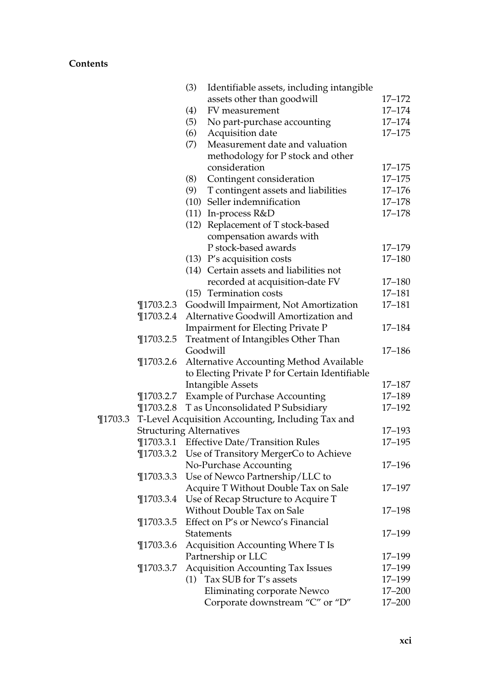|             |                                 | (3) | Identifiable assets, including intangible         |            |
|-------------|---------------------------------|-----|---------------------------------------------------|------------|
|             |                                 |     | assets other than goodwill                        | $17 - 172$ |
|             |                                 | (4) | FV measurement                                    | $17 - 174$ |
|             |                                 | (5) | No part-purchase accounting                       | $17 - 174$ |
|             |                                 | (6) | Acquisition date                                  | $17 - 175$ |
|             |                                 | (7) | Measurement date and valuation                    |            |
|             |                                 |     | methodology for P stock and other                 |            |
|             |                                 |     | consideration                                     | $17 - 175$ |
|             |                                 | (8) | Contingent consideration                          | $17 - 175$ |
|             |                                 | (9) | T contingent assets and liabilities               | $17 - 176$ |
|             |                                 |     | (10) Seller indemnification                       | $17 - 178$ |
|             |                                 |     | $(11)$ In-process $R&D$                           | $17 - 178$ |
|             |                                 |     | (12) Replacement of T stock-based                 |            |
|             |                                 |     | compensation awards with                          |            |
|             |                                 |     | P stock-based awards                              | 17-179     |
|             |                                 |     | $(13)$ P's acquisition costs                      | $17 - 180$ |
|             |                                 |     | (14) Certain assets and liabilities not           |            |
|             |                                 |     | recorded at acquisition-date FV                   | 17-180     |
|             |                                 |     | (15) Termination costs                            | 17-181     |
|             | $\P$ 1703.2.3                   |     | Goodwill Impairment, Not Amortization             | 17-181     |
|             | $\P$ 1703.2.4                   |     | Alternative Goodwill Amortization and             |            |
|             |                                 |     | <b>Impairment for Electing Private P</b>          | 17-184     |
|             | $\P$ 1703.2.5                   |     | Treatment of Intangibles Other Than               |            |
|             |                                 |     | Goodwill                                          | $17 - 186$ |
|             | $\P$ 1703.2.6                   |     | Alternative Accounting Method Available           |            |
|             |                                 |     | to Electing Private P for Certain Identifiable    |            |
|             |                                 |     | <b>Intangible Assets</b>                          | 17-187     |
|             | $\P$ 1703.2.7                   |     | <b>Example of Purchase Accounting</b>             | 17-189     |
|             | $\P$ 1703.2.8                   |     | T as Unconsolidated P Subsidiary                  | $17 - 192$ |
| $\P$ 1703.3 |                                 |     | T-Level Acquisition Accounting, Including Tax and |            |
|             | <b>Structuring Alternatives</b> |     |                                                   | 17-193     |
|             | $\P$ 1703.3.1                   |     | <b>Effective Date/Transition Rules</b>            | $17 - 195$ |
|             | $\P$ 1703.3.2                   |     | Use of Transitory MergerCo to Achieve             |            |
|             |                                 |     | No-Purchase Accounting                            | $17 - 196$ |
|             | $\P$ 1703.3.3                   |     | Use of Newco Partnership/LLC to                   |            |
|             |                                 |     | Acquire T Without Double Tax on Sale              | 17-197     |
|             | $\P$ 1703.3.4                   |     | Use of Recap Structure to Acquire T               |            |
|             |                                 |     | Without Double Tax on Sale                        | $17 - 198$ |
|             | $\P$ 1703.3.5                   |     | Effect on P's or Newco's Financial                |            |
|             |                                 |     | <b>Statements</b>                                 | 17-199     |
|             | $\P$ 1703.3.6                   |     | Acquisition Accounting Where T Is                 |            |
|             |                                 |     | Partnership or LLC                                | 17-199     |
|             | $\P$ 1703.3.7                   |     | <b>Acquisition Accounting Tax Issues</b>          | 17-199     |
|             |                                 | (1) | Tax SUB for T's assets                            | 17-199     |
|             |                                 |     | <b>Eliminating corporate Newco</b>                | 17-200     |
|             |                                 |     | Corporate downstream "C" or "D"                   | $17 - 200$ |
|             |                                 |     |                                                   |            |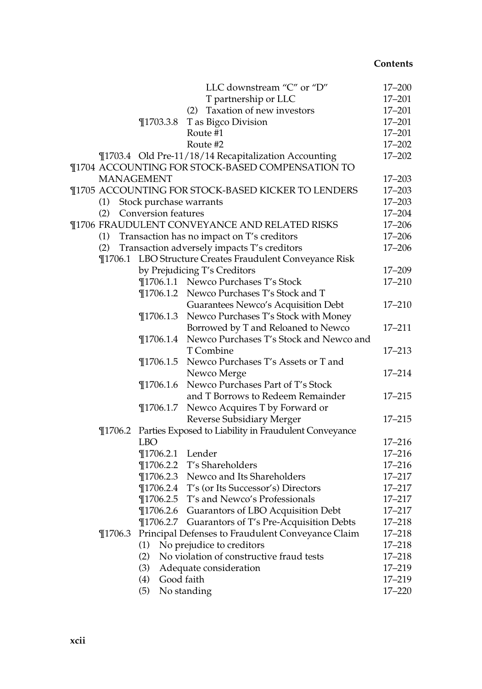|             |                         | LLC downstream "C" or "D"                                                                              | $17 - 200$               |
|-------------|-------------------------|--------------------------------------------------------------------------------------------------------|--------------------------|
|             |                         | T partnership or LLC                                                                                   | $17 - 201$               |
|             |                         | Taxation of new investors<br>(2)                                                                       | $17 - 201$               |
|             | $\P$ 1703.3.8           | T as Bigco Division                                                                                    | $17 - 201$               |
|             |                         | Route #1                                                                                               | $17 - 201$               |
|             |                         | Route #2                                                                                               | $17 - 202$               |
|             |                         | ¶1703.4 Old Pre-11/18/14 Recapitalization Accounting                                                   | $17 - 202$               |
|             |                         | ¶1704 ACCOUNTING FOR STOCK-BASED COMPENSATION TO                                                       |                          |
|             | <b>MANAGEMENT</b>       |                                                                                                        | $17 - 203$               |
|             |                         | ¶1705 ACCOUNTING FOR STOCK-BASED KICKER TO LENDERS                                                     | $17 - 203$               |
| (1)         | Stock purchase warrants |                                                                                                        | $17 - 203$               |
| (2)         | Conversion features     |                                                                                                        | $17 - 204$               |
|             |                         | ¶1706 FRAUDULENT CONVEYANCE AND RELATED RISKS                                                          | $17 - 206$               |
| (1)         |                         | Transaction has no impact on T's creditors                                                             | $17 - 206$               |
| (2)         |                         | Transaction adversely impacts T's creditors                                                            | $17 - 206$               |
|             |                         | ¶1706.1 LBO Structure Creates Fraudulent Conveyance Risk                                               |                          |
|             |                         | by Prejudicing T's Creditors                                                                           | $17 - 209$               |
|             |                         | ¶1706.1.1 Newco Purchases T's Stock                                                                    | $17 - 210$               |
|             |                         | ¶1706.1.2 Newco Purchases T's Stock and T                                                              |                          |
|             |                         | Guarantees Newco's Acquisition Debt                                                                    | $17 - 210$               |
|             | $\P$ 1706.1.3           | Newco Purchases T's Stock with Money                                                                   |                          |
|             |                         | Borrowed by T and Reloaned to Newco                                                                    | 17-211                   |
|             | $\P$ 1706.1.4           | Newco Purchases T's Stock and Newco and                                                                |                          |
|             |                         | T Combine                                                                                              | $17 - 213$               |
|             | $\P$ 1706.1.5           | Newco Purchases T's Assets or T and                                                                    |                          |
|             |                         | Newco Merge                                                                                            | 17-214                   |
|             | $\P$ 1706.1.6           | Newco Purchases Part of T's Stock                                                                      |                          |
|             |                         | and T Borrows to Redeem Remainder                                                                      | $17 - 215$               |
|             | $\P$ 1706.1.7           | Newco Acquires T by Forward or                                                                         |                          |
|             |                         | Reverse Subsidiary Merger                                                                              | $17 - 215$               |
|             |                         | ¶1706.2 Parties Exposed to Liability in Fraudulent Conveyance                                          |                          |
|             | <b>LBO</b>              |                                                                                                        | $17 - 216$               |
|             | ¶1706.2.1 Lender        |                                                                                                        | $17 - 216$               |
|             |                         | ¶1706.2.2 T's Shareholders                                                                             | $17 - 216$               |
|             |                         | ¶1706.2.3 Newco and Its Shareholders                                                                   | $17 - 217$               |
|             |                         | ¶1706.2.4 T's (or Its Successor's) Directors                                                           | $17 - 217$               |
|             |                         | ¶1706.2.5 T's and Newco's Professionals                                                                | $17 - 217$               |
|             |                         | ¶1706.2.6 Guarantors of LBO Acquisition Debt                                                           | $17 - 217$<br>$17 - 218$ |
| $\P$ 1706.3 |                         | ¶1706.2.7 Guarantors of T's Pre-Acquisition Debts<br>Principal Defenses to Fraudulent Conveyance Claim | $17 - 218$               |
|             | (1)                     | No prejudice to creditors                                                                              | $17 - 218$               |
|             | (2)                     | No violation of constructive fraud tests                                                               | $17 - 218$               |
|             | (3)                     | Adequate consideration                                                                                 | 17-219                   |
|             | Good faith<br>(4)       |                                                                                                        | 17-219                   |
|             | (5)                     | No standing                                                                                            | $17 - 220$               |
|             |                         |                                                                                                        |                          |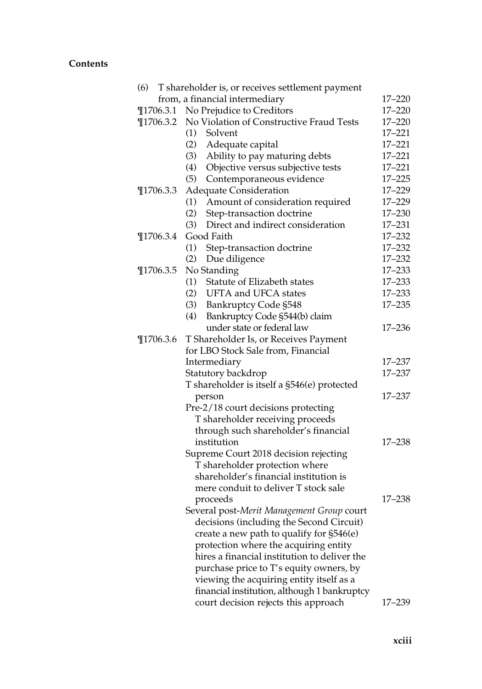| (6)           | T shareholder is, or receives settlement payment |            |
|---------------|--------------------------------------------------|------------|
|               | from, a financial intermediary                   | $17 - 220$ |
|               | ¶1706.3.1 No Prejudice to Creditors              | $17 - 220$ |
| $\P$ 1706.3.2 | No Violation of Constructive Fraud Tests         | $17 - 220$ |
|               | (1)<br>Solvent                                   | $17 - 221$ |
|               | (2)<br>Adequate capital                          | $17 - 221$ |
|               | (3)<br>Ability to pay maturing debts             | $17 - 221$ |
|               | (4)<br>Objective versus subjective tests         | $17 - 221$ |
|               | (5)<br>Contemporaneous evidence                  | $17 - 225$ |
| $\P$ 1706.3.3 | <b>Adequate Consideration</b>                    | 17-229     |
|               | (1)<br>Amount of consideration required          | 17-229     |
|               | (2)<br>Step-transaction doctrine                 | $17 - 230$ |
|               | (3)<br>Direct and indirect consideration         | $17 - 231$ |
| $\P$ 1706.3.4 | Good Faith                                       | $17 - 232$ |
|               | (1)<br>Step-transaction doctrine                 | $17 - 232$ |
|               | (2)<br>Due diligence                             | $17 - 232$ |
| $\P$ 1706.3.5 | No Standing                                      | $17 - 233$ |
|               | Statute of Elizabeth states<br>(1)               | $17 - 233$ |
|               | (2)<br>UFTA and UFCA states                      | $17 - 233$ |
|               | (3)<br><b>Bankruptcy Code §548</b>               | $17 - 235$ |
|               | (4)<br>Bankruptcy Code §544(b) claim             |            |
|               | under state or federal law                       | $17 - 236$ |
| $\P$ 1706.3.6 | T Shareholder Is, or Receives Payment            |            |
|               | for LBO Stock Sale from, Financial               |            |
|               | Intermediary                                     | $17 - 237$ |
|               | Statutory backdrop                               | $17 - 237$ |
|               | T shareholder is itself a §546(e) protected      |            |
|               | person                                           | $17 - 237$ |
|               | Pre-2/18 court decisions protecting              |            |
|               | T shareholder receiving proceeds                 |            |
|               | through such shareholder's financial             |            |
|               | institution                                      | $17 - 238$ |
|               | Supreme Court 2018 decision rejecting            |            |
|               | T shareholder protection where                   |            |
|               | shareholder's financial institution is           |            |
|               | mere conduit to deliver T stock sale             |            |
|               | proceeds                                         | $17 - 238$ |
|               | Several post-Merit Management Group court        |            |
|               | decisions (including the Second Circuit)         |            |
|               | create a new path to qualify for §546(e)         |            |
|               | protection where the acquiring entity            |            |
|               | hires a financial institution to deliver the     |            |
|               | purchase price to T's equity owners, by          |            |
|               | viewing the acquiring entity itself as a         |            |
|               | financial institution, although 1 bankruptcy     |            |
|               | court decision rejects this approach             | 17–239     |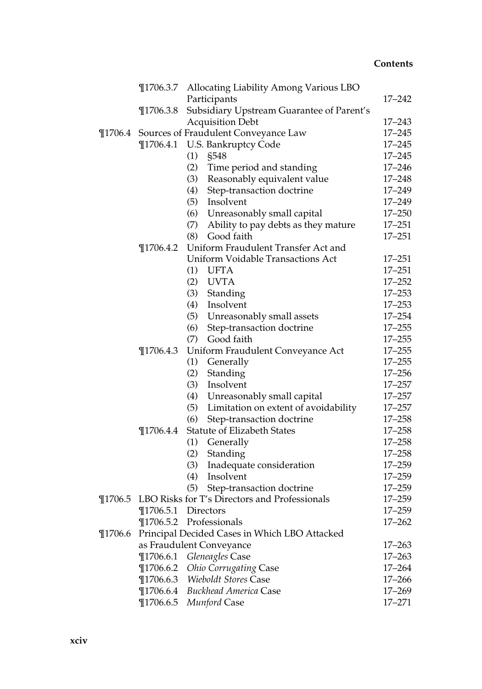|             |               | ¶1706.3.7 Allocating Liability Among Various LBO      |            |
|-------------|---------------|-------------------------------------------------------|------------|
|             |               | Participants                                          | 17-242     |
|             | $\P$ 1706.3.8 | Subsidiary Upstream Guarantee of Parent's             |            |
|             |               | <b>Acquisition Debt</b>                               | $17 - 243$ |
| $\P$ 1706.4 |               | Sources of Fraudulent Conveyance Law                  | $17 - 245$ |
|             |               | ¶1706.4.1 U.S. Bankruptcy Code                        | $17 - 245$ |
|             |               | (1)<br>§548                                           | $17 - 245$ |
|             |               | (2)<br>Time period and standing                       | $17 - 246$ |
|             |               | (3)<br>Reasonably equivalent value                    | $17 - 248$ |
|             |               | (4)<br>Step-transaction doctrine                      | 17-249     |
|             |               | (5)<br>Insolvent                                      | 17-249     |
|             |               | (6)<br>Unreasonably small capital                     | $17 - 250$ |
|             |               | (7)<br>Ability to pay debts as they mature            | $17 - 251$ |
|             |               | (8)<br>Good faith                                     | $17 - 251$ |
|             | $\P$ 1706.4.2 | Uniform Fraudulent Transfer Act and                   |            |
|             |               | <b>Uniform Voidable Transactions Act</b>              | $17 - 251$ |
|             |               | (1)<br><b>UFTA</b>                                    | $17 - 251$ |
|             |               | <b>UVTA</b><br>(2)                                    | $17 - 252$ |
|             |               | (3)<br>Standing                                       | $17 - 253$ |
|             |               | Insolvent<br>(4)                                      | $17 - 253$ |
|             |               | (5)<br>Unreasonably small assets                      | $17 - 254$ |
|             |               | (6)<br>Step-transaction doctrine                      | $17 - 255$ |
|             |               | Good faith<br>(7)                                     | $17 - 255$ |
|             | $\P$ 1706.4.3 | Uniform Fraudulent Conveyance Act                     | $17 - 255$ |
|             |               | (1)<br>Generally                                      | $17 - 255$ |
|             |               | (2)<br>Standing                                       | $17 - 256$ |
|             |               | (3)<br>Insolvent                                      | $17 - 257$ |
|             |               | (4)<br>Unreasonably small capital                     | $17 - 257$ |
|             |               | (5)<br>Limitation on extent of avoidability           | $17 - 257$ |
|             |               | (6)<br>Step-transaction doctrine                      | $17 - 258$ |
|             | $\P$ 1706.4.4 | Statute of Elizabeth States                           | $17 - 258$ |
|             |               | (1)<br>Generally                                      | $17 - 258$ |
|             |               | (2)<br>Standing                                       | $17 - 258$ |
|             |               | (3)<br>Inadequate consideration                       | $17 - 259$ |
|             |               | Insolvent<br>(4)                                      | $17 - 259$ |
|             |               | (5)<br>Step-transaction doctrine                      | $17 - 259$ |
|             |               | ¶1706.5 LBO Risks for T's Directors and Professionals | $17 - 259$ |
|             |               | $\P$ 1706.5.1 Directors                               | $17 - 259$ |
|             |               | ¶1706.5.2 Professionals                               | 17–262     |
| $\P$ 1706.6 |               | Principal Decided Cases in Which LBO Attacked         |            |
|             |               | as Fraudulent Conveyance                              | $17 - 263$ |
|             |               | ¶1706.6.1 Gleneagles Case                             | $17 - 263$ |
|             |               | ¶1706.6.2 Ohio Corrugating Case                       | $17 - 264$ |
|             |               | ¶1706.6.3 Wieboldt Stores Case                        | $17 - 266$ |
|             |               | ¶1706.6.4 Buckhead America Case                       | $17 - 269$ |
|             |               | ¶1706.6.5 Munford Case                                | $17 - 271$ |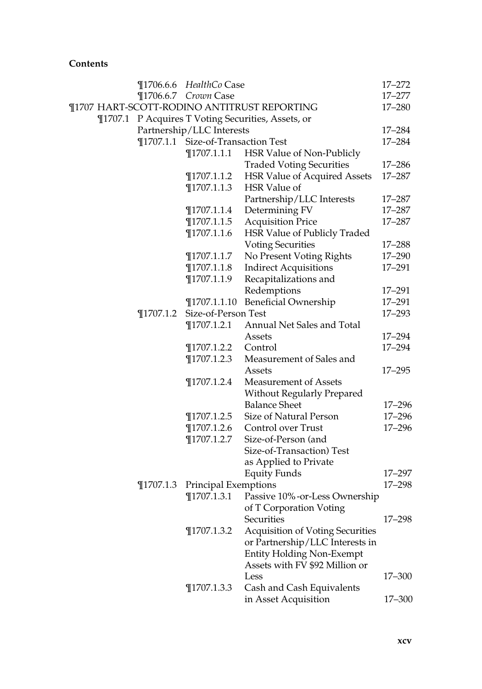|  |               | ¶1706.6.6 HealthCo Case            |                                                    | 17-272     |
|--|---------------|------------------------------------|----------------------------------------------------|------------|
|  |               | ¶1706.6.7 Crown Case               |                                                    | 17–277     |
|  |               |                                    | ¶1707 HART-SCOTT-RODINO ANTITRUST REPORTING        | 17–280     |
|  |               |                                    | ¶1707.1 P Acquires T Voting Securities, Assets, or |            |
|  |               | Partnership/LLC Interests          |                                                    | 17–284     |
|  |               | ¶1707.1.1 Size-of-Transaction Test |                                                    | 17-284     |
|  |               | $\P$ 1707.1.1.1                    | HSR Value of Non-Publicly                          |            |
|  |               |                                    | <b>Traded Voting Securities</b>                    | 17–286     |
|  |               | $\P$ 1707.1.1.2                    | <b>HSR Value of Acquired Assets</b>                | 17-287     |
|  |               | $\P$ 1707.1.1.3                    | HSR Value of                                       |            |
|  |               |                                    | Partnership/LLC Interests                          | 17–287     |
|  |               | $\P$ 1707.1.1.4                    | Determining FV                                     | 17-287     |
|  |               | $\P$ 1707.1.1.5                    | <b>Acquisition Price</b>                           | 17-287     |
|  |               | $\P$ 1707.1.1.6                    | HSR Value of Publicly Traded                       |            |
|  |               |                                    | <b>Voting Securities</b>                           | 17–288     |
|  |               | $\P$ 1707.1.1.7                    | No Present Voting Rights                           | 17-290     |
|  |               | $\P$ 1707.1.1.8                    | <b>Indirect Acquisitions</b>                       | 17-291     |
|  |               | $\P$ 1707.1.1.9                    | Recapitalizations and                              |            |
|  |               |                                    | Redemptions                                        | 17–291     |
|  |               | $\P$ 1707.1.1.10                   | <b>Beneficial Ownership</b>                        | 17-291     |
|  | $\P$ 1707.1.2 | Size-of-Person Test                |                                                    | 17-293     |
|  |               | $\P$ 1707.1.2.1                    | Annual Net Sales and Total                         |            |
|  |               |                                    | Assets                                             | 17–294     |
|  |               | $\P$ 1707.1.2.2                    | Control                                            | 17-294     |
|  |               | $\P$ 1707.1.2.3                    | Measurement of Sales and                           |            |
|  |               |                                    | Assets                                             | $17 - 295$ |
|  |               | $\P$ 1707.1.2.4                    | Measurement of Assets                              |            |
|  |               |                                    | <b>Without Regularly Prepared</b>                  |            |
|  |               |                                    | <b>Balance Sheet</b>                               | $17 - 296$ |
|  |               | $\P$ 1707.1.2.5                    | Size of Natural Person                             | $17 - 296$ |
|  |               | $\P$ 1707.1.2.6                    | Control over Trust                                 | 17-296     |
|  |               | $\P$ 1707.1.2.7                    | Size-of-Person (and                                |            |
|  |               |                                    | Size-of-Transaction) Test                          |            |
|  |               |                                    | as Applied to Private                              |            |
|  |               |                                    | <b>Equity Funds</b>                                | 17-297     |
|  | $\P$ 1707.1.3 | Principal Exemptions               |                                                    | $17 - 298$ |
|  |               | $\P$ 1707.1.3.1                    | Passive 10%-or-Less Ownership                      |            |
|  |               |                                    | of T Corporation Voting                            |            |
|  |               |                                    | Securities                                         | 17-298     |
|  |               | $\P$ 1707.1.3.2                    | <b>Acquisition of Voting Securities</b>            |            |
|  |               |                                    | or Partnership/LLC Interests in                    |            |
|  |               |                                    | <b>Entity Holding Non-Exempt</b>                   |            |
|  |               |                                    | Assets with FV \$92 Million or                     |            |
|  |               |                                    | Less                                               | 17-300     |
|  |               | $\P$ 1707.1.3.3                    | Cash and Cash Equivalents                          |            |
|  |               |                                    | in Asset Acquisition                               | 17-300     |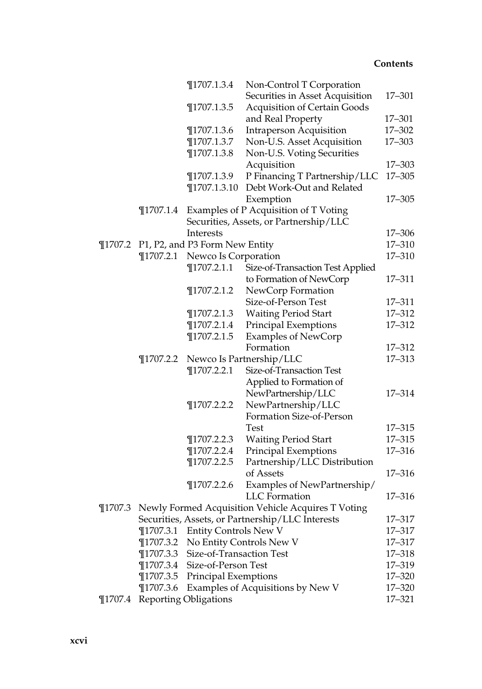|             |               | $\P$ 1707.1.3.4                | Non-Control T Corporation                                  |            |
|-------------|---------------|--------------------------------|------------------------------------------------------------|------------|
|             |               |                                | Securities in Asset Acquisition                            | 17-301     |
|             |               | $\P$ 1707.1.3.5                | <b>Acquisition of Certain Goods</b>                        |            |
|             |               |                                | and Real Property                                          | 17-301     |
|             |               | $\P$ 1707.1.3.6                | <b>Intraperson Acquisition</b>                             | 17-302     |
|             |               | $\P$ 1707.1.3.7                | Non-U.S. Asset Acquisition                                 | 17-303     |
|             |               | $\P$ 1707.1.3.8                | Non-U.S. Voting Securities                                 |            |
|             |               |                                | Acquisition                                                | 17-303     |
|             |               | ¶1707.1.3.9                    | P Financing T Partnership/LLC                              | $17 - 305$ |
|             |               | $\P$ 1707.1.3.10               | Debt Work-Out and Related                                  |            |
|             |               |                                | Exemption                                                  | 17-305     |
|             | $\P$ 1707.1.4 |                                | Examples of P Acquisition of T Voting                      |            |
|             |               |                                | Securities, Assets, or Partnership/LLC                     |            |
|             |               | Interests                      |                                                            | 17-306     |
| $\P$ 1707.2 |               | P1, P2, and P3 Form New Entity |                                                            | 17-310     |
|             | $\P$ 1707.2.1 | Newco Is Corporation           |                                                            | 17-310     |
|             |               | $\P$ 1707.2.1.1                | Size-of-Transaction Test Applied                           |            |
|             |               |                                | to Formation of NewCorp                                    | 17-311     |
|             |               | $\P$ 1707.2.1.2                | NewCorp Formation                                          |            |
|             |               |                                | Size-of-Person Test                                        | 17-311     |
|             |               | $\P$ 1707.2.1.3                | <b>Waiting Period Start</b>                                | 17-312     |
|             |               | $\P$ 1707.2.1.4                | Principal Exemptions                                       | 17-312     |
|             |               | $\P$ 1707.2.1.5                | <b>Examples of NewCorp</b>                                 |            |
|             |               |                                | Formation                                                  | 17-312     |
|             | $\P$ 1707.2.2 |                                | Newco Is Partnership/LLC                                   | 17-313     |
|             |               | $\P$ 1707.2.2.1                | Size-of-Transaction Test                                   |            |
|             |               |                                | Applied to Formation of                                    |            |
|             |               |                                | NewPartnership/LLC                                         | 17-314     |
|             |               | $\P$ 1707.2.2.2                | NewPartnership/LLC                                         |            |
|             |               |                                | Formation Size-of-Person                                   |            |
|             |               |                                | Test                                                       | 17-315     |
|             |               | $\P$ 1707.2.2.3                | <b>Waiting Period Start</b>                                | $17 - 315$ |
|             |               | $\P$ 1707.2.2.4                | <b>Principal Exemptions</b>                                | 17-316     |
|             |               | $\P$ 1707.2.2.5                | Partnership/LLC Distribution                               |            |
|             |               |                                | of Assets                                                  | 17-316     |
|             |               | $\P$ 1707.2.2.6                | Examples of NewPartnership/                                |            |
|             |               |                                | <b>LLC</b> Formation                                       | 17-316     |
|             |               |                                | ¶1707.3 Newly Formed Acquisition Vehicle Acquires T Voting |            |
|             |               |                                | Securities, Assets, or Partnership/LLC Interests           | 17-317     |
|             | $\P$ 1707.3.1 | <b>Entity Controls New V</b>   |                                                            | 17-317     |
|             | $\P$ 1707.3.2 |                                | No Entity Controls New V                                   | 17-317     |
|             | $\P$ 1707.3.3 | Size-of-Transaction Test       |                                                            | 17-318     |
|             | $\P$ 1707.3.4 | Size-of-Person Test            |                                                            | 17-319     |
|             | $\P$ 1707.3.5 | Principal Exemptions           |                                                            | 17-320     |
|             | $\P$ 1707.3.6 |                                | Examples of Acquisitions by New V                          | $17 - 320$ |
| $\P$ 1707.4 |               | <b>Reporting Obligations</b>   |                                                            | 17-321     |